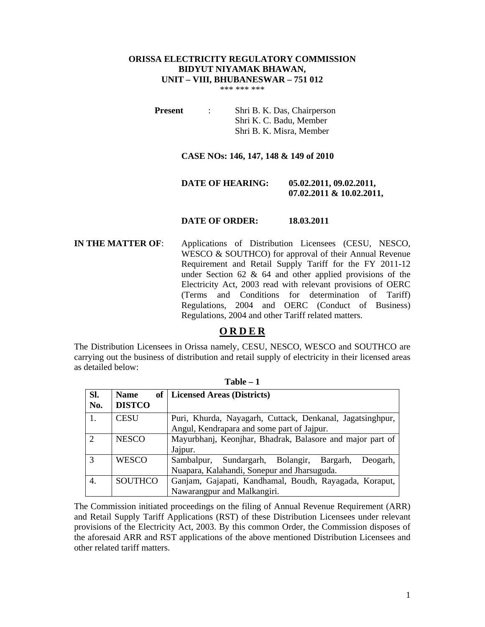# **ORISSA ELECTRICITY REGULATORY COMMISSION BIDYUT NIYAMAK BHAWAN, UNIT – VIII, BHUBANESWAR – 751 012**

\*\*\* \*\*\* \*\*\*

**Present** : Shri B. K. Das, Chairperson Shri K. C. Badu, Member Shri B. K. Misra, Member

#### **CASE NOs: 146, 147, 148 & 149 of 2010**

## **DATE OF HEARING: 05.02.2011, 09.02.2011, 07.02.2011 & 10.02.2011,**

#### **DATE OF ORDER: 18.03.2011**

**IN THE MATTER OF**: Applications of Distribution Licensees (CESU, NESCO, WESCO & SOUTHCO) for approval of their Annual Revenue Requirement and Retail Supply Tariff for the FY 2011-12 under Section 62 & 64 and other applied provisions of the Electricity Act, 2003 read with relevant provisions of OERC (Terms and Conditions for determination of Tariff) Regulations, 2004 and OERC (Conduct of Business) Regulations, 2004 and other Tariff related matters.

# **O R D E R**

The Distribution Licensees in Orissa namely, CESU, NESCO, WESCO and SOUTHCO are carrying out the business of distribution and retail supply of electricity in their licensed areas as detailed below:

| Sl.            | <b>Name</b>    | of   Licensed Areas (Districts)                           |
|----------------|----------------|-----------------------------------------------------------|
| No.            | <b>DISTCO</b>  |                                                           |
| 1.             | <b>CESU</b>    | Puri, Khurda, Nayagarh, Cuttack, Denkanal, Jagatsinghpur, |
|                |                | Angul, Kendrapara and some part of Jajpur.                |
| $\overline{2}$ | <b>NESCO</b>   | Mayurbhanj, Keonjhar, Bhadrak, Balasore and major part of |
|                |                | Jajpur.                                                   |
| 3              | <b>WESCO</b>   | Sundargarh, Bolangir, Bargarh,<br>Sambalpur,<br>Deogarh,  |
|                |                | Nuapara, Kalahandi, Sonepur and Jharsuguda.               |
| 4.             | <b>SOUTHCO</b> | Ganjam, Gajapati, Kandhamal, Boudh, Rayagada, Koraput,    |
|                |                | Nawarangpur and Malkangiri.                               |

**Table – 1** 

The Commission initiated proceedings on the filing of Annual Revenue Requirement (ARR) and Retail Supply Tariff Applications (RST) of these Distribution Licensees under relevant provisions of the Electricity Act, 2003. By this common Order, the Commission disposes of the aforesaid ARR and RST applications of the above mentioned Distribution Licensees and other related tariff matters.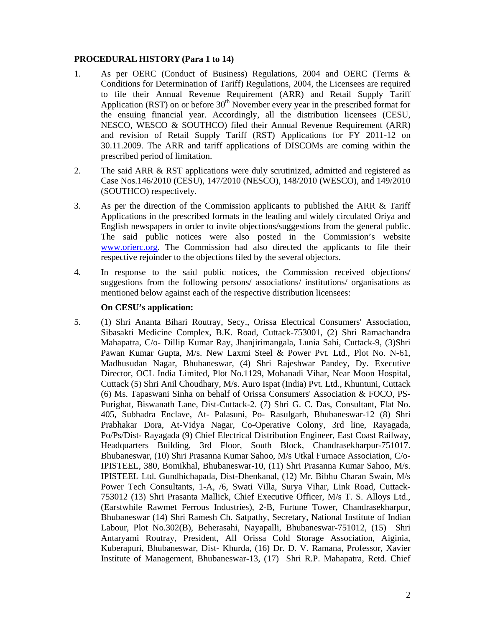## **PROCEDURAL HISTORY (Para 1 to 14)**

- 1. As per OERC (Conduct of Business) Regulations, 2004 and OERC (Terms & Conditions for Determination of Tariff) Regulations, 2004, the Licensees are required to file their Annual Revenue Requirement (ARR) and Retail Supply Tariff Application (RST) on or before  $30<sup>th</sup>$  November every year in the prescribed format for the ensuing financial year. Accordingly, all the distribution licensees (CESU, NESCO, WESCO & SOUTHCO) filed their Annual Revenue Requirement (ARR) and revision of Retail Supply Tariff (RST) Applications for FY 2011-12 on 30.11.2009. The ARR and tariff applications of DISCOMs are coming within the prescribed period of limitation.
- 2. The said ARR & RST applications were duly scrutinized, admitted and registered as Case Nos.146/2010 (CESU), 147/2010 (NESCO), 148/2010 (WESCO), and 149/2010 (SOUTHCO) respectively.
- 3. As per the direction of the Commission applicants to published the ARR & Tariff Applications in the prescribed formats in the leading and widely circulated Oriya and English newspapers in order to invite objections/suggestions from the general public. The said public notices were also posted in the Commission's website www.orierc.org. The Commission had also directed the applicants to file their respective rejoinder to the objections filed by the several objectors.
- 4. In response to the said public notices, the Commission received objections/ suggestions from the following persons/ associations/ institutions/ organisations as mentioned below against each of the respective distribution licensees:

## **On CESU's application:**

5. (1) Shri Ananta Bihari Routray, Secy., Orissa Electrical Consumers' Association, Sibasakti Medicine Complex, B.K. Road, Cuttack-753001, (2) Shri Ramachandra Mahapatra, C/o- Dillip Kumar Ray, Jhanjirimangala, Lunia Sahi, Cuttack-9, (3)Shri Pawan Kumar Gupta, M/s. New Laxmi Steel & Power Pvt. Ltd., Plot No. N-61, Madhusudan Nagar, Bhubaneswar, (4) Shri Rajeshwar Pandey, Dy. Executive Director, OCL India Limited, Plot No.1129, Mohanadi Vihar, Near Moon Hospital, Cuttack (5) Shri Anil Choudhary, M/s. Auro Ispat (India) Pvt. Ltd., Khuntuni, Cuttack (6) Ms. Tapaswani Sinha on behalf of Orissa Consumers' Association & FOCO, PS-Purighat, Biswanath Lane, Dist-Cuttack-2. (7) Shri G. C. Das, Consultant, Flat No. 405, Subhadra Enclave, At- Palasuni, Po- Rasulgarh, Bhubaneswar-12 (8) Shri Prabhakar Dora, At-Vidya Nagar, Co-Operative Colony, 3rd line, Rayagada, Po/Ps/Dist- Rayagada (9) Chief Electrical Distribution Engineer, East Coast Railway, Headquarters Building, 3rd Floor, South Block, Chandrasekharpur-751017. Bhubaneswar, (10) Shri Prasanna Kumar Sahoo, M/s Utkal Furnace Association, C/o-IPISTEEL, 380, Bomikhal, Bhubaneswar-10, (11) Shri Prasanna Kumar Sahoo, M/s. IPISTEEL Ltd. Gundhichapada, Dist-Dhenkanal, (12) Mr. Bibhu Charan Swain, M/s Power Tech Consultants, 1-A, /6, Swati Villa, Surya Vihar, Link Road, Cuttack-753012 (13) Shri Prasanta Mallick, Chief Executive Officer, M/s T. S. Alloys Ltd., (Earstwhile Rawmet Ferrous Industries), 2-B, Furtune Tower, Chandrasekharpur, Bhubaneswar (14) Shri Ramesh Ch. Satpathy, Secretary, National Institute of Indian Labour, Plot No.302(B), Beherasahi, Nayapalli, Bhubaneswar-751012, (15) Shri Antaryami Routray, President, All Orissa Cold Storage Association, Aiginia, Kuberapuri, Bhubaneswar, Dist- Khurda, (16) Dr. D. V. Ramana, Professor, Xavier Institute of Management, Bhubaneswar-13, (17) Shri R.P. Mahapatra, Retd. Chief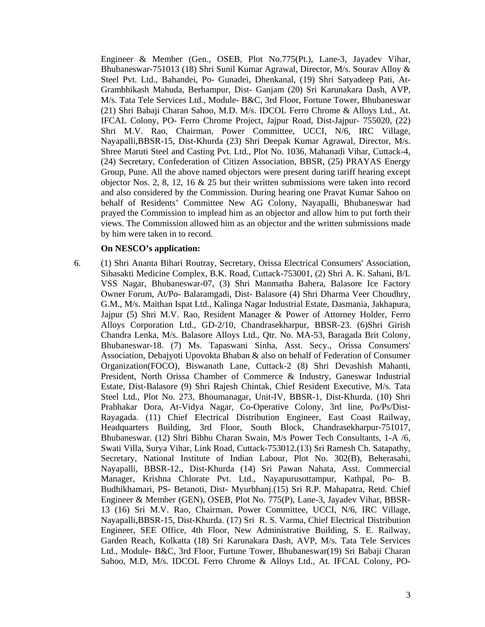Engineer & Member (Gen., OSEB, Plot No.775(Pt.), Lane-3, Jayadev Vihar, Bhubaneswar-751013 (18) Shri Sunil Kumar Agrawal, Director, M/s. Sourav Alloy & Steel Pvt. Ltd., Bahandei, Po- Gunadei, Dhenkanal, (19) Shri Satyadeep Pati, At-Grambhikash Mahuda, Berhampur, Dist- Ganjam (20) Sri Karunakara Dash, AVP, M/s. Tata Tele Services Ltd., Module- B&C, 3rd Floor, Fortune Tower, Bhubaneswar (21) Shri Babaji Charan Sahoo, M.D. M/s. IDCOL Ferro Chrome & Alloys Ltd., At. IFCAL Colony, PO- Ferro Chrome Project, Jajpur Road, Dist-Jajpur- 755020, (22) Shri M.V. Rao, Chairman, Power Committee, UCCI, N/6, IRC Village, Nayapalli,BBSR-15, Dist-Khurda (23) Shri Deepak Kumar Agrawal, Director, M/s. Shree Maruti Steel and Casting Pvt. Ltd., Plot No. 1036, Mahanadi Vihar, Cuttack-4, (24) Secretary, Confederation of Citizen Association, BBSR, (25) PRAYAS Energy Group, Pune. All the above named objectors were present during tariff hearing except objector Nos. 2, 8, 12, 16 & 25 but their written submissions were taken into record and also considered by the Commission. During hearing one Pravat Kumar Sahoo on behalf of Residents' Committee New AG Colony, Nayapalli, Bhubaneswar had prayed the Commission to implead him as an objector and allow him to put forth their views. The Commission allowed him as an objector and the written submissions made by him were taken in to record.

## **On NESCO's application:**

6. (1) Shri Ananta Bihari Routray, Secretary, Orissa Electrical Consumers' Association, Sibasakti Medicine Complex, B.K. Road, Cuttack-753001, (2) Shri A. K. Sahani, B/L VSS Nagar, Bhubaneswar-07, (3) Shri Manmatha Bahera, Balasore Ice Factory Owner Forum, At/Po- Balaramgadi, Dist- Balasore (4) Shri Dharma Veer Choudhry, G.M., M/s. Maithan Ispat Ltd., Kalinga Nagar Industrial Estate, Dasmania, Jakhapura, Jajpur (5) Shri M.V. Rao, Resident Manager & Power of Attorney Holder, Ferro Alloys Corporation Ltd., GD-2/10, Chandrasekharpur, BBSR-23. (6)Shri Girish Chandra Lenka, M/s. Balasore Alloys Ltd., Qtr. No. MA-53, Baragada Brit Colony, Bhubaneswar-18. (7) Ms. Tapaswani Sinha, Asst. Secy., Orissa Consumers' Association, Debajyoti Upovokta Bhaban & also on behalf of Federation of Consumer Organization(FOCO), Biswanath Lane, Cuttack-2 (8) Shri Devashish Mahanti, President, North Orissa Chamber of Commerce & Industry, Ganeswar Industrial Estate, Dist-Balasore (9) Shri Rajesh Chintak, Chief Resident Executive, M/s. Tata Steel Ltd., Plot No. 273, Bhoumanagar, Unit-IV, BBSR-1, Dist-Khurda. (10) Shri Prabhakar Dora, At-Vidya Nagar, Co-Operative Colony, 3rd line, Po/Ps/Dist-Rayagada. (11) Chief Electrical Distribution Engineer, East Coast Railway, Headquarters Building, 3rd Floor, South Block, Chandrasekharpur-751017, Bhubaneswar. (12) Shri Bibhu Charan Swain, M/s Power Tech Consultants, 1-A /6, Swati Villa, Surya Vihar, Link Road, Cuttack-753012.(13) Sri Ramesh Ch. Satapathy, Secretary, National Institute of Indian Labour, Plot No. 302(B), Beherasahi, Nayapalli, BBSR-12., Dist-Khurda (14) Sri Pawan Nahata, Asst. Commercial Manager, Krishna Chlorate Pvt. Ltd., Nayapurusottampur, Kathpal, Po- B. Budhikhamari, PS- Betanoti, Dist- Myurbhanj.(15) Sri R.P. Mahapatra, Retd. Chief Engineer & Member (GEN), OSEB, Plot No. 775(P), Lane-3, Jayadev Vihar, BBSR-13 (16) Sri M.V. Rao, Chairman, Power Committee, UCCI, N/6, IRC Village, Nayapalli,BBSR-15, Dist-Khurda. (17) Sri R. S. Varma, Chief Electrical Distribution Engineer, SEE Office, 4th Floor, New Administrative Building, S. E. Railway, Garden Reach, Kolkatta (18) Sri Karunakara Dash, AVP, M/s. Tata Tele Services Ltd., Module- B&C, 3rd Floor, Furtune Tower, Bhubaneswar(19) Sri Babaji Charan Sahoo, M.D, M/s. IDCOL Ferro Chrome & Alloys Ltd., At. IFCAL Colony, PO-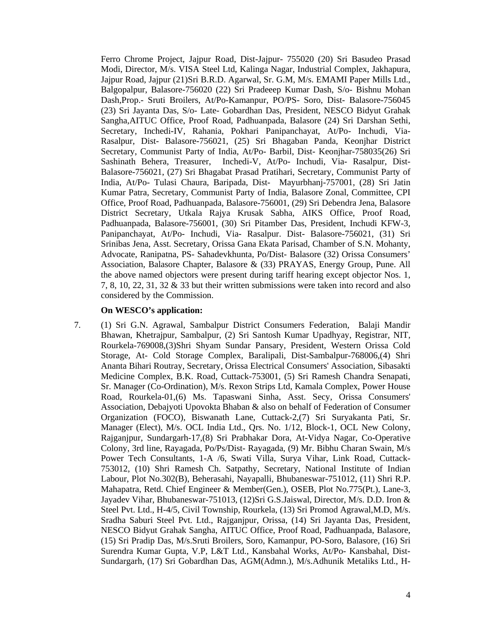Ferro Chrome Project, Jajpur Road, Dist-Jajpur- 755020 (20) Sri Basudeo Prasad Modi, Director, M/s. VISA Steel Ltd, Kalinga Nagar, Industrial Complex, Jakhapura, Jajpur Road, Jajpur (21)Sri B.R.D. Agarwal, Sr. G.M, M/s. EMAMI Paper Mills Ltd., Balgopalpur, Balasore-756020 (22) Sri Pradeeep Kumar Dash, S/o- Bishnu Mohan Dash,Prop.- Sruti Broilers, At/Po-Kamanpur, PO/PS- Soro, Dist- Balasore-756045 (23) Sri Jayanta Das, S/o- Late- Gobardhan Das, President, NESCO Bidyut Grahak Sangha,AITUC Office, Proof Road, Padhuanpada, Balasore (24) Sri Darshan Sethi, Secretary, Inchedi-IV, Rahania, Pokhari Panipanchayat, At/Po- Inchudi, Via-Rasalpur, Dist- Balasore-756021, (25) Sri Bhagaban Panda, Keonjhar District Secretary, Communist Party of India, At/Po- Barbil, Dist- Keonjhar-758035(26) Sri Sashinath Behera, Treasurer, Inchedi-V, At/Po- Inchudi, Via- Rasalpur, Dist-Balasore-756021, (27) Sri Bhagabat Prasad Pratihari, Secretary, Communist Party of India, At/Po- Tulasi Chaura, Baripada, Dist- Mayurbhanj-757001, (28) Sri Jatin Kumar Patra, Secretary, Communist Party of India, Balasore Zonal, Committee, CPI Office, Proof Road, Padhuanpada, Balasore-756001, (29) Sri Debendra Jena, Balasore District Secretary, Utkala Rajya Krusak Sabha, AIKS Office, Proof Road, Padhuanpada, Balasore-756001, (30) Sri Pitamber Das, President, Inchudi KFW-3, Panipanchayat, At/Po- Inchudi, Via- Rasalpur. Dist- Balasore-756021, (31) Sri Srinibas Jena, Asst. Secretary, Orissa Gana Ekata Parisad, Chamber of S.N. Mohanty, Advocate, Ranipatna, PS- Sahadevkhunta, Po/Dist- Balasore (32) Orissa Consumers' Association, Balasore Chapter, Balasore & (33) PRAYAS, Energy Group, Pune. All the above named objectors were present during tariff hearing except objector Nos. 1, 7, 8, 10, 22, 31, 32 & 33 but their written submissions were taken into record and also considered by the Commission.

#### **On WESCO's application:**

7. (1) Sri G.N. Agrawal, Sambalpur District Consumers Federation, Balaji Mandir Bhawan, Khetrajpur, Sambalpur, (2) Sri Santosh Kumar Upadhyay, Registrar, NIT, Rourkela-769008,(3)Shri Shyam Sundar Pansary, President, Western Orissa Cold Storage, At- Cold Storage Complex, Baralipali, Dist-Sambalpur-768006,(4) Shri Ananta Bihari Routray, Secretary, Orissa Electrical Consumers' Association, Sibasakti Medicine Complex, B.K. Road, Cuttack-753001, (5) Sri Ramesh Chandra Senapati, Sr. Manager (Co-Ordination), M/s. Rexon Strips Ltd, Kamala Complex, Power House Road, Rourkela-01,(6) Ms. Tapaswani Sinha, Asst. Secy, Orissa Consumers' Association, Debajyoti Upovokta Bhaban & also on behalf of Federation of Consumer Organization (FOCO), Biswanath Lane, Cuttack-2,(7) Sri Suryakanta Pati, Sr. Manager (Elect), M/s. OCL India Ltd., Qrs. No. 1/12, Block-1, OCL New Colony, Rajganjpur, Sundargarh-17,(8) Sri Prabhakar Dora, At-Vidya Nagar, Co-Operative Colony, 3rd line, Rayagada, Po/Ps/Dist- Rayagada, (9) Mr. Bibhu Charan Swain, M/s Power Tech Consultants, 1-A /6, Swati Villa, Surya Vihar, Link Road, Cuttack-753012, (10) Shri Ramesh Ch. Satpathy, Secretary, National Institute of Indian Labour, Plot No.302(B), Beherasahi, Nayapalli, Bhubaneswar-751012, (11) Shri R.P. Mahapatra, Retd. Chief Engineer & Member(Gen.), OSEB, Plot No.775(Pt.), Lane-3, Jayadev Vihar, Bhubaneswar-751013, (12)Sri G.S.Jaiswal, Director, M/s. D.D. Iron & Steel Pvt. Ltd., H-4/5, Civil Township, Rourkela, (13) Sri Promod Agrawal,M.D, M/s. Sradha Saburi Steel Pvt. Ltd., Rajganjpur, Orissa, (14) Sri Jayanta Das, President, NESCO Bidyut Grahak Sangha, AITUC Office, Proof Road, Padhuanpada, Balasore, (15) Sri Pradip Das, M/s.Sruti Broilers, Soro, Kamanpur, PO-Soro, Balasore, (16) Sri Surendra Kumar Gupta, V.P, L&T Ltd., Kansbahal Works, At/Po- Kansbahal, Dist-Sundargarh, (17) Sri Gobardhan Das, AGM(Admn.), M/s.Adhunik Metaliks Ltd., H-

4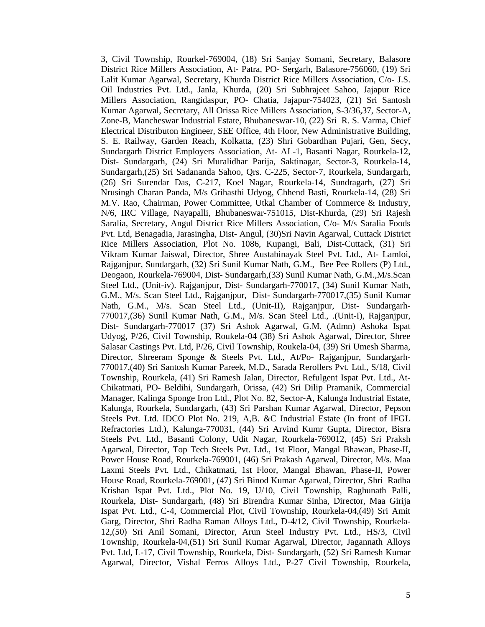3, Civil Township, Rourkel-769004, (18) Sri Sanjay Somani, Secretary, Balasore District Rice Millers Association, At- Patra, PO- Sergarh, Balasore-756060, (19) Sri Lalit Kumar Agarwal, Secretary, Khurda District Rice Millers Association, C/o- J.S. Oil Industries Pvt. Ltd., Janla, Khurda, (20) Sri Subhrajeet Sahoo, Jajapur Rice Millers Association, Rangidaspur, PO- Chatia, Jajapur-754023, (21) Sri Santosh Kumar Agarwal, Secretary, All Orissa Rice Millers Association, S-3/36,37, Sector-A, Zone-B, Mancheswar Industrial Estate, Bhubaneswar-10, (22) Sri R. S. Varma, Chief Electrical Distributon Engineer, SEE Office, 4th Floor, New Administrative Building, S. E. Railway, Garden Reach, Kolkatta, (23) Shri Gobardhan Pujari, Gen, Secy, Sundargarh District Employers Association, At- AL-1, Basanti Nagar, Rourkela-12, Dist- Sundargarh, (24) Sri Muralidhar Parija, Saktinagar, Sector-3, Rourkela-14, Sundargarh,(25) Sri Sadananda Sahoo, Qrs. C-225, Sector-7, Rourkela, Sundargarh, (26) Sri Surendar Das, C-217, Koel Nagar, Rourkela-14, Sundragarh, (27) Sri Nrusingh Charan Panda, M/s Grihasthi Udyog, Chhend Basti, Rourkela-14, (28) Sri M.V. Rao, Chairman, Power Committee, Utkal Chamber of Commerce & Industry, N/6, IRC Village, Nayapalli, Bhubaneswar-751015, Dist-Khurda, (29) Sri Rajesh Saralia, Secretary, Angul District Rice Millers Association, C/o- M/s Saralia Foods Pvt. Ltd, Benagadia, Jarasingha, Dist- Angul, (30)Sri Navin Agarwal, Cuttack District Rice Millers Association, Plot No. 1086, Kupangi, Bali, Dist-Cuttack, (31) Sri Vikram Kumar Jaiswal, Director, Shree Austabinayak Steel Pvt. Ltd., At- Lamloi, Rajganjpur, Sundargarh, (32) Sri Sunil Kumar Nath, G.M., Bee Pee Rollers (P) Ltd., Deogaon, Rourkela-769004, Dist- Sundargarh,(33) Sunil Kumar Nath, G.M.,M/s.Scan Steel Ltd., (Unit-iv). Rajganjpur, Dist- Sundargarh-770017, (34) Sunil Kumar Nath, G.M., M/s. Scan Steel Ltd., Rajganjpur, Dist- Sundargarh-770017,(35) Sunil Kumar Nath, G.M., M/s. Scan Steel Ltd., (Unit-II), Rajganjpur, Dist- Sundargarh-770017,(36) Sunil Kumar Nath, G.M., M/s. Scan Steel Ltd., .(Unit-I), Rajganjpur, Dist- Sundargarh-770017 (37) Sri Ashok Agarwal, G.M. (Admn) Ashoka Ispat Udyog, P/26, Civil Township, Roukela-04 (38) Sri Ashok Agarwal, Director, Shree Salasar Castings Pvt. Ltd, P/26, Civil Township, Roukela-04, (39) Sri Umesh Sharma, Director, Shreeram Sponge & Steels Pvt. Ltd., At/Po- Rajganjpur, Sundargarh-770017,(40) Sri Santosh Kumar Pareek, M.D., Sarada Rerollers Pvt. Ltd., S/18, Civil Township, Rourkela, (41) Sri Ramesh Jalan, Director, Refulgent Ispat Pvt. Ltd., At-Chikatmati, PO- Beldihi, Sundargarh, Orissa, (42) Sri Dilip Pramanik, Commercial Manager, Kalinga Sponge Iron Ltd., Plot No. 82, Sector-A, Kalunga Industrial Estate, Kalunga, Rourkela, Sundargarh, (43) Sri Parshan Kumar Agarwal, Director, Pepson Steels Pvt. Ltd. IDCO Plot No. 219, A,B. &C Industrial Estate (In front of IFGL Refractories Ltd.), Kalunga-770031, (44) Sri Arvind Kumr Gupta, Director, Bisra Steels Pvt. Ltd., Basanti Colony, Udit Nagar, Rourkela-769012, (45) Sri Praksh Agarwal, Director, Top Tech Steels Pvt. Ltd., 1st Floor, Mangal Bhawan, Phase-II, Power House Road, Rourkela-769001, (46) Sri Prakash Agarwal, Director, M/s. Maa Laxmi Steels Pvt. Ltd., Chikatmati, 1st Floor, Mangal Bhawan, Phase-II, Power House Road, Rourkela-769001, (47) Sri Binod Kumar Agarwal, Director, Shri Radha Krishan Ispat Pvt. Ltd., Plot No. 19, U/10, Civil Township, Raghunath Palli, Rourkela, Dist- Sundargarh, (48) Sri Birendra Kumar Sinha, Director, Maa Girija Ispat Pvt. Ltd., C-4, Commercial Plot, Civil Township, Rourkela-04,(49) Sri Amit Garg, Director, Shri Radha Raman Alloys Ltd., D-4/12, Civil Township, Rourkela-12,(50) Sri Anil Somani, Director, Arun Steel Industry Pvt. Ltd., HS/3, Civil Township, Rourkela-04,(51) Sri Sunil Kumar Agarwal, Director, Jagannath Alloys Pvt. Ltd, L-17, Civil Township, Rourkela, Dist- Sundargarh, (52) Sri Ramesh Kumar Agarwal, Director, Vishal Ferros Alloys Ltd., P-27 Civil Township, Rourkela,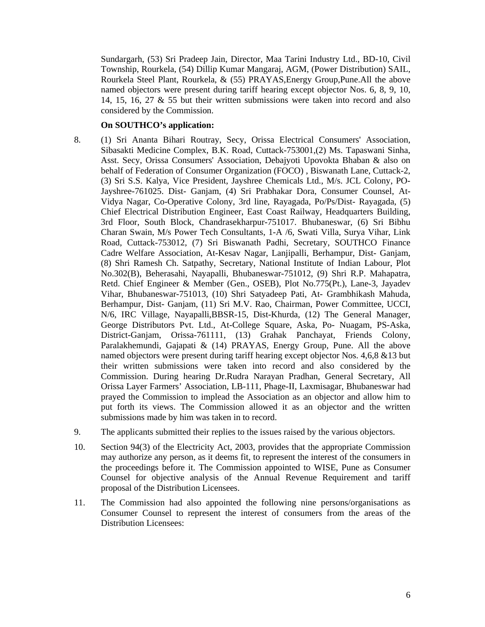Sundargarh, (53) Sri Pradeep Jain, Director, Maa Tarini Industry Ltd., BD-10, Civil Township, Rourkela, (54) Dillip Kumar Mangaraj, AGM, (Power Distribution) SAIL, Rourkela Steel Plant, Rourkela, & (55) PRAYAS,Energy Group,Pune.All the above named objectors were present during tariff hearing except objector Nos. 6, 8, 9, 10, 14, 15, 16, 27 & 55 but their written submissions were taken into record and also considered by the Commission.

#### **On SOUTHCO's application:**

- 8. (1) Sri Ananta Bihari Routray, Secy, Orissa Electrical Consumers' Association, Sibasakti Medicine Complex, B.K. Road, Cuttack-753001,(2) Ms. Tapaswani Sinha, Asst. Secy, Orissa Consumers' Association, Debajyoti Upovokta Bhaban & also on behalf of Federation of Consumer Organization (FOCO) , Biswanath Lane, Cuttack-2, (3) Sri S.S. Kalya, Vice President, Jayshree Chemicals Ltd., M/s. JCL Colony, PO-Jayshree-761025. Dist- Ganjam, (4) Sri Prabhakar Dora, Consumer Counsel, At-Vidya Nagar, Co-Operative Colony, 3rd line, Rayagada, Po/Ps/Dist- Rayagada, (5) Chief Electrical Distribution Engineer, East Coast Railway, Headquarters Building, 3rd Floor, South Block, Chandrasekharpur-751017. Bhubaneswar, (6) Sri Bibhu Charan Swain, M/s Power Tech Consultants, 1-A /6, Swati Villa, Surya Vihar, Link Road, Cuttack-753012, (7) Sri Biswanath Padhi, Secretary, SOUTHCO Finance Cadre Welfare Association, At-Kesav Nagar, Lanjipalli, Berhampur, Dist- Ganjam, (8) Shri Ramesh Ch. Satpathy, Secretary, National Institute of Indian Labour, Plot No.302(B), Beherasahi, Nayapalli, Bhubaneswar-751012, (9) Shri R.P. Mahapatra, Retd. Chief Engineer & Member (Gen., OSEB), Plot No.775(Pt.), Lane-3, Jayadev Vihar, Bhubaneswar-751013, (10) Shri Satyadeep Pati, At- Grambhikash Mahuda, Berhampur, Dist- Ganjam, (11) Sri M.V. Rao, Chairman, Power Committee, UCCI, N/6, IRC Village, Nayapalli,BBSR-15, Dist-Khurda, (12) The General Manager, George Distributors Pvt. Ltd., At-College Square, Aska, Po- Nuagam, PS-Aska, District-Ganjam, Orissa-761111, (13) Grahak Panchayat, Friends Colony, Paralakhemundi, Gajapati & (14) PRAYAS, Energy Group, Pune. All the above named objectors were present during tariff hearing except objector Nos. 4,6,8 &13 but their written submissions were taken into record and also considered by the Commission. During hearing Dr.Rudra Narayan Pradhan, General Secretary, All Orissa Layer Farmers' Association, LB-111, Phage-II, Laxmisagar, Bhubaneswar had prayed the Commission to implead the Association as an objector and allow him to put forth its views. The Commission allowed it as an objector and the written submissions made by him was taken in to record.
- 9. The applicants submitted their replies to the issues raised by the various objectors.
- 10. Section 94(3) of the Electricity Act, 2003, provides that the appropriate Commission may authorize any person, as it deems fit, to represent the interest of the consumers in the proceedings before it. The Commission appointed to WISE, Pune as Consumer Counsel for objective analysis of the Annual Revenue Requirement and tariff proposal of the Distribution Licensees.
- 11. The Commission had also appointed the following nine persons/organisations as Consumer Counsel to represent the interest of consumers from the areas of the Distribution Licensees: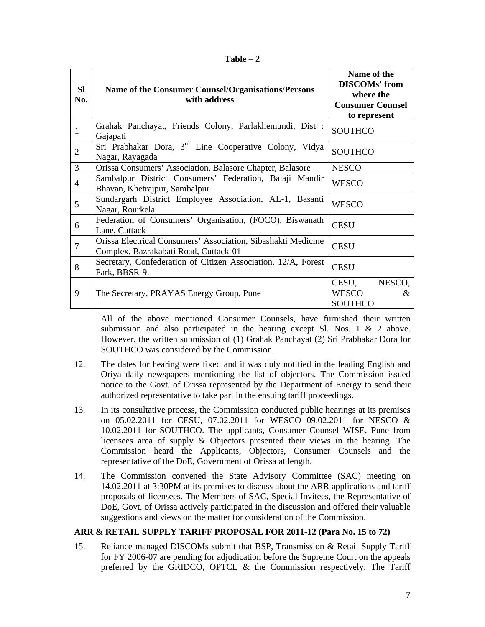| anı<br>ĸ |  |
|----------|--|
|----------|--|

| <b>SI</b><br>No. | Name of the Consumer Counsel/Organisations/Persons<br>with address                                     | Name of the<br><b>DISCOMs'</b> from<br>where the<br><b>Consumer Counsel</b><br>to represent |
|------------------|--------------------------------------------------------------------------------------------------------|---------------------------------------------------------------------------------------------|
| $\mathbf{1}$     | Grahak Panchayat, Friends Colony, Parlakhemundi, Dist:<br>Gajapati                                     | <b>SOUTHCO</b>                                                                              |
| $\overline{2}$   | Sri Prabhakar Dora, 3 <sup>rd</sup> Line Cooperative Colony, Vidya<br>Nagar, Rayagada                  | <b>SOUTHCO</b>                                                                              |
| 3                | Orissa Consumers' Association, Balasore Chapter, Balasore                                              | <b>NESCO</b>                                                                                |
| $\overline{4}$   | Sambalpur District Consumers' Federation, Balaji Mandir<br>Bhavan, Khetrajpur, Sambalpur               | <b>WESCO</b>                                                                                |
| 5                | Sundargarh District Employee Association, AL-1, Basanti<br>Nagar, Rourkela                             | <b>WESCO</b>                                                                                |
| 6                | Federation of Consumers' Organisation, (FOCO), Biswanath<br>Lane, Cuttack                              | <b>CESU</b>                                                                                 |
| $\overline{7}$   | Orissa Electrical Consumers' Association, Sibashakti Medicine<br>Complex, Bazrakabati Road, Cuttack-01 | <b>CESU</b>                                                                                 |
| 8                | Secretary, Confederation of Citizen Association, 12/A, Forest<br>Park, BBSR-9.                         | <b>CESU</b>                                                                                 |
| 9                | The Secretary, PRAYAS Energy Group, Pune                                                               | NESCO,<br>CESU,<br><b>WESCO</b><br>&<br><b>SOUTHCO</b>                                      |

All of the above mentioned Consumer Counsels, have furnished their written submission and also participated in the hearing except Sl. Nos.  $1 \& 2$  above. However, the written submission of (1) Grahak Panchayat (2) Sri Prabhakar Dora for SOUTHCO was considered by the Commission.

- 12. The dates for hearing were fixed and it was duly notified in the leading English and Oriya daily newspapers mentioning the list of objectors. The Commission issued notice to the Govt. of Orissa represented by the Department of Energy to send their authorized representative to take part in the ensuing tariff proceedings.
- 13. In its consultative process, the Commission conducted public hearings at its premises on 05.02.2011 for CESU, 07.02.2011 for WESCO 09.02.2011 for NESCO & 10.02.2011 for SOUTHCO. The applicants, Consumer Counsel WISE, Pune from licensees area of supply & Objectors presented their views in the hearing. The Commission heard the Applicants, Objectors, Consumer Counsels and the representative of the DoE, Government of Orissa at length.
- 14. The Commission convened the State Advisory Committee (SAC) meeting on 14.02.2011 at 3:30PM at its premises to discuss about the ARR applications and tariff proposals of licensees. The Members of SAC, Special Invitees, the Representative of DoE, Govt. of Orissa actively participated in the discussion and offered their valuable suggestions and views on the matter for consideration of the Commission.

## **ARR & RETAIL SUPPLY TARIFF PROPOSAL FOR 2011-12 (Para No. 15 to 72)**

15. Reliance managed DISCOMs submit that BSP, Transmission & Retail Supply Tariff for FY 2006-07 are pending for adjudication before the Supreme Court on the appeals preferred by the GRIDCO, OPTCL & the Commission respectively. The Tariff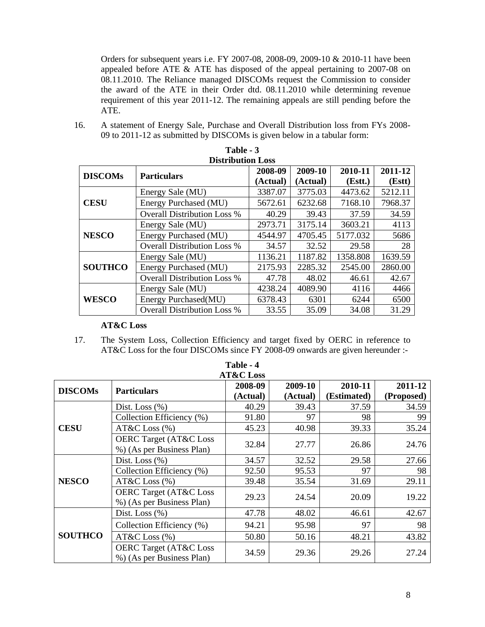Orders for subsequent years i.e. FY 2007-08, 2008-09, 2009-10 & 2010-11 have been appealed before ATE & ATE has disposed of the appeal pertaining to 2007-08 on 08.11.2010. The Reliance managed DISCOMs request the Commission to consider the award of the ATE in their Order dtd. 08.11.2010 while determining revenue requirement of this year 2011-12. The remaining appeals are still pending before the ATE.

16. A statement of Energy Sale, Purchase and Overall Distribution loss from FYs 2008- 09 to 2011-12 as submitted by DISCOMs is given below in a tabular form:

| <b>Distribution Loss</b> |                                    |          |          |          |         |  |  |  |
|--------------------------|------------------------------------|----------|----------|----------|---------|--|--|--|
| <b>DISCOMs</b>           | <b>Particulars</b>                 | 2008-09  | 2009-10  | 2010-11  | 2011-12 |  |  |  |
|                          |                                    | (Actual) | (Actual) | (Est.)   | (Estt)  |  |  |  |
|                          | Energy Sale (MU)                   | 3387.07  | 3775.03  | 4473.62  | 5212.11 |  |  |  |
| <b>CESU</b>              | Energy Purchased (MU)              | 5672.61  | 6232.68  | 7168.10  | 7968.37 |  |  |  |
|                          | <b>Overall Distribution Loss %</b> | 40.29    | 39.43    | 37.59    | 34.59   |  |  |  |
|                          | Energy Sale (MU)                   | 2973.71  | 3175.14  | 3603.21  | 4113    |  |  |  |
| <b>NESCO</b>             | Energy Purchased (MU)              | 4544.97  | 4705.45  | 5177.032 | 5686    |  |  |  |
|                          | <b>Overall Distribution Loss %</b> | 34.57    | 32.52    | 29.58    | 28      |  |  |  |
|                          | Energy Sale (MU)                   | 1136.21  | 1187.82  | 1358.808 | 1639.59 |  |  |  |
| <b>SOUTHCO</b>           | Energy Purchased (MU)              | 2175.93  | 2285.32  | 2545.00  | 2860.00 |  |  |  |
|                          | <b>Overall Distribution Loss %</b> | 47.78    | 48.02    | 46.61    | 42.67   |  |  |  |
|                          | Energy Sale (MU)                   | 4238.24  | 4089.90  | 4116     | 4466    |  |  |  |
| <b>WESCO</b>             | Energy Purchased(MU)               | 6378.43  | 6301     | 6244     | 6500    |  |  |  |
|                          | <b>Overall Distribution Loss %</b> | 33.55    | 35.09    | 34.08    | 31.29   |  |  |  |

| Table - 3        |
|------------------|
| Distribution Los |

## **AT&C Loss**

17. The System Loss, Collection Efficiency and target fixed by OERC in reference to AT&C Loss for the four DISCOMs since FY 2008-09 onwards are given hereunder :-

| Table - 4<br><b>AT&amp;C</b> Loss |                                                                |                     |                     |                        |                       |  |  |
|-----------------------------------|----------------------------------------------------------------|---------------------|---------------------|------------------------|-----------------------|--|--|
| <b>DISCOMs</b>                    | <b>Particulars</b>                                             | 2008-09<br>(Actual) | 2009-10<br>(Actual) | 2010-11<br>(Estimated) | 2011-12<br>(Proposed) |  |  |
| <b>CESU</b>                       | Dist. Loss $(\% )$                                             | 40.29               | 39.43               | 37.59                  | 34.59                 |  |  |
|                                   | Collection Efficiency (%)                                      | 91.80               | 97                  | 98                     | 99                    |  |  |
|                                   | $AT&C$ Loss $(\% )$                                            | 45.23               | 40.98               | 39.33                  | 35.24                 |  |  |
|                                   | <b>OERC Target (AT&amp;C Loss</b><br>%) (As per Business Plan) | 32.84               | 27.77               | 26.86                  | 24.76                 |  |  |
|                                   | Dist. Loss $(\% )$                                             | 34.57               | 32.52               | 29.58                  | 27.66                 |  |  |
|                                   | Collection Efficiency (%)                                      | 92.50               | 95.53               | 97                     | 98                    |  |  |
| <b>NESCO</b>                      | $AT&C$ Loss $(\% )$                                            | 39.48               | 35.54               | 31.69                  | 29.11                 |  |  |
|                                   | <b>OERC Target (AT&amp;C Loss</b><br>%) (As per Business Plan) | 29.23               | 24.54               | 20.09                  | 19.22                 |  |  |
|                                   | Dist. Loss $(\%)$                                              | 47.78               | 48.02               | 46.61                  | 42.67                 |  |  |
| <b>SOUTHCO</b>                    | Collection Efficiency (%)                                      | 94.21               | 95.98               | 97                     | 98                    |  |  |
|                                   | AT&C Loss $(\% )$                                              | 50.80               | 50.16               | 48.21                  | 43.82                 |  |  |
|                                   | <b>OERC Target (AT&amp;C Loss</b><br>%) (As per Business Plan) | 34.59               | 29.36               | 29.26                  | 27.24                 |  |  |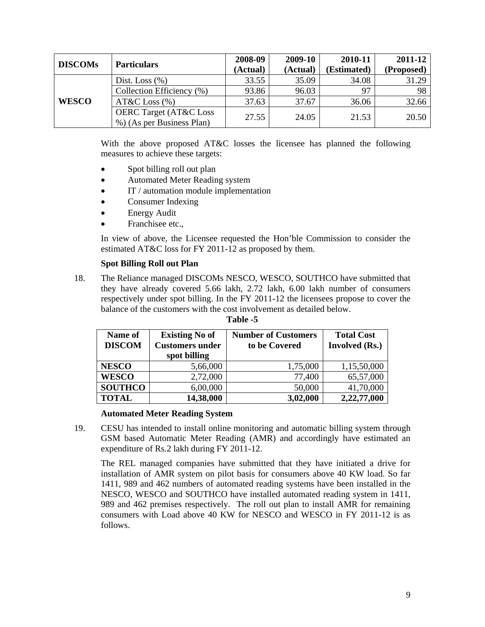| <b>DISCOMs</b> |                                   | 2008-09  | 2009-10  | 2010-11     | 2011-12    |
|----------------|-----------------------------------|----------|----------|-------------|------------|
|                | <b>Particulars</b>                | (Actual) | (Actual) | (Estimated) | (Proposed) |
|                | Dist. Loss $(\% )$                | 33.55    | 35.09    | 34.08       | 31.29      |
| <b>WESCO</b>   | Collection Efficiency (%)         | 93.86    | 96.03    | 97          | 98         |
|                | $AT&C$ Loss $(\% )$               | 37.63    | 37.67    | 36.06       | 32.66      |
|                | <b>OERC Target (AT&amp;C Loss</b> | 27.55    | 24.05    | 21.53       |            |
|                | %) (As per Business Plan)         |          |          |             | 20.50      |

With the above proposed AT&C losses the licensee has planned the following measures to achieve these targets:

- Spot billing roll out plan
- Automated Meter Reading system
- IT / automation module implementation
- Consumer Indexing
- **Energy Audit**
- Franchisee etc.,

In view of above, the Licensee requested the Hon'ble Commission to consider the estimated AT&C loss for FY 2011-12 as proposed by them.

## **Spot Billing Roll out Plan**

18. The Reliance managed DISCOMs NESCO, WESCO, SOUTHCO have submitted that they have already covered 5.66 lakh, 2.72 lakh, 6.00 lakh number of consumers respectively under spot billing. In the FY 2011-12 the licensees propose to cover the balance of the customers with the cost involvement as detailed below.

| Name of<br><b>DISCOM</b> | <b>Existing No of</b><br><b>Customers under</b><br>spot billing | <b>Number of Customers</b><br>to be Covered | <b>Total Cost</b><br><b>Involved</b> (Rs.) |
|--------------------------|-----------------------------------------------------------------|---------------------------------------------|--------------------------------------------|
| <b>NESCO</b>             | 5,66,000                                                        | 1,75,000                                    | 1,15,50,000                                |
| <b>WESCO</b>             | 2,72,000                                                        | 77,400                                      | 65,57,000                                  |
| <b>SOUTHCO</b>           | 6,00,000                                                        | 50,000                                      | 41,70,000                                  |
| <b>TOTAL</b>             | 14,38,000                                                       | 3,02,000                                    | 2,22,77,000                                |

**Table -5**

#### **Automated Meter Reading System**

19. CESU has intended to install online monitoring and automatic billing system through GSM based Automatic Meter Reading (AMR) and accordingly have estimated an expenditure of Rs.2 lakh during FY 2011-12.

The REL managed companies have submitted that they have initiated a drive for installation of AMR system on pilot basis for consumers above 40 KW load. So far 1411, 989 and 462 numbers of automated reading systems have been installed in the NESCO, WESCO and SOUTHCO have installed automated reading system in 1411, 989 and 462 premises respectively. The roll out plan to install AMR for remaining consumers with Load above 40 KW for NESCO and WESCO in FY 2011-12 is as follows.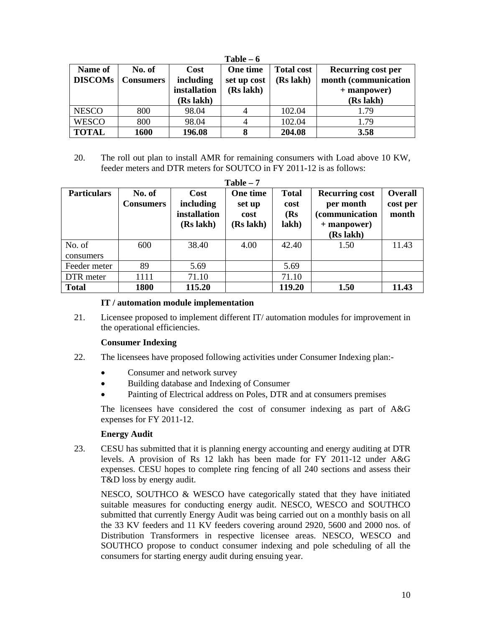| $Table - 6$               |                            |                                                |                                      |                                |                                                                                 |  |  |  |
|---------------------------|----------------------------|------------------------------------------------|--------------------------------------|--------------------------------|---------------------------------------------------------------------------------|--|--|--|
| Name of<br><b>DISCOMs</b> | No. of<br><b>Consumers</b> | Cost<br>including<br>installation<br>(Rs lakh) | One time<br>set up cost<br>(Rs lakh) | <b>Total cost</b><br>(Rs lakh) | <b>Recurring cost per</b><br>month (communication<br>$+$ manpower)<br>(Rs lakh) |  |  |  |
| <b>NESCO</b>              | 800                        | 98.04                                          |                                      | 102.04                         | 1.79                                                                            |  |  |  |
| <b>WESCO</b>              | 800                        | 98.04                                          |                                      | 102.04                         | 1.79                                                                            |  |  |  |
| <b>TOTAL</b>              | 1600                       | 196.08                                         | 8                                    | 204.08                         | 3.58                                                                            |  |  |  |

20. The roll out plan to install AMR for remaining consumers with Load above 10 KW, feeder meters and DTR meters for SOUTCO in FY 2011-12 is as follows:

| Table $-7$          |                            |                                                |                                         |                                      |                                                                                          |                                     |  |  |  |
|---------------------|----------------------------|------------------------------------------------|-----------------------------------------|--------------------------------------|------------------------------------------------------------------------------------------|-------------------------------------|--|--|--|
| <b>Particulars</b>  | No. of<br><b>Consumers</b> | Cost<br>including<br>installation<br>(Rs lakh) | One time<br>set up<br>cost<br>(Rs lakh) | <b>Total</b><br>cost<br>(Rs<br>lakh) | <b>Recurring cost</b><br>per month<br><i>(communication)</i><br>+ manpower)<br>(Rs lakh) | <b>Overall</b><br>cost per<br>month |  |  |  |
| No. of<br>consumers | 600                        | 38.40                                          | 4.00                                    | 42.40                                | 1.50                                                                                     | 11.43                               |  |  |  |
| Feeder meter        | 89                         | 5.69                                           |                                         | 5.69                                 |                                                                                          |                                     |  |  |  |
| DTR meter           | 1111                       | 71.10                                          |                                         | 71.10                                |                                                                                          |                                     |  |  |  |
| <b>Total</b>        | 1800                       | 115.20                                         |                                         | 119.20                               | 1.50                                                                                     | 11.43                               |  |  |  |

## **IT / automation module implementation**

21. Licensee proposed to implement different IT/ automation modules for improvement in the operational efficiencies.

## **Consumer Indexing**

- 22. The licensees have proposed following activities under Consumer Indexing plan:-
	- Consumer and network survey
	- Building database and Indexing of Consumer
	- Painting of Electrical address on Poles, DTR and at consumers premises

The licensees have considered the cost of consumer indexing as part of A&G expenses for FY 2011-12.

## **Energy Audit**

23. CESU has submitted that it is planning energy accounting and energy auditing at DTR levels. A provision of Rs 12 lakh has been made for FY 2011-12 under A&G expenses. CESU hopes to complete ring fencing of all 240 sections and assess their T&D loss by energy audit.

NESCO, SOUTHCO & WESCO have categorically stated that they have initiated suitable measures for conducting energy audit. NESCO, WESCO and SOUTHCO submitted that currently Energy Audit was being carried out on a monthly basis on all the 33 KV feeders and 11 KV feeders covering around 2920, 5600 and 2000 nos. of Distribution Transformers in respective licensee areas. NESCO, WESCO and SOUTHCO propose to conduct consumer indexing and pole scheduling of all the consumers for starting energy audit during ensuing year.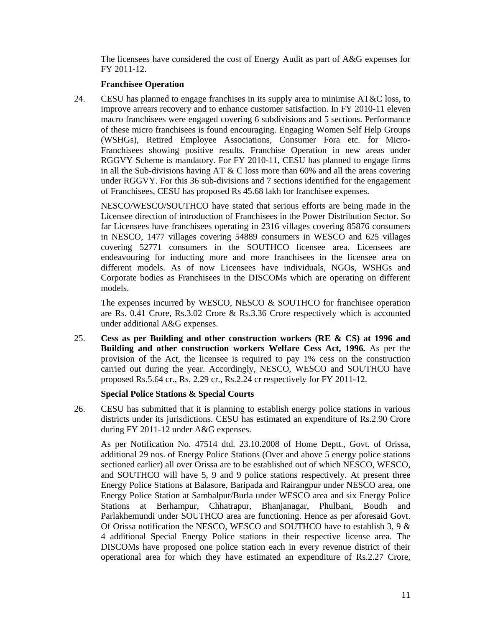The licensees have considered the cost of Energy Audit as part of A&G expenses for FY 2011-12.

## **Franchisee Operation**

24. CESU has planned to engage franchises in its supply area to minimise AT&C loss, to improve arrears recovery and to enhance customer satisfaction. In FY 2010-11 eleven macro franchisees were engaged covering 6 subdivisions and 5 sections. Performance of these micro franchisees is found encouraging. Engaging Women Self Help Groups (WSHGs), Retired Employee Associations, Consumer Fora etc. for Micro-Franchisees showing positive results. Franchise Operation in new areas under RGGVY Scheme is mandatory. For FY 2010-11, CESU has planned to engage firms in all the Sub-divisions having AT  $&$  C loss more than 60% and all the areas covering under RGGVY. For this 36 sub-divisions and 7 sections identified for the engagement of Franchisees, CESU has proposed Rs 45.68 lakh for franchisee expenses.

NESCO/WESCO/SOUTHCO have stated that serious efforts are being made in the Licensee direction of introduction of Franchisees in the Power Distribution Sector. So far Licensees have franchisees operating in 2316 villages covering 85876 consumers in NESCO, 1477 villages covering 54889 consumers in WESCO and 625 villages covering 52771 consumers in the SOUTHCO licensee area. Licensees are endeavouring for inducting more and more franchisees in the licensee area on different models. As of now Licensees have individuals, NGOs, WSHGs and Corporate bodies as Franchisees in the DISCOMs which are operating on different models.

The expenses incurred by WESCO, NESCO & SOUTHCO for franchisee operation are Rs. 0.41 Crore, Rs.3.02 Crore & Rs.3.36 Crore respectively which is accounted under additional A&G expenses.

25. **Cess as per Building and other construction workers (RE & CS) at 1996 and Building and other construction workers Welfare Cess Act, 1996.** As per the provision of the Act, the licensee is required to pay 1% cess on the construction carried out during the year. Accordingly, NESCO, WESCO and SOUTHCO have proposed Rs.5.64 cr., Rs. 2.29 cr., Rs.2.24 cr respectively for FY 2011-12.

## **Special Police Stations & Special Courts**

26. CESU has submitted that it is planning to establish energy police stations in various districts under its jurisdictions. CESU has estimated an expenditure of Rs.2.90 Crore during FY 2011-12 under A&G expenses.

As per Notification No. 47514 dtd. 23.10.2008 of Home Deptt., Govt. of Orissa, additional 29 nos. of Energy Police Stations (Over and above 5 energy police stations sectioned earlier) all over Orissa are to be established out of which NESCO, WESCO, and SOUTHCO will have 5, 9 and 9 police stations respectively. At present three Energy Police Stations at Balasore, Baripada and Rairangpur under NESCO area, one Energy Police Station at Sambalpur/Burla under WESCO area and six Energy Police Stations at Berhampur, Chhatrapur, Bhanjanagar, Phulbani, Boudh and Parlakhemundi under SOUTHCO area are functioning. Hence as per aforesaid Govt. Of Orissa notification the NESCO, WESCO and SOUTHCO have to establish 3, 9  $\&$ 4 additional Special Energy Police stations in their respective license area. The DISCOMs have proposed one police station each in every revenue district of their operational area for which they have estimated an expenditure of Rs.2.27 Crore,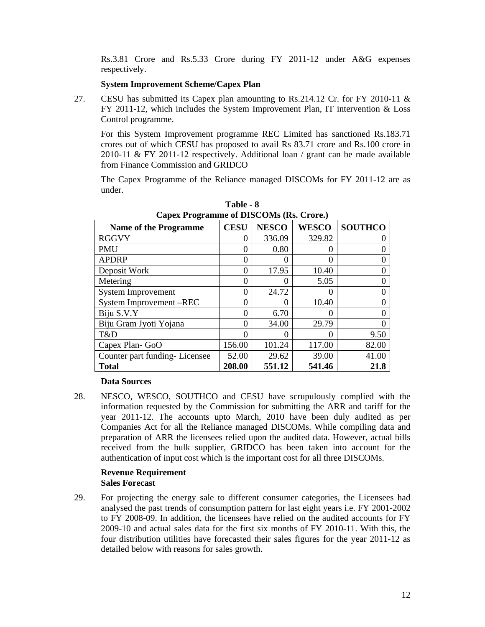Rs.3.81 Crore and Rs.5.33 Crore during FY 2011-12 under A&G expenses respectively.

## **System Improvement Scheme/Capex Plan**

27. CESU has submitted its Capex plan amounting to Rs.214.12 Cr. for FY 2010-11 & FY 2011-12, which includes the System Improvement Plan, IT intervention & Loss Control programme.

For this System Improvement programme REC Limited has sanctioned Rs.183.71 crores out of which CESU has proposed to avail Rs 83.71 crore and Rs.100 crore in 2010-11 & FY 2011-12 respectively. Additional loan  $/$  grant can be made available from Finance Commission and GRIDCO

The Capex Programme of the Reliance managed DISCOMs for FY 2011-12 are as under.

| $\mu$                         |             |               |              |                |  |  |  |  |  |
|-------------------------------|-------------|---------------|--------------|----------------|--|--|--|--|--|
| <b>Name of the Programme</b>  | <b>CESU</b> | <b>NESCO</b>  | <b>WESCO</b> | <b>SOUTHCO</b> |  |  |  |  |  |
| <b>RGGVY</b>                  | 0           | 336.09        | 329.82       |                |  |  |  |  |  |
| <b>PMU</b>                    | 0           | 0.80          |              |                |  |  |  |  |  |
| <b>APDRP</b>                  | 0           | $\mathcal{O}$ |              |                |  |  |  |  |  |
| Deposit Work                  | 0           | 17.95         | 10.40        |                |  |  |  |  |  |
| Metering                      | 0           | 0             | 5.05         |                |  |  |  |  |  |
| <b>System Improvement</b>     | 0           | 24.72         | 0            |                |  |  |  |  |  |
| System Improvement-REC        | 0           | 0             | 10.40        |                |  |  |  |  |  |
| Biju S.V.Y                    | 0           | 6.70          | 0            |                |  |  |  |  |  |
| Biju Gram Jyoti Yojana        | 0           | 34.00         | 29.79        |                |  |  |  |  |  |
| T&D                           | 0           | 0             | 0            | 9.50           |  |  |  |  |  |
| Capex Plan-GoO                | 156.00      | 101.24        | 117.00       | 82.00          |  |  |  |  |  |
| Counter part funding-Licensee | 52.00       | 29.62         | 39.00        | 41.00          |  |  |  |  |  |
| <b>Total</b>                  | 208.00      | 551.12        | 541.46       | 21.8           |  |  |  |  |  |

**Table - 8 Capex Programme of DISCOMs (Rs. Crore.)** 

## **Data Sources**

28. NESCO, WESCO, SOUTHCO and CESU have scrupulously complied with the information requested by the Commission for submitting the ARR and tariff for the year 2011-12. The accounts upto March, 2010 have been duly audited as per Companies Act for all the Reliance managed DISCOMs. While compiling data and preparation of ARR the licensees relied upon the audited data. However, actual bills received from the bulk supplier, GRIDCO has been taken into account for the authentication of input cost which is the important cost for all three DISCOMs.

#### **Revenue Requirement Sales Forecast**

29. For projecting the energy sale to different consumer categories, the Licensees had analysed the past trends of consumption pattern for last eight years i.e. FY 2001-2002 to FY 2008-09. In addition, the licensees have relied on the audited accounts for FY 2009-10 and actual sales data for the first six months of FY 2010-11. With this, the four distribution utilities have forecasted their sales figures for the year 2011-12 as detailed below with reasons for sales growth.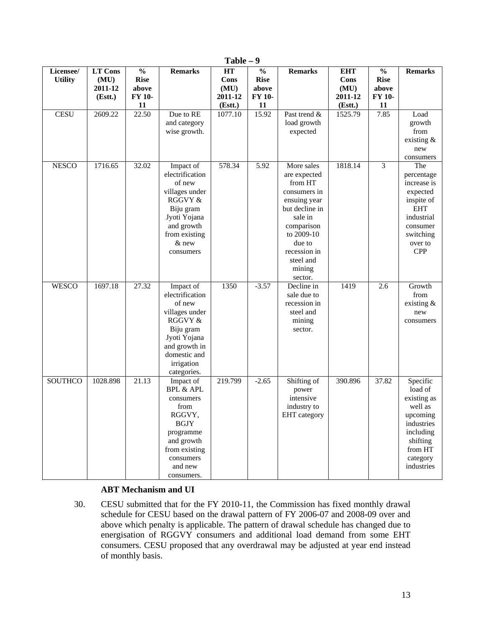|                             |                                             |                                                              |                                                                                                                                                                   | 1 avit                                   |                                                       |                                                                                                                                                                                            |                                                  |                                                              |                                                                                                                                          |
|-----------------------------|---------------------------------------------|--------------------------------------------------------------|-------------------------------------------------------------------------------------------------------------------------------------------------------------------|------------------------------------------|-------------------------------------------------------|--------------------------------------------------------------------------------------------------------------------------------------------------------------------------------------------|--------------------------------------------------|--------------------------------------------------------------|------------------------------------------------------------------------------------------------------------------------------------------|
| Licensee/<br><b>Utility</b> | <b>LT Cons</b><br>(MU)<br>2011-12<br>(Est.) | $\frac{0}{0}$<br><b>Rise</b><br>above<br><b>FY 10-</b><br>11 | <b>Remarks</b>                                                                                                                                                    | HT<br>Cons<br>(MU)<br>2011-12<br>(Estt.) | $\frac{0}{0}$<br><b>Rise</b><br>above<br>FY 10-<br>11 | <b>Remarks</b>                                                                                                                                                                             | <b>EHT</b><br>Cons<br>(MU)<br>2011-12<br>(Estt.) | $\frac{0}{0}$<br><b>Rise</b><br>above<br><b>FY 10-</b><br>11 | <b>Remarks</b>                                                                                                                           |
| <b>CESU</b>                 | 2609.22                                     | 22.50                                                        | Due to RE<br>and category<br>wise growth.                                                                                                                         | 1077.10                                  | 15.92                                                 | Past trend &<br>load growth<br>expected                                                                                                                                                    | 1525.79                                          | 7.85                                                         | Load<br>growth<br>from<br>existing $\&$<br>new<br>consumers                                                                              |
| <b>NESCO</b>                | 1716.65                                     | 32.02                                                        | Impact of<br>electrification<br>of new<br>villages under<br>RGGVY &<br>Biju gram<br>Jyoti Yojana<br>and growth<br>from existing<br>& new<br>consumers             | 578.34                                   | 5.92                                                  | More sales<br>are expected<br>from HT<br>consumers in<br>ensuing year<br>but decline in<br>sale in<br>comparison<br>to 2009-10<br>due to<br>recession in<br>steel and<br>mining<br>sector. | 1818.14                                          | 3                                                            | The<br>percentage<br>increase is<br>expected<br>inspite of<br><b>EHT</b><br>industrial<br>consumer<br>switching<br>over to<br><b>CPP</b> |
| <b>WESCO</b>                | 1697.18                                     | 27.32                                                        | Impact of<br>electrification<br>of new<br>villages under<br>RGGVY &<br>Biju gram<br>Jyoti Yojana<br>and growth in<br>domestic and<br>irrigation<br>categories.    | 1350                                     | $-3.57$                                               | Decline in<br>sale due to<br>recession in<br>steel and<br>mining<br>sector.                                                                                                                | 1419                                             | 2.6                                                          | Growth<br>from<br>existing $\&$<br>new<br>consumers                                                                                      |
| SOUTHCO                     | 1028.898                                    | 21.13                                                        | Impact of<br><b>BPL &amp; APL</b><br>consumers<br>from<br>RGGVY,<br><b>BGJY</b><br>programme<br>and growth<br>from existing<br>consumers<br>and new<br>consumers. | 219.799                                  | $-2.65$                                               | Shifting of<br>power<br>intensive<br>industry to<br>EHT category                                                                                                                           | 390.896                                          | 37.82                                                        | Specific<br>load of<br>existing as<br>well as<br>upcoming<br>industries<br>including<br>shifting<br>from HT<br>category<br>industries    |

**Table – 9** 

## **ABT Mechanism and UI**

30. CESU submitted that for the FY 2010-11, the Commission has fixed monthly drawal schedule for CESU based on the drawal pattern of FY 2006-07 and 2008-09 over and above which penalty is applicable. The pattern of drawal schedule has changed due to energisation of RGGVY consumers and additional load demand from some EHT consumers. CESU proposed that any overdrawal may be adjusted at year end instead of monthly basis.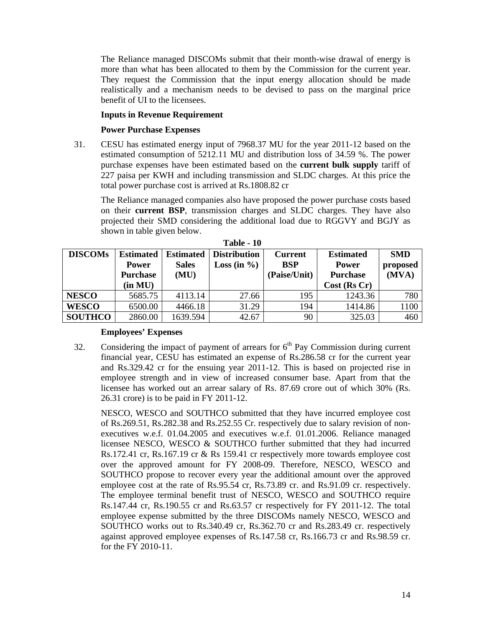The Reliance managed DISCOMs submit that their month-wise drawal of energy is more than what has been allocated to them by the Commission for the current year. They request the Commission that the input energy allocation should be made realistically and a mechanism needs to be devised to pass on the marginal price benefit of UI to the licensees.

## **Inputs in Revenue Requirement**

## **Power Purchase Expenses**

31. CESU has estimated energy input of 7968.37 MU for the year 2011-12 based on the estimated consumption of 5212.11 MU and distribution loss of 34.59 %. The power purchase expenses have been estimated based on the **current bulk supply** tariff of 227 paisa per KWH and including transmission and SLDC charges. At this price the total power purchase cost is arrived at Rs.1808.82 cr

The Reliance managed companies also have proposed the power purchase costs based on their **current BSP**, transmission charges and SLDC charges. They have also projected their SMD considering the additional load due to RGGVY and BGJY as shown in table given below.

| <b>DISCOMs</b> | <b>Estimated</b><br><b>Power</b><br><b>Purchase</b> | <b>Estimated</b><br><b>Sales</b><br>(MU) | <b>Distribution</b><br>Loss (in $\%$ ) | <b>Current</b><br><b>BSP</b><br>(Paise/Unit) | <b>Estimated</b><br><b>Power</b><br><b>Purchase</b> | <b>SMD</b><br>proposed<br>(MVA) |
|----------------|-----------------------------------------------------|------------------------------------------|----------------------------------------|----------------------------------------------|-----------------------------------------------------|---------------------------------|
|                | (in MU)                                             |                                          |                                        |                                              | $Cost$ (Rs Cr)                                      |                                 |
| <b>NESCO</b>   | 5685.75                                             | 4113.14                                  | 27.66                                  | 195                                          | 1243.36                                             | 780                             |
| <b>WESCO</b>   | 6500.00                                             | 4466.18                                  | 31.29                                  | 194                                          | 1414.86                                             | 1100                            |
| <b>SOUTHCO</b> | 2860.00                                             | 1639.594                                 | 42.67                                  | 90                                           | 325.03                                              | 460                             |

**Table - 10** 

## **Employees' Expenses**

32. Considering the impact of payment of arrears for  $6<sup>th</sup>$  Pay Commission during current financial year, CESU has estimated an expense of Rs.286.58 cr for the current year and Rs.329.42 cr for the ensuing year 2011-12. This is based on projected rise in employee strength and in view of increased consumer base. Apart from that the licensee has worked out an arrear salary of Rs. 87.69 crore out of which 30% (Rs. 26.31 crore) is to be paid in FY 2011-12.

NESCO, WESCO and SOUTHCO submitted that they have incurred employee cost of Rs.269.51, Rs.282.38 and Rs.252.55 Cr. respectively due to salary revision of nonexecutives w.e.f. 01.04.2005 and executives w.e.f. 01.01.2006. Reliance managed licensee NESCO, WESCO & SOUTHCO further submitted that they had incurred Rs.172.41 cr, Rs.167.19 cr & Rs 159.41 cr respectively more towards employee cost over the approved amount for FY 2008-09. Therefore, NESCO, WESCO and SOUTHCO propose to recover every year the additional amount over the approved employee cost at the rate of Rs.95.54 cr, Rs.73.89 cr. and Rs.91.09 cr. respectively. The employee terminal benefit trust of NESCO, WESCO and SOUTHCO require Rs.147.44 cr, Rs.190.55 cr and Rs.63.57 cr respectively for FY 2011-12. The total employee expense submitted by the three DISCOMs namely NESCO, WESCO and SOUTHCO works out to Rs.340.49 cr, Rs.362.70 cr and Rs.283.49 cr. respectively against approved employee expenses of Rs.147.58 cr, Rs.166.73 cr and Rs.98.59 cr. for the FY 2010-11.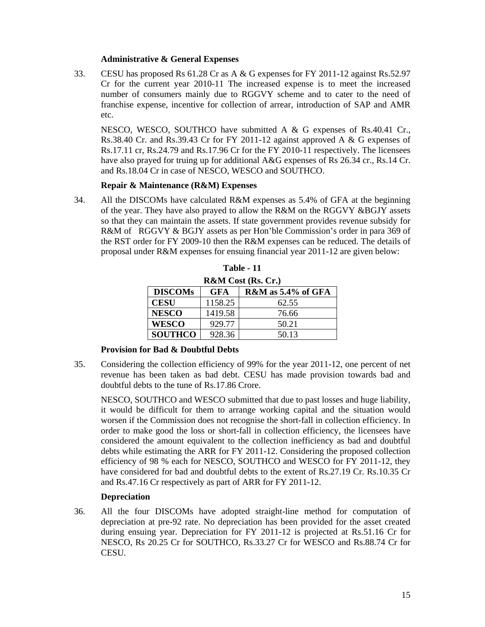## **Administrative & General Expenses**

33. CESU has proposed Rs 61.28 Cr as A & G expenses for FY 2011-12 against Rs.52.97 Cr for the current year 2010-11 The increased expense is to meet the increased number of consumers mainly due to RGGVY scheme and to cater to the need of franchise expense, incentive for collection of arrear, introduction of SAP and AMR etc.

NESCO, WESCO, SOUTHCO have submitted A & G expenses of Rs.40.41 Cr., Rs.38.40 Cr. and Rs.39.43 Cr for FY 2011-12 against approved A & G expenses of Rs.17.11 cr, Rs.24.79 and Rs.17.96 Cr for the FY 2010-11 respectively. The licensees have also prayed for truing up for additional A&G expenses of Rs 26.34 cr., Rs.14 Cr. and Rs.18.04 Cr in case of NESCO, WESCO and SOUTHCO.

#### **Repair & Maintenance (R&M) Expenses**

34. All the DISCOMs have calculated R&M expenses as 5.4% of GFA at the beginning of the year. They have also prayed to allow the R&M on the RGGVY &BGJY assets so that they can maintain the assets. If state government provides revenue subsidy for R&M of RGGVY & BGJY assets as per Hon'ble Commission's order in para 369 of the RST order for FY 2009-10 then the R&M expenses can be reduced. The details of proposal under R&M expenses for ensuing financial year 2011-12 are given below:

| <b>R&amp;M</b> Cost (Rs. Cr.)                         |         |       |  |  |  |  |  |  |  |
|-------------------------------------------------------|---------|-------|--|--|--|--|--|--|--|
| <b>DISCOMs</b><br>$R\&M$ as 5.4% of GFA<br><b>GFA</b> |         |       |  |  |  |  |  |  |  |
| <b>CESU</b>                                           | 1158.25 | 62.55 |  |  |  |  |  |  |  |
| <b>NESCO</b>                                          | 1419.58 | 76.66 |  |  |  |  |  |  |  |
| <b>WESCO</b>                                          | 929.77  | 50.21 |  |  |  |  |  |  |  |
| <b>SOUTHCO</b>                                        | 928.36  | 50.13 |  |  |  |  |  |  |  |

**Table - 11** 

## **Provision for Bad & Doubtful Debts**

35. Considering the collection efficiency of 99% for the year 2011-12, one percent of net revenue has been taken as bad debt. CESU has made provision towards bad and doubtful debts to the tune of Rs.17.86 Crore.

NESCO, SOUTHCO and WESCO submitted that due to past losses and huge liability, it would be difficult for them to arrange working capital and the situation would worsen if the Commission does not recognise the short-fall in collection efficiency. In order to make good the loss or short-fall in collection efficiency, the licensees have considered the amount equivalent to the collection inefficiency as bad and doubtful debts while estimating the ARR for FY 2011-12. Considering the proposed collection efficiency of 98 % each for NESCO, SOUTHCO and WESCO for FY 2011-12, they have considered for bad and doubtful debts to the extent of Rs.27.19 Cr. Rs.10.35 Cr and Rs.47.16 Cr respectively as part of ARR for FY 2011-12.

## **Depreciation**

36. All the four DISCOMs have adopted straight-line method for computation of depreciation at pre-92 rate. No depreciation has been provided for the asset created during ensuing year. Depreciation for FY 2011-12 is projected at Rs.51.16 Cr for NESCO, Rs 20.25 Cr for SOUTHCO, Rs.33.27 Cr for WESCO and Rs.88.74 Cr for CESU.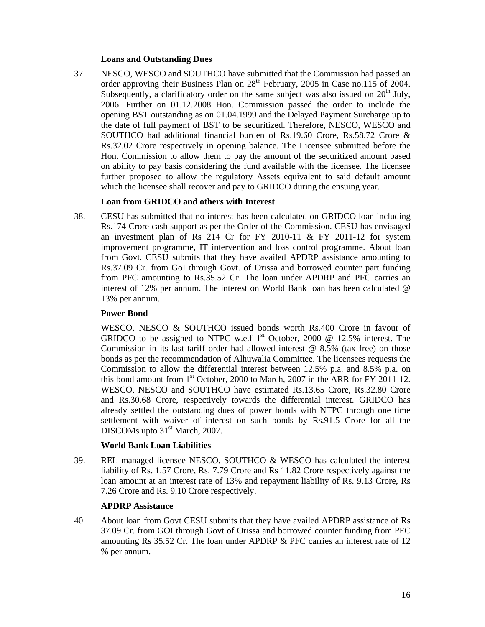## **Loans and Outstanding Dues**

37. NESCO, WESCO and SOUTHCO have submitted that the Commission had passed an order approving their Business Plan on  $28<sup>th</sup>$  February, 2005 in Case no.115 of 2004. Subsequently, a clarificatory order on the same subject was also issued on  $20<sup>th</sup>$  July, 2006. Further on 01.12.2008 Hon. Commission passed the order to include the opening BST outstanding as on 01.04.1999 and the Delayed Payment Surcharge up to the date of full payment of BST to be securitized. Therefore, NESCO, WESCO and SOUTHCO had additional financial burden of Rs.19.60 Crore, Rs.58.72 Crore & Rs.32.02 Crore respectively in opening balance. The Licensee submitted before the Hon. Commission to allow them to pay the amount of the securitized amount based on ability to pay basis considering the fund available with the licensee. The licensee further proposed to allow the regulatory Assets equivalent to said default amount which the licensee shall recover and pay to GRIDCO during the ensuing year.

## **Loan from GRIDCO and others with Interest**

38. CESU has submitted that no interest has been calculated on GRIDCO loan including Rs.174 Crore cash support as per the Order of the Commission. CESU has envisaged an investment plan of Rs  $214$  Cr for FY 2010-11 & FY 2011-12 for system improvement programme, IT intervention and loss control programme. About loan from Govt. CESU submits that they have availed APDRP assistance amounting to Rs.37.09 Cr. from GoI through Govt. of Orissa and borrowed counter part funding from PFC amounting to Rs.35.52 Cr. The loan under APDRP and PFC carries an interest of 12% per annum. The interest on World Bank loan has been calculated @ 13% per annum.

## **Power Bond**

WESCO, NESCO & SOUTHCO issued bonds worth Rs.400 Crore in favour of GRIDCO to be assigned to NTPC w.e.f  $1<sup>st</sup>$  October, 2000 @ 12.5% interest. The Commission in its last tariff order had allowed interest  $@ 8.5\%$  (tax free) on those bonds as per the recommendation of Alhuwalia Committee. The licensees requests the Commission to allow the differential interest between 12.5% p.a. and 8.5% p.a. on this bond amount from  $1<sup>st</sup>$  October, 2000 to March, 2007 in the ARR for FY 2011-12. WESCO, NESCO and SOUTHCO have estimated Rs.13.65 Crore, Rs.32.80 Crore and Rs.30.68 Crore, respectively towards the differential interest. GRIDCO has already settled the outstanding dues of power bonds with NTPC through one time settlement with waiver of interest on such bonds by Rs.91.5 Crore for all the DISCOMs upto 31<sup>st</sup> March, 2007.

## **World Bank Loan Liabilities**

39. REL managed licensee NESCO, SOUTHCO & WESCO has calculated the interest liability of Rs. 1.57 Crore, Rs. 7.79 Crore and Rs 11.82 Crore respectively against the loan amount at an interest rate of 13% and repayment liability of Rs. 9.13 Crore, Rs 7.26 Crore and Rs. 9.10 Crore respectively.

## **APDRP Assistance**

40. About loan from Govt CESU submits that they have availed APDRP assistance of Rs 37.09 Cr. from GOI through Govt of Orissa and borrowed counter funding from PFC amounting Rs 35.52 Cr. The loan under APDRP & PFC carries an interest rate of 12 % per annum.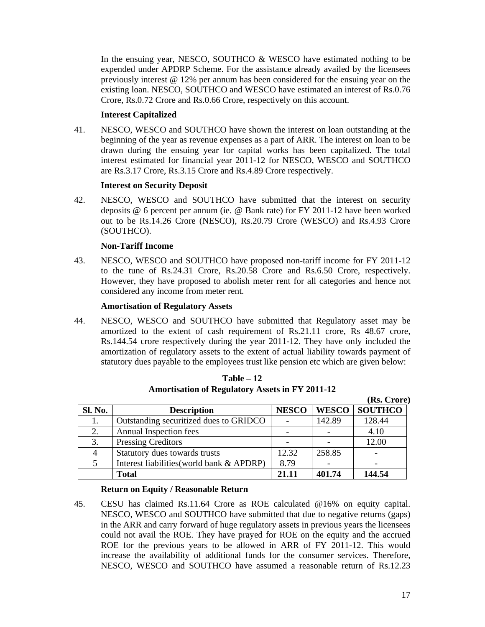In the ensuing year, NESCO, SOUTHCO & WESCO have estimated nothing to be expended under APDRP Scheme. For the assistance already availed by the licensees previously interest @ 12% per annum has been considered for the ensuing year on the existing loan. NESCO, SOUTHCO and WESCO have estimated an interest of Rs.0.76 Crore, Rs.0.72 Crore and Rs.0.66 Crore, respectively on this account.

## **Interest Capitalized**

41. NESCO, WESCO and SOUTHCO have shown the interest on loan outstanding at the beginning of the year as revenue expenses as a part of ARR. The interest on loan to be drawn during the ensuing year for capital works has been capitalized. The total interest estimated for financial year 2011-12 for NESCO, WESCO and SOUTHCO are Rs.3.17 Crore, Rs.3.15 Crore and Rs.4.89 Crore respectively.

## **Interest on Security Deposit**

42. NESCO, WESCO and SOUTHCO have submitted that the interest on security deposits @ 6 percent per annum (ie. @ Bank rate) for FY 2011-12 have been worked out to be Rs.14.26 Crore (NESCO), Rs.20.79 Crore (WESCO) and Rs.4.93 Crore (SOUTHCO).

## **Non-Tariff Income**

43. NESCO, WESCO and SOUTHCO have proposed non-tariff income for FY 2011-12 to the tune of Rs.24.31 Crore, Rs.20.58 Crore and Rs.6.50 Crore, respectively. However, they have proposed to abolish meter rent for all categories and hence not considered any income from meter rent.

## **Amortisation of Regulatory Assets**

44. NESCO, WESCO and SOUTHCO have submitted that Regulatory asset may be amortized to the extent of cash requirement of Rs.21.11 crore, Rs 48.67 crore, Rs.144.54 crore respectively during the year 2011-12. They have only included the amortization of regulatory assets to the extent of actual liability towards payment of statutory dues payable to the employees trust like pension etc which are given below:

|         |                                           |              |              | (Rs. Crore)    |
|---------|-------------------------------------------|--------------|--------------|----------------|
| Sl. No. | <b>Description</b>                        | <b>NESCO</b> | <b>WESCO</b> | <b>SOUTHCO</b> |
|         | Outstanding securitized dues to GRIDCO    |              | 142.89       | 128.44         |
| 2.      | Annual Inspection fees                    |              |              | 4.10           |
| 3.      | <b>Pressing Creditors</b>                 |              |              | 12.00          |
|         | Statutory dues towards trusts             | 12.32        | 258.85       |                |
|         | Interest liabilities (world bank & APDRP) | 8.79         |              |                |
|         | <b>Total</b>                              | 21.11        | 401.74       | 144.54         |

**Table – 12 Amortisation of Regulatory Assets in FY 2011-12** 

## **Return on Equity / Reasonable Return**

45. CESU has claimed Rs.11.64 Crore as ROE calculated @16% on equity capital. NESCO, WESCO and SOUTHCO have submitted that due to negative returns (gaps) in the ARR and carry forward of huge regulatory assets in previous years the licensees could not avail the ROE. They have prayed for ROE on the equity and the accrued ROE for the previous years to be allowed in ARR of FY 2011-12. This would increase the availability of additional funds for the consumer services. Therefore, NESCO, WESCO and SOUTHCO have assumed a reasonable return of Rs.12.23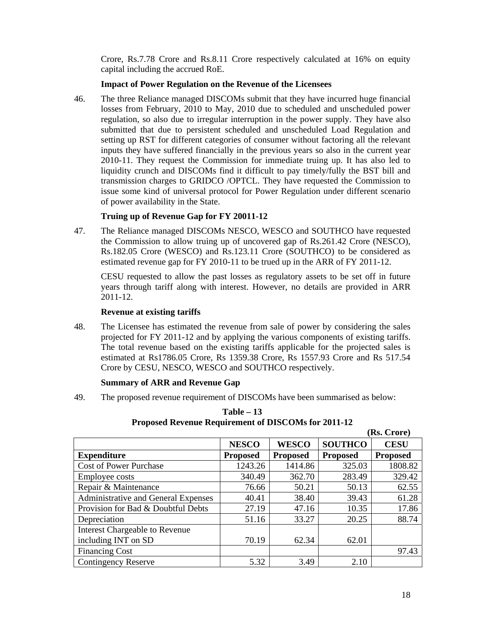Crore, Rs.7.78 Crore and Rs.8.11 Crore respectively calculated at 16% on equity capital including the accrued RoE.

## **Impact of Power Regulation on the Revenue of the Licensees**

46. The three Reliance managed DISCOMs submit that they have incurred huge financial losses from February, 2010 to May, 2010 due to scheduled and unscheduled power regulation, so also due to irregular interruption in the power supply. They have also submitted that due to persistent scheduled and unscheduled Load Regulation and setting up RST for different categories of consumer without factoring all the relevant inputs they have suffered financially in the previous years so also in the current year 2010-11. They request the Commission for immediate truing up. It has also led to liquidity crunch and DISCOMs find it difficult to pay timely/fully the BST bill and transmission charges to GRIDCO /OPTCL. They have requested the Commission to issue some kind of universal protocol for Power Regulation under different scenario of power availability in the State.

## **Truing up of Revenue Gap for FY 20011-12**

47. The Reliance managed DISCOMs NESCO, WESCO and SOUTHCO have requested the Commission to allow truing up of uncovered gap of Rs.261.42 Crore (NESCO), Rs.182.05 Crore (WESCO) and Rs.123.11 Crore (SOUTHCO) to be considered as estimated revenue gap for FY 2010-11 to be trued up in the ARR of FY 2011-12.

CESU requested to allow the past losses as regulatory assets to be set off in future years through tariff along with interest. However, no details are provided in ARR 2011-12.

## **Revenue at existing tariffs**

48. The Licensee has estimated the revenue from sale of power by considering the sales projected for FY 2011-12 and by applying the various components of existing tariffs. The total revenue based on the existing tariffs applicable for the projected sales is estimated at Rs1786.05 Crore, Rs 1359.38 Crore, Rs 1557.93 Crore and Rs 517.54 Crore by CESU, NESCO, WESCO and SOUTHCO respectively.

## **Summary of ARR and Revenue Gap**

49. The proposed revenue requirement of DISCOMs have been summarised as below:

|                                     |                 |                 |                 | (KS. Urore)     |
|-------------------------------------|-----------------|-----------------|-----------------|-----------------|
|                                     | <b>NESCO</b>    | <b>WESCO</b>    | <b>SOUTHCO</b>  | <b>CESU</b>     |
| <b>Expenditure</b>                  | <b>Proposed</b> | <b>Proposed</b> | <b>Proposed</b> | <b>Proposed</b> |
| <b>Cost of Power Purchase</b>       | 1243.26         | 1414.86         | 325.03          | 1808.82         |
| Employee costs                      | 340.49          | 362.70          | 283.49          | 329.42          |
| Repair & Maintenance                | 76.66           | 50.21           | 50.13           | 62.55           |
| Administrative and General Expenses | 40.41           | 38.40           | 39.43           | 61.28           |
| Provision for Bad & Doubtful Debts  | 27.19           | 47.16           | 10.35           | 17.86           |
| Depreciation                        | 51.16           | 33.27           | 20.25           | 88.74           |
| Interest Chargeable to Revenue      |                 |                 |                 |                 |
| including INT on SD                 | 70.19           | 62.34           | 62.01           |                 |
| <b>Financing Cost</b>               |                 |                 |                 | 97.43           |
| <b>Contingency Reserve</b>          | 5.32            | 3.49            | 2.10            |                 |

## **Table – 13 Proposed Revenue Requirement of DISCOMs for 2011-12**

 $\alpha$   $\alpha$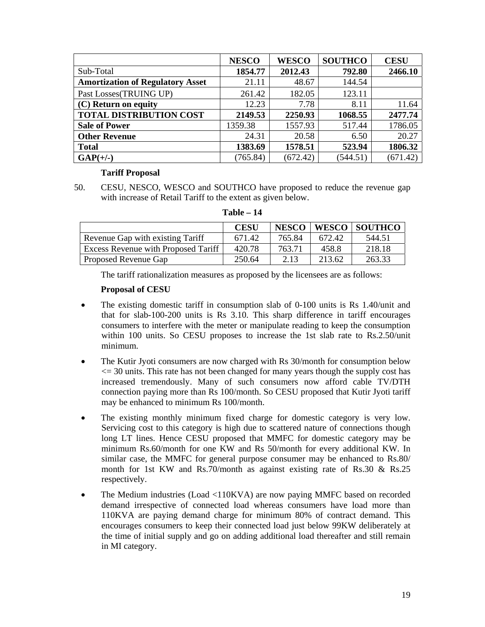|                                         | <b>NESCO</b> | <b>WESCO</b> | <b>SOUTHCO</b> | <b>CESU</b> |
|-----------------------------------------|--------------|--------------|----------------|-------------|
| Sub-Total                               | 1854.77      | 2012.43      | 792.80         | 2466.10     |
| <b>Amortization of Regulatory Asset</b> | 21.11        | 48.67        | 144.54         |             |
| Past Losses(TRUING UP)                  | 261.42       | 182.05       | 123.11         |             |
| (C) Return on equity                    | 12.23        | 7.78         | 8.11           | 11.64       |
| <b>TOTAL DISTRIBUTION COST</b>          | 2149.53      | 2250.93      | 1068.55        | 2477.74     |
| <b>Sale of Power</b>                    | 1359.38      | 1557.93      | 517.44         | 1786.05     |
| <b>Other Revenue</b>                    | 24.31        | 20.58        | 6.50           | 20.27       |
| <b>Total</b>                            | 1383.69      | 1578.51      | 523.94         | 1806.32     |
| $GAP(+/-)$                              | (765.84)     | (672.42)     | (544.51)       | (671.42)    |

## **Tariff Proposal**

50. CESU, NESCO, WESCO and SOUTHCO have proposed to reduce the revenue gap with increase of Retail Tariff to the extent as given below.

|                                     | <b>CESU</b> | <b>NESCO</b> |        | WESCO SOUTHCO |
|-------------------------------------|-------------|--------------|--------|---------------|
| Revenue Gap with existing Tariff    | 671.42      | 765.84       | 672.42 | 544.51        |
| Excess Revenue with Proposed Tariff | 420.78      | 763.71       | 458.8  | 218.18        |
| <b>Proposed Revenue Gap</b>         | 250.64      | 2.13         | 213.62 | 263.33        |

**Table – 14** 

The tariff rationalization measures as proposed by the licensees are as follows:

## **Proposal of CESU**

- The existing domestic tariff in consumption slab of 0-100 units is Rs 1.40/unit and that for slab-100-200 units is Rs 3.10. This sharp difference in tariff encourages consumers to interfere with the meter or manipulate reading to keep the consumption within 100 units. So CESU proposes to increase the 1st slab rate to Rs.2.50/unit minimum.
- The Kutir Jyoti consumers are now charged with Rs 30/month for consumption below  $\leq$  30 units. This rate has not been changed for many years though the supply cost has increased tremendously. Many of such consumers now afford cable TV/DTH connection paying more than Rs 100/month. So CESU proposed that Kutir Jyoti tariff may be enhanced to minimum Rs 100/month.
- The existing monthly minimum fixed charge for domestic category is very low. Servicing cost to this category is high due to scattered nature of connections though long LT lines. Hence CESU proposed that MMFC for domestic category may be minimum Rs.60/month for one KW and Rs 50/month for every additional KW. In similar case, the MMFC for general purpose consumer may be enhanced to Rs.80/ month for 1st KW and Rs.70/month as against existing rate of Rs.30 & Rs.25 respectively.
- The Medium industries (Load <110KVA) are now paying MMFC based on recorded demand irrespective of connected load whereas consumers have load more than 110KVA are paying demand charge for minimum 80% of contract demand. This encourages consumers to keep their connected load just below 99KW deliberately at the time of initial supply and go on adding additional load thereafter and still remain in MI category.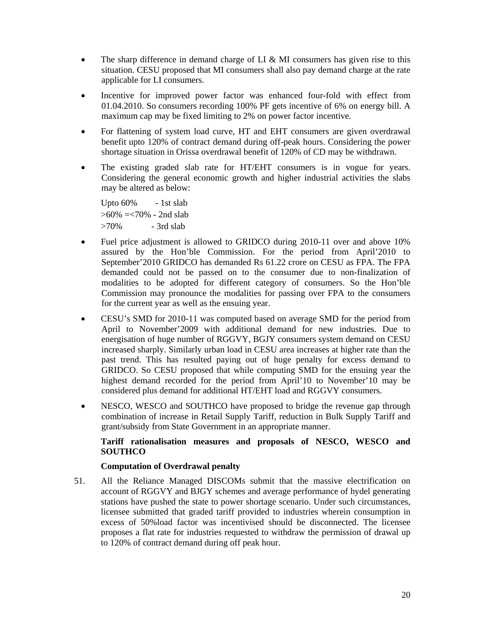- The sharp difference in demand charge of LI & MI consumers has given rise to this situation. CESU proposed that MI consumers shall also pay demand charge at the rate applicable for LI consumers.
- Incentive for improved power factor was enhanced four-fold with effect from 01.04.2010. So consumers recording 100% PF gets incentive of 6% on energy bill. A maximum cap may be fixed limiting to 2% on power factor incentive.
- For flattening of system load curve, HT and EHT consumers are given overdrawal benefit upto 120% of contract demand during off-peak hours. Considering the power shortage situation in Orissa overdrawal benefit of 120% of CD may be withdrawn.
- The existing graded slab rate for HT/EHT consumers is in vogue for years. Considering the general economic growth and higher industrial activities the slabs may be altered as below:

 Upto 60% - 1st slab  $>60\% = <70\%$  - 2nd slab  $>70\%$  - 3rd slab

- Fuel price adjustment is allowed to GRIDCO during 2010-11 over and above 10% assured by the Hon'ble Commission. For the period from April'2010 to September'2010 GRIDCO has demanded Rs 61.22 crore on CESU as FPA. The FPA demanded could not be passed on to the consumer due to non-finalization of modalities to be adopted for different category of consumers. So the Hon'ble Commission may pronounce the modalities for passing over FPA to the consumers for the current year as well as the ensuing year.
- CESU's SMD for 2010-11 was computed based on average SMD for the period from April to November'2009 with additional demand for new industries. Due to energisation of huge number of RGGVY, BGJY consumers system demand on CESU increased sharply. Similarly urban load in CESU area increases at higher rate than the past trend. This has resulted paying out of huge penalty for excess demand to GRIDCO. So CESU proposed that while computing SMD for the ensuing year the highest demand recorded for the period from April'10 to November'10 may be considered plus demand for additional HT/EHT load and RGGVY consumers.
- NESCO, WESCO and SOUTHCO have proposed to bridge the revenue gap through combination of increase in Retail Supply Tariff, reduction in Bulk Supply Tariff and grant/subsidy from State Government in an appropriate manner.

## **Tariff rationalisation measures and proposals of NESCO, WESCO and SOUTHCO**

## **Computation of Overdrawal penalty**

51. All the Reliance Managed DISCOMs submit that the massive electrification on account of RGGVY and BJGY schemes and average performance of hydel generating stations have pushed the state to power shortage scenario. Under such circumstances, licensee submitted that graded tariff provided to industries wherein consumption in excess of 50%load factor was incentivised should be disconnected. The licensee proposes a flat rate for industries requested to withdraw the permission of drawal up to 120% of contract demand during off peak hour.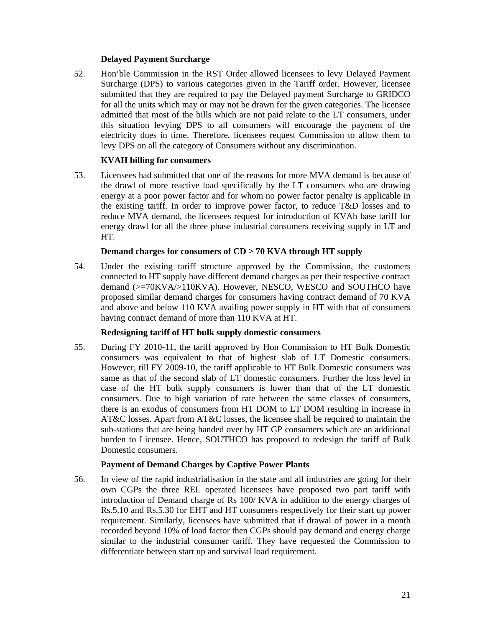## **Delayed Payment Surcharge**

52. Hon'ble Commission in the RST Order allowed licensees to levy Delayed Payment Surcharge (DPS) to various categories given in the Tariff order. However, licensee submitted that they are required to pay the Delayed payment Surcharge to GRIDCO for all the units which may or may not be drawn for the given categories. The licensee admitted that most of the bills which are not paid relate to the LT consumers, under this situation levying DPS to all consumers will encourage the payment of the electricity dues in time. Therefore, licensees request Commission to allow them to levy DPS on all the category of Consumers without any discrimination.

## **KVAH billing for consumers**

53. Licensees had submitted that one of the reasons for more MVA demand is because of the drawl of more reactive load specifically by the LT consumers who are drawing energy at a poor power factor and for whom no power factor penalty is applicable in the existing tariff. In order to improve power factor, to reduce T&D losses and to reduce MVA demand, the licensees request for introduction of KVAh base tariff for energy drawl for all the three phase industrial consumers receiving supply in LT and HT.

## **Demand charges for consumers of CD > 70 KVA through HT supply**

54. Under the existing tariff structure approved by the Commission, the customers connected to HT supply have different demand charges as per their respective contract demand (>=70KVA/>110KVA). However, NESCO, WESCO and SOUTHCO have proposed similar demand charges for consumers having contract demand of 70 KVA and above and below 110 KVA availing power supply in HT with that of consumers having contract demand of more than 110 KVA at HT.

## **Redesigning tariff of HT bulk supply domestic consumers**

55. During FY 2010-11, the tariff approved by Hon Commission to HT Bulk Domestic consumers was equivalent to that of highest slab of LT Domestic consumers. However, till FY 2009-10, the tariff applicable to HT Bulk Domestic consumers was same as that of the second slab of LT domestic consumers. Further the loss level in case of the HT bulk supply consumers is lower than that of the LT domestic consumers. Due to high variation of rate between the same classes of consumers, there is an exodus of consumers from HT DOM to LT DOM resulting in increase in AT&C losses. Apart from AT&C losses, the licensee shall be required to maintain the sub-stations that are being handed over by HT GP consumers which are an additional burden to Licensee. Hence, SOUTHCO has proposed to redesign the tariff of Bulk Domestic consumers.

## **Payment of Demand Charges by Captive Power Plants**

56. In view of the rapid industrialisation in the state and all industries are going for their own CGPs the three REL operated licensees have proposed two part tariff with introduction of Demand charge of Rs 100/ KVA in addition to the energy charges of Rs.5.10 and Rs.5.30 for EHT and HT consumers respectively for their start up power requirement. Similarly, licensees have submitted that if drawal of power in a month recorded beyond 10% of load factor then CGPs should pay demand and energy charge similar to the industrial consumer tariff. They have requested the Commission to differentiate between start up and survival load requirement.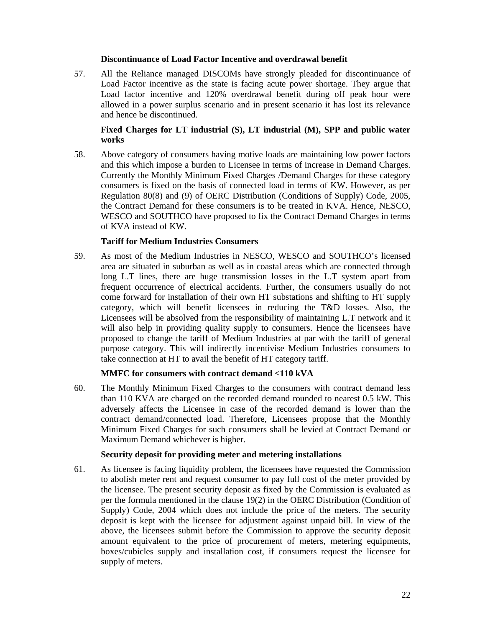## **Discontinuance of Load Factor Incentive and overdrawal benefit**

57. All the Reliance managed DISCOMs have strongly pleaded for discontinuance of Load Factor incentive as the state is facing acute power shortage. They argue that Load factor incentive and 120% overdrawal benefit during off peak hour were allowed in a power surplus scenario and in present scenario it has lost its relevance and hence be discontinued.

## **Fixed Charges for LT industrial (S), LT industrial (M), SPP and public water works**

58. Above category of consumers having motive loads are maintaining low power factors and this which impose a burden to Licensee in terms of increase in Demand Charges. Currently the Monthly Minimum Fixed Charges /Demand Charges for these category consumers is fixed on the basis of connected load in terms of KW. However, as per Regulation 80(8) and (9) of OERC Distribution (Conditions of Supply) Code, 2005, the Contract Demand for these consumers is to be treated in KVA. Hence, NESCO, WESCO and SOUTHCO have proposed to fix the Contract Demand Charges in terms of KVA instead of KW.

## **Tariff for Medium Industries Consumers**

59. As most of the Medium Industries in NESCO, WESCO and SOUTHCO's licensed area are situated in suburban as well as in coastal areas which are connected through long L.T lines, there are huge transmission losses in the L.T system apart from frequent occurrence of electrical accidents. Further, the consumers usually do not come forward for installation of their own HT substations and shifting to HT supply category, which will benefit licensees in reducing the T&D losses. Also, the Licensees will be absolved from the responsibility of maintaining L.T network and it will also help in providing quality supply to consumers. Hence the licensees have proposed to change the tariff of Medium Industries at par with the tariff of general purpose category. This will indirectly incentivise Medium Industries consumers to take connection at HT to avail the benefit of HT category tariff.

## **MMFC for consumers with contract demand <110 kVA**

60. The Monthly Minimum Fixed Charges to the consumers with contract demand less than 110 KVA are charged on the recorded demand rounded to nearest 0.5 kW. This adversely affects the Licensee in case of the recorded demand is lower than the contract demand/connected load. Therefore, Licensees propose that the Monthly Minimum Fixed Charges for such consumers shall be levied at Contract Demand or Maximum Demand whichever is higher.

## **Security deposit for providing meter and metering installations**

61. As licensee is facing liquidity problem, the licensees have requested the Commission to abolish meter rent and request consumer to pay full cost of the meter provided by the licensee. The present security deposit as fixed by the Commission is evaluated as per the formula mentioned in the clause 19(2) in the OERC Distribution (Condition of Supply) Code, 2004 which does not include the price of the meters. The security deposit is kept with the licensee for adjustment against unpaid bill. In view of the above, the licensees submit before the Commission to approve the security deposit amount equivalent to the price of procurement of meters, metering equipments, boxes/cubicles supply and installation cost, if consumers request the licensee for supply of meters.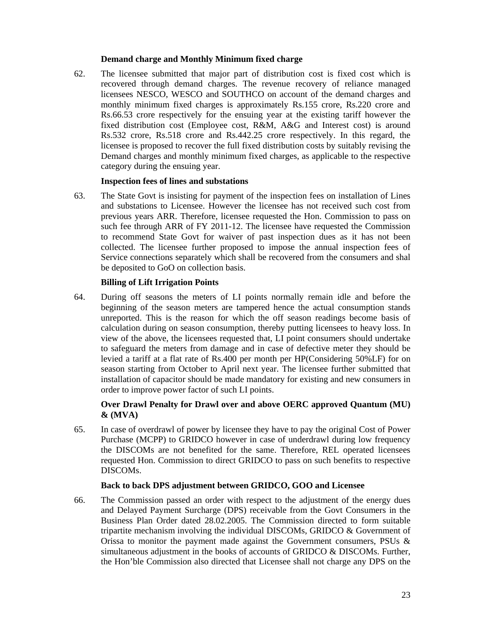## **Demand charge and Monthly Minimum fixed charge**

62. The licensee submitted that major part of distribution cost is fixed cost which is recovered through demand charges. The revenue recovery of reliance managed licensees NESCO, WESCO and SOUTHCO on account of the demand charges and monthly minimum fixed charges is approximately Rs.155 crore, Rs.220 crore and Rs.66.53 crore respectively for the ensuing year at the existing tariff however the fixed distribution cost (Employee cost, R&M, A&G and Interest cost) is around Rs.532 crore, Rs.518 crore and Rs.442.25 crore respectively. In this regard, the licensee is proposed to recover the full fixed distribution costs by suitably revising the Demand charges and monthly minimum fixed charges, as applicable to the respective category during the ensuing year.

## **Inspection fees of lines and substations**

63. The State Govt is insisting for payment of the inspection fees on installation of Lines and substations to Licensee. However the licensee has not received such cost from previous years ARR. Therefore, licensee requested the Hon. Commission to pass on such fee through ARR of FY 2011-12. The licensee have requested the Commission to recommend State Govt for waiver of past inspection dues as it has not been collected. The licensee further proposed to impose the annual inspection fees of Service connections separately which shall be recovered from the consumers and shal be deposited to GoO on collection basis.

## **Billing of Lift Irrigation Points**

64. During off seasons the meters of LI points normally remain idle and before the beginning of the season meters are tampered hence the actual consumption stands unreported. This is the reason for which the off season readings become basis of calculation during on season consumption, thereby putting licensees to heavy loss. In view of the above, the licensees requested that, LI point consumers should undertake to safeguard the meters from damage and in case of defective meter they should be levied a tariff at a flat rate of Rs.400 per month per HP(Considering 50%LF) for on season starting from October to April next year. The licensee further submitted that installation of capacitor should be made mandatory for existing and new consumers in order to improve power factor of such LI points.

## **Over Drawl Penalty for Drawl over and above OERC approved Quantum (MU) & (MVA)**

65. In case of overdrawl of power by licensee they have to pay the original Cost of Power Purchase (MCPP) to GRIDCO however in case of underdrawl during low frequency the DISCOMs are not benefited for the same. Therefore, REL operated licensees requested Hon. Commission to direct GRIDCO to pass on such benefits to respective DISCOMs.

#### **Back to back DPS adjustment between GRIDCO, GOO and Licensee**

66. The Commission passed an order with respect to the adjustment of the energy dues and Delayed Payment Surcharge (DPS) receivable from the Govt Consumers in the Business Plan Order dated 28.02.2005. The Commission directed to form suitable tripartite mechanism involving the individual DISCOMs, GRIDCO & Government of Orissa to monitor the payment made against the Government consumers, PSUs  $\&$ simultaneous adjustment in the books of accounts of GRIDCO & DISCOMs. Further, the Hon'ble Commission also directed that Licensee shall not charge any DPS on the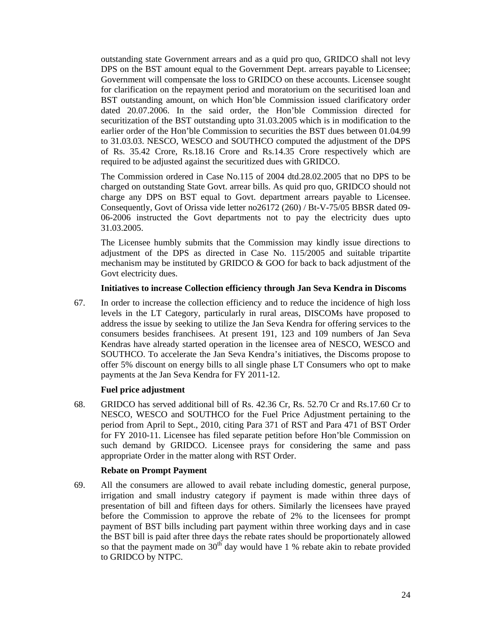outstanding state Government arrears and as a quid pro quo, GRIDCO shall not levy DPS on the BST amount equal to the Government Dept. arrears payable to Licensee; Government will compensate the loss to GRIDCO on these accounts. Licensee sought for clarification on the repayment period and moratorium on the securitised loan and BST outstanding amount, on which Hon'ble Commission issued clarificatory order dated 20.07.2006. In the said order, the Hon'ble Commission directed for securitization of the BST outstanding upto 31.03.2005 which is in modification to the earlier order of the Hon'ble Commission to securities the BST dues between 01.04.99 to 31.03.03. NESCO, WESCO and SOUTHCO computed the adjustment of the DPS of Rs. 35.42 Crore, Rs.18.16 Crore and Rs.14.35 Crore respectively which are required to be adjusted against the securitized dues with GRIDCO.

The Commission ordered in Case No.115 of 2004 dtd.28.02.2005 that no DPS to be charged on outstanding State Govt. arrear bills. As quid pro quo, GRIDCO should not charge any DPS on BST equal to Govt. department arrears payable to Licensee. Consequently, Govt of Orissa vide letter no26172 (260) / Bt-V-75/05 BBSR dated 09- 06-2006 instructed the Govt departments not to pay the electricity dues upto 31.03.2005.

The Licensee humbly submits that the Commission may kindly issue directions to adjustment of the DPS as directed in Case No. 115/2005 and suitable tripartite mechanism may be instituted by GRIDCO & GOO for back to back adjustment of the Govt electricity dues.

#### **Initiatives to increase Collection efficiency through Jan Seva Kendra in Discoms**

67. In order to increase the collection efficiency and to reduce the incidence of high loss levels in the LT Category, particularly in rural areas, DISCOMs have proposed to address the issue by seeking to utilize the Jan Seva Kendra for offering services to the consumers besides franchisees. At present 191, 123 and 109 numbers of Jan Seva Kendras have already started operation in the licensee area of NESCO, WESCO and SOUTHCO. To accelerate the Jan Seva Kendra's initiatives, the Discoms propose to offer 5% discount on energy bills to all single phase LT Consumers who opt to make payments at the Jan Seva Kendra for FY 2011-12.

## **Fuel price adjustment**

68. GRIDCO has served additional bill of Rs. 42.36 Cr, Rs. 52.70 Cr and Rs.17.60 Cr to NESCO, WESCO and SOUTHCO for the Fuel Price Adjustment pertaining to the period from April to Sept., 2010, citing Para 371 of RST and Para 471 of BST Order for FY 2010-11. Licensee has filed separate petition before Hon'ble Commission on such demand by GRIDCO. Licensee prays for considering the same and pass appropriate Order in the matter along with RST Order.

## **Rebate on Prompt Payment**

69. All the consumers are allowed to avail rebate including domestic, general purpose, irrigation and small industry category if payment is made within three days of presentation of bill and fifteen days for others. Similarly the licensees have prayed before the Commission to approve the rebate of 2% to the licensees for prompt payment of BST bills including part payment within three working days and in case the BST bill is paid after three days the rebate rates should be proportionately allowed so that the payment made on  $30<sup>th</sup>$  day would have 1 % rebate akin to rebate provided to GRIDCO by NTPC.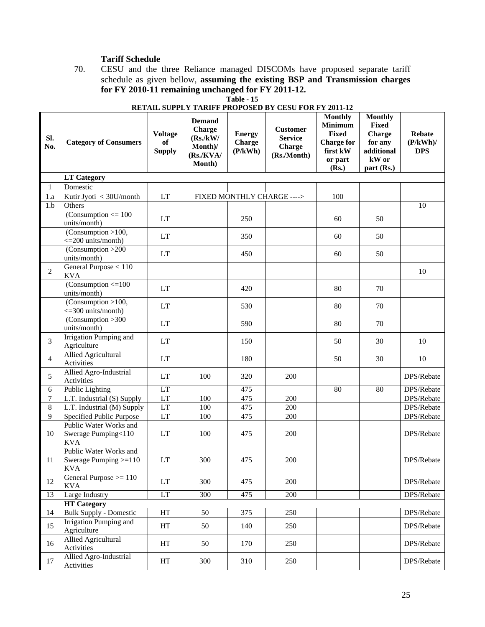# **Tariff Schedule**

70. CESU and the three Reliance managed DISCOMs have proposed separate tariff schedule as given bellow, **assuming the existing BSP and Transmission charges for FY 2010-11 remaining unchanged for FY 2011-12. Table - 15** 

| SI.<br>No.     | <b>Category of Consumers</b>                                    | <b>Voltage</b><br>of<br><b>Supply</b> | <b>Demand</b><br>Charge<br>(Rs./kW/<br>Month)/<br>(Rs/KVA/<br>Month) | <b>Energy</b><br><b>Charge</b><br>(P/kWh) | <b>Customer</b><br><b>Service</b><br><b>Charge</b><br>(Rs./Month) | <b>Monthly</b><br><b>Minimum</b><br><b>Fixed</b><br><b>Charge for</b><br>first kW<br>or part<br>(Rs.) | <b>Monthly</b><br><b>Fixed</b><br>Charge<br>for any<br>additional<br>kW or<br>part(Rs.) | Rebate<br>$(P/kWh)$ /<br><b>DPS</b> |
|----------------|-----------------------------------------------------------------|---------------------------------------|----------------------------------------------------------------------|-------------------------------------------|-------------------------------------------------------------------|-------------------------------------------------------------------------------------------------------|-----------------------------------------------------------------------------------------|-------------------------------------|
|                | <b>LT Category</b>                                              |                                       |                                                                      |                                           |                                                                   |                                                                                                       |                                                                                         |                                     |
| 1              | Domestic                                                        |                                       |                                                                      |                                           |                                                                   |                                                                                                       |                                                                                         |                                     |
| 1.a            | Kutir Jyoti < 30U/month                                         | LT                                    |                                                                      |                                           | FIXED MONTHLY CHARGE ---->                                        | 100                                                                                                   |                                                                                         |                                     |
| 1.b            | Others                                                          |                                       |                                                                      |                                           |                                                                   |                                                                                                       |                                                                                         | 10                                  |
|                | (Consumption $<= 100$<br>units/month)                           | <b>LT</b>                             |                                                                      | 250                                       |                                                                   | 60                                                                                                    | 50                                                                                      |                                     |
|                | (Consumption >100,<br>$\leq$ 200 units/month)                   | <b>LT</b>                             |                                                                      | 350                                       |                                                                   | 60                                                                                                    | 50                                                                                      |                                     |
|                | (Consumption >200<br>units/month)                               | LT                                    |                                                                      | 450                                       |                                                                   | 60                                                                                                    | 50                                                                                      |                                     |
| $\overline{2}$ | General Purpose $\overline{<110}$<br><b>KVA</b>                 |                                       |                                                                      |                                           |                                                                   |                                                                                                       |                                                                                         | 10                                  |
|                | $(Consumption < = 100$<br>units/month)                          | LT                                    |                                                                      | 420                                       |                                                                   | 80                                                                                                    | 70                                                                                      |                                     |
|                | (Consumption > 100,<br>$\leq$ 300 units/month)                  | LT                                    |                                                                      | 530                                       |                                                                   | 80                                                                                                    | 70                                                                                      |                                     |
|                | (Consumption > 300<br>units/month)                              | <b>LT</b>                             |                                                                      | 590                                       |                                                                   | 80                                                                                                    | 70                                                                                      |                                     |
| 3              | Irrigation Pumping and<br>Agriculture                           | <b>LT</b>                             |                                                                      | 150                                       |                                                                   | 50                                                                                                    | 30                                                                                      | 10                                  |
| $\overline{4}$ | Allied Agricultural<br>Activities                               | <b>LT</b>                             |                                                                      | 180                                       |                                                                   | 50                                                                                                    | 30                                                                                      | 10                                  |
| 5              | Allied Agro-Industrial<br>Activities                            | <b>LT</b>                             | 100                                                                  | 320                                       | 200                                                               |                                                                                                       |                                                                                         | DPS/Rebate                          |
| 6              | Public Lighting                                                 | LT                                    |                                                                      | 475                                       |                                                                   | 80                                                                                                    | 80                                                                                      | DPS/Rebate                          |
| 7              | L.T. Industrial (S) Supply                                      | LT                                    | 100                                                                  | 475                                       | 200                                                               |                                                                                                       |                                                                                         | DPS/Rebate                          |
| 8              | L.T. Industrial (M) Supply                                      | LT                                    | 100                                                                  | 475                                       | 200                                                               |                                                                                                       |                                                                                         | DPS/Rebate                          |
| 9              | Specified Public Purpose                                        | LT                                    | 100                                                                  | 475                                       | 200                                                               |                                                                                                       |                                                                                         | DPS/Rebate                          |
| 10             | Public Water Works and<br>Swerage Pumping<110<br><b>KVA</b>     | LT                                    | 100                                                                  | 475                                       | 200                                                               |                                                                                                       |                                                                                         | DPS/Rebate                          |
| 11             | Public Water Works and<br>Swerage Pumping $>=110$<br><b>KVA</b> | <b>LT</b>                             | 300                                                                  | 475                                       | 200                                                               |                                                                                                       |                                                                                         | DPS/Rebate                          |
| 12             | General Purpose $>= 110$<br><b>KVA</b>                          | LT                                    | 300                                                                  | 475                                       | 200                                                               |                                                                                                       |                                                                                         | DPS/Rebate                          |
| 13             | Large Industry                                                  | LT                                    | 300                                                                  | 475                                       | 200                                                               |                                                                                                       |                                                                                         | DPS/Rebate                          |
|                | <b>HT</b> Category                                              |                                       |                                                                      |                                           |                                                                   |                                                                                                       |                                                                                         |                                     |
| 14             | <b>Bulk Supply - Domestic</b>                                   | HT                                    | 50                                                                   | 375                                       | 250                                                               |                                                                                                       |                                                                                         | DPS/Rebate                          |
| 15             | Irrigation Pumping and<br>Agriculture                           | HT                                    | 50                                                                   | 140                                       | 250                                                               |                                                                                                       |                                                                                         | DPS/Rebate                          |
| 16             | Allied Agricultural<br>Activities                               | HT                                    | 50                                                                   | 170                                       | 250                                                               |                                                                                                       |                                                                                         | DPS/Rebate                          |
| 17             | Allied Agro-Industrial<br>Activities                            | HT                                    | 300                                                                  | 310                                       | 250                                                               |                                                                                                       |                                                                                         | DPS/Rebate                          |

# **RETAIL SUPPLY TARIFF PROPOSED BY CESU FOR FY 2011-12**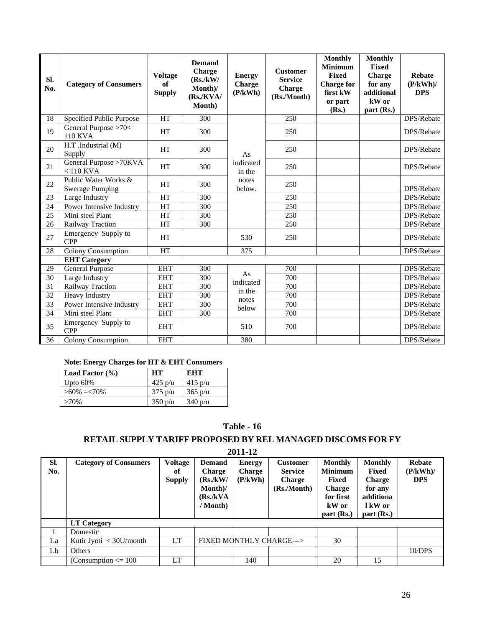| Sl.<br>No. | <b>Category of Consumers</b>                   | <b>Voltage</b><br>of<br><b>Supply</b> | <b>Demand</b><br>Charge<br>(Rs./kW/<br>Month)/<br>(Rs/KVA/<br>Month) | <b>Energy</b><br><b>Charge</b><br>(P/kWh) | <b>Customer</b><br><b>Service</b><br><b>Charge</b><br>(Rs./Month) | <b>Monthly</b><br><b>Minimum</b><br><b>Fixed</b><br><b>Charge for</b><br>first kW<br>or part<br>(Rs.) | <b>Monthly</b><br><b>Fixed</b><br><b>Charge</b><br>for any<br>additional<br>kW or<br>part (Rs.) | <b>Rebate</b><br>(P/kWh)<br><b>DPS</b> |
|------------|------------------------------------------------|---------------------------------------|----------------------------------------------------------------------|-------------------------------------------|-------------------------------------------------------------------|-------------------------------------------------------------------------------------------------------|-------------------------------------------------------------------------------------------------|----------------------------------------|
| 18         | Specified Public Purpose                       | <b>HT</b>                             | 300                                                                  |                                           | 250                                                               |                                                                                                       |                                                                                                 | DPS/Rebate                             |
| 19         | General Purpose >70<<br><b>110 KVA</b>         | <b>HT</b>                             | 300                                                                  |                                           | 250                                                               |                                                                                                       |                                                                                                 | DPS/Rebate                             |
| 20         | H.T .Industrial (M)<br>Supply                  | <b>HT</b>                             | 300                                                                  | As                                        | 250                                                               |                                                                                                       |                                                                                                 | DPS/Rebate                             |
| 21         | General Purpose >70KVA<br>$< 110$ KVA          | <b>HT</b>                             | 300                                                                  | indicated<br>in the                       | 250                                                               |                                                                                                       |                                                                                                 | DPS/Rebate                             |
| 22         | Public Water Works &<br><b>Swerage Pumping</b> | <b>HT</b>                             | 300                                                                  | notes<br>below.                           | 250                                                               |                                                                                                       |                                                                                                 | DPS/Rebate                             |
| 23         | Large Industry                                 | <b>HT</b>                             | 300                                                                  |                                           | 250                                                               |                                                                                                       |                                                                                                 | DPS/Rebate                             |
| 24         | Power Intensive Industry                       | HT                                    | 300                                                                  |                                           | 250                                                               |                                                                                                       |                                                                                                 | DPS/Rebate                             |
| 25         | Mini steel Plant                               | HT                                    | 300                                                                  |                                           | 250                                                               |                                                                                                       |                                                                                                 | DPS/Rebate                             |
| 26         | Railway Traction                               | HT                                    | 300                                                                  |                                           | 250                                                               |                                                                                                       |                                                                                                 | DPS/Rebate                             |
| 27         | Emergency Supply to<br><b>CPP</b>              | <b>HT</b>                             |                                                                      | 530                                       | 250                                                               |                                                                                                       |                                                                                                 | DPS/Rebate                             |
| 28         | <b>Colony Consumption</b>                      | <b>HT</b>                             |                                                                      | 375                                       |                                                                   |                                                                                                       |                                                                                                 | DPS/Rebate                             |
|            | <b>EHT</b> Category                            |                                       |                                                                      |                                           |                                                                   |                                                                                                       |                                                                                                 |                                        |
| 29         | <b>General Purpose</b>                         | <b>EHT</b>                            | 300                                                                  |                                           | 700                                                               |                                                                                                       |                                                                                                 | DPS/Rebate                             |
| 30         | Large Industry                                 | <b>EHT</b>                            | 300                                                                  | As<br>indicated                           | 700                                                               |                                                                                                       |                                                                                                 | DPS/Rebate                             |
| 31         | Railway Traction                               | <b>EHT</b>                            | 300                                                                  | in the                                    | $\overline{700}$                                                  |                                                                                                       |                                                                                                 | DPS/Rebate                             |
| 32         | <b>Heavy Industry</b>                          | <b>EHT</b>                            | 300                                                                  | notes                                     | 700                                                               |                                                                                                       |                                                                                                 | DPS/Rebate                             |
| 33         | Power Intensive Industry                       | <b>EHT</b>                            | 300                                                                  | below                                     | 700                                                               |                                                                                                       |                                                                                                 | DPS/Rebate                             |
| 34         | Mini steel Plant                               | <b>EHT</b>                            | 300                                                                  |                                           | 700                                                               |                                                                                                       |                                                                                                 | DPS/Rebate                             |
| 35         | Emergency Supply to<br><b>CPP</b>              | <b>EHT</b>                            |                                                                      | 510                                       | 700                                                               |                                                                                                       |                                                                                                 | DPS/Rebate                             |
| 36         | <b>Colony Consumption</b>                      | <b>EHT</b>                            |                                                                      | 380                                       |                                                                   |                                                                                                       |                                                                                                 | DPS/Rebate                             |

## **Note: Energy Charges for HT & EHT Consumers**

| Load Factor $(\% )$ | <b>HT</b>         | EHT               |  |
|---------------------|-------------------|-------------------|--|
| Upto $60\%$         | $425$ p/u         | $415 \text{ p/u}$ |  |
| $>60\% = 70\%$      | $375 \text{ p/u}$ | $365$ p/u         |  |
| $>70\%$             | 350 p/u           | 340 p/u           |  |

**Table - 16** 

# **RETAIL SUPPLY TARIFF PROPOSED BY REL MANAGED DISCOMS FOR FY**

**2011-12** 

| SI.<br>No. | <b>Category of Consumers</b> | <b>Voltage</b><br>оf<br><b>Supply</b> | <b>Demand</b><br><b>Charge</b><br>(Rs./kW/<br>Month)/<br>(Rs/kVA)<br>/ Month) | <b>Energy</b><br><b>Charge</b><br>(P/kWh) | <b>Customer</b><br><b>Service</b><br><b>Charge</b><br>(Rs./Month) | <b>Monthly</b><br><b>Minimum</b><br>Fixed<br><b>Charge</b><br>for first<br>kW or<br>part (Rs.) | <b>Monthly</b><br>Fixed<br><b>Charge</b><br>for any<br>additiona<br>1 kW or<br>part(Rs.) | <b>Rebate</b><br>(P/kWh)<br><b>DPS</b> |
|------------|------------------------------|---------------------------------------|-------------------------------------------------------------------------------|-------------------------------------------|-------------------------------------------------------------------|------------------------------------------------------------------------------------------------|------------------------------------------------------------------------------------------|----------------------------------------|
|            | <b>LT</b> Category           |                                       |                                                                               |                                           |                                                                   |                                                                                                |                                                                                          |                                        |
|            | Domestic                     |                                       |                                                                               |                                           |                                                                   |                                                                                                |                                                                                          |                                        |
| 1.a        | Kutir Jyoti < 30U/month      | LT                                    |                                                                               |                                           | <b>FIXED MONTHLY CHARGE---&gt;</b>                                | 30                                                                                             |                                                                                          |                                        |
| 1.b        | Others                       |                                       |                                                                               |                                           |                                                                   |                                                                                                |                                                                                          | 10/DPS                                 |
|            | (Consumption $\leq 100$ )    | <b>LT</b>                             |                                                                               | 140                                       |                                                                   | 20                                                                                             | 15                                                                                       |                                        |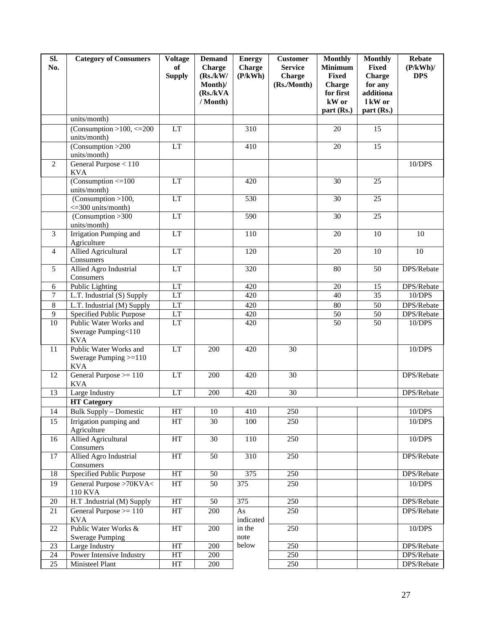| SI.<br>No.      | <b>Category of Consumers</b>                                        | <b>Voltage</b><br>of<br><b>Supply</b> | <b>Demand</b><br><b>Charge</b><br>(Rs./kW/<br>Month)/<br>(Rs./kVA)<br>/ Month) | <b>Energy</b><br>Charge<br>(P/kWh) | <b>Customer</b><br><b>Service</b><br><b>Charge</b><br>(Rs./Month) | <b>Monthly</b><br><b>Minimum</b><br><b>Fixed</b><br><b>Charge</b><br>for first<br>kW or | <b>Monthly</b><br><b>Fixed</b><br><b>Charge</b><br>for any<br>additiona<br>1 kW or | <b>Rebate</b><br>$(P/kWh)$ /<br><b>DPS</b> |
|-----------------|---------------------------------------------------------------------|---------------------------------------|--------------------------------------------------------------------------------|------------------------------------|-------------------------------------------------------------------|-----------------------------------------------------------------------------------------|------------------------------------------------------------------------------------|--------------------------------------------|
|                 |                                                                     |                                       |                                                                                |                                    |                                                                   | part (Rs.)                                                                              | part (Rs.)                                                                         |                                            |
|                 | units/month)                                                        |                                       |                                                                                |                                    |                                                                   |                                                                                         |                                                                                    |                                            |
|                 | (Consumption > 100, $\overline{\langle 200\rangle}$<br>units/month) | LT                                    |                                                                                | 310                                |                                                                   | 20                                                                                      | 15                                                                                 |                                            |
|                 | (Consumption > 200<br>units/month)                                  | LT                                    |                                                                                | 410                                |                                                                   | 20                                                                                      | 15                                                                                 |                                            |
| $\overline{2}$  | General Purpose $< 110$<br><b>KVA</b>                               |                                       |                                                                                |                                    |                                                                   |                                                                                         |                                                                                    | 10/DPS                                     |
|                 | $(Consumption < = 100$<br>units/month)                              | LT                                    |                                                                                | 420                                |                                                                   | 30                                                                                      | 25                                                                                 |                                            |
|                 | (Consumption > 100,<br><= 300 units/month)                          | <b>LT</b>                             |                                                                                | $\overline{530}$                   |                                                                   | $\overline{30}$                                                                         | $\overline{25}$                                                                    |                                            |
|                 | $\overline{(Consumption > 300)}$<br>units/month)                    | LT                                    |                                                                                | 590                                |                                                                   | $\overline{30}$                                                                         | 25                                                                                 |                                            |
| 3               | <b>Irrigation Pumping and</b><br>Agriculture                        | LT                                    |                                                                                | $\overline{110}$                   |                                                                   | 20                                                                                      | 10                                                                                 | 10                                         |
| 4               | <b>Allied Agricultural</b><br>Consumers                             | LT                                    |                                                                                | $\overline{120}$                   |                                                                   | 20                                                                                      | 10                                                                                 | 10                                         |
| 5               | Allied Agro Industrial<br>Consumers                                 | LT                                    |                                                                                | 320                                |                                                                   | $\overline{80}$                                                                         | 50                                                                                 | DPS/Rebate                                 |
| 6               | Public Lighting                                                     | LT                                    |                                                                                | 420                                |                                                                   | 20                                                                                      | 15                                                                                 | DPS/Rebate                                 |
| 7               | L.T. Industrial (S) Supply                                          | LT                                    |                                                                                | 420                                |                                                                   | $\overline{40}$                                                                         | $\overline{35}$                                                                    | 10/DPS                                     |
| $\,8\,$         | L.T. Industrial (M) Supply                                          | LT                                    |                                                                                | 420                                |                                                                   | 80                                                                                      | 50                                                                                 | DPS/Rebate                                 |
| 9               | Specified Public Purpose                                            | LT                                    |                                                                                | 420                                |                                                                   | $\overline{50}$                                                                         | 50                                                                                 | DPS/Rebate                                 |
| 10              | Public Water Works and<br>Swerage Pumping<110<br><b>KVA</b>         | <b>LT</b>                             |                                                                                | 420                                |                                                                   | $\overline{50}$                                                                         | 50                                                                                 | 10/DPS                                     |
| 11              | Public Water Works and<br>Swerage Pumping $>=110$<br><b>KVA</b>     | LT                                    | 200                                                                            | 420                                | $\overline{30}$                                                   |                                                                                         |                                                                                    | 10/DPS                                     |
| 12              | General Purpose $>= 110$<br><b>KVA</b>                              | LT                                    | 200                                                                            | 420                                | $\overline{30}$                                                   |                                                                                         |                                                                                    | DPS/Rebate                                 |
| 13              | Large Industry                                                      | LT                                    | 200                                                                            | 420                                | 30                                                                |                                                                                         |                                                                                    | DPS/Rebate                                 |
|                 | <b>HT Category</b>                                                  |                                       |                                                                                |                                    |                                                                   |                                                                                         |                                                                                    |                                            |
| 14              | <b>Bulk Supply - Domestic</b>                                       | HT                                    | $10\,$                                                                         | 410                                | 250                                                               |                                                                                         |                                                                                    | 10/DPS                                     |
| 15              | Irrigation pumping and<br>Agriculture                               | HT                                    | 30                                                                             | 100                                | 250                                                               |                                                                                         |                                                                                    | 10/DPS                                     |
| 16              | <b>Allied Agricultural</b><br>Consumers                             | HT                                    | 30                                                                             | 110                                | 250                                                               |                                                                                         |                                                                                    | 10/DPS                                     |
| 17              | Allied Agro Industrial<br>Consumers                                 | HT                                    | 50                                                                             | 310                                | 250                                                               |                                                                                         |                                                                                    | DPS/Rebate                                 |
| $18\,$          | Specified Public Purpose                                            | HT                                    | 50                                                                             | $\overline{375}$                   | 250                                                               |                                                                                         |                                                                                    | DPS/Rebate                                 |
| 19              | General Purpose >70KVA<<br><b>110 KVA</b>                           | HT                                    | 50                                                                             | 375                                | 250                                                               |                                                                                         |                                                                                    | 10/DPS                                     |
| $20\,$          | H.T .Industrial (M) Supply                                          | HT                                    | 50                                                                             | 375                                | 250                                                               |                                                                                         |                                                                                    | DPS/Rebate                                 |
| 21              | General Purpose $\geq$ 110<br><b>KVA</b>                            | HT                                    | 200                                                                            | As<br>indicated                    | 250                                                               |                                                                                         |                                                                                    | DPS/Rebate                                 |
| 22              | Public Water Works &<br><b>Swerage Pumping</b>                      | HT                                    | 200                                                                            | in the<br>note                     | 250                                                               |                                                                                         |                                                                                    | 10/DPS                                     |
| 23              | Large Industry                                                      | HT                                    | 200                                                                            | below                              | 250                                                               |                                                                                         |                                                                                    | DPS/Rebate                                 |
| $24\,$          | Power Intensive Industry                                            | HT                                    | 200                                                                            |                                    | 250                                                               |                                                                                         |                                                                                    | DPS/Rebate                                 |
| $\overline{25}$ | Ministeel Plant                                                     | HT                                    | $200\,$                                                                        |                                    | 250                                                               |                                                                                         |                                                                                    | DPS/Rebate                                 |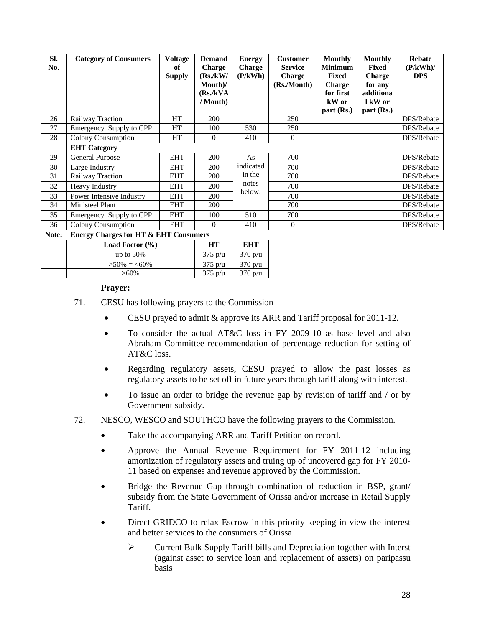| SI.<br>No. | <b>Category of Consumers</b>                     | <b>Voltage</b><br>оf<br><b>Supply</b> | <b>Demand</b><br><b>Charge</b><br>(Rs./kW/<br>$Month$ /<br>(Rs./kVA)<br>/ Month) | <b>Energy</b><br><b>Charge</b><br>(P/kWh) | <b>Customer</b><br><b>Service</b><br><b>Charge</b><br>(Rs./Month) | <b>Monthly</b><br><b>Minimum</b><br>Fixed<br><b>Charge</b><br>for first<br>kW or<br>part (Rs.) | <b>Monthly</b><br><b>Fixed</b><br><b>Charge</b><br>for any<br>additiona<br>1 kW or<br>part (Rs.) | <b>Rebate</b><br>(P/kWh)<br><b>DPS</b> |
|------------|--------------------------------------------------|---------------------------------------|----------------------------------------------------------------------------------|-------------------------------------------|-------------------------------------------------------------------|------------------------------------------------------------------------------------------------|--------------------------------------------------------------------------------------------------|----------------------------------------|
| 26         | Railway Traction                                 | HT                                    | 200                                                                              |                                           | 250                                                               |                                                                                                |                                                                                                  | DPS/Rebate                             |
| 27         | Emergency Supply to CPP                          | HT                                    | 100                                                                              | 530                                       | 250                                                               |                                                                                                |                                                                                                  | DPS/Rebate                             |
| 28         | Colony Consumption                               | <b>HT</b>                             | $\overline{0}$                                                                   | 410                                       | $\theta$                                                          |                                                                                                |                                                                                                  | DPS/Rebate                             |
|            | <b>EHT</b> Category                              |                                       |                                                                                  |                                           |                                                                   |                                                                                                |                                                                                                  |                                        |
| 29         | <b>General Purpose</b>                           | <b>EHT</b>                            | 200                                                                              | As                                        | 700                                                               |                                                                                                |                                                                                                  | DPS/Rebate                             |
| 30         | Large Industry                                   | <b>EHT</b>                            | 200                                                                              | indicated                                 | 700                                                               |                                                                                                |                                                                                                  | DPS/Rebate                             |
| 31         | Railway Traction                                 | <b>EHT</b>                            | 200                                                                              | in the                                    | 700                                                               |                                                                                                |                                                                                                  | DPS/Rebate                             |
| 32         | Heavy Industry                                   | <b>EHT</b>                            | 200                                                                              | notes                                     | 700                                                               |                                                                                                |                                                                                                  | DPS/Rebate                             |
| 33         | Power Intensive Industry                         | <b>EHT</b>                            | 200                                                                              | below.                                    | 700                                                               |                                                                                                |                                                                                                  | DPS/Rebate                             |
| 34         | <b>Ministeel Plant</b>                           | <b>EHT</b>                            | <b>200</b>                                                                       |                                           | 700                                                               |                                                                                                |                                                                                                  | DPS/Rebate                             |
| 35         | Emergency Supply to CPP                          | <b>EHT</b>                            | 100                                                                              | 510                                       | 700                                                               |                                                                                                |                                                                                                  | DPS/Rebate                             |
| 36         | Colony Consumption                               | <b>EHT</b>                            | $\Omega$                                                                         | 410                                       | $\theta$                                                          |                                                                                                |                                                                                                  | DPS/Rebate                             |
| Note:      | <b>Fraggy Charges for HT &amp; FHT Consumers</b> |                                       |                                                                                  |                                           |                                                                   |                                                                                                |                                                                                                  |                                        |

#### **Note: Energy Charges for HT & EHT Consumers** Load Factor (%) **HT EHT** up to 50% 375 p/u 370 p/u  $>50\% = 60\%$  375 p/u 370 p/u  $>60\%$  375 p/u 370 p/u

## **Prayer:**

- 71. CESU has following prayers to the Commission
	- CESU prayed to admit & approve its ARR and Tariff proposal for 2011-12.
	- To consider the actual AT&C loss in FY 2009-10 as base level and also Abraham Committee recommendation of percentage reduction for setting of AT&C loss.
	- Regarding regulatory assets, CESU prayed to allow the past losses as regulatory assets to be set off in future years through tariff along with interest.
	- To issue an order to bridge the revenue gap by revision of tariff and / or by Government subsidy.
- 72. NESCO, WESCO and SOUTHCO have the following prayers to the Commission.
	- Take the accompanying ARR and Tariff Petition on record.
	- Approve the Annual Revenue Requirement for FY 2011-12 including amortization of regulatory assets and truing up of uncovered gap for FY 2010- 11 based on expenses and revenue approved by the Commission.
	- Bridge the Revenue Gap through combination of reduction in BSP, grant/ subsidy from the State Government of Orissa and/or increase in Retail Supply Tariff.
	- Direct GRIDCO to relax Escrow in this priority keeping in view the interest and better services to the consumers of Orissa
		- ¾ Current Bulk Supply Tariff bills and Depreciation together with Interst (against asset to service loan and replacement of assets) on paripassu basis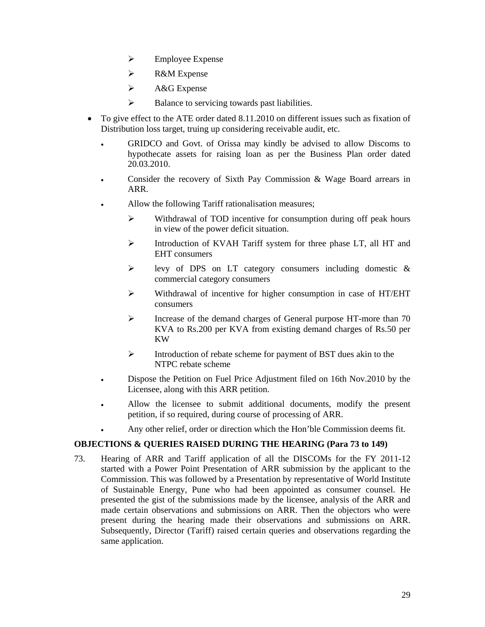- $\triangleright$  Employee Expense
- ¾ R&M Expense
- $\triangleright$  A&G Expense
- $\triangleright$  Balance to servicing towards past liabilities.
- To give effect to the ATE order dated 8.11.2010 on different issues such as fixation of Distribution loss target, truing up considering receivable audit, etc.
	- GRIDCO and Govt. of Orissa may kindly be advised to allow Discoms to hypothecate assets for raising loan as per the Business Plan order dated 20.03.2010.
	- Consider the recovery of Sixth Pay Commission & Wage Board arrears in ARR.
	- Allow the following Tariff rationalisation measures;
		- ¾ Withdrawal of TOD incentive for consumption during off peak hours in view of the power deficit situation.
		- ¾ Introduction of KVAH Tariff system for three phase LT, all HT and EHT consumers
		- ¾ levy of DPS on LT category consumers including domestic & commercial category consumers
		- $\triangleright$  Withdrawal of incentive for higher consumption in case of HT/EHT consumers
		- ¾ Increase of the demand charges of General purpose HT-more than 70 KVA to Rs.200 per KVA from existing demand charges of Rs.50 per KW
		- ¾ Introduction of rebate scheme for payment of BST dues akin to the NTPC rebate scheme
	- Dispose the Petition on Fuel Price Adjustment filed on 16th Nov.2010 by the Licensee, along with this ARR petition.
	- Allow the licensee to submit additional documents, modify the present petition, if so required, during course of processing of ARR.
	- Any other relief, order or direction which the Hon'ble Commission deems fit.

## **OBJECTIONS & QUERIES RAISED DURING THE HEARING (Para 73 to 149)**

73. Hearing of ARR and Tariff application of all the DISCOMs for the FY 2011-12 started with a Power Point Presentation of ARR submission by the applicant to the Commission. This was followed by a Presentation by representative of World Institute of Sustainable Energy, Pune who had been appointed as consumer counsel. He presented the gist of the submissions made by the licensee, analysis of the ARR and made certain observations and submissions on ARR. Then the objectors who were present during the hearing made their observations and submissions on ARR. Subsequently, Director (Tariff) raised certain queries and observations regarding the same application.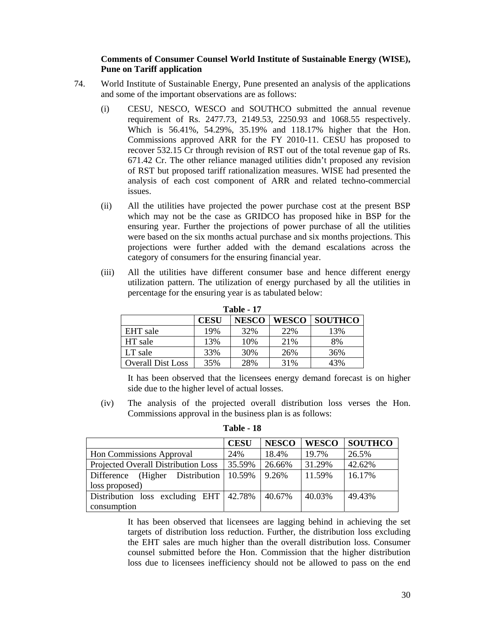## **Comments of Consumer Counsel World Institute of Sustainable Energy (WISE), Pune on Tariff application**

- 74. World Institute of Sustainable Energy, Pune presented an analysis of the applications and some of the important observations are as follows:
	- (i) CESU, NESCO, WESCO and SOUTHCO submitted the annual revenue requirement of Rs. 2477.73, 2149.53, 2250.93 and 1068.55 respectively. Which is 56.41%, 54.29%, 35.19% and 118.17% higher that the Hon. Commissions approved ARR for the FY 2010-11. CESU has proposed to recover 532.15 Cr through revision of RST out of the total revenue gap of Rs. 671.42 Cr. The other reliance managed utilities didn't proposed any revision of RST but proposed tariff rationalization measures. WISE had presented the analysis of each cost component of ARR and related techno-commercial issues.
	- (ii) All the utilities have projected the power purchase cost at the present BSP which may not be the case as GRIDCO has proposed hike in BSP for the ensuring year. Further the projections of power purchase of all the utilities were based on the six months actual purchase and six months projections. This projections were further added with the demand escalations across the category of consumers for the ensuring financial year.
	- (iii) All the utilities have different consumer base and hence different energy utilization pattern. The utilization of energy purchased by all the utilities in percentage for the ensuring year is as tabulated below:

|                          | <b>CESU</b> | <b>NESCO</b> | WESCO | <b>SOUTHCO</b> |  |  |  |
|--------------------------|-------------|--------------|-------|----------------|--|--|--|
| EHT sale                 | 19%         | 32%          | 22%   | 13%            |  |  |  |
| HT sale                  | 13%         | 10%          | 21%   | 8%             |  |  |  |
| LT sale                  | 33%         | 30%          | 26%   | 36%            |  |  |  |
| <b>Overall Dist Loss</b> | 35%         | 28%          | 31%   | 43%            |  |  |  |

**Table - 17** 

It has been observed that the licensees energy demand forecast is on higher side due to the higher level of actual losses.

(iv) The analysis of the projected overall distribution loss verses the Hon. Commissions approval in the business plan is as follows:

|                                                | <b>CESU</b> | <b>NESCO</b> | <b>WESCO</b> | <b>SOUTHCO</b> |
|------------------------------------------------|-------------|--------------|--------------|----------------|
| Hon Commissions Approval                       | 24%         | 18.4%        | 19.7%        | 26.5%          |
| Projected Overall Distribution Loss            | 35.59%      | 26.66%       | 31.29%       | 42.62%         |
| Difference (Higher Distribution 10.59%         |             | 9.26%        | 11.59%       | 16.17%         |
| loss proposed)                                 |             |              |              |                |
| Distribution loss excluding EHT $\vert$ 42.78% |             | 40.67%       | 40.03%       | 49.43%         |
| consumption                                    |             |              |              |                |

**Table - 18**

It has been observed that licensees are lagging behind in achieving the set targets of distribution loss reduction. Further, the distribution loss excluding the EHT sales are much higher than the overall distribution loss. Consumer counsel submitted before the Hon. Commission that the higher distribution loss due to licensees inefficiency should not be allowed to pass on the end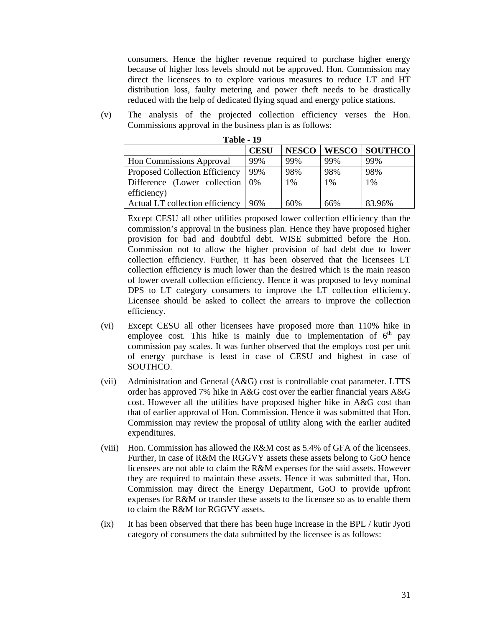consumers. Hence the higher revenue required to purchase higher energy because of higher loss levels should not be approved. Hon. Commission may direct the licensees to to explore various measures to reduce LT and HT distribution loss, faulty metering and power theft needs to be drastically reduced with the help of dedicated flying squad and energy police stations.

(v) The analysis of the projected collection efficiency verses the Hon. Commissions approval in the business plan is as follows:

|                                       | <b>CESU</b> | <b>NESCO</b> | <b>WESCO</b> | <b>SOUTHCO</b> |
|---------------------------------------|-------------|--------------|--------------|----------------|
| <b>Hon Commissions Approval</b>       | 99%         | 99%          | 99%          | 99%            |
| <b>Proposed Collection Efficiency</b> | 99%         | 98%          | 98%          | 98%            |
| Difference (Lower collection   0%     |             | 1%           | 1%           | 1%             |
| efficiency)                           |             |              |              |                |
| Actual LT collection efficiency       | 96%         | 60%          | 66%          | 83.96%         |

**Table - 19**

Except CESU all other utilities proposed lower collection efficiency than the commission's approval in the business plan. Hence they have proposed higher provision for bad and doubtful debt. WISE submitted before the Hon. Commission not to allow the higher provision of bad debt due to lower collection efficiency. Further, it has been observed that the licensees LT collection efficiency is much lower than the desired which is the main reason of lower overall collection efficiency. Hence it was proposed to levy nominal DPS to LT category consumers to improve the LT collection efficiency. Licensee should be asked to collect the arrears to improve the collection efficiency.

- (vi) Except CESU all other licensees have proposed more than 110% hike in employee cost. This hike is mainly due to implementation of  $6<sup>th</sup>$  pay commission pay scales. It was further observed that the employs cost per unit of energy purchase is least in case of CESU and highest in case of SOUTHCO.
- (vii) Administration and General (A&G) cost is controllable coat parameter. LTTS order has approved 7% hike in A&G cost over the earlier financial years A&G cost. However all the utilities have proposed higher hike in A&G cost than that of earlier approval of Hon. Commission. Hence it was submitted that Hon. Commission may review the proposal of utility along with the earlier audited expenditures.
- (viii) Hon. Commission has allowed the R&M cost as 5.4% of GFA of the licensees. Further, in case of R&M the RGGVY assets these assets belong to GoO hence licensees are not able to claim the R&M expenses for the said assets. However they are required to maintain these assets. Hence it was submitted that, Hon. Commission may direct the Energy Department, GoO to provide upfront expenses for R&M or transfer these assets to the licensee so as to enable them to claim the R&M for RGGVY assets.
- (ix) It has been observed that there has been huge increase in the BPL / kutir Jyoti category of consumers the data submitted by the licensee is as follows: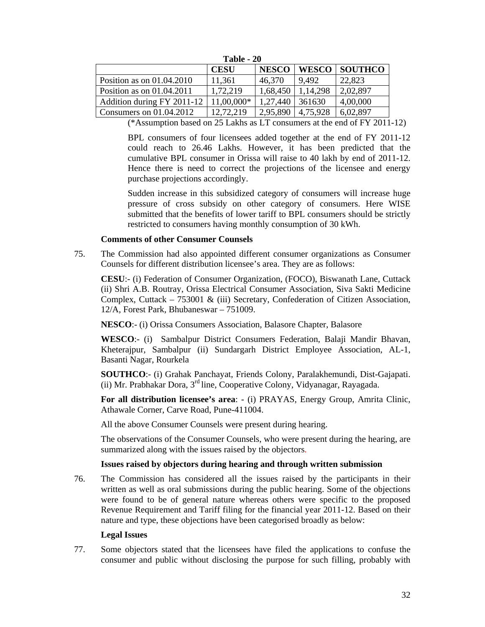| 1 ame - <i>2</i> 0          |             |              |          |               |
|-----------------------------|-------------|--------------|----------|---------------|
|                             | <b>CESU</b> | <b>NESCO</b> |          | WESCO SOUTHCO |
| Position as on $01.04.2010$ | 11,361      | 46,370       | 9.492    | 22,823        |
| Position as on $01.04.2011$ | 1,72,219    | 1,68,450     | 1,14,298 | 2,02,897      |
| Addition during FY 2011-12  | 11,00,000*  | 1,27,440     | 361630   | 4,00,000      |
| Consumers on $01.04.2012$   | 12.72.219   | 2,95,890     | 4.75.928 | 6,02,897      |

**Table 20** 

(\*Assumption based on 25 Lakhs as LT consumers at the end of FY 2011-12)

BPL consumers of four licensees added together at the end of FY 2011-12 could reach to 26.46 Lakhs. However, it has been predicted that the cumulative BPL consumer in Orissa will raise to 40 lakh by end of 2011-12. Hence there is need to correct the projections of the licensee and energy purchase projections accordingly.

Sudden increase in this subsidized category of consumers will increase huge pressure of cross subsidy on other category of consumers. Here WISE submitted that the benefits of lower tariff to BPL consumers should be strictly restricted to consumers having monthly consumption of 30 kWh.

## **Comments of other Consumer Counsels**

75. The Commission had also appointed different consumer organizations as Consumer Counsels for different distribution licensee's area. They are as follows:

**CESU**:- (i) Federation of Consumer Organization, (FOCO), Biswanath Lane, Cuttack (ii) Shri A.B. Routray, Orissa Electrical Consumer Association, Siva Sakti Medicine Complex, Cuttack – 753001 & (iii) Secretary, Confederation of Citizen Association, 12/A, Forest Park, Bhubaneswar – 751009.

**NESCO**:- (i) Orissa Consumers Association, Balasore Chapter, Balasore

**WESCO**:- (i) Sambalpur District Consumers Federation, Balaji Mandir Bhavan, Kheterajpur, Sambalpur (ii) Sundargarh District Employee Association, AL-1, Basanti Nagar, Rourkela

**SOUTHCO**:- (i) Grahak Panchayat, Friends Colony, Paralakhemundi, Dist-Gajapati. (ii) Mr. Prabhakar Dora, 3rd line, Cooperative Colony, Vidyanagar, Rayagada.

**For all distribution licensee's area**: - (i) PRAYAS, Energy Group, Amrita Clinic, Athawale Corner, Carve Road, Pune-411004.

All the above Consumer Counsels were present during hearing.

The observations of the Consumer Counsels, who were present during the hearing, are summarized along with the issues raised by the objectors.

## **Issues raised by objectors during hearing and through written submission**

76. The Commission has considered all the issues raised by the participants in their written as well as oral submissions during the public hearing. Some of the objections were found to be of general nature whereas others were specific to the proposed Revenue Requirement and Tariff filing for the financial year 2011-12. Based on their nature and type, these objections have been categorised broadly as below:

## **Legal Issues**

77. Some objectors stated that the licensees have filed the applications to confuse the consumer and public without disclosing the purpose for such filling, probably with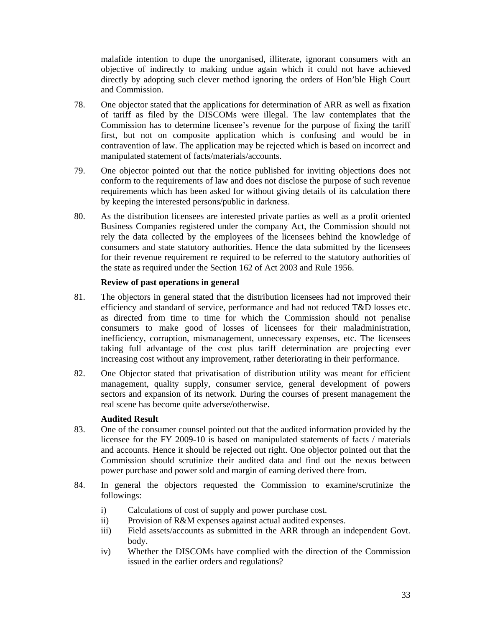malafide intention to dupe the unorganised, illiterate, ignorant consumers with an objective of indirectly to making undue again which it could not have achieved directly by adopting such clever method ignoring the orders of Hon'ble High Court and Commission.

- 78. One objector stated that the applications for determination of ARR as well as fixation of tariff as filed by the DISCOMs were illegal. The law contemplates that the Commission has to determine licensee's revenue for the purpose of fixing the tariff first, but not on composite application which is confusing and would be in contravention of law. The application may be rejected which is based on incorrect and manipulated statement of facts/materials/accounts.
- 79. One objector pointed out that the notice published for inviting objections does not conform to the requirements of law and does not disclose the purpose of such revenue requirements which has been asked for without giving details of its calculation there by keeping the interested persons/public in darkness.
- 80. As the distribution licensees are interested private parties as well as a profit oriented Business Companies registered under the company Act, the Commission should not rely the data collected by the employees of the licensees behind the knowledge of consumers and state statutory authorities. Hence the data submitted by the licensees for their revenue requirement re required to be referred to the statutory authorities of the state as required under the Section 162 of Act 2003 and Rule 1956.

## **Review of past operations in general**

- 81. The objectors in general stated that the distribution licensees had not improved their efficiency and standard of service, performance and had not reduced T&D losses etc. as directed from time to time for which the Commission should not penalise consumers to make good of losses of licensees for their maladministration, inefficiency, corruption, mismanagement, unnecessary expenses, etc. The licensees taking full advantage of the cost plus tariff determination are projecting ever increasing cost without any improvement, rather deteriorating in their performance.
- 82. One Objector stated that privatisation of distribution utility was meant for efficient management, quality supply, consumer service, general development of powers sectors and expansion of its network. During the courses of present management the real scene has become quite adverse/otherwise.

## **Audited Result**

- 83. One of the consumer counsel pointed out that the audited information provided by the licensee for the FY 2009-10 is based on manipulated statements of facts / materials and accounts. Hence it should be rejected out right. One objector pointed out that the Commission should scrutinize their audited data and find out the nexus between power purchase and power sold and margin of earning derived there from.
- 84. In general the objectors requested the Commission to examine/scrutinize the followings:
	- i) Calculations of cost of supply and power purchase cost.
	- ii) Provision of R&M expenses against actual audited expenses.
	- iii) Field assets/accounts as submitted in the ARR through an independent Govt. body.
	- iv) Whether the DISCOMs have complied with the direction of the Commission issued in the earlier orders and regulations?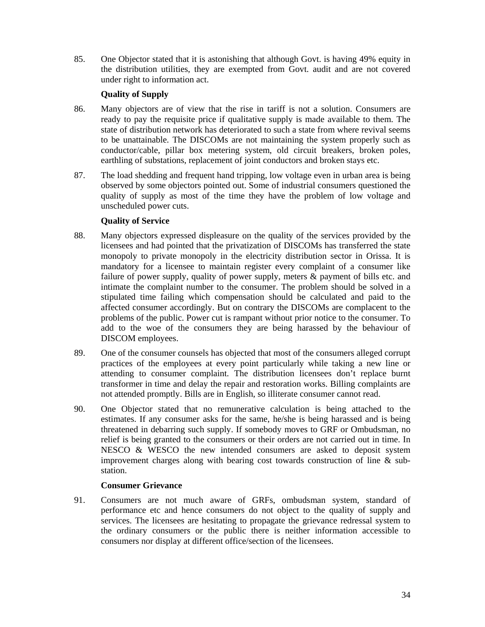85. One Objector stated that it is astonishing that although Govt. is having 49% equity in the distribution utilities, they are exempted from Govt. audit and are not covered under right to information act.

# **Quality of Supply**

- 86. Many objectors are of view that the rise in tariff is not a solution. Consumers are ready to pay the requisite price if qualitative supply is made available to them. The state of distribution network has deteriorated to such a state from where revival seems to be unattainable. The DISCOMs are not maintaining the system properly such as conductor/cable, pillar box metering system, old circuit breakers, broken poles, earthling of substations, replacement of joint conductors and broken stays etc.
- 87. The load shedding and frequent hand tripping, low voltage even in urban area is being observed by some objectors pointed out. Some of industrial consumers questioned the quality of supply as most of the time they have the problem of low voltage and unscheduled power cuts.

## **Quality of Service**

- 88. Many objectors expressed displeasure on the quality of the services provided by the licensees and had pointed that the privatization of DISCOMs has transferred the state monopoly to private monopoly in the electricity distribution sector in Orissa. It is mandatory for a licensee to maintain register every complaint of a consumer like failure of power supply, quality of power supply, meters & payment of bills etc. and intimate the complaint number to the consumer. The problem should be solved in a stipulated time failing which compensation should be calculated and paid to the affected consumer accordingly. But on contrary the DISCOMs are complacent to the problems of the public. Power cut is rampant without prior notice to the consumer. To add to the woe of the consumers they are being harassed by the behaviour of DISCOM employees.
- 89. One of the consumer counsels has objected that most of the consumers alleged corrupt practices of the employees at every point particularly while taking a new line or attending to consumer complaint. The distribution licensees don't replace burnt transformer in time and delay the repair and restoration works. Billing complaints are not attended promptly. Bills are in English, so illiterate consumer cannot read.
- 90. One Objector stated that no remunerative calculation is being attached to the estimates. If any consumer asks for the same, he/she is being harassed and is being threatened in debarring such supply. If somebody moves to GRF or Ombudsman, no relief is being granted to the consumers or their orders are not carried out in time. In NESCO & WESCO the new intended consumers are asked to deposit system improvement charges along with bearing cost towards construction of line & substation.

## **Consumer Grievance**

91. Consumers are not much aware of GRFs, ombudsman system, standard of performance etc and hence consumers do not object to the quality of supply and services. The licensees are hesitating to propagate the grievance redressal system to the ordinary consumers or the public there is neither information accessible to consumers nor display at different office/section of the licensees.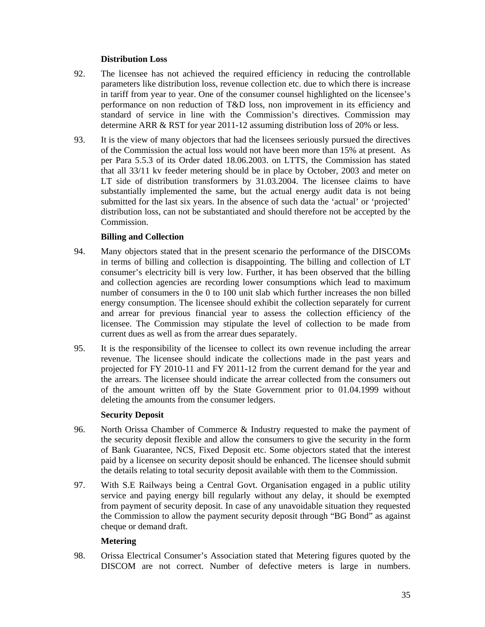## **Distribution Loss**

- 92. The licensee has not achieved the required efficiency in reducing the controllable parameters like distribution loss, revenue collection etc. due to which there is increase in tariff from year to year. One of the consumer counsel highlighted on the licensee's performance on non reduction of T&D loss, non improvement in its efficiency and standard of service in line with the Commission's directives. Commission may determine ARR & RST for year 2011-12 assuming distribution loss of 20% or less.
- 93. It is the view of many objectors that had the licensees seriously pursued the directives of the Commission the actual loss would not have been more than 15% at present. As per Para 5.5.3 of its Order dated 18.06.2003. on LTTS, the Commission has stated that all 33/11 kv feeder metering should be in place by October, 2003 and meter on LT side of distribution transformers by 31.03.2004. The licensee claims to have substantially implemented the same, but the actual energy audit data is not being submitted for the last six years. In the absence of such data the 'actual' or 'projected' distribution loss, can not be substantiated and should therefore not be accepted by the Commission.

## **Billing and Collection**

- 94. Many objectors stated that in the present scenario the performance of the DISCOMs in terms of billing and collection is disappointing. The billing and collection of LT consumer's electricity bill is very low. Further, it has been observed that the billing and collection agencies are recording lower consumptions which lead to maximum number of consumers in the 0 to 100 unit slab which further increases the non billed energy consumption. The licensee should exhibit the collection separately for current and arrear for previous financial year to assess the collection efficiency of the licensee. The Commission may stipulate the level of collection to be made from current dues as well as from the arrear dues separately.
- 95. It is the responsibility of the licensee to collect its own revenue including the arrear revenue. The licensee should indicate the collections made in the past years and projected for FY 2010-11 and FY 2011-12 from the current demand for the year and the arrears. The licensee should indicate the arrear collected from the consumers out of the amount written off by the State Government prior to 01.04.1999 without deleting the amounts from the consumer ledgers.

## **Security Deposit**

- 96. North Orissa Chamber of Commerce & Industry requested to make the payment of the security deposit flexible and allow the consumers to give the security in the form of Bank Guarantee, NCS, Fixed Deposit etc. Some objectors stated that the interest paid by a licensee on security deposit should be enhanced. The licensee should submit the details relating to total security deposit available with them to the Commission.
- 97. With S.E Railways being a Central Govt. Organisation engaged in a public utility service and paying energy bill regularly without any delay, it should be exempted from payment of security deposit. In case of any unavoidable situation they requested the Commission to allow the payment security deposit through "BG Bond" as against cheque or demand draft.

## **Metering**

98. Orissa Electrical Consumer's Association stated that Metering figures quoted by the DISCOM are not correct. Number of defective meters is large in numbers.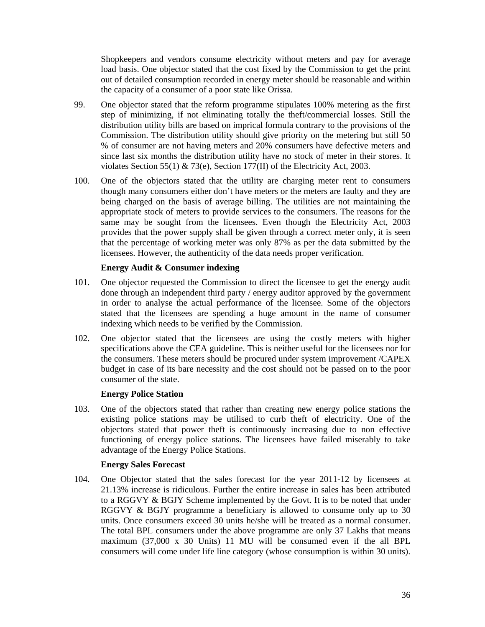Shopkeepers and vendors consume electricity without meters and pay for average load basis. One objector stated that the cost fixed by the Commission to get the print out of detailed consumption recorded in energy meter should be reasonable and within the capacity of a consumer of a poor state like Orissa.

- 99. One objector stated that the reform programme stipulates 100% metering as the first step of minimizing, if not eliminating totally the theft/commercial losses. Still the distribution utility bills are based on imprical formula contrary to the provisions of the Commission. The distribution utility should give priority on the metering but still 50 % of consumer are not having meters and 20% consumers have defective meters and since last six months the distribution utility have no stock of meter in their stores. It violates Section 55(1) & 73(e), Section 177(II) of the Electricity Act, 2003.
- 100. One of the objectors stated that the utility are charging meter rent to consumers though many consumers either don't have meters or the meters are faulty and they are being charged on the basis of average billing. The utilities are not maintaining the appropriate stock of meters to provide services to the consumers. The reasons for the same may be sought from the licensees. Even though the Electricity Act, 2003 provides that the power supply shall be given through a correct meter only, it is seen that the percentage of working meter was only 87% as per the data submitted by the licensees. However, the authenticity of the data needs proper verification.

## **Energy Audit & Consumer indexing**

- 101. One objector requested the Commission to direct the licensee to get the energy audit done through an independent third party / energy auditor approved by the government in order to analyse the actual performance of the licensee. Some of the objectors stated that the licensees are spending a huge amount in the name of consumer indexing which needs to be verified by the Commission.
- 102. One objector stated that the licensees are using the costly meters with higher specifications above the CEA guideline. This is neither useful for the licensees nor for the consumers. These meters should be procured under system improvement /CAPEX budget in case of its bare necessity and the cost should not be passed on to the poor consumer of the state.

## **Energy Police Station**

103. One of the objectors stated that rather than creating new energy police stations the existing police stations may be utilised to curb theft of electricity. One of the objectors stated that power theft is continuously increasing due to non effective functioning of energy police stations. The licensees have failed miserably to take advantage of the Energy Police Stations.

#### **Energy Sales Forecast**

104. One Objector stated that the sales forecast for the year 2011-12 by licensees at 21.13% increase is ridiculous. Further the entire increase in sales has been attributed to a RGGVY & BGJY Scheme implemented by the Govt. It is to be noted that under RGGVY & BGJY programme a beneficiary is allowed to consume only up to 30 units. Once consumers exceed 30 units he/she will be treated as a normal consumer. The total BPL consumers under the above programme are only 37 Lakhs that means maximum (37,000 x 30 Units) 11 MU will be consumed even if the all BPL consumers will come under life line category (whose consumption is within 30 units).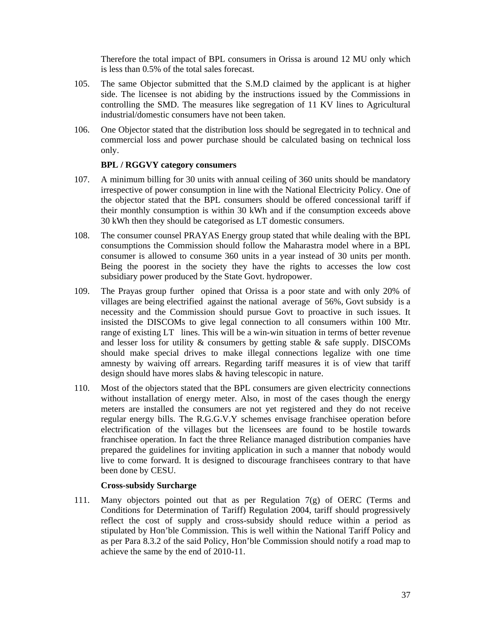Therefore the total impact of BPL consumers in Orissa is around 12 MU only which is less than 0.5% of the total sales forecast.

- 105. The same Objector submitted that the S.M.D claimed by the applicant is at higher side. The licensee is not abiding by the instructions issued by the Commissions in controlling the SMD. The measures like segregation of 11 KV lines to Agricultural industrial/domestic consumers have not been taken.
- 106. One Objector stated that the distribution loss should be segregated in to technical and commercial loss and power purchase should be calculated basing on technical loss only.

## **BPL / RGGVY category consumers**

- 107. A minimum billing for 30 units with annual ceiling of 360 units should be mandatory irrespective of power consumption in line with the National Electricity Policy. One of the objector stated that the BPL consumers should be offered concessional tariff if their monthly consumption is within 30 kWh and if the consumption exceeds above 30 kWh then they should be categorised as LT domestic consumers.
- 108. The consumer counsel PRAYAS Energy group stated that while dealing with the BPL consumptions the Commission should follow the Maharastra model where in a BPL consumer is allowed to consume 360 units in a year instead of 30 units per month. Being the poorest in the society they have the rights to accesses the low cost subsidiary power produced by the State Govt. hydropower.
- 109. The Prayas group further opined that Orissa is a poor state and with only 20% of villages are being electrified against the national average of 56%, Govt subsidy is a necessity and the Commission should pursue Govt to proactive in such issues. It insisted the DISCOMs to give legal connection to all consumers within 100 Mtr. range of existing LT lines. This will be a win-win situation in terms of better revenue and lesser loss for utility  $\&$  consumers by getting stable  $\&$  safe supply. DISCOMs should make special drives to make illegal connections legalize with one time amnesty by waiving off arrears. Regarding tariff measures it is of view that tariff design should have mores slabs & having telescopic in nature.
- 110. Most of the objectors stated that the BPL consumers are given electricity connections without installation of energy meter. Also, in most of the cases though the energy meters are installed the consumers are not yet registered and they do not receive regular energy bills. The R.G.G.V.Y schemes envisage franchisee operation before electrification of the villages but the licensees are found to be hostile towards franchisee operation. In fact the three Reliance managed distribution companies have prepared the guidelines for inviting application in such a manner that nobody would live to come forward. It is designed to discourage franchisees contrary to that have been done by CESU.

# **Cross-subsidy Surcharge**

111. Many objectors pointed out that as per Regulation 7(g) of OERC (Terms and Conditions for Determination of Tariff) Regulation 2004, tariff should progressively reflect the cost of supply and cross-subsidy should reduce within a period as stipulated by Hon'ble Commission. This is well within the National Tariff Policy and as per Para 8.3.2 of the said Policy, Hon'ble Commission should notify a road map to achieve the same by the end of 2010-11.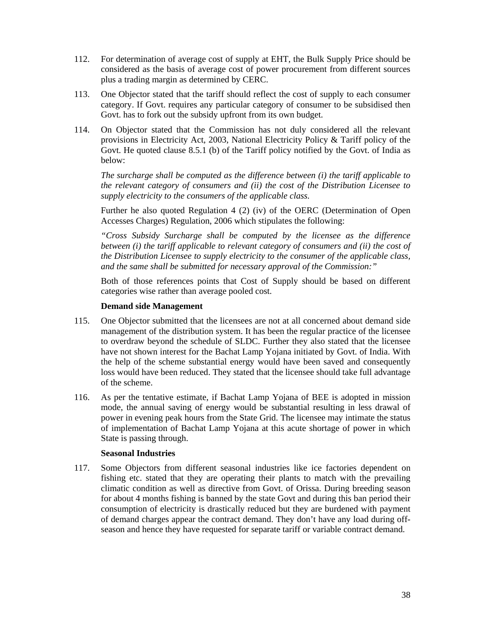- 112. For determination of average cost of supply at EHT, the Bulk Supply Price should be considered as the basis of average cost of power procurement from different sources plus a trading margin as determined by CERC.
- 113. One Objector stated that the tariff should reflect the cost of supply to each consumer category. If Govt. requires any particular category of consumer to be subsidised then Govt. has to fork out the subsidy upfront from its own budget.
- 114. On Objector stated that the Commission has not duly considered all the relevant provisions in Electricity Act, 2003, National Electricity Policy & Tariff policy of the Govt. He quoted clause 8.5.1 (b) of the Tariff policy notified by the Govt. of India as below:

*The surcharge shall be computed as the difference between (i) the tariff applicable to the relevant category of consumers and (ii) the cost of the Distribution Licensee to supply electricity to the consumers of the applicable class.* 

Further he also quoted Regulation 4 (2) (iv) of the OERC (Determination of Open Accesses Charges) Regulation, 2006 which stipulates the following:

*"Cross Subsidy Surcharge shall be computed by the licensee as the difference between (i) the tariff applicable to relevant category of consumers and (ii) the cost of the Distribution Licensee to supply electricity to the consumer of the applicable class, and the same shall be submitted for necessary approval of the Commission:"* 

Both of those references points that Cost of Supply should be based on different categories wise rather than average pooled cost.

# **Demand side Management**

- 115. One Objector submitted that the licensees are not at all concerned about demand side management of the distribution system. It has been the regular practice of the licensee to overdraw beyond the schedule of SLDC. Further they also stated that the licensee have not shown interest for the Bachat Lamp Yojana initiated by Govt. of India. With the help of the scheme substantial energy would have been saved and consequently loss would have been reduced. They stated that the licensee should take full advantage of the scheme.
- 116. As per the tentative estimate, if Bachat Lamp Yojana of BEE is adopted in mission mode, the annual saving of energy would be substantial resulting in less drawal of power in evening peak hours from the State Grid. The licensee may intimate the status of implementation of Bachat Lamp Yojana at this acute shortage of power in which State is passing through.

## **Seasonal Industries**

117. Some Objectors from different seasonal industries like ice factories dependent on fishing etc. stated that they are operating their plants to match with the prevailing climatic condition as well as directive from Govt. of Orissa. During breeding season for about 4 months fishing is banned by the state Govt and during this ban period their consumption of electricity is drastically reduced but they are burdened with payment of demand charges appear the contract demand. They don't have any load during offseason and hence they have requested for separate tariff or variable contract demand.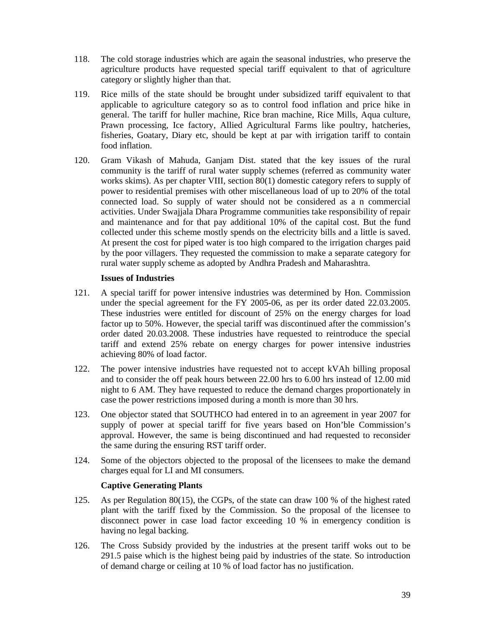- 118. The cold storage industries which are again the seasonal industries, who preserve the agriculture products have requested special tariff equivalent to that of agriculture category or slightly higher than that.
- 119. Rice mills of the state should be brought under subsidized tariff equivalent to that applicable to agriculture category so as to control food inflation and price hike in general. The tariff for huller machine, Rice bran machine, Rice Mills, Aqua culture, Prawn processing, Ice factory, Allied Agricultural Farms like poultry, hatcheries, fisheries, Goatary, Diary etc, should be kept at par with irrigation tariff to contain food inflation.
- 120. Gram Vikash of Mahuda, Ganjam Dist. stated that the key issues of the rural community is the tariff of rural water supply schemes (referred as community water works skims). As per chapter VIII, section 80(1) domestic category refers to supply of power to residential premises with other miscellaneous load of up to 20% of the total connected load. So supply of water should not be considered as a n commercial activities. Under Swajjala Dhara Programme communities take responsibility of repair and maintenance and for that pay additional 10% of the capital cost. But the fund collected under this scheme mostly spends on the electricity bills and a little is saved. At present the cost for piped water is too high compared to the irrigation charges paid by the poor villagers. They requested the commission to make a separate category for rural water supply scheme as adopted by Andhra Pradesh and Maharashtra.

## **Issues of Industries**

- 121. A special tariff for power intensive industries was determined by Hon. Commission under the special agreement for the FY 2005-06, as per its order dated 22.03.2005. These industries were entitled for discount of 25% on the energy charges for load factor up to 50%. However, the special tariff was discontinued after the commission's order dated 20.03.2008. These industries have requested to reintroduce the special tariff and extend 25% rebate on energy charges for power intensive industries achieving 80% of load factor.
- 122. The power intensive industries have requested not to accept kVAh billing proposal and to consider the off peak hours between 22.00 hrs to 6.00 hrs instead of 12.00 mid night to 6 AM. They have requested to reduce the demand charges proportionately in case the power restrictions imposed during a month is more than 30 hrs.
- 123. One objector stated that SOUTHCO had entered in to an agreement in year 2007 for supply of power at special tariff for five years based on Hon'ble Commission's approval. However, the same is being discontinued and had requested to reconsider the same during the ensuring RST tariff order.
- 124. Some of the objectors objected to the proposal of the licensees to make the demand charges equal for LI and MI consumers.

# **Captive Generating Plants**

- 125. As per Regulation 80(15), the CGPs, of the state can draw 100 % of the highest rated plant with the tariff fixed by the Commission. So the proposal of the licensee to disconnect power in case load factor exceeding 10 % in emergency condition is having no legal backing.
- 126. The Cross Subsidy provided by the industries at the present tariff woks out to be 291.5 paise which is the highest being paid by industries of the state. So introduction of demand charge or ceiling at 10 % of load factor has no justification.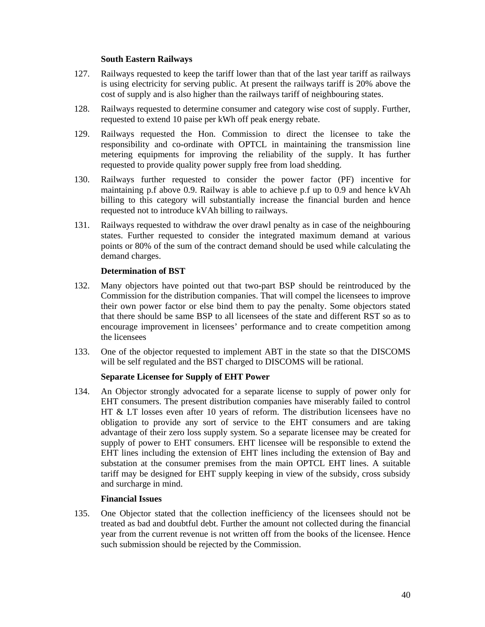# **South Eastern Railways**

- 127. Railways requested to keep the tariff lower than that of the last year tariff as railways is using electricity for serving public. At present the railways tariff is 20% above the cost of supply and is also higher than the railways tariff of neighbouring states.
- 128. Railways requested to determine consumer and category wise cost of supply. Further, requested to extend 10 paise per kWh off peak energy rebate.
- 129. Railways requested the Hon. Commission to direct the licensee to take the responsibility and co-ordinate with OPTCL in maintaining the transmission line metering equipments for improving the reliability of the supply. It has further requested to provide quality power supply free from load shedding.
- 130. Railways further requested to consider the power factor (PF) incentive for maintaining p.f above 0.9. Railway is able to achieve p.f up to 0.9 and hence kVAh billing to this category will substantially increase the financial burden and hence requested not to introduce kVAh billing to railways.
- 131. Railways requested to withdraw the over drawl penalty as in case of the neighbouring states. Further requested to consider the integrated maximum demand at various points or 80% of the sum of the contract demand should be used while calculating the demand charges.

## **Determination of BST**

- 132. Many objectors have pointed out that two-part BSP should be reintroduced by the Commission for the distribution companies. That will compel the licensees to improve their own power factor or else bind them to pay the penalty. Some objectors stated that there should be same BSP to all licensees of the state and different RST so as to encourage improvement in licensees' performance and to create competition among the licensees
- 133. One of the objector requested to implement ABT in the state so that the DISCOMS will be self regulated and the BST charged to DISCOMS will be rational.

# **Separate Licensee for Supply of EHT Power**

134. An Objector strongly advocated for a separate license to supply of power only for EHT consumers. The present distribution companies have miserably failed to control HT & LT losses even after 10 years of reform. The distribution licensees have no obligation to provide any sort of service to the EHT consumers and are taking advantage of their zero loss supply system. So a separate licensee may be created for supply of power to EHT consumers. EHT licensee will be responsible to extend the EHT lines including the extension of EHT lines including the extension of Bay and substation at the consumer premises from the main OPTCL EHT lines. A suitable tariff may be designed for EHT supply keeping in view of the subsidy, cross subsidy and surcharge in mind.

## **Financial Issues**

135. One Objector stated that the collection inefficiency of the licensees should not be treated as bad and doubtful debt. Further the amount not collected during the financial year from the current revenue is not written off from the books of the licensee. Hence such submission should be rejected by the Commission.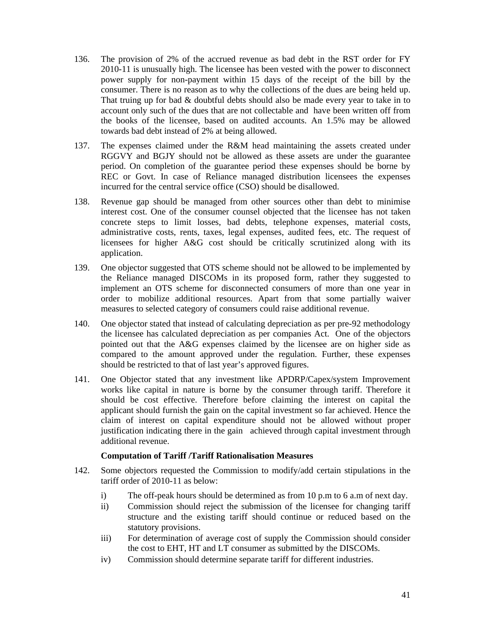- 136. The provision of 2% of the accrued revenue as bad debt in the RST order for FY 2010-11 is unusually high. The licensee has been vested with the power to disconnect power supply for non-payment within 15 days of the receipt of the bill by the consumer. There is no reason as to why the collections of the dues are being held up. That truing up for bad & doubtful debts should also be made every year to take in to account only such of the dues that are not collectable and have been written off from the books of the licensee, based on audited accounts. An 1.5% may be allowed towards bad debt instead of 2% at being allowed.
- 137. The expenses claimed under the R&M head maintaining the assets created under RGGVY and BGJY should not be allowed as these assets are under the guarantee period. On completion of the guarantee period these expenses should be borne by REC or Govt. In case of Reliance managed distribution licensees the expenses incurred for the central service office (CSO) should be disallowed.
- 138. Revenue gap should be managed from other sources other than debt to minimise interest cost. One of the consumer counsel objected that the licensee has not taken concrete steps to limit losses, bad debts, telephone expenses, material costs, administrative costs, rents, taxes, legal expenses, audited fees, etc. The request of licensees for higher A&G cost should be critically scrutinized along with its application.
- 139. One objector suggested that OTS scheme should not be allowed to be implemented by the Reliance managed DISCOMs in its proposed form, rather they suggested to implement an OTS scheme for disconnected consumers of more than one year in order to mobilize additional resources. Apart from that some partially waiver measures to selected category of consumers could raise additional revenue.
- 140. One objector stated that instead of calculating depreciation as per pre-92 methodology the licensee has calculated depreciation as per companies Act. One of the objectors pointed out that the A&G expenses claimed by the licensee are on higher side as compared to the amount approved under the regulation. Further, these expenses should be restricted to that of last year's approved figures.
- 141. One Objector stated that any investment like APDRP/Capex/system Improvement works like capital in nature is borne by the consumer through tariff. Therefore it should be cost effective. Therefore before claiming the interest on capital the applicant should furnish the gain on the capital investment so far achieved. Hence the claim of interest on capital expenditure should not be allowed without proper justification indicating there in the gain achieved through capital investment through additional revenue.

## **Computation of Tariff /Tariff Rationalisation Measures**

- 142. Some objectors requested the Commission to modify/add certain stipulations in the tariff order of 2010-11 as below:
	- i) The off-peak hours should be determined as from 10 p.m to 6 a.m of next day.
	- ii) Commission should reject the submission of the licensee for changing tariff structure and the existing tariff should continue or reduced based on the statutory provisions.
	- iii) For determination of average cost of supply the Commission should consider the cost to EHT, HT and LT consumer as submitted by the DISCOMs.
	- iv) Commission should determine separate tariff for different industries.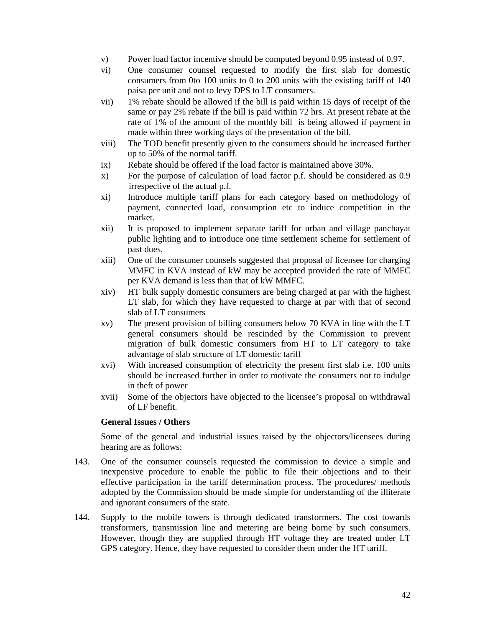- v) Power load factor incentive should be computed beyond 0.95 instead of 0.97.
- vi) One consumer counsel requested to modify the first slab for domestic consumers from 0to 100 units to 0 to 200 units with the existing tariff of 140 paisa per unit and not to levy DPS to LT consumers.
- vii) 1% rebate should be allowed if the bill is paid within 15 days of receipt of the same or pay 2% rebate if the bill is paid within 72 hrs. At present rebate at the rate of 1% of the amount of the monthly bill is being allowed if payment in made within three working days of the presentation of the bill.
- viii) The TOD benefit presently given to the consumers should be increased further up to 50% of the normal tariff.
- ix) Rebate should be offered if the load factor is maintained above 30%.
- x) For the purpose of calculation of load factor p.f. should be considered as 0.9 irrespective of the actual p.f.
- xi) Introduce multiple tariff plans for each category based on methodology of payment, connected load, consumption etc to induce competition in the market.
- xii) It is proposed to implement separate tariff for urban and village panchayat public lighting and to introduce one time settlement scheme for settlement of past dues.
- xiii) One of the consumer counsels suggested that proposal of licensee for charging MMFC in KVA instead of kW may be accepted provided the rate of MMFC per KVA demand is less than that of kW MMFC.
- xiv) HT bulk supply domestic consumers are being charged at par with the highest LT slab, for which they have requested to charge at par with that of second slab of LT consumers
- xv) The present provision of billing consumers below 70 KVA in line with the LT general consumers should be rescinded by the Commission to prevent migration of bulk domestic consumers from HT to LT category to take advantage of slab structure of LT domestic tariff
- xvi) With increased consumption of electricity the present first slab i.e. 100 units should be increased further in order to motivate the consumers not to indulge in theft of power
- xvii) Some of the objectors have objected to the licensee's proposal on withdrawal of LF benefit.

# **General Issues / Others**

Some of the general and industrial issues raised by the objectors/licensees during hearing are as follows:

- 143. One of the consumer counsels requested the commission to device a simple and inexpensive procedure to enable the public to file their objections and to their effective participation in the tariff determination process. The procedures/ methods adopted by the Commission should be made simple for understanding of the illiterate and ignorant consumers of the state.
- 144. Supply to the mobile towers is through dedicated transformers. The cost towards transformers, transmission line and metering are being borne by such consumers. However, though they are supplied through HT voltage they are treated under LT GPS category. Hence, they have requested to consider them under the HT tariff.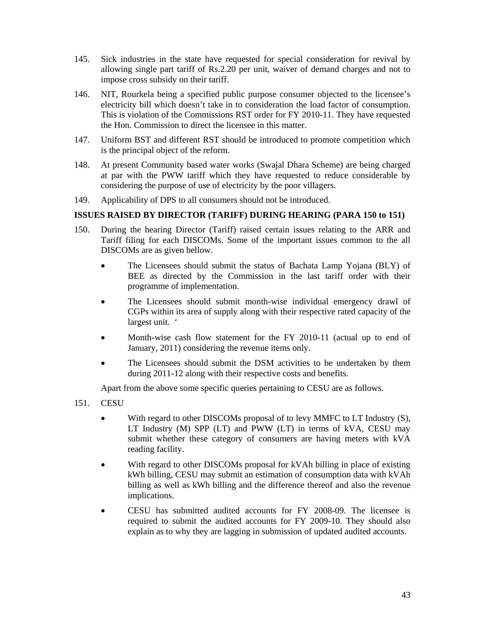- 145. Sick industries in the state have requested for special consideration for revival by allowing single part tariff of Rs.2.20 per unit, waiver of demand charges and not to impose cross subsidy on their tariff.
- 146. NIT, Rourkela being a specified public purpose consumer objected to the licensee's electricity bill which doesn't take in to consideration the load factor of consumption. This is violation of the Commissions RST order for FY 2010-11. They have requested the Hon. Commission to direct the licensee in this matter.
- 147. Uniform BST and different RST should be introduced to promote competition which is the principal object of the reform.
- 148. At present Community based water works (Swajal Dhara Scheme) are being charged at par with the PWW tariff which they have requested to reduce considerable by considering the purpose of use of electricity by the poor villagers.
- 149. Applicability of DPS to all consumers should not be introduced.

# **ISSUES RAISED BY DIRECTOR (TARIFF) DURING HEARING (PARA 150 to 151)**

- 150. During the hearing Director (Tariff) raised certain issues relating to the ARR and Tariff filing for each DISCOMs. Some of the important issues common to the all DISCOMs are as given bellow.
	- The Licensees should submit the status of Bachata Lamp Yojana (BLY) of BEE as directed by the Commission in the last tariff order with their programme of implementation.
	- The Licensees should submit month-wise individual emergency drawl of CGPs within its area of supply along with their respective rated capacity of the largest unit. '
	- Month-wise cash flow statement for the FY 2010-11 (actual up to end of January, 2011) considering the revenue items only.
	- The Licensees should submit the DSM activities to be undertaken by them during 2011-12 along with their respective costs and benefits.

Apart from the above some specific queries pertaining to CESU are as follows.

- 151. CESU
	- With regard to other DISCOMs proposal of to levy MMFC to LT Industry (S), LT Industry (M) SPP (LT) and PWW (LT) in terms of kVA, CESU may submit whether these category of consumers are having meters with kVA reading facility.
	- With regard to other DISCOMs proposal for kVAh billing in place of existing kWh billing, CESU may submit an estimation of consumption data with kVAh billing as well as kWh billing and the difference thereof and also the revenue implications.
	- CESU has submitted audited accounts for FY 2008-09. The licensee is required to submit the audited accounts for FY 2009-10. They should also explain as to why they are lagging in submission of updated audited accounts.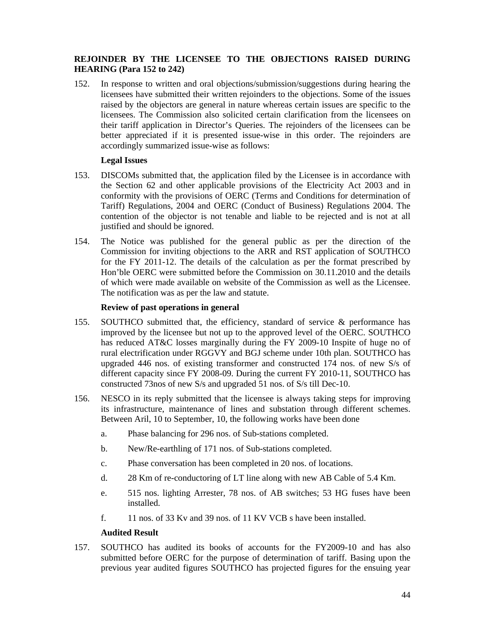# **REJOINDER BY THE LICENSEE TO THE OBJECTIONS RAISED DURING HEARING (Para 152 to 242)**

152. In response to written and oral objections/submission/suggestions during hearing the licensees have submitted their written rejoinders to the objections. Some of the issues raised by the objectors are general in nature whereas certain issues are specific to the licensees. The Commission also solicited certain clarification from the licensees on their tariff application in Director's Queries. The rejoinders of the licensees can be better appreciated if it is presented issue-wise in this order. The rejoinders are accordingly summarized issue-wise as follows:

# **Legal Issues**

- 153. DISCOMs submitted that, the application filed by the Licensee is in accordance with the Section 62 and other applicable provisions of the Electricity Act 2003 and in conformity with the provisions of OERC (Terms and Conditions for determination of Tariff) Regulations, 2004 and OERC (Conduct of Business) Regulations 2004. The contention of the objector is not tenable and liable to be rejected and is not at all justified and should be ignored.
- 154. The Notice was published for the general public as per the direction of the Commission for inviting objections to the ARR and RST application of SOUTHCO for the FY 2011-12. The details of the calculation as per the format prescribed by Hon'ble OERC were submitted before the Commission on 30.11.2010 and the details of which were made available on website of the Commission as well as the Licensee. The notification was as per the law and statute.

# **Review of past operations in general**

- 155. SOUTHCO submitted that, the efficiency, standard of service & performance has improved by the licensee but not up to the approved level of the OERC. SOUTHCO has reduced AT&C losses marginally during the FY 2009-10 Inspite of huge no of rural electrification under RGGVY and BGJ scheme under 10th plan. SOUTHCO has upgraded 446 nos. of existing transformer and constructed 174 nos. of new S/s of different capacity since FY 2008-09. During the current FY 2010-11, SOUTHCO has constructed 73nos of new S/s and upgraded 51 nos. of S/s till Dec-10.
- 156. NESCO in its reply submitted that the licensee is always taking steps for improving its infrastructure, maintenance of lines and substation through different schemes. Between Aril, 10 to September, 10, the following works have been done
	- a. Phase balancing for 296 nos. of Sub-stations completed.
	- b. New/Re-earthling of 171 nos. of Sub-stations completed.
	- c. Phase conversation has been completed in 20 nos. of locations.
	- d. 28 Km of re-conductoring of LT line along with new AB Cable of 5.4 Km.
	- e. 515 nos. lighting Arrester, 78 nos. of AB switches; 53 HG fuses have been installed.
	- f. 11 nos. of 33 Kv and 39 nos. of 11 KV VCB s have been installed.

# **Audited Result**

157. SOUTHCO has audited its books of accounts for the FY2009-10 and has also submitted before OERC for the purpose of determination of tariff. Basing upon the previous year audited figures SOUTHCO has projected figures for the ensuing year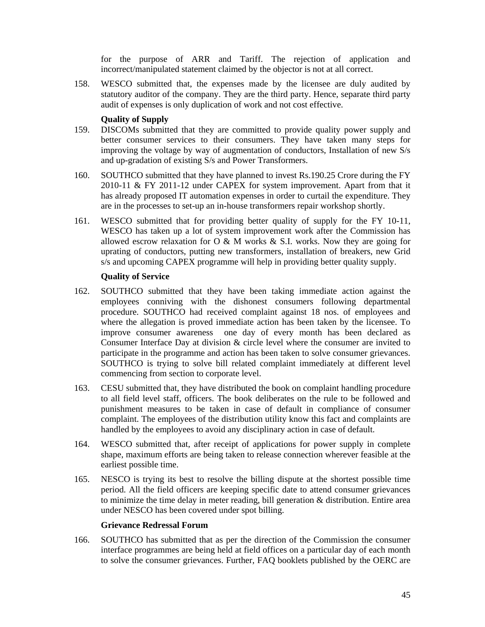for the purpose of ARR and Tariff. The rejection of application and incorrect/manipulated statement claimed by the objector is not at all correct.

158. WESCO submitted that, the expenses made by the licensee are duly audited by statutory auditor of the company. They are the third party. Hence, separate third party audit of expenses is only duplication of work and not cost effective.

# **Quality of Supply**

- 159. DISCOMs submitted that they are committed to provide quality power supply and better consumer services to their consumers. They have taken many steps for improving the voltage by way of augmentation of conductors, Installation of new S/s and up-gradation of existing S/s and Power Transformers.
- 160. SOUTHCO submitted that they have planned to invest Rs.190.25 Crore during the FY 2010-11 & FY 2011-12 under CAPEX for system improvement. Apart from that it has already proposed IT automation expenses in order to curtail the expenditure. They are in the processes to set-up an in-house transformers repair workshop shortly.
- 161. WESCO submitted that for providing better quality of supply for the FY 10-11, WESCO has taken up a lot of system improvement work after the Commission has allowed escrow relaxation for O & M works  $\&$  S.I. works. Now they are going for uprating of conductors, putting new transformers, installation of breakers, new Grid s/s and upcoming CAPEX programme will help in providing better quality supply.

# **Quality of Service**

- 162. SOUTHCO submitted that they have been taking immediate action against the employees conniving with the dishonest consumers following departmental procedure. SOUTHCO had received complaint against 18 nos. of employees and where the allegation is proved immediate action has been taken by the licensee. To improve consumer awareness one day of every month has been declared as Consumer Interface Day at division & circle level where the consumer are invited to participate in the programme and action has been taken to solve consumer grievances. SOUTHCO is trying to solve bill related complaint immediately at different level commencing from section to corporate level.
- 163. CESU submitted that, they have distributed the book on complaint handling procedure to all field level staff, officers. The book deliberates on the rule to be followed and punishment measures to be taken in case of default in compliance of consumer complaint. The employees of the distribution utility know this fact and complaints are handled by the employees to avoid any disciplinary action in case of default.
- 164. WESCO submitted that, after receipt of applications for power supply in complete shape, maximum efforts are being taken to release connection wherever feasible at the earliest possible time.
- 165. NESCO is trying its best to resolve the billing dispute at the shortest possible time period. All the field officers are keeping specific date to attend consumer grievances to minimize the time delay in meter reading, bill generation  $\&$  distribution. Entire area under NESCO has been covered under spot billing.

## **Grievance Redressal Forum**

166. SOUTHCO has submitted that as per the direction of the Commission the consumer interface programmes are being held at field offices on a particular day of each month to solve the consumer grievances. Further, FAQ booklets published by the OERC are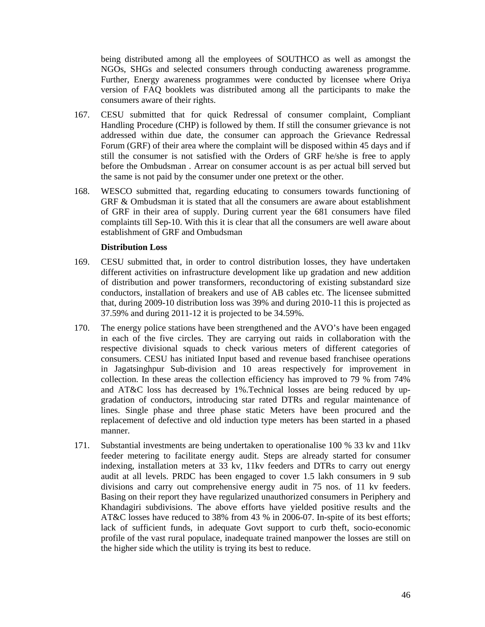being distributed among all the employees of SOUTHCO as well as amongst the NGOs, SHGs and selected consumers through conducting awareness programme. Further, Energy awareness programmes were conducted by licensee where Oriya version of FAQ booklets was distributed among all the participants to make the consumers aware of their rights.

- 167. CESU submitted that for quick Redressal of consumer complaint, Compliant Handling Procedure (CHP) is followed by them. If still the consumer grievance is not addressed within due date, the consumer can approach the Grievance Redressal Forum (GRF) of their area where the complaint will be disposed within 45 days and if still the consumer is not satisfied with the Orders of GRF he/she is free to apply before the Ombudsman . Arrear on consumer account is as per actual bill served but the same is not paid by the consumer under one pretext or the other.
- 168. WESCO submitted that, regarding educating to consumers towards functioning of GRF & Ombudsman it is stated that all the consumers are aware about establishment of GRF in their area of supply. During current year the 681 consumers have filed complaints till Sep-10. With this it is clear that all the consumers are well aware about establishment of GRF and Ombudsman

#### **Distribution Loss**

- 169. CESU submitted that, in order to control distribution losses, they have undertaken different activities on infrastructure development like up gradation and new addition of distribution and power transformers, reconductoring of existing substandard size conductors, installation of breakers and use of AB cables etc. The licensee submitted that, during 2009-10 distribution loss was 39% and during 2010-11 this is projected as 37.59% and during 2011-12 it is projected to be 34.59%.
- 170. The energy police stations have been strengthened and the AVO's have been engaged in each of the five circles. They are carrying out raids in collaboration with the respective divisional squads to check various meters of different categories of consumers. CESU has initiated Input based and revenue based franchisee operations in Jagatsinghpur Sub-division and 10 areas respectively for improvement in collection. In these areas the collection efficiency has improved to 79 % from 74% and AT&C loss has decreased by 1%.Technical losses are being reduced by upgradation of conductors, introducing star rated DTRs and regular maintenance of lines. Single phase and three phase static Meters have been procured and the replacement of defective and old induction type meters has been started in a phased manner.
- 171. Substantial investments are being undertaken to operationalise 100 % 33 kv and 11kv feeder metering to facilitate energy audit. Steps are already started for consumer indexing, installation meters at 33 kv, 11kv feeders and DTRs to carry out energy audit at all levels. PRDC has been engaged to cover 1.5 lakh consumers in 9 sub divisions and carry out comprehensive energy audit in 75 nos. of 11 kv feeders. Basing on their report they have regularized unauthorized consumers in Periphery and Khandagiri subdivisions. The above efforts have yielded positive results and the AT&C losses have reduced to 38% from 43 % in 2006-07. In-spite of its best efforts; lack of sufficient funds, in adequate Govt support to curb theft, socio-economic profile of the vast rural populace, inadequate trained manpower the losses are still on the higher side which the utility is trying its best to reduce.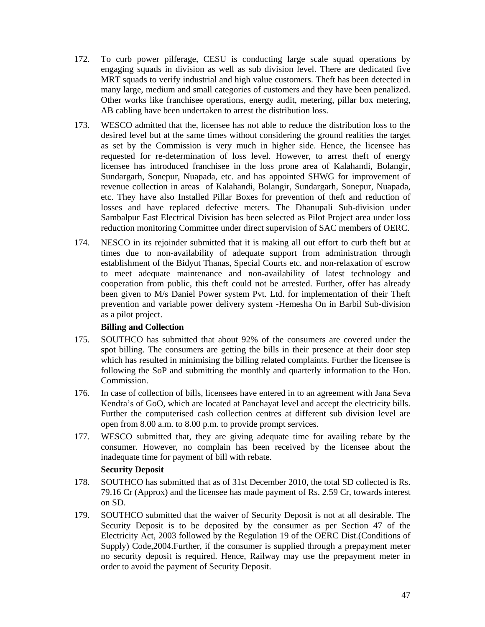- 172. To curb power pilferage, CESU is conducting large scale squad operations by engaging squads in division as well as sub division level. There are dedicated five MRT squads to verify industrial and high value customers. Theft has been detected in many large, medium and small categories of customers and they have been penalized. Other works like franchisee operations, energy audit, metering, pillar box metering, AB cabling have been undertaken to arrest the distribution loss.
- 173. WESCO admitted that the, licensee has not able to reduce the distribution loss to the desired level but at the same times without considering the ground realities the target as set by the Commission is very much in higher side. Hence, the licensee has requested for re-determination of loss level. However, to arrest theft of energy licensee has introduced franchisee in the loss prone area of Kalahandi, Bolangir, Sundargarh, Sonepur, Nuapada, etc. and has appointed SHWG for improvement of revenue collection in areas of Kalahandi, Bolangir, Sundargarh, Sonepur, Nuapada, etc. They have also Installed Pillar Boxes for prevention of theft and reduction of losses and have replaced defective meters. The Dhanupali Sub-division under Sambalpur East Electrical Division has been selected as Pilot Project area under loss reduction monitoring Committee under direct supervision of SAC members of OERC.
- 174. NESCO in its rejoinder submitted that it is making all out effort to curb theft but at times due to non-availability of adequate support from administration through establishment of the Bidyut Thanas, Special Courts etc. and non-relaxation of escrow to meet adequate maintenance and non-availability of latest technology and cooperation from public, this theft could not be arrested. Further, offer has already been given to M/s Daniel Power system Pvt. Ltd. for implementation of their Theft prevention and variable power delivery system -Hemesha On in Barbil Sub-division as a pilot project.

# **Billing and Collection**

- 175. SOUTHCO has submitted that about 92% of the consumers are covered under the spot billing. The consumers are getting the bills in their presence at their door step which has resulted in minimising the billing related complaints. Further the licensee is following the SoP and submitting the monthly and quarterly information to the Hon. Commission.
- 176. In case of collection of bills, licensees have entered in to an agreement with Jana Seva Kendra's of GoO, which are located at Panchayat level and accept the electricity bills. Further the computerised cash collection centres at different sub division level are open from 8.00 a.m. to 8.00 p.m. to provide prompt services.
- 177. WESCO submitted that, they are giving adequate time for availing rebate by the consumer. However, no complain has been received by the licensee about the inadequate time for payment of bill with rebate.

# **Security Deposit**

- 178. SOUTHCO has submitted that as of 31st December 2010, the total SD collected is Rs. 79.16 Cr (Approx) and the licensee has made payment of Rs. 2.59 Cr, towards interest on SD.
- 179. SOUTHCO submitted that the waiver of Security Deposit is not at all desirable. The Security Deposit is to be deposited by the consumer as per Section 47 of the Electricity Act, 2003 followed by the Regulation 19 of the OERC Dist.(Conditions of Supply) Code,2004.Further, if the consumer is supplied through a prepayment meter no security deposit is required. Hence, Railway may use the prepayment meter in order to avoid the payment of Security Deposit.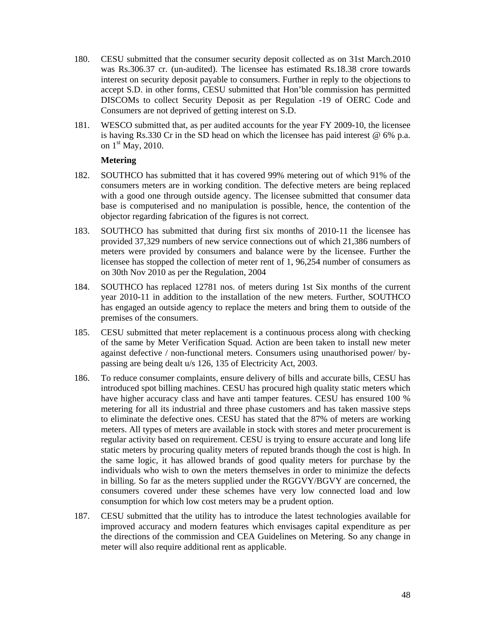- 180. CESU submitted that the consumer security deposit collected as on 31st March.2010 was Rs.306.37 cr. (un-audited). The licensee has estimated Rs.18.38 crore towards interest on security deposit payable to consumers. Further in reply to the objections to accept S.D. in other forms, CESU submitted that Hon'ble commission has permitted DISCOMs to collect Security Deposit as per Regulation -19 of OERC Code and Consumers are not deprived of getting interest on S.D.
- 181. WESCO submitted that, as per audited accounts for the year FY 2009-10, the licensee is having Rs.330 Cr in the SD head on which the licensee has paid interest  $@6\%$  p.a. on  $1<sup>st</sup>$  May, 2010.

## **Metering**

- 182. SOUTHCO has submitted that it has covered 99% metering out of which 91% of the consumers meters are in working condition. The defective meters are being replaced with a good one through outside agency. The licensee submitted that consumer data base is computerised and no manipulation is possible, hence, the contention of the objector regarding fabrication of the figures is not correct.
- 183. SOUTHCO has submitted that during first six months of 2010-11 the licensee has provided 37,329 numbers of new service connections out of which 21,386 numbers of meters were provided by consumers and balance were by the licensee. Further the licensee has stopped the collection of meter rent of 1, 96,254 number of consumers as on 30th Nov 2010 as per the Regulation, 2004
- 184. SOUTHCO has replaced 12781 nos. of meters during 1st Six months of the current year 2010-11 in addition to the installation of the new meters. Further, SOUTHCO has engaged an outside agency to replace the meters and bring them to outside of the premises of the consumers.
- 185. CESU submitted that meter replacement is a continuous process along with checking of the same by Meter Verification Squad. Action are been taken to install new meter against defective / non-functional meters. Consumers using unauthorised power/ bypassing are being dealt u/s 126, 135 of Electricity Act, 2003.
- 186. To reduce consumer complaints, ensure delivery of bills and accurate bills, CESU has introduced spot billing machines. CESU has procured high quality static meters which have higher accuracy class and have anti tamper features. CESU has ensured 100 % metering for all its industrial and three phase customers and has taken massive steps to eliminate the defective ones. CESU has stated that the 87% of meters are working meters. All types of meters are available in stock with stores and meter procurement is regular activity based on requirement. CESU is trying to ensure accurate and long life static meters by procuring quality meters of reputed brands though the cost is high. In the same logic, it has allowed brands of good quality meters for purchase by the individuals who wish to own the meters themselves in order to minimize the defects in billing. So far as the meters supplied under the RGGVY/BGVY are concerned, the consumers covered under these schemes have very low connected load and low consumption for which low cost meters may be a prudent option.
- 187. CESU submitted that the utility has to introduce the latest technologies available for improved accuracy and modern features which envisages capital expenditure as per the directions of the commission and CEA Guidelines on Metering. So any change in meter will also require additional rent as applicable.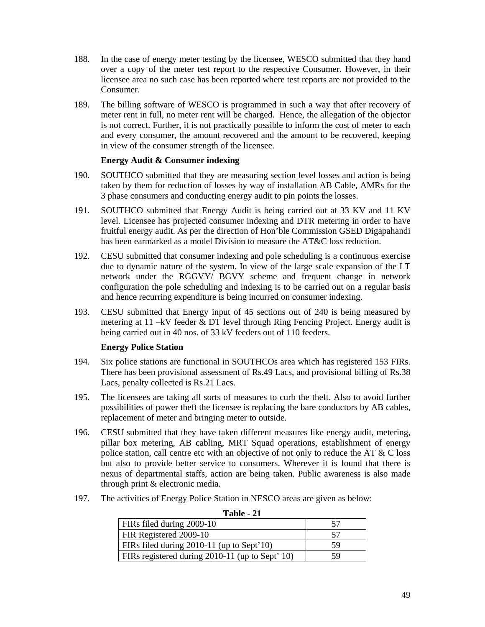- 188. In the case of energy meter testing by the licensee, WESCO submitted that they hand over a copy of the meter test report to the respective Consumer. However, in their licensee area no such case has been reported where test reports are not provided to the Consumer.
- 189. The billing software of WESCO is programmed in such a way that after recovery of meter rent in full, no meter rent will be charged. Hence, the allegation of the objector is not correct. Further, it is not practically possible to inform the cost of meter to each and every consumer, the amount recovered and the amount to be recovered, keeping in view of the consumer strength of the licensee.

#### **Energy Audit & Consumer indexing**

- 190. SOUTHCO submitted that they are measuring section level losses and action is being taken by them for reduction of losses by way of installation AB Cable, AMRs for the 3 phase consumers and conducting energy audit to pin points the losses.
- 191. SOUTHCO submitted that Energy Audit is being carried out at 33 KV and 11 KV level. Licensee has projected consumer indexing and DTR metering in order to have fruitful energy audit. As per the direction of Hon'ble Commission GSED Digapahandi has been earmarked as a model Division to measure the AT&C loss reduction.
- 192. CESU submitted that consumer indexing and pole scheduling is a continuous exercise due to dynamic nature of the system. In view of the large scale expansion of the LT network under the RGGVY/ BGVY scheme and frequent change in network configuration the pole scheduling and indexing is to be carried out on a regular basis and hence recurring expenditure is being incurred on consumer indexing.
- 193. CESU submitted that Energy input of 45 sections out of 240 is being measured by metering at 11 –kV feeder & DT level through Ring Fencing Project. Energy audit is being carried out in 40 nos. of 33 kV feeders out of 110 feeders.

## **Energy Police Station**

- 194. Six police stations are functional in SOUTHCOs area which has registered 153 FIRs. There has been provisional assessment of Rs.49 Lacs, and provisional billing of Rs.38 Lacs, penalty collected is Rs.21 Lacs.
- 195. The licensees are taking all sorts of measures to curb the theft. Also to avoid further possibilities of power theft the licensee is replacing the bare conductors by AB cables, replacement of meter and bringing meter to outside.
- 196. CESU submitted that they have taken different measures like energy audit, metering, pillar box metering, AB cabling, MRT Squad operations, establishment of energy police station, call centre etc with an objective of not only to reduce the AT  $&$  C loss but also to provide better service to consumers. Wherever it is found that there is nexus of departmental staffs, action are being taken. Public awareness is also made through print & electronic media.
- 197. The activities of Energy Police Station in NESCO areas are given as below:

| FIRs filed during 2009-10                       |    |
|-------------------------------------------------|----|
| FIR Registered 2009-10                          |    |
| FIRs filed during 2010-11 (up to Sept'10)       | 59 |
| FIRs registered during 2010-11 (up to Sept' 10) | 59 |

| Table |  |
|-------|--|
|-------|--|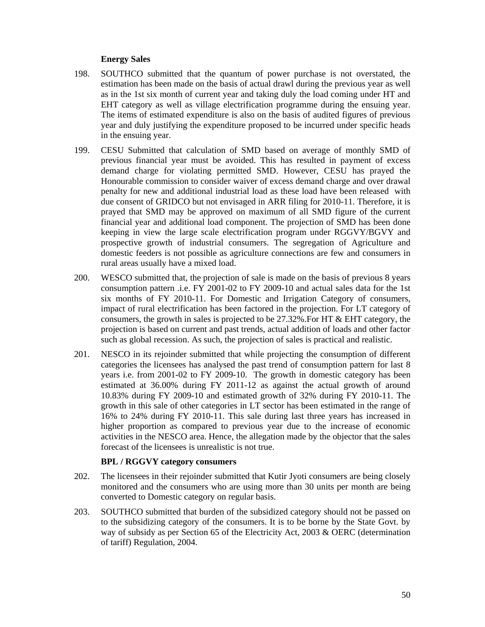## **Energy Sales**

- 198. SOUTHCO submitted that the quantum of power purchase is not overstated, the estimation has been made on the basis of actual drawl during the previous year as well as in the 1st six month of current year and taking duly the load coming under HT and EHT category as well as village electrification programme during the ensuing year. The items of estimated expenditure is also on the basis of audited figures of previous year and duly justifying the expenditure proposed to be incurred under specific heads in the ensuing year.
- 199. CESU Submitted that calculation of SMD based on average of monthly SMD of previous financial year must be avoided. This has resulted in payment of excess demand charge for violating permitted SMD. However, CESU has prayed the Honourable commission to consider waiver of excess demand charge and over drawal penalty for new and additional industrial load as these load have been released with due consent of GRIDCO but not envisaged in ARR filing for 2010-11. Therefore, it is prayed that SMD may be approved on maximum of all SMD figure of the current financial year and additional load component. The projection of SMD has been done keeping in view the large scale electrification program under RGGVY/BGVY and prospective growth of industrial consumers. The segregation of Agriculture and domestic feeders is not possible as agriculture connections are few and consumers in rural areas usually have a mixed load.
- 200. WESCO submitted that, the projection of sale is made on the basis of previous 8 years consumption pattern .i.e. FY 2001-02 to FY 2009-10 and actual sales data for the 1st six months of FY 2010-11. For Domestic and Irrigation Category of consumers, impact of rural electrification has been factored in the projection. For LT category of consumers, the growth in sales is projected to be 27.32%.For HT & EHT category, the projection is based on current and past trends, actual addition of loads and other factor such as global recession. As such, the projection of sales is practical and realistic.
- 201. NESCO in its rejoinder submitted that while projecting the consumption of different categories the licensees has analysed the past trend of consumption pattern for last 8 years i.e. from 2001-02 to FY 2009-10. The growth in domestic category has been estimated at 36.00% during FY 2011-12 as against the actual growth of around 10.83% during FY 2009-10 and estimated growth of 32% during FY 2010-11. The growth in this sale of other categories in LT sector has been estimated in the range of 16% to 24% during FY 2010-11. This sale during last three years has increased in higher proportion as compared to previous year due to the increase of economic activities in the NESCO area. Hence, the allegation made by the objector that the sales forecast of the licensees is unrealistic is not true.

# **BPL / RGGVY category consumers**

- 202. The licensees in their rejoinder submitted that Kutir Jyoti consumers are being closely monitored and the consumers who are using more than 30 units per month are being converted to Domestic category on regular basis.
- 203. SOUTHCO submitted that burden of the subsidized category should not be passed on to the subsidizing category of the consumers. It is to be borne by the State Govt. by way of subsidy as per Section 65 of the Electricity Act, 2003 & OERC (determination of tariff) Regulation, 2004.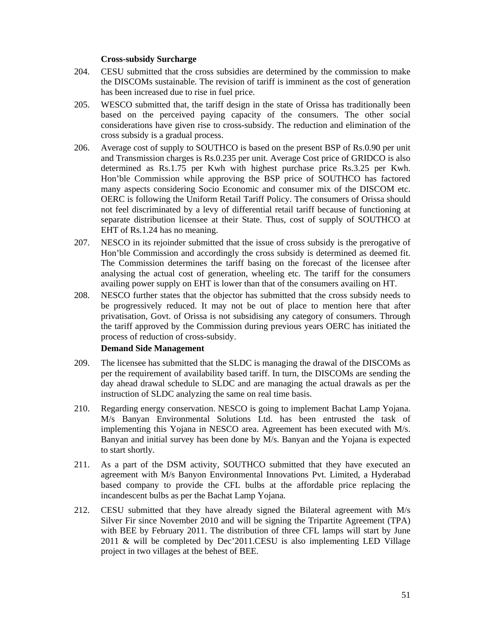## **Cross-subsidy Surcharge**

- 204. CESU submitted that the cross subsidies are determined by the commission to make the DISCOMs sustainable. The revision of tariff is imminent as the cost of generation has been increased due to rise in fuel price.
- 205. WESCO submitted that, the tariff design in the state of Orissa has traditionally been based on the perceived paying capacity of the consumers. The other social considerations have given rise to cross-subsidy. The reduction and elimination of the cross subsidy is a gradual process.
- 206. Average cost of supply to SOUTHCO is based on the present BSP of Rs.0.90 per unit and Transmission charges is Rs.0.235 per unit. Average Cost price of GRIDCO is also determined as Rs.1.75 per Kwh with highest purchase price Rs.3.25 per Kwh. Hon'ble Commission while approving the BSP price of SOUTHCO has factored many aspects considering Socio Economic and consumer mix of the DISCOM etc. OERC is following the Uniform Retail Tariff Policy. The consumers of Orissa should not feel discriminated by a levy of differential retail tariff because of functioning at separate distribution licensee at their State. Thus, cost of supply of SOUTHCO at EHT of Rs.1.24 has no meaning.
- 207. NESCO in its rejoinder submitted that the issue of cross subsidy is the prerogative of Hon'ble Commission and accordingly the cross subsidy is determined as deemed fit. The Commission determines the tariff basing on the forecast of the licensee after analysing the actual cost of generation, wheeling etc. The tariff for the consumers availing power supply on EHT is lower than that of the consumers availing on HT.
- 208. NESCO further states that the objector has submitted that the cross subsidy needs to be progressively reduced. It may not be out of place to mention here that after privatisation, Govt. of Orissa is not subsidising any category of consumers. Through the tariff approved by the Commission during previous years OERC has initiated the process of reduction of cross-subsidy.

## **Demand Side Management**

- 209. The licensee has submitted that the SLDC is managing the drawal of the DISCOMs as per the requirement of availability based tariff. In turn, the DISCOMs are sending the day ahead drawal schedule to SLDC and are managing the actual drawals as per the instruction of SLDC analyzing the same on real time basis.
- 210. Regarding energy conservation. NESCO is going to implement Bachat Lamp Yojana. M/s Banyan Environmental Solutions Ltd. has been entrusted the task of implementing this Yojana in NESCO area. Agreement has been executed with M/s. Banyan and initial survey has been done by M/s. Banyan and the Yojana is expected to start shortly.
- 211. As a part of the DSM activity, SOUTHCO submitted that they have executed an agreement with M/s Banyon Environmental Innovations Pvt. Limited, a Hyderabad based company to provide the CFL bulbs at the affordable price replacing the incandescent bulbs as per the Bachat Lamp Yojana.
- 212. CESU submitted that they have already signed the Bilateral agreement with M/s Silver Fir since November 2010 and will be signing the Tripartite Agreement (TPA) with BEE by February 2011. The distribution of three CFL lamps will start by June 2011 & will be completed by Dec'2011.CESU is also implementing LED Village project in two villages at the behest of BEE.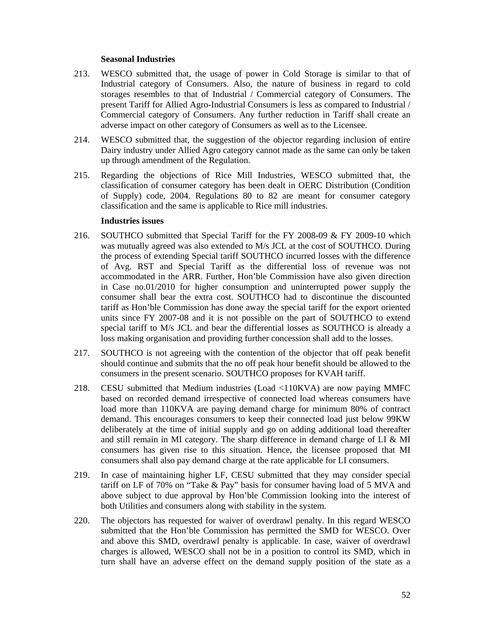## **Seasonal Industries**

- 213. WESCO submitted that, the usage of power in Cold Storage is similar to that of Industrial category of Consumers. Also, the nature of business in regard to cold storages resembles to that of Industrial / Commercial category of Consumers. The present Tariff for Allied Agro-Industrial Consumers is less as compared to Industrial / Commercial category of Consumers. Any further reduction in Tariff shall create an adverse impact on other category of Consumers as well as to the Licensee.
- 214. WESCO submitted that, the suggestion of the objector regarding inclusion of entire Dairy industry under Allied Agro category cannot made as the same can only be taken up through amendment of the Regulation.
- 215. Regarding the objections of Rice Mill Industries, WESCO submitted that, the classification of consumer category has been dealt in OERC Distribution (Condition of Supply) code, 2004. Regulations 80 to 82 are meant for consumer category classification and the same is applicable to Rice mill industries.

#### **Industries issues**

- 216. SOUTHCO submitted that Special Tariff for the FY 2008-09 & FY 2009-10 which was mutually agreed was also extended to M/s JCL at the cost of SOUTHCO. During the process of extending Special tariff SOUTHCO incurred losses with the difference of Avg. RST and Special Tariff as the differential loss of revenue was not accommodated in the ARR. Further, Hon'ble Commission have also given direction in Case no.01/2010 for higher consumption and uninterrupted power supply the consumer shall bear the extra cost. SOUTHCO had to discontinue the discounted tariff as Hon'ble Commission has done away the special tariff for the export oriented units since FY 2007-08 and it is not possible on the part of SOUTHCO to extend special tariff to M/s JCL and bear the differential losses as SOUTHCO is already a loss making organisation and providing further concession shall add to the losses.
- 217. SOUTHCO is not agreeing with the contention of the objector that off peak benefit should continue and submits that the no off peak hour benefit should be allowed to the consumers in the present scenario. SOUTHCO proposes for KVAH tariff.
- 218. CESU submitted that Medium industries (Load <110KVA) are now paying MMFC based on recorded demand irrespective of connected load whereas consumers have load more than 110KVA are paying demand charge for minimum 80% of contract demand. This encourages consumers to keep their connected load just below 99KW deliberately at the time of initial supply and go on adding additional load thereafter and still remain in MI category. The sharp difference in demand charge of LI & MI consumers has given rise to this situation. Hence, the licensee proposed that MI consumers shall also pay demand charge at the rate applicable for LI consumers.
- 219. In case of maintaining higher LF, CESU submitted that they may consider special tariff on LF of 70% on "Take & Pay" basis for consumer having load of 5 MVA and above subject to due approval by Hon'ble Commission looking into the interest of both Utilities and consumers along with stability in the system.
- 220. The objectors has requested for waiver of overdrawl penalty. In this regard WESCO submitted that the Hon'ble Commission has permitted the SMD for WESCO. Over and above this SMD, overdrawl penalty is applicable. In case, waiver of overdrawl charges is allowed, WESCO shall not be in a position to control its SMD, which in turn shall have an adverse effect on the demand supply position of the state as a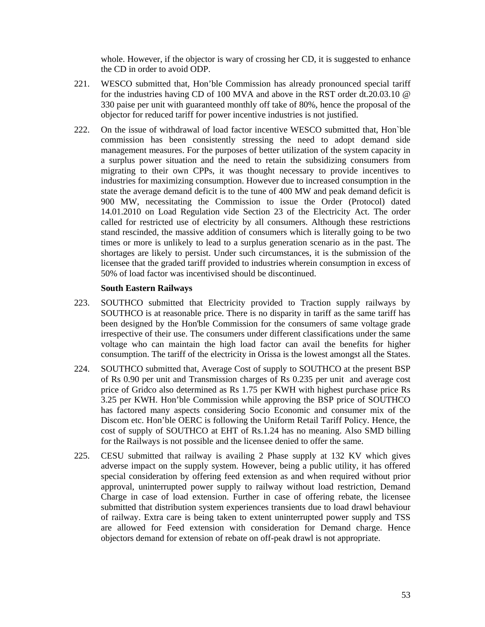whole. However, if the objector is wary of crossing her CD, it is suggested to enhance the CD in order to avoid ODP.

- 221. WESCO submitted that, Hon'ble Commission has already pronounced special tariff for the industries having CD of 100 MVA and above in the RST order dt.20.03.10 @ 330 paise per unit with guaranteed monthly off take of 80%, hence the proposal of the objector for reduced tariff for power incentive industries is not justified.
- 222. On the issue of withdrawal of load factor incentive WESCO submitted that, Hon`ble commission has been consistently stressing the need to adopt demand side management measures. For the purposes of better utilization of the system capacity in a surplus power situation and the need to retain the subsidizing consumers from migrating to their own CPPs, it was thought necessary to provide incentives to industries for maximizing consumption. However due to increased consumption in the state the average demand deficit is to the tune of 400 MW and peak demand deficit is 900 MW, necessitating the Commission to issue the Order (Protocol) dated 14.01.2010 on Load Regulation vide Section 23 of the Electricity Act. The order called for restricted use of electricity by all consumers. Although these restrictions stand rescinded, the massive addition of consumers which is literally going to be two times or more is unlikely to lead to a surplus generation scenario as in the past. The shortages are likely to persist. Under such circumstances, it is the submission of the licensee that the graded tariff provided to industries wherein consumption in excess of 50% of load factor was incentivised should be discontinued.

## **South Eastern Railways**

- 223. SOUTHCO submitted that Electricity provided to Traction supply railways by SOUTHCO is at reasonable price. There is no disparity in tariff as the same tariff has been designed by the Hon'ble Commission for the consumers of same voltage grade irrespective of their use. The consumers under different classifications under the same voltage who can maintain the high load factor can avail the benefits for higher consumption. The tariff of the electricity in Orissa is the lowest amongst all the States.
- 224. SOUTHCO submitted that, Average Cost of supply to SOUTHCO at the present BSP of Rs 0.90 per unit and Transmission charges of Rs 0.235 per unit and average cost price of Gridco also determined as Rs 1.75 per KWH with highest purchase price Rs 3.25 per KWH. Hon'ble Commission while approving the BSP price of SOUTHCO has factored many aspects considering Socio Economic and consumer mix of the Discom etc. Hon'ble OERC is following the Uniform Retail Tariff Policy. Hence, the cost of supply of SOUTHCO at EHT of Rs.1.24 has no meaning. Also SMD billing for the Railways is not possible and the licensee denied to offer the same.
- 225. CESU submitted that railway is availing 2 Phase supply at 132 KV which gives adverse impact on the supply system. However, being a public utility, it has offered special consideration by offering feed extension as and when required without prior approval, uninterrupted power supply to railway without load restriction, Demand Charge in case of load extension. Further in case of offering rebate, the licensee submitted that distribution system experiences transients due to load drawl behaviour of railway. Extra care is being taken to extent uninterrupted power supply and TSS are allowed for Feed extension with consideration for Demand charge. Hence objectors demand for extension of rebate on off-peak drawl is not appropriate.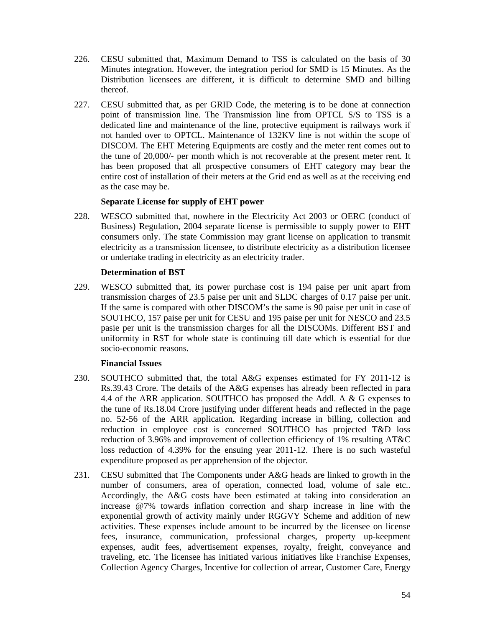- 226. CESU submitted that, Maximum Demand to TSS is calculated on the basis of 30 Minutes integration. However, the integration period for SMD is 15 Minutes. As the Distribution licensees are different, it is difficult to determine SMD and billing thereof.
- 227. CESU submitted that, as per GRID Code, the metering is to be done at connection point of transmission line. The Transmission line from OPTCL S/S to TSS is a dedicated line and maintenance of the line, protective equipment is railways work if not handed over to OPTCL. Maintenance of 132KV line is not within the scope of DISCOM. The EHT Metering Equipments are costly and the meter rent comes out to the tune of 20,000/- per month which is not recoverable at the present meter rent. It has been proposed that all prospective consumers of EHT category may bear the entire cost of installation of their meters at the Grid end as well as at the receiving end as the case may be.

## **Separate License for supply of EHT power**

228. WESCO submitted that, nowhere in the Electricity Act 2003 or OERC (conduct of Business) Regulation, 2004 separate license is permissible to supply power to EHT consumers only. The state Commission may grant license on application to transmit electricity as a transmission licensee, to distribute electricity as a distribution licensee or undertake trading in electricity as an electricity trader.

# **Determination of BST**

229. WESCO submitted that, its power purchase cost is 194 paise per unit apart from transmission charges of 23.5 paise per unit and SLDC charges of 0.17 paise per unit. If the same is compared with other DISCOM's the same is 90 paise per unit in case of SOUTHCO, 157 paise per unit for CESU and 195 paise per unit for NESCO and 23.5 pasie per unit is the transmission charges for all the DISCOMs. Different BST and uniformity in RST for whole state is continuing till date which is essential for due socio-economic reasons.

# **Financial Issues**

- 230. SOUTHCO submitted that, the total A&G expenses estimated for FY 2011-12 is Rs.39.43 Crore. The details of the A&G expenses has already been reflected in para 4.4 of the ARR application. SOUTHCO has proposed the Addl. A & G expenses to the tune of Rs.18.04 Crore justifying under different heads and reflected in the page no. 52-56 of the ARR application. Regarding increase in billing, collection and reduction in employee cost is concerned SOUTHCO has projected T&D loss reduction of 3.96% and improvement of collection efficiency of 1% resulting AT&C loss reduction of 4.39% for the ensuing year 2011-12. There is no such wasteful expenditure proposed as per apprehension of the objector.
- 231. CESU submitted that The Components under A&G heads are linked to growth in the number of consumers, area of operation, connected load, volume of sale etc.. Accordingly, the A&G costs have been estimated at taking into consideration an increase @7% towards inflation correction and sharp increase in line with the exponential growth of activity mainly under RGGVY Scheme and addition of new activities. These expenses include amount to be incurred by the licensee on license fees, insurance, communication, professional charges, property up-keepment expenses, audit fees, advertisement expenses, royalty, freight, conveyance and traveling, etc. The licensee has initiated various initiatives like Franchise Expenses, Collection Agency Charges, Incentive for collection of arrear, Customer Care, Energy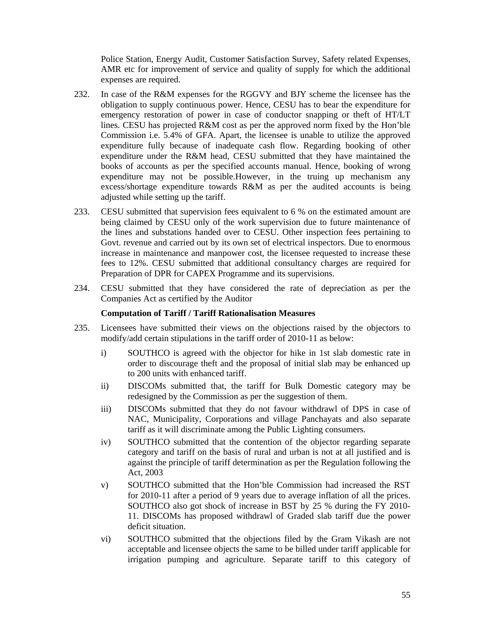Police Station, Energy Audit, Customer Satisfaction Survey, Safety related Expenses, AMR etc for improvement of service and quality of supply for which the additional expenses are required.

- 232. In case of the R&M expenses for the RGGVY and BJY scheme the licensee has the obligation to supply continuous power. Hence, CESU has to bear the expenditure for emergency restoration of power in case of conductor snapping or theft of HT/LT lines. CESU has projected R&M cost as per the approved norm fixed by the Hon'ble Commission i.e. 5.4% of GFA. Apart, the licensee is unable to utilize the approved expenditure fully because of inadequate cash flow. Regarding booking of other expenditure under the R&M head, CESU submitted that they have maintained the books of accounts as per the specified accounts manual. Hence, booking of wrong expenditure may not be possible.However, in the truing up mechanism any excess/shortage expenditure towards R&M as per the audited accounts is being adjusted while setting up the tariff.
- 233. CESU submitted that supervision fees equivalent to 6 % on the estimated amount are being claimed by CESU only of the work supervision due to future maintenance of the lines and substations handed over to CESU. Other inspection fees pertaining to Govt. revenue and carried out by its own set of electrical inspectors. Due to enormous increase in maintenance and manpower cost, the licensee requested to increase these fees to 12%. CESU submitted that additional consultancy charges are required for Preparation of DPR for CAPEX Programme and its supervisions.
- 234. CESU submitted that they have considered the rate of depreciation as per the Companies Act as certified by the Auditor

### **Computation of Tariff / Tariff Rationalisation Measures**

- 235. Licensees have submitted their views on the objections raised by the objectors to modify/add certain stipulations in the tariff order of 2010-11 as below:
	- i) SOUTHCO is agreed with the objector for hike in 1st slab domestic rate in order to discourage theft and the proposal of initial slab may be enhanced up to 200 units with enhanced tariff.
	- ii) DISCOMs submitted that, the tariff for Bulk Domestic category may be redesigned by the Commission as per the suggestion of them.
	- iii) DISCOMs submitted that they do not favour withdrawl of DPS in case of NAC, Municipality, Corporations and village Panchayats and also separate tariff as it will discriminate among the Public Lighting consumers.
	- iv) SOUTHCO submitted that the contention of the objector regarding separate category and tariff on the basis of rural and urban is not at all justified and is against the principle of tariff determination as per the Regulation following the Act, 2003
	- v) SOUTHCO submitted that the Hon'ble Commission had increased the RST for 2010-11 after a period of 9 years due to average inflation of all the prices. SOUTHCO also got shock of increase in BST by 25 % during the FY 2010- 11. DISCOMs has proposed withdrawl of Graded slab tariff due the power deficit situation.
	- vi) SOUTHCO submitted that the objections filed by the Gram Vikash are not acceptable and licensee objects the same to be billed under tariff applicable for irrigation pumping and agriculture. Separate tariff to this category of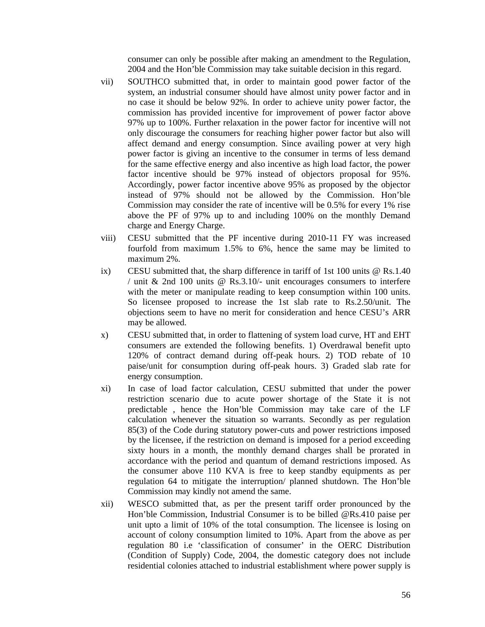consumer can only be possible after making an amendment to the Regulation, 2004 and the Hon'ble Commission may take suitable decision in this regard.

- vii) SOUTHCO submitted that, in order to maintain good power factor of the system, an industrial consumer should have almost unity power factor and in no case it should be below 92%. In order to achieve unity power factor, the commission has provided incentive for improvement of power factor above 97% up to 100%. Further relaxation in the power factor for incentive will not only discourage the consumers for reaching higher power factor but also will affect demand and energy consumption. Since availing power at very high power factor is giving an incentive to the consumer in terms of less demand for the same effective energy and also incentive as high load factor, the power factor incentive should be 97% instead of objectors proposal for 95%. Accordingly, power factor incentive above 95% as proposed by the objector instead of 97% should not be allowed by the Commission. Hon'ble Commission may consider the rate of incentive will be 0.5% for every 1% rise above the PF of 97% up to and including 100% on the monthly Demand charge and Energy Charge.
- viii) CESU submitted that the PF incentive during 2010-11 FY was increased fourfold from maximum 1.5% to 6%, hence the same may be limited to maximum 2%.
- ix) CESU submitted that, the sharp difference in tariff of 1st 100 units @ Rs.1.40 / unit & 2nd 100 units @ Rs.3.10/- unit encourages consumers to interfere with the meter or manipulate reading to keep consumption within 100 units. So licensee proposed to increase the 1st slab rate to Rs.2.50/unit. The objections seem to have no merit for consideration and hence CESU's ARR may be allowed.
- x) CESU submitted that, in order to flattening of system load curve, HT and EHT consumers are extended the following benefits. 1) Overdrawal benefit upto 120% of contract demand during off-peak hours. 2) TOD rebate of 10 paise/unit for consumption during off-peak hours. 3) Graded slab rate for energy consumption.
- xi) In case of load factor calculation, CESU submitted that under the power restriction scenario due to acute power shortage of the State it is not predictable , hence the Hon'ble Commission may take care of the LF calculation whenever the situation so warrants. Secondly as per regulation 85(3) of the Code during statutory power-cuts and power restrictions imposed by the licensee, if the restriction on demand is imposed for a period exceeding sixty hours in a month, the monthly demand charges shall be prorated in accordance with the period and quantum of demand restrictions imposed. As the consumer above 110 KVA is free to keep standby equipments as per regulation 64 to mitigate the interruption/ planned shutdown. The Hon'ble Commission may kindly not amend the same.
- xii) WESCO submitted that, as per the present tariff order pronounced by the Hon'ble Commission, Industrial Consumer is to be billed @Rs.410 paise per unit upto a limit of 10% of the total consumption. The licensee is losing on account of colony consumption limited to 10%. Apart from the above as per regulation 80 i.e 'classification of consumer' in the OERC Distribution (Condition of Supply) Code, 2004, the domestic category does not include residential colonies attached to industrial establishment where power supply is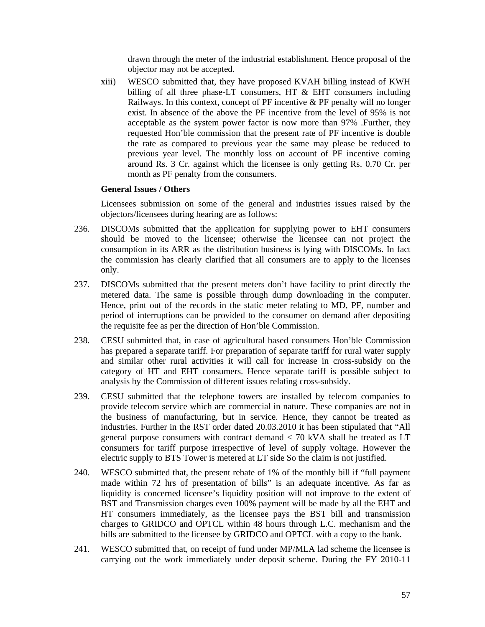drawn through the meter of the industrial establishment. Hence proposal of the objector may not be accepted.

xiii) WESCO submitted that, they have proposed KVAH billing instead of KWH billing of all three phase-LT consumers, HT  $\&$  EHT consumers including Railways. In this context, concept of PF incentive & PF penalty will no longer exist. In absence of the above the PF incentive from the level of 95% is not acceptable as the system power factor is now more than 97% .Further, they requested Hon'ble commission that the present rate of PF incentive is double the rate as compared to previous year the same may please be reduced to previous year level. The monthly loss on account of PF incentive coming around Rs. 3 Cr. against which the licensee is only getting Rs. 0.70 Cr. per month as PF penalty from the consumers.

# **General Issues / Others**

Licensees submission on some of the general and industries issues raised by the objectors/licensees during hearing are as follows:

- 236. DISCOMs submitted that the application for supplying power to EHT consumers should be moved to the licensee; otherwise the licensee can not project the consumption in its ARR as the distribution business is lying with DISCOMs. In fact the commission has clearly clarified that all consumers are to apply to the licenses only.
- 237. DISCOMs submitted that the present meters don't have facility to print directly the metered data. The same is possible through dump downloading in the computer. Hence, print out of the records in the static meter relating to MD, PF, number and period of interruptions can be provided to the consumer on demand after depositing the requisite fee as per the direction of Hon'ble Commission.
- 238. CESU submitted that, in case of agricultural based consumers Hon'ble Commission has prepared a separate tariff. For preparation of separate tariff for rural water supply and similar other rural activities it will call for increase in cross-subsidy on the category of HT and EHT consumers. Hence separate tariff is possible subject to analysis by the Commission of different issues relating cross-subsidy.
- 239. CESU submitted that the telephone towers are installed by telecom companies to provide telecom service which are commercial in nature. These companies are not in the business of manufacturing, but in service. Hence, they cannot be treated as industries. Further in the RST order dated 20.03.2010 it has been stipulated that "All general purpose consumers with contract demand < 70 kVA shall be treated as LT consumers for tariff purpose irrespective of level of supply voltage. However the electric supply to BTS Tower is metered at LT side So the claim is not justified.
- 240. WESCO submitted that, the present rebate of 1% of the monthly bill if "full payment made within 72 hrs of presentation of bills" is an adequate incentive. As far as liquidity is concerned licensee's liquidity position will not improve to the extent of BST and Transmission charges even 100% payment will be made by all the EHT and HT consumers immediately, as the licensee pays the BST bill and transmission charges to GRIDCO and OPTCL within 48 hours through L.C. mechanism and the bills are submitted to the licensee by GRIDCO and OPTCL with a copy to the bank.
- 241. WESCO submitted that, on receipt of fund under MP/MLA lad scheme the licensee is carrying out the work immediately under deposit scheme. During the FY 2010-11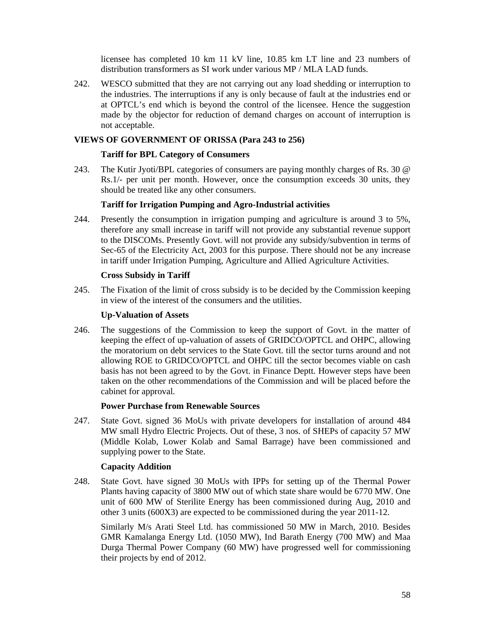licensee has completed 10 km 11 kV line, 10.85 km LT line and 23 numbers of distribution transformers as SI work under various MP / MLA LAD funds.

242. WESCO submitted that they are not carrying out any load shedding or interruption to the industries. The interruptions if any is only because of fault at the industries end or at OPTCL's end which is beyond the control of the licensee. Hence the suggestion made by the objector for reduction of demand charges on account of interruption is not acceptable.

# **VIEWS OF GOVERNMENT OF ORISSA (Para 243 to 256)**

## **Tariff for BPL Category of Consumers**

243. The Kutir Jyoti/BPL categories of consumers are paying monthly charges of Rs. 30 @ Rs.1/- per unit per month. However, once the consumption exceeds 30 units, they should be treated like any other consumers.

## **Tariff for Irrigation Pumping and Agro-Industrial activities**

244. Presently the consumption in irrigation pumping and agriculture is around 3 to 5%, therefore any small increase in tariff will not provide any substantial revenue support to the DISCOMs. Presently Govt. will not provide any subsidy/subvention in terms of Sec-65 of the Electricity Act, 2003 for this purpose. There should not be any increase in tariff under Irrigation Pumping, Agriculture and Allied Agriculture Activities.

# **Cross Subsidy in Tariff**

245. The Fixation of the limit of cross subsidy is to be decided by the Commission keeping in view of the interest of the consumers and the utilities.

#### **Up-Valuation of Assets**

246. The suggestions of the Commission to keep the support of Govt. in the matter of keeping the effect of up-valuation of assets of GRIDCO/OPTCL and OHPC, allowing the moratorium on debt services to the State Govt. till the sector turns around and not allowing ROE to GRIDCO/OPTCL and OHPC till the sector becomes viable on cash basis has not been agreed to by the Govt. in Finance Deptt. However steps have been taken on the other recommendations of the Commission and will be placed before the cabinet for approval.

#### **Power Purchase from Renewable Sources**

247. State Govt. signed 36 MoUs with private developers for installation of around 484 MW small Hydro Electric Projects. Out of these, 3 nos. of SHEPs of capacity 57 MW (Middle Kolab, Lower Kolab and Samal Barrage) have been commissioned and supplying power to the State.

## **Capacity Addition**

248. State Govt. have signed 30 MoUs with IPPs for setting up of the Thermal Power Plants having capacity of 3800 MW out of which state share would be 6770 MW. One unit of 600 MW of Sterilite Energy has been commissioned during Aug, 2010 and other 3 units (600X3) are expected to be commissioned during the year 2011-12.

Similarly M/s Arati Steel Ltd. has commissioned 50 MW in March, 2010. Besides GMR Kamalanga Energy Ltd. (1050 MW), Ind Barath Energy (700 MW) and Maa Durga Thermal Power Company (60 MW) have progressed well for commissioning their projects by end of 2012.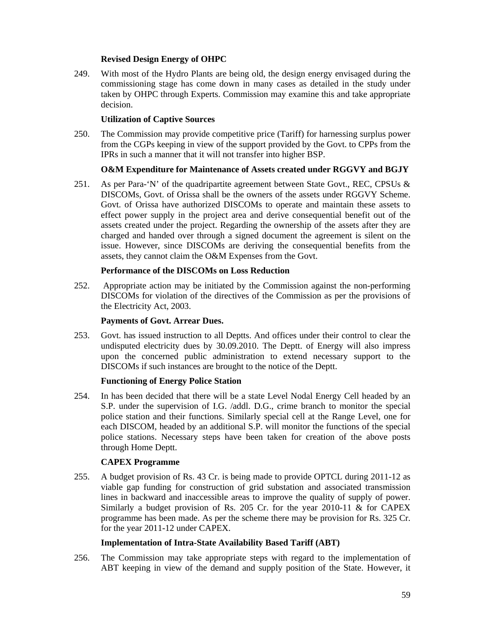# **Revised Design Energy of OHPC**

249. With most of the Hydro Plants are being old, the design energy envisaged during the commissioning stage has come down in many cases as detailed in the study under taken by OHPC through Experts. Commission may examine this and take appropriate decision.

# **Utilization of Captive Sources**

250. The Commission may provide competitive price (Tariff) for harnessing surplus power from the CGPs keeping in view of the support provided by the Govt. to CPPs from the IPRs in such a manner that it will not transfer into higher BSP.

# **O&M Expenditure for Maintenance of Assets created under RGGVY and BGJY**

251. As per Para-'N' of the quadripartite agreement between State Govt., REC, CPSUs & DISCOMs, Govt. of Orissa shall be the owners of the assets under RGGVY Scheme. Govt. of Orissa have authorized DISCOMs to operate and maintain these assets to effect power supply in the project area and derive consequential benefit out of the assets created under the project. Regarding the ownership of the assets after they are charged and handed over through a signed document the agreement is silent on the issue. However, since DISCOMs are deriving the consequential benefits from the assets, they cannot claim the O&M Expenses from the Govt.

## **Performance of the DISCOMs on Loss Reduction**

252. Appropriate action may be initiated by the Commission against the non-performing DISCOMs for violation of the directives of the Commission as per the provisions of the Electricity Act, 2003.

## **Payments of Govt. Arrear Dues.**

253. Govt. has issued instruction to all Deptts. And offices under their control to clear the undisputed electricity dues by 30.09.2010. The Deptt. of Energy will also impress upon the concerned public administration to extend necessary support to the DISCOMs if such instances are brought to the notice of the Deptt.

# **Functioning of Energy Police Station**

254. In has been decided that there will be a state Level Nodal Energy Cell headed by an S.P. under the supervision of I.G. /addl. D.G., crime branch to monitor the special police station and their functions. Similarly special cell at the Range Level, one for each DISCOM, headed by an additional S.P. will monitor the functions of the special police stations. Necessary steps have been taken for creation of the above posts through Home Deptt.

## **CAPEX Programme**

255. A budget provision of Rs. 43 Cr. is being made to provide OPTCL during 2011-12 as viable gap funding for construction of grid substation and associated transmission lines in backward and inaccessible areas to improve the quality of supply of power. Similarly a budget provision of Rs. 205 Cr. for the year 2010-11 & for CAPEX programme has been made. As per the scheme there may be provision for Rs. 325 Cr. for the year 2011-12 under CAPEX.

# **Implementation of Intra-State Availability Based Tariff (ABT)**

256. The Commission may take appropriate steps with regard to the implementation of ABT keeping in view of the demand and supply position of the State. However, it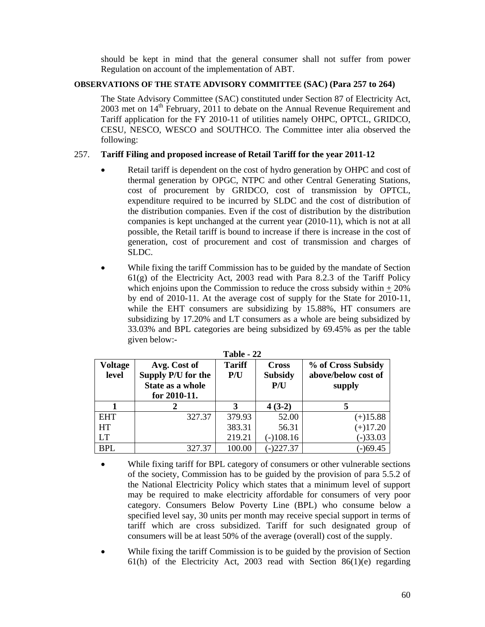should be kept in mind that the general consumer shall not suffer from power Regulation on account of the implementation of ABT.

# **OBSERVATIONS OF THE STATE ADVISORY COMMITTEE (SAC) (Para 257 to 264)**

The State Advisory Committee (SAC) constituted under Section 87 of Electricity Act, 2003 met on 14<sup>th</sup> February, 2011 to debate on the Annual Revenue Requirement and Tariff application for the FY 2010-11 of utilities namely OHPC, OPTCL, GRIDCO, CESU, NESCO, WESCO and SOUTHCO. The Committee inter alia observed the following:

# 257. **Tariff Filing and proposed increase of Retail Tariff for the year 2011-12**

- Retail tariff is dependent on the cost of hydro generation by OHPC and cost of thermal generation by OPGC, NTPC and other Central Generating Stations, cost of procurement by GRIDCO, cost of transmission by OPTCL, expenditure required to be incurred by SLDC and the cost of distribution of the distribution companies. Even if the cost of distribution by the distribution companies is kept unchanged at the current year (2010-11), which is not at all possible, the Retail tariff is bound to increase if there is increase in the cost of generation, cost of procurement and cost of transmission and charges of SLDC.
- While fixing the tariff Commission has to be guided by the mandate of Section  $61(g)$  of the Electricity Act, 2003 read with Para 8.2.3 of the Tariff Policy which enjoins upon the Commission to reduce the cross subsidy within  $+20\%$ by end of 2010-11. At the average cost of supply for the State for 2010-11, while the EHT consumers are subsidizing by 15.88%, HT consumers are subsidizing by 17.20% and LT consumers as a whole are being subsidized by 33.03% and BPL categories are being subsidized by 69.45% as per the table given below:-

| .                       |                                                        |                      |             |                                                     |  |  |  |
|-------------------------|--------------------------------------------------------|----------------------|-------------|-----------------------------------------------------|--|--|--|
| <b>Voltage</b><br>level | Avg. Cost of<br>Supply P/U for the<br>State as a whole | <b>Tariff</b><br>P/U |             | % of Cross Subsidy<br>above/below cost of<br>supply |  |  |  |
|                         | for $2010-11$ .                                        |                      |             |                                                     |  |  |  |
|                         |                                                        |                      | $4(3-2)$    |                                                     |  |  |  |
| <b>EHT</b>              | 327.37                                                 | 379.93               | 52.00       | $(+)15.88$                                          |  |  |  |
| HT                      |                                                        | 383.31               | 56.31       | $(+)17.20$                                          |  |  |  |
| LT                      |                                                        | 219.21               | $(-)108.16$ | $(-)33.03$                                          |  |  |  |
| <b>BPL</b>              | 327.37                                                 | 100.00               | $-227.37$   | $(-)69.45$                                          |  |  |  |

| Table |  |
|-------|--|
|       |  |

- While fixing tariff for BPL category of consumers or other vulnerable sections of the society, Commission has to be guided by the provision of para 5.5.2 of the National Electricity Policy which states that a minimum level of support may be required to make electricity affordable for consumers of very poor category. Consumers Below Poverty Line (BPL) who consume below a specified level say, 30 units per month may receive special support in terms of tariff which are cross subsidized. Tariff for such designated group of consumers will be at least 50% of the average (overall) cost of the supply.
- While fixing the tariff Commission is to be guided by the provision of Section 61(h) of the Electricity Act, 2003 read with Section 86(1)(e) regarding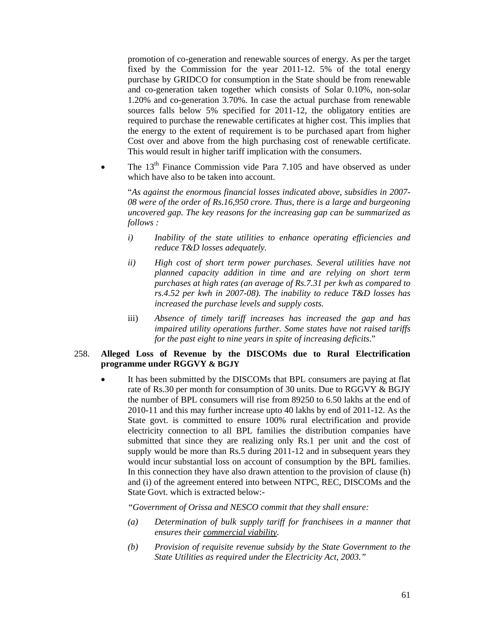promotion of co-generation and renewable sources of energy. As per the target fixed by the Commission for the year 2011-12. 5% of the total energy purchase by GRIDCO for consumption in the State should be from renewable and co-generation taken together which consists of Solar 0.10%, non-solar 1.20% and co-generation 3.70%. In case the actual purchase from renewable sources falls below 5% specified for 2011-12, the obligatory entities are required to purchase the renewable certificates at higher cost. This implies that the energy to the extent of requirement is to be purchased apart from higher Cost over and above from the high purchasing cost of renewable certificate. This would result in higher tariff implication with the consumers.

The  $13<sup>th</sup>$  Finance Commission vide Para 7.105 and have observed as under which have also to be taken into account.

"*As against the enormous financial losses indicated above, subsidies in 2007- 08 were of the order of Rs.16,950 crore. Thus, there is a large and burgeoning uncovered gap. The key reasons for the increasing gap can be summarized as follows :* 

- *i) Inability of the state utilities to enhance operating efficiencies and reduce T&D losses adequately.*
- *ii) High cost of short term power purchases. Several utilities have not planned capacity addition in time and are relying on short term purchases at high rates (an average of Rs.7.31 per kwh as compared to rs.4.52 per kwh in 2007-08). The inability to reduce T&D losses has increased the purchase levels and supply costs.*
- iii) *Absence of timely tariff increases has increased the gap and has impaired utility operations further. Some states have not raised tariffs for the past eight to nine years in spite of increasing deficits*."

## 258. **Alleged Loss of Revenue by the DISCOMs due to Rural Electrification programme under RGGVY & BGJY**

It has been submitted by the DISCOMs that BPL consumers are paying at flat rate of Rs.30 per month for consumption of 30 units. Due to RGGVY & BGJY the number of BPL consumers will rise from 89250 to 6.50 lakhs at the end of 2010-11 and this may further increase upto 40 lakhs by end of 2011-12. As the State govt. is committed to ensure 100% rural electrification and provide electricity connection to all BPL families the distribution companies have submitted that since they are realizing only Rs.1 per unit and the cost of supply would be more than Rs.5 during 2011-12 and in subsequent years they would incur substantial loss on account of consumption by the BPL families. In this connection they have also drawn attention to the provision of clause (h) and (i) of the agreement entered into between NTPC, REC, DISCOMs and the State Govt. which is extracted below:-

 *"Government of Orissa and NESCO commit that they shall ensure:* 

- *(a) Determination of bulk supply tariff for franchisees in a manner that ensures their commercial viability.*
- *(b) Provision of requisite revenue subsidy by the State Government to the State Utilities as required under the Electricity Act, 2003."*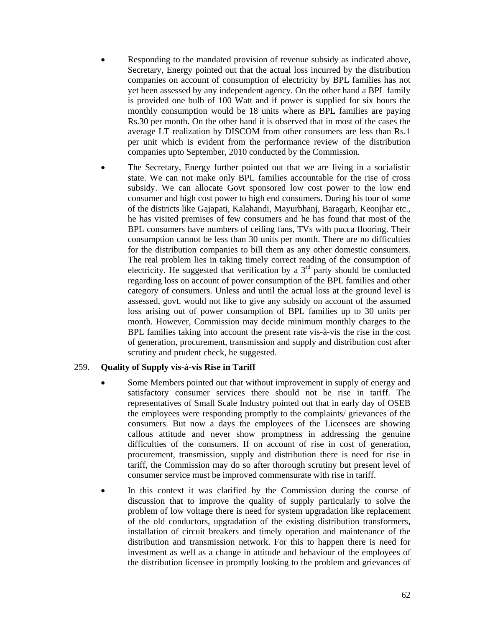- Responding to the mandated provision of revenue subsidy as indicated above, Secretary, Energy pointed out that the actual loss incurred by the distribution companies on account of consumption of electricity by BPL families has not yet been assessed by any independent agency. On the other hand a BPL family is provided one bulb of 100 Watt and if power is supplied for six hours the monthly consumption would be 18 units where as BPL families are paying Rs.30 per month. On the other hand it is observed that in most of the cases the average LT realization by DISCOM from other consumers are less than Rs.1 per unit which is evident from the performance review of the distribution companies upto September, 2010 conducted by the Commission.
- The Secretary, Energy further pointed out that we are living in a socialistic state. We can not make only BPL families accountable for the rise of cross subsidy. We can allocate Govt sponsored low cost power to the low end consumer and high cost power to high end consumers. During his tour of some of the districts like Gajapati, Kalahandi, Mayurbhanj, Baragarh, Keonjhar etc., he has visited premises of few consumers and he has found that most of the BPL consumers have numbers of ceiling fans, TVs with pucca flooring. Their consumption cannot be less than 30 units per month. There are no difficulties for the distribution companies to bill them as any other domestic consumers. The real problem lies in taking timely correct reading of the consumption of electricity. He suggested that verification by a  $3<sup>rd</sup>$  party should be conducted regarding loss on account of power consumption of the BPL families and other category of consumers. Unless and until the actual loss at the ground level is assessed, govt. would not like to give any subsidy on account of the assumed loss arising out of power consumption of BPL families up to 30 units per month. However, Commission may decide minimum monthly charges to the BPL families taking into account the present rate vis-à-vis the rise in the cost of generation, procurement, transmission and supply and distribution cost after scrutiny and prudent check, he suggested.

# 259. **Quality of Supply vis-à-vis Rise in Tariff**

- Some Members pointed out that without improvement in supply of energy and satisfactory consumer services there should not be rise in tariff. The representatives of Small Scale Industry pointed out that in early day of OSEB the employees were responding promptly to the complaints/ grievances of the consumers. But now a days the employees of the Licensees are showing callous attitude and never show promptness in addressing the genuine difficulties of the consumers. If on account of rise in cost of generation, procurement, transmission, supply and distribution there is need for rise in tariff, the Commission may do so after thorough scrutiny but present level of consumer service must be improved commensurate with rise in tariff.
- In this context it was clarified by the Commission during the course of discussion that to improve the quality of supply particularly to solve the problem of low voltage there is need for system upgradation like replacement of the old conductors, upgradation of the existing distribution transformers, installation of circuit breakers and timely operation and maintenance of the distribution and transmission network. For this to happen there is need for investment as well as a change in attitude and behaviour of the employees of the distribution licensee in promptly looking to the problem and grievances of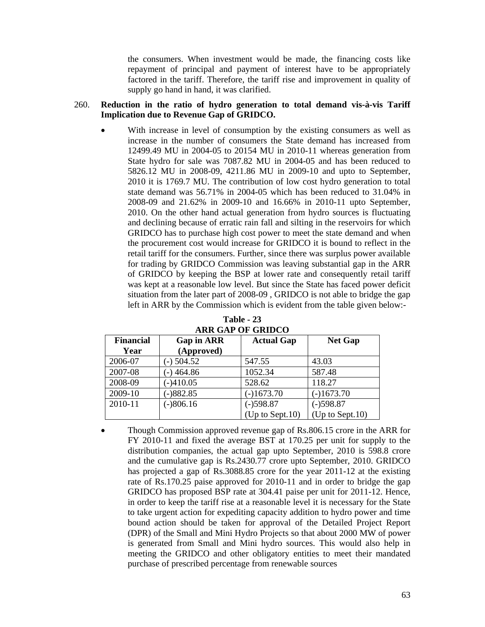the consumers. When investment would be made, the financing costs like repayment of principal and payment of interest have to be appropriately factored in the tariff. Therefore, the tariff rise and improvement in quality of supply go hand in hand, it was clarified.

### 260. **Reduction in the ratio of hydro generation to total demand vis-à-vis Tariff Implication due to Revenue Gap of GRIDCO.**

With increase in level of consumption by the existing consumers as well as increase in the number of consumers the State demand has increased from 12499.49 MU in 2004-05 to 20154 MU in 2010-11 whereas generation from State hydro for sale was 7087.82 MU in 2004-05 and has been reduced to 5826.12 MU in 2008-09, 4211.86 MU in 2009-10 and upto to September, 2010 it is 1769.7 MU. The contribution of low cost hydro generation to total state demand was 56.71% in 2004-05 which has been reduced to 31.04% in 2008-09 and 21.62% in 2009-10 and 16.66% in 2010-11 upto September, 2010. On the other hand actual generation from hydro sources is fluctuating and declining because of erratic rain fall and silting in the reservoirs for which GRIDCO has to purchase high cost power to meet the state demand and when the procurement cost would increase for GRIDCO it is bound to reflect in the retail tariff for the consumers. Further, since there was surplus power available for trading by GRIDCO Commission was leaving substantial gap in the ARR of GRIDCO by keeping the BSP at lower rate and consequently retail tariff was kept at a reasonable low level. But since the State has faced power deficit situation from the later part of 2008-09 , GRIDCO is not able to bridge the gap left in ARR by the Commission which is evident from the table given below:-

| <b>Financial</b> | <b>Gap in ARR</b> | <b>Actual Gap</b>         | <b>Net Gap</b>            |  |
|------------------|-------------------|---------------------------|---------------------------|--|
| Year             | (Approved)        |                           |                           |  |
| 2006-07          | $-$ ) 504.52      | 547.55                    | 43.03                     |  |
| 2007-08          | $-)$ 464.86       | 1052.34                   | 587.48                    |  |
| 2008-09          | $  410.05$        | 528.62                    | 118.27                    |  |
| 2009-10          | $-882.85$         | $(-)1673.70$              | $(-)1673.70$              |  |
| 2010-11          | $(-)806.16$       | $(-)598.87$               | $(-)598.87$               |  |
|                  |                   | $(Up \text{ to Sept.}10)$ | $(Up \text{ to Sept.10})$ |  |

**Table - 23 ARR GAP OF GRIDCO** 

• Though Commission approved revenue gap of Rs.806.15 crore in the ARR for FY 2010-11 and fixed the average BST at 170.25 per unit for supply to the distribution companies, the actual gap upto September, 2010 is 598.8 crore and the cumulative gap is Rs.2430.77 crore upto September, 2010. GRIDCO has projected a gap of Rs.3088.85 crore for the year 2011-12 at the existing rate of Rs.170.25 paise approved for 2010-11 and in order to bridge the gap GRIDCO has proposed BSP rate at 304.41 paise per unit for 2011-12. Hence, in order to keep the tariff rise at a reasonable level it is necessary for the State to take urgent action for expediting capacity addition to hydro power and time bound action should be taken for approval of the Detailed Project Report (DPR) of the Small and Mini Hydro Projects so that about 2000 MW of power is generated from Small and Mini hydro sources. This would also help in meeting the GRIDCO and other obligatory entities to meet their mandated purchase of prescribed percentage from renewable sources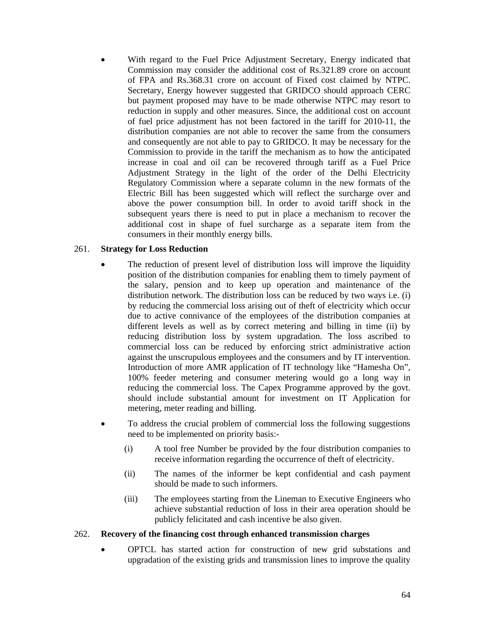With regard to the Fuel Price Adjustment Secretary, Energy indicated that Commission may consider the additional cost of Rs.321.89 crore on account of FPA and Rs.368.31 crore on account of Fixed cost claimed by NTPC. Secretary, Energy however suggested that GRIDCO should approach CERC but payment proposed may have to be made otherwise NTPC may resort to reduction in supply and other measures. Since, the additional cost on account of fuel price adjustment has not been factored in the tariff for 2010-11, the distribution companies are not able to recover the same from the consumers and consequently are not able to pay to GRIDCO. It may be necessary for the Commission to provide in the tariff the mechanism as to how the anticipated increase in coal and oil can be recovered through tariff as a Fuel Price Adjustment Strategy in the light of the order of the Delhi Electricity Regulatory Commission where a separate column in the new formats of the Electric Bill has been suggested which will reflect the surcharge over and above the power consumption bill. In order to avoid tariff shock in the subsequent years there is need to put in place a mechanism to recover the additional cost in shape of fuel surcharge as a separate item from the consumers in their monthly energy bills.

# 261. **Strategy for Loss Reduction**

- The reduction of present level of distribution loss will improve the liquidity position of the distribution companies for enabling them to timely payment of the salary, pension and to keep up operation and maintenance of the distribution network. The distribution loss can be reduced by two ways i.e. (i) by reducing the commercial loss arising out of theft of electricity which occur due to active connivance of the employees of the distribution companies at different levels as well as by correct metering and billing in time (ii) by reducing distribution loss by system upgradation. The loss ascribed to commercial loss can be reduced by enforcing strict administrative action against the unscrupulous employees and the consumers and by IT intervention. Introduction of more AMR application of IT technology like "Hamesha On", 100% feeder metering and consumer metering would go a long way in reducing the commercial loss. The Capex Programme approved by the govt. should include substantial amount for investment on IT Application for metering, meter reading and billing.
- To address the crucial problem of commercial loss the following suggestions need to be implemented on priority basis:-
	- (i) A tool free Number be provided by the four distribution companies to receive information regarding the occurrence of theft of electricity.
	- (ii) The names of the informer be kept confidential and cash payment should be made to such informers.
	- (iii) The employees starting from the Lineman to Executive Engineers who achieve substantial reduction of loss in their area operation should be publicly felicitated and cash incentive be also given.

## 262. **Recovery of the financing cost through enhanced transmission charges**

• OPTCL has started action for construction of new grid substations and upgradation of the existing grids and transmission lines to improve the quality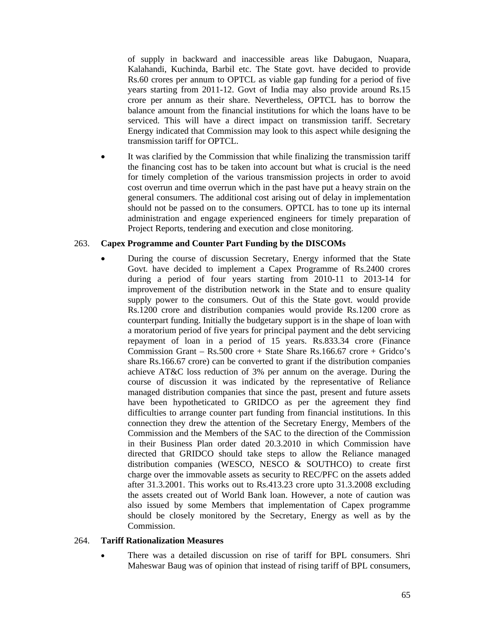of supply in backward and inaccessible areas like Dabugaon, Nuapara, Kalahandi, Kuchinda, Barbil etc. The State govt. have decided to provide Rs.60 crores per annum to OPTCL as viable gap funding for a period of five years starting from 2011-12. Govt of India may also provide around Rs.15 crore per annum as their share. Nevertheless, OPTCL has to borrow the balance amount from the financial institutions for which the loans have to be serviced. This will have a direct impact on transmission tariff. Secretary Energy indicated that Commission may look to this aspect while designing the transmission tariff for OPTCL.

It was clarified by the Commission that while finalizing the transmission tariff the financing cost has to be taken into account but what is crucial is the need for timely completion of the various transmission projects in order to avoid cost overrun and time overrun which in the past have put a heavy strain on the general consumers. The additional cost arising out of delay in implementation should not be passed on to the consumers. OPTCL has to tone up its internal administration and engage experienced engineers for timely preparation of Project Reports, tendering and execution and close monitoring.

## 263. **Capex Programme and Counter Part Funding by the DISCOMs**

• During the course of discussion Secretary, Energy informed that the State Govt. have decided to implement a Capex Programme of Rs.2400 crores during a period of four years starting from 2010-11 to 2013-14 for improvement of the distribution network in the State and to ensure quality supply power to the consumers. Out of this the State govt. would provide Rs.1200 crore and distribution companies would provide Rs.1200 crore as counterpart funding. Initially the budgetary support is in the shape of loan with a moratorium period of five years for principal payment and the debt servicing repayment of loan in a period of 15 years. Rs.833.34 crore (Finance Commission Grant – Rs.500 crore + State Share Rs.166.67 crore + Gridco's share Rs.166.67 crore) can be converted to grant if the distribution companies achieve AT&C loss reduction of 3% per annum on the average. During the course of discussion it was indicated by the representative of Reliance managed distribution companies that since the past, present and future assets have been hypotheticated to GRIDCO as per the agreement they find difficulties to arrange counter part funding from financial institutions. In this connection they drew the attention of the Secretary Energy, Members of the Commission and the Members of the SAC to the direction of the Commission in their Business Plan order dated 20.3.2010 in which Commission have directed that GRIDCO should take steps to allow the Reliance managed distribution companies (WESCO, NESCO & SOUTHCO) to create first charge over the immovable assets as security to REC/PFC on the assets added after 31.3.2001. This works out to Rs.413.23 crore upto 31.3.2008 excluding the assets created out of World Bank loan. However, a note of caution was also issued by some Members that implementation of Capex programme should be closely monitored by the Secretary, Energy as well as by the Commission.

## 264. **Tariff Rationalization Measures**

• There was a detailed discussion on rise of tariff for BPL consumers. Shri Maheswar Baug was of opinion that instead of rising tariff of BPL consumers,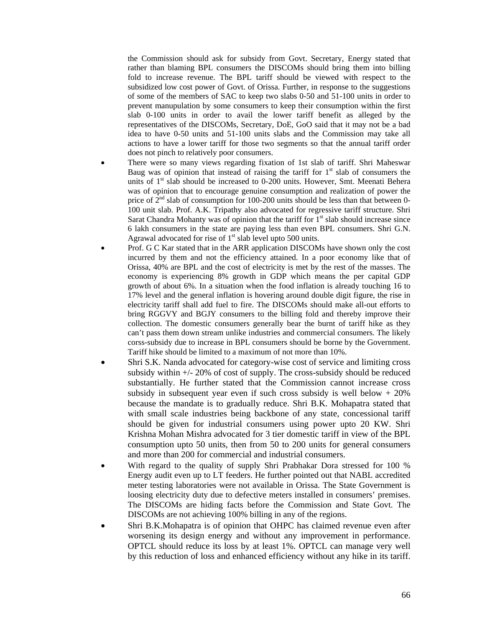the Commission should ask for subsidy from Govt. Secretary, Energy stated that rather than blaming BPL consumers the DISCOMs should bring them into billing fold to increase revenue. The BPL tariff should be viewed with respect to the subsidized low cost power of Govt. of Orissa. Further, in response to the suggestions of some of the members of SAC to keep two slabs 0-50 and 51-100 units in order to prevent manupulation by some consumers to keep their consumption within the first slab 0-100 units in order to avail the lower tariff benefit as alleged by the representatives of the DISCOMs, Secretary, DoE, GoO said that it may not be a bad idea to have 0-50 units and 51-100 units slabs and the Commission may take all actions to have a lower tariff for those two segments so that the annual tariff order does not pinch to relatively poor consumers.

- There were so many views regarding fixation of 1st slab of tariff. Shri Maheswar Baug was of opinion that instead of raising the tariff for  $1<sup>st</sup>$  slab of consumers the units of  $1<sup>st</sup>$  slab should be increased to 0-200 units. However, Smt. Meenati Behera was of opinion that to encourage genuine consumption and realization of power the price of  $2<sup>nd</sup>$  slab of consumption for 100-200 units should be less than that between 0-100 unit slab. Prof. A.K. Tripathy also advocated for regressive tariff structure. Shri Sarat Chandra Mohanty was of opinion that the tariff for  $1<sup>st</sup>$  slab should increase since 6 lakh consumers in the state are paying less than even BPL consumers. Shri G.N. Agrawal advocated for rise of  $1<sup>st</sup>$  slab level upto 500 units.
- Prof. G C Kar stated that in the ARR application DISCOMs have shown only the cost incurred by them and not the efficiency attained. In a poor economy like that of Orissa, 40% are BPL and the cost of electricity is met by the rest of the masses. The economy is experiencing 8% growth in GDP which means the per capital GDP growth of about 6%. In a situation when the food inflation is already touching 16 to 17% level and the general inflation is hovering around double digit figure, the rise in electricity tariff shall add fuel to fire. The DISCOMs should make all-out efforts to bring RGGVY and BGJY consumers to the billing fold and thereby improve their collection. The domestic consumers generally bear the burnt of tariff hike as they can't pass them down stream unlike industries and commercial consumers. The likely corss-subsidy due to increase in BPL consumers should be borne by the Government. Tariff hike should be limited to a maximum of not more than 10%.
- Shri S.K. Nanda advocated for category-wise cost of service and limiting cross subsidy within  $+/- 20\%$  of cost of supply. The cross-subsidy should be reduced substantially. He further stated that the Commission cannot increase cross subsidy in subsequent year even if such cross subsidy is well below  $+20\%$ because the mandate is to gradually reduce. Shri B.K. Mohapatra stated that with small scale industries being backbone of any state, concessional tariff should be given for industrial consumers using power upto 20 KW. Shri Krishna Mohan Mishra advocated for 3 tier domestic tariff in view of the BPL consumption upto 50 units, then from 50 to 200 units for general consumers and more than 200 for commercial and industrial consumers.
- With regard to the quality of supply Shri Prabhakar Dora stressed for 100 % Energy audit even up to LT feeders. He further pointed out that NABL accredited meter testing laboratories were not available in Orissa. The State Government is loosing electricity duty due to defective meters installed in consumers' premises. The DISCOMs are hiding facts before the Commission and State Govt. The DISCOMs are not achieving 100% billing in any of the regions.
- Shri B.K.Mohapatra is of opinion that OHPC has claimed revenue even after worsening its design energy and without any improvement in performance. OPTCL should reduce its loss by at least 1%. OPTCL can manage very well by this reduction of loss and enhanced efficiency without any hike in its tariff.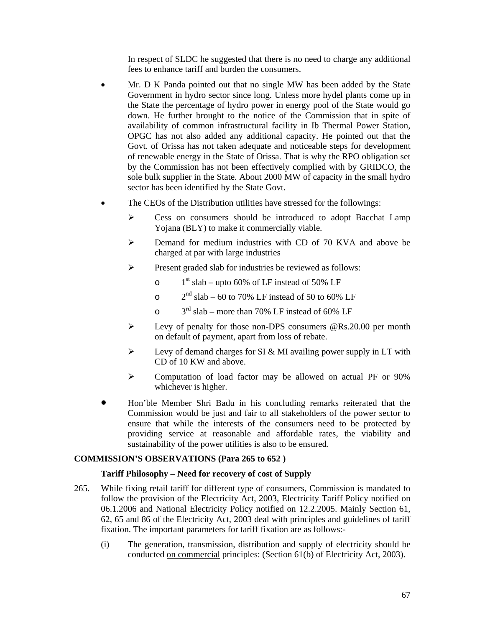In respect of SLDC he suggested that there is no need to charge any additional fees to enhance tariff and burden the consumers.

- Mr. D K Panda pointed out that no single MW has been added by the State Government in hydro sector since long. Unless more hydel plants come up in the State the percentage of hydro power in energy pool of the State would go down. He further brought to the notice of the Commission that in spite of availability of common infrastructural facility in Ib Thermal Power Station, OPGC has not also added any additional capacity. He pointed out that the Govt. of Orissa has not taken adequate and noticeable steps for development of renewable energy in the State of Orissa. That is why the RPO obligation set by the Commission has not been effectively complied with by GRIDCO, the sole bulk supplier in the State. About 2000 MW of capacity in the small hydro sector has been identified by the State Govt.
- The CEOs of the Distribution utilities have stressed for the followings:
	- ¾ Cess on consumers should be introduced to adopt Bacchat Lamp Yojana (BLY) to make it commercially viable.
	- ¾ Demand for medium industries with CD of 70 KVA and above be charged at par with large industries
	- ¾ Present graded slab for industries be reviewed as follows:
		- o  $1<sup>st</sup> slab upto 60%$  of LF instead of 50% LF
		- $\degree$  2<sup>nd</sup> slab 60 to 70% LF instead of 50 to 60% LF
		- $\circ$  3<sup>rd</sup> slab more than 70% LF instead of 60% LF
	- ¾ Levy of penalty for those non-DPS consumers @Rs.20.00 per month on default of payment, apart from loss of rebate.
	- $\triangleright$  Levy of demand charges for SI & MI availing power supply in LT with CD of 10 KW and above.
	- ¾ Computation of load factor may be allowed on actual PF or 90% whichever is higher.
- Hon'ble Member Shri Badu in his concluding remarks reiterated that the Commission would be just and fair to all stakeholders of the power sector to ensure that while the interests of the consumers need to be protected by providing service at reasonable and affordable rates, the viability and sustainability of the power utilities is also to be ensured.

## **COMMISSION'S OBSERVATIONS (Para 265 to 652 )**

## **Tariff Philosophy – Need for recovery of cost of Supply**

- 265. While fixing retail tariff for different type of consumers, Commission is mandated to follow the provision of the Electricity Act, 2003, Electricity Tariff Policy notified on 06.1.2006 and National Electricity Policy notified on 12.2.2005. Mainly Section 61, 62, 65 and 86 of the Electricity Act, 2003 deal with principles and guidelines of tariff fixation. The important parameters for tariff fixation are as follows:-
	- (i) The generation, transmission, distribution and supply of electricity should be conducted on commercial principles: (Section 61(b) of Electricity Act, 2003).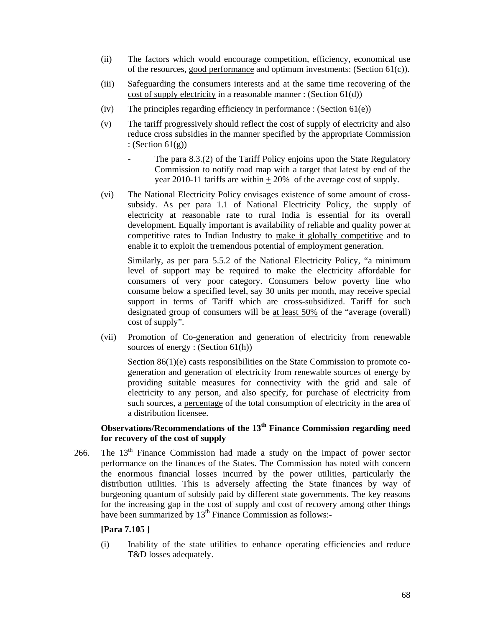- (ii) The factors which would encourage competition, efficiency, economical use of the resources, good performance and optimum investments: (Section 61(c)).
- (iii) Safeguarding the consumers interests and at the same time recovering of the cost of supply electricity in a reasonable manner : (Section 61(d))
- (iv) The principles regarding efficiency in performance : (Section  $61(e)$ )
- (v) The tariff progressively should reflect the cost of supply of electricity and also reduce cross subsidies in the manner specified by the appropriate Commission : (Section  $61(g)$ )
	- The para 8.3.(2) of the Tariff Policy enjoins upon the State Regulatory Commission to notify road map with a target that latest by end of the year 2010-11 tariffs are within  $+20\%$  of the average cost of supply.
- (vi) The National Electricity Policy envisages existence of some amount of crosssubsidy. As per para 1.1 of National Electricity Policy, the supply of electricity at reasonable rate to rural India is essential for its overall development. Equally important is availability of reliable and quality power at competitive rates to Indian Industry to make it globally competitive and to enable it to exploit the tremendous potential of employment generation.

Similarly, as per para 5.5.2 of the National Electricity Policy, "a minimum level of support may be required to make the electricity affordable for consumers of very poor category. Consumers below poverty line who consume below a specified level, say 30 units per month, may receive special support in terms of Tariff which are cross-subsidized. Tariff for such designated group of consumers will be at least 50% of the "average (overall) cost of supply".

(vii) Promotion of Co-generation and generation of electricity from renewable sources of energy : (Section 61(h))

Section 86(1)(e) casts responsibilities on the State Commission to promote cogeneration and generation of electricity from renewable sources of energy by providing suitable measures for connectivity with the grid and sale of electricity to any person, and also specify, for purchase of electricity from such sources, a percentage of the total consumption of electricity in the area of a distribution licensee.

# **Observations/Recommendations of the 13th Finance Commission regarding need for recovery of the cost of supply**

266. The  $13<sup>th</sup>$  Finance Commission had made a study on the impact of power sector performance on the finances of the States. The Commission has noted with concern the enormous financial losses incurred by the power utilities, particularly the distribution utilities. This is adversely affecting the State finances by way of burgeoning quantum of subsidy paid by different state governments. The key reasons for the increasing gap in the cost of supply and cost of recovery among other things have been summarized by  $13<sup>th</sup>$  Finance Commission as follows:-

## **[Para 7.105 ]**

(i) Inability of the state utilities to enhance operating efficiencies and reduce T&D losses adequately.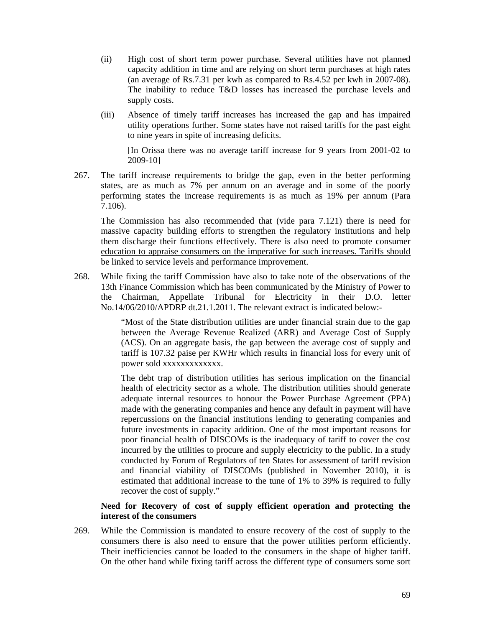- (ii) High cost of short term power purchase. Several utilities have not planned capacity addition in time and are relying on short term purchases at high rates (an average of Rs.7.31 per kwh as compared to Rs.4.52 per kwh in 2007-08). The inability to reduce T&D losses has increased the purchase levels and supply costs.
- (iii) Absence of timely tariff increases has increased the gap and has impaired utility operations further. Some states have not raised tariffs for the past eight to nine years in spite of increasing deficits.

[In Orissa there was no average tariff increase for 9 years from 2001-02 to 2009-10]

267. The tariff increase requirements to bridge the gap, even in the better performing states, are as much as 7% per annum on an average and in some of the poorly performing states the increase requirements is as much as 19% per annum (Para 7.106).

The Commission has also recommended that (vide para 7.121) there is need for massive capacity building efforts to strengthen the regulatory institutions and help them discharge their functions effectively. There is also need to promote consumer education to appraise consumers on the imperative for such increases. Tariffs should be linked to service levels and performance improvement.

268. While fixing the tariff Commission have also to take note of the observations of the 13th Finance Commission which has been communicated by the Ministry of Power to the Chairman, Appellate Tribunal for Electricity in their D.O. letter No.14/06/2010/APDRP dt.21.1.2011. The relevant extract is indicated below:-

> "Most of the State distribution utilities are under financial strain due to the gap between the Average Revenue Realized (ARR) and Average Cost of Supply (ACS). On an aggregate basis, the gap between the average cost of supply and tariff is 107.32 paise per KWHr which results in financial loss for every unit of power sold xxxxxxxxxxxxx.

> The debt trap of distribution utilities has serious implication on the financial health of electricity sector as a whole. The distribution utilities should generate adequate internal resources to honour the Power Purchase Agreement (PPA) made with the generating companies and hence any default in payment will have repercussions on the financial institutions lending to generating companies and future investments in capacity addition. One of the most important reasons for poor financial health of DISCOMs is the inadequacy of tariff to cover the cost incurred by the utilities to procure and supply electricity to the public. In a study conducted by Forum of Regulators of ten States for assessment of tariff revision and financial viability of DISCOMs (published in November 2010), it is estimated that additional increase to the tune of 1% to 39% is required to fully recover the cost of supply."

## **Need for Recovery of cost of supply efficient operation and protecting the interest of the consumers**

269. While the Commission is mandated to ensure recovery of the cost of supply to the consumers there is also need to ensure that the power utilities perform efficiently. Their inefficiencies cannot be loaded to the consumers in the shape of higher tariff. On the other hand while fixing tariff across the different type of consumers some sort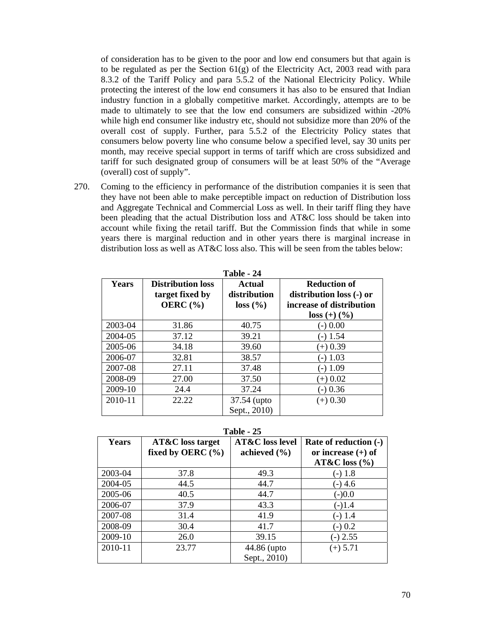of consideration has to be given to the poor and low end consumers but that again is to be regulated as per the Section 61(g) of the Electricity Act, 2003 read with para 8.3.2 of the Tariff Policy and para 5.5.2 of the National Electricity Policy. While protecting the interest of the low end consumers it has also to be ensured that Indian industry function in a globally competitive market. Accordingly, attempts are to be made to ultimately to see that the low end consumers are subsidized within -20% while high end consumer like industry etc, should not subsidize more than 20% of the overall cost of supply. Further, para 5.5.2 of the Electricity Policy states that consumers below poverty line who consume below a specified level, say 30 units per month, may receive special support in terms of tariff which are cross subsidized and tariff for such designated group of consumers will be at least 50% of the "Average (overall) cost of supply".

270. Coming to the efficiency in performance of the distribution companies it is seen that they have not been able to make perceptible impact on reduction of Distribution loss and Aggregate Technical and Commercial Loss as well. In their tariff fling they have been pleading that the actual Distribution loss and AT&C loss should be taken into account while fixing the retail tariff. But the Commission finds that while in some years there is marginal reduction and in other years there is marginal increase in distribution loss as well as AT&C loss also. This will be seen from the tables below:

| Table - 24   |                                                             |                                           |                                                                                               |  |  |  |  |
|--------------|-------------------------------------------------------------|-------------------------------------------|-----------------------------------------------------------------------------------------------|--|--|--|--|
| <b>Years</b> | <b>Distribution loss</b><br>target fixed by<br>OERC $(\% )$ | <b>Actual</b><br>distribution<br>loss (%) | <b>Reduction of</b><br>distribution loss (-) or<br>increase of distribution<br>$loss (+) (%)$ |  |  |  |  |
| 2003-04      | 31.86                                                       | 40.75                                     | (-) 0.00                                                                                      |  |  |  |  |
| 2004-05      | 37.12                                                       | 39.21                                     | (-) 1.54                                                                                      |  |  |  |  |
| 2005-06      | 34.18                                                       | 39.60                                     | $(+)$ 0.39                                                                                    |  |  |  |  |
| 2006-07      | 32.81                                                       | 38.57                                     | 1.03                                                                                          |  |  |  |  |
| 2007-08      | 27.11                                                       | 37.48                                     | 1.09                                                                                          |  |  |  |  |
| 2008-09      | 27.00                                                       | 37.50                                     | $(+)$ 0.02                                                                                    |  |  |  |  |
| 2009-10      | 24.4                                                        | 37.24                                     | $-0.36$                                                                                       |  |  |  |  |
| 2010-11      | 22.22                                                       | 37.54 (upto                               | $(+) 0.30$                                                                                    |  |  |  |  |
|              |                                                             | Sept., 2010)                              |                                                                                               |  |  |  |  |

**Table - 25** 

| 1 avil - <i>4</i> J |                                                      |                                                |                                                                      |  |  |  |  |  |
|---------------------|------------------------------------------------------|------------------------------------------------|----------------------------------------------------------------------|--|--|--|--|--|
| <b>Years</b>        | <b>AT&amp;C</b> loss target<br>fixed by OERC $(\% )$ | <b>AT&amp;C</b> loss level<br>achieved $(\% )$ | Rate of reduction (-)<br>or increase $(+)$ of<br>$AT&C$ loss $(\% )$ |  |  |  |  |  |
| 2003-04             | 37.8                                                 | 49.3                                           | $(-)$ 1.8                                                            |  |  |  |  |  |
| 2004-05             | 44.5                                                 | 44.7                                           | $(-)$ 4.6                                                            |  |  |  |  |  |
| 2005-06             | 40.5                                                 | 44.7                                           | $(-)0.0$                                                             |  |  |  |  |  |
| 2006-07             | 37.9                                                 | 43.3                                           | $(-)1.4$                                                             |  |  |  |  |  |
| 2007-08             | 31.4                                                 | 41.9                                           | $(-)$ 1.4                                                            |  |  |  |  |  |
| 2008-09             | 30.4                                                 | 41.7                                           | $-0.2$                                                               |  |  |  |  |  |
| 2009-10             | 26.0                                                 | 39.15                                          | $-$ ) 2.55                                                           |  |  |  |  |  |
| 2010-11             | 23.77                                                | 44.86 (upto                                    | $(+)$ 5.71                                                           |  |  |  |  |  |
|                     |                                                      | Sept., 2010)                                   |                                                                      |  |  |  |  |  |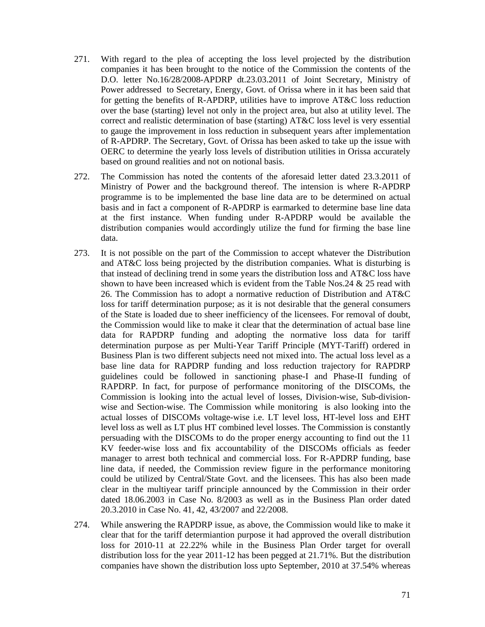- 271. With regard to the plea of accepting the loss level projected by the distribution companies it has been brought to the notice of the Commission the contents of the D.O. letter No.16/28/2008-APDRP dt.23.03.2011 of Joint Secretary, Ministry of Power addressed to Secretary, Energy, Govt. of Orissa where in it has been said that for getting the benefits of R-APDRP, utilities have to improve AT&C loss reduction over the base (starting) level not only in the project area, but also at utility level. The correct and realistic determination of base (starting) AT&C loss level is very essential to gauge the improvement in loss reduction in subsequent years after implementation of R-APDRP. The Secretary, Govt. of Orissa has been asked to take up the issue with OERC to determine the yearly loss levels of distribution utilities in Orissa accurately based on ground realities and not on notional basis.
- 272. The Commission has noted the contents of the aforesaid letter dated 23.3.2011 of Ministry of Power and the background thereof. The intension is where R-APDRP programme is to be implemented the base line data are to be determined on actual basis and in fact a component of R-APDRP is earmarked to determine base line data at the first instance. When funding under R-APDRP would be available the distribution companies would accordingly utilize the fund for firming the base line data.
- 273. It is not possible on the part of the Commission to accept whatever the Distribution and AT&C loss being projected by the distribution companies. What is disturbing is that instead of declining trend in some years the distribution loss and AT&C loss have shown to have been increased which is evident from the Table Nos.24 & 25 read with 26. The Commission has to adopt a normative reduction of Distribution and AT&C loss for tariff determination purpose; as it is not desirable that the general consumers of the State is loaded due to sheer inefficiency of the licensees. For removal of doubt, the Commission would like to make it clear that the determination of actual base line data for RAPDRP funding and adopting the normative loss data for tariff determination purpose as per Multi-Year Tariff Principle (MYT-Tariff) ordered in Business Plan is two different subjects need not mixed into. The actual loss level as a base line data for RAPDRP funding and loss reduction trajectory for RAPDRP guidelines could be followed in sanctioning phase-I and Phase-II funding of RAPDRP. In fact, for purpose of performance monitoring of the DISCOMs, the Commission is looking into the actual level of losses, Division-wise, Sub-divisionwise and Section-wise. The Commission while monitoring is also looking into the actual losses of DISCOMs voltage-wise i.e. LT level loss, HT-level loss and EHT level loss as well as LT plus HT combined level losses. The Commission is constantly persuading with the DISCOMs to do the proper energy accounting to find out the 11 KV feeder-wise loss and fix accountability of the DISCOMs officials as feeder manager to arrest both technical and commercial loss. For R-APDRP funding, base line data, if needed, the Commission review figure in the performance monitoring could be utilized by Central/State Govt. and the licensees. This has also been made clear in the multiyear tariff principle announced by the Commission in their order dated 18.06.2003 in Case No. 8/2003 as well as in the Business Plan order dated 20.3.2010 in Case No. 41, 42, 43/2007 and 22/2008.
- 274. While answering the RAPDRP issue, as above, the Commission would like to make it clear that for the tariff determiantion purpose it had approved the overall distribution loss for 2010-11 at 22.22% while in the Business Plan Order target for overall distribution loss for the year 2011-12 has been pegged at 21.71%. But the distribution companies have shown the distribution loss upto September, 2010 at 37.54% whereas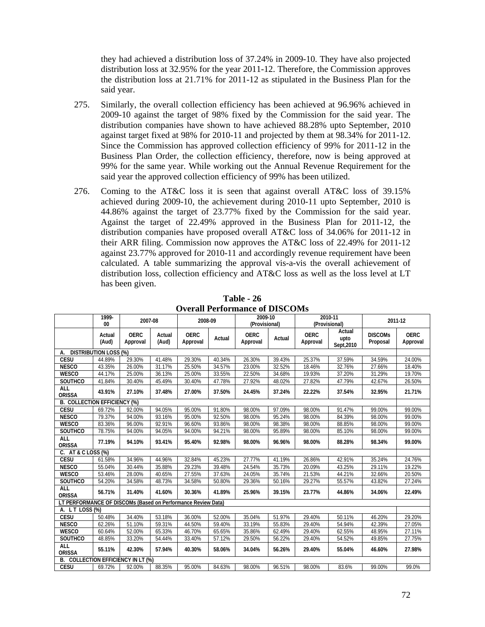they had achieved a distribution loss of 37.24% in 2009-10. They have also projected distribution loss at 32.95% for the year 2011-12. Therefore, the Commission approves the distribution loss at 21.71% for 2011-12 as stipulated in the Business Plan for the said year.

- 275. Similarly, the overall collection efficiency has been achieved at 96.96% achieved in 2009-10 against the target of 98% fixed by the Commission for the said year. The distribution companies have shown to have achieved 88.28% upto September, 2010 against target fixed at 98% for 2010-11 and projected by them at 98.34% for 2011-12. Since the Commission has approved collection efficiency of 99% for 2011-12 in the Business Plan Order, the collection efficiency, therefore, now is being approved at 99% for the same year. While working out the Annual Revenue Requirement for the said year the approved collection efficiency of 99% has been utilized.
- 276. Coming to the AT&C loss it is seen that against overall AT&C loss of 39.15% achieved during 2009-10, the achievement during 2010-11 upto September, 2010 is 44.86% against the target of 23.77% fixed by the Commission for the said year. Against the target of 22.49% approved in the Business Plan for 2011-12, the distribution companies have proposed overall AT&C loss of 34.06% for 2011-12 in their ARR filing. Commission now approves the AT&C loss of 22.49% for 2011-12 against 23.77% approved for 2010-11 and accordingly revenue requirement have been calculated. A table summarizing the approval vis-a-vis the overall achievement of distribution loss, collection efficiency and AT&C loss as well as the loss level at LT has been given.

|                                                              | 1999-<br>00                  | 2007-08                 |                 | 2008-09                 |        | 2009-10<br>(Provisional) |        |                         | 2010-11<br>(Provisional)     |                            | 2011-12                 |
|--------------------------------------------------------------|------------------------------|-------------------------|-----------------|-------------------------|--------|--------------------------|--------|-------------------------|------------------------------|----------------------------|-------------------------|
|                                                              | Actual<br>(Aud)              | <b>OERC</b><br>Approval | Actual<br>(Aud) | <b>OERC</b><br>Approval | Actual | <b>OERC</b><br>Approval  | Actual | <b>OERC</b><br>Approval | Actual<br>upto<br>Sept, 2010 | <b>DISCOMS</b><br>Proposal | <b>OERC</b><br>Approval |
| А.                                                           | <b>DISTRIBUTION LOSS (%)</b> |                         |                 |                         |        |                          |        |                         |                              |                            |                         |
| <b>CESU</b>                                                  | 44.89%                       | 29.30%                  | 41.48%          | 29.30%                  | 40.34% | 26.30%                   | 39.43% | 25.37%                  | 37.59%                       | 34.59%                     | 24.00%                  |
| <b>NESCO</b>                                                 | 43.35%                       | 26.00%                  | 31.17%          | 25.50%                  | 34.57% | 23.00%                   | 32.52% | 18.46%                  | 32.76%                       | 27.66%                     | 18.40%                  |
| <b>WESCO</b>                                                 | 44.17%                       | 25.00%                  | 36.13%          | 25.00%                  | 33.55% | 22.50%                   | 34.68% | 19.93%                  | 37.20%                       | 31.29%                     | 19.70%                  |
| SOUTHCO                                                      | 41.84%                       | 30.40%                  | 45.49%          | 30.40%                  | 47.78% | 27.92%                   | 48.02% | 27.82%                  | 47.79%                       | 42.67%                     | 26.50%                  |
| <b>ALL</b><br><b>ORISSA</b>                                  | 43.91%                       | 27.10%                  | 37.48%          | 27.00%                  | 37.50% | 24.45%                   | 37.24% | 22.22%                  | 37.54%                       | 32.95%                     | 21.71%                  |
| <b>B. COLLECTION EFFICIENCY (%)</b>                          |                              |                         |                 |                         |        |                          |        |                         |                              |                            |                         |
| <b>CESU</b>                                                  | 69.72%                       | 92.00%                  | 94.05%          | 95.00%                  | 91.80% | 98.00%                   | 97.09% | 98.00%                  | 91.47%                       | 99.00%                     | 99.00%                  |
| <b>NESCO</b>                                                 | 79.37%                       | 94.00%                  | 93.16%          | 95.00%                  | 92.50% | 98.00%                   | 95.24% | 98.00%                  | 84.39%                       | 98.00%                     | 99.00%                  |
| <b>WESCO</b>                                                 | 83.36%                       | 96.00%                  | 92.91%          | 96.60%                  | 93.86% | 98.00%                   | 98.38% | 98.00%                  | 88.85%                       | 98.00%                     | 99.00%                  |
| <b>SOUTHCO</b>                                               | 78.75%                       | 94.00%                  | 94.05%          | 94.00%                  | 94.21% | 98.00%                   | 95.89% | 98.00%                  | 85.10%                       | 98.00%                     | 99.00%                  |
| ALL<br><b>ORISSA</b>                                         | 77.19%                       | 94.10%                  | 93.41%          | 95.40%                  | 92.98% | 98.00%                   | 96.96% | 98.00%                  | 88.28%                       | 98.34%                     | 99.00%                  |
| C.<br>AT & C LOSS (%)                                        |                              |                         |                 |                         |        |                          |        |                         |                              |                            |                         |
| CESU                                                         | 61.58%                       | 34.96%                  | 44.96%          | 32.84%                  | 45.23% | 27.77%                   | 41.19% | 26.86%                  | 42.91%                       | 35.24%                     | 24.76%                  |
| <b>NESCO</b>                                                 | 55.04%                       | 30.44%                  | 35.88%          | 29.23%                  | 39.48% | 24.54%                   | 35.73% | 20.09%                  | 43.25%                       | 29.11%                     | 19.22%                  |
| <b>WESCO</b>                                                 | 53.46%                       | 28.00%                  | 40.65%          | 27.55%                  | 37.63% | 24.05%                   | 35.74% | 21.53%                  | 44.21%                       | 32.66%                     | 20.50%                  |
| SOUTHCO                                                      | 54.20%                       | 34.58%                  | 48.73%          | 34.58%                  | 50.80% | 29.36%                   | 50.16% | 29.27%                  | 55.57%                       | 43.82%                     | 27.24%                  |
| <b>ALL</b><br><b>ORISSA</b>                                  | 56.71%                       | 31.40%                  | 41.60%          | 30.36%                  | 41.89% | 25.96%                   | 39.15% | 23.77%                  | 44.86%                       | 34.06%                     | 22.49%                  |
| LT PERFORMANCE OF DISCOMs (Based on Performance Review Data) |                              |                         |                 |                         |        |                          |        |                         |                              |                            |                         |
| A. LT LOSS (%)                                               |                              |                         |                 |                         |        |                          |        |                         |                              |                            |                         |
| <b>CESU</b>                                                  | 50.48%                       | 34.40%                  | 53.18%          | 36.00%                  | 52.00% | 35.04%                   | 51.97% | 29.40%                  | 50.11%                       | 46.20%                     | 29.20%                  |
| <b>NESCO</b>                                                 | 62.26%                       | 51.10%                  | 59.31%          | 44.50%                  | 59.40% | 33.19%                   | 55.83% | 29.40%                  | 54.94%                       | 42.39%                     | 27.05%                  |
| <b>WESCO</b>                                                 | 60.64%                       | 52.00%                  | 65.33%          | 46.70%                  | 65.65% | 35.86%                   | 62.49% | 29.40%                  | 62.55%                       | 48.95%                     | 27.11%                  |
| SOUTHCO                                                      | 48.85%                       | 33.20%                  | 54.44%          | 33.40%                  | 57.12% | 29.50%                   | 56.22% | 29.40%                  | 54.52%                       | 49.85%                     | 27.75%                  |
| <b>ALL</b><br><b>ORISSA</b>                                  | 55.11%                       | 42.30%                  | 57.94%          | 40.30%                  | 58.06% | 34.04%                   | 56.26% | 29.40%                  | 55.04%                       | 46.60%                     | 27.98%                  |
| B. COLLECTION EFFICIENCY IN LT (%)                           |                              |                         |                 |                         |        |                          |        |                         |                              |                            |                         |
| <b>CESU</b>                                                  | 69.72%                       | 92.00%                  | 88.35%          | 95.00%                  | 84.63% | 98.00%                   | 96.51% | 98.00%                  | 83.6%                        | 99.00%                     | 99.0%                   |

**Table - 26 Overall Performance of DISCOMs**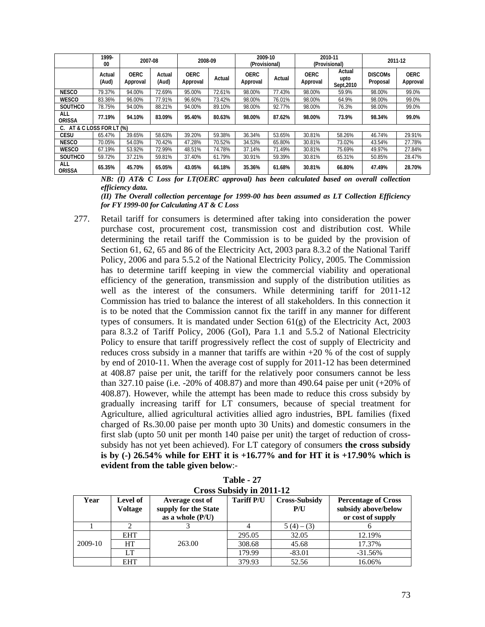|                           | 1999-<br>00     | 2007-08                 |                 | 2008-09                 |        | 2009-10<br>(Provisional) |        | (Provisional)           | 2010-11                      |                            | 2011-12                 |
|---------------------------|-----------------|-------------------------|-----------------|-------------------------|--------|--------------------------|--------|-------------------------|------------------------------|----------------------------|-------------------------|
|                           | Actual<br>(Aud) | <b>OERC</b><br>Approval | Actual<br>(Aud) | <b>OERC</b><br>Approval | Actual | <b>OERC</b><br>Approval  | Actual | <b>OERC</b><br>Approval | Actual<br>upto<br>Sept, 2010 | <b>DISCOMS</b><br>Proposal | <b>OERC</b><br>Approval |
| <b>NESCO</b>              | 79.37%          | 94.00%                  | 72.69%          | 95.00%                  | 72.61% | 98.00%                   | 77.43% | 98.00%                  | 59.9%                        | 98.00%                     | 99.0%                   |
| <b>WESCO</b>              | 83.36%          | 96.00%                  | 77.91%          | 96.60%                  | 73.42% | 98.00%                   | 76.01% | 98.00%                  | 64.9%                        | 98.00%                     | 99.0%                   |
| <b>SOUTHCO</b>            | 78.75%          | 94.00%                  | 88.21%          | 94.00%                  | 89.10% | 98.00%                   | 92.77% | 98.00%                  | 76.3%                        | 98.00%                     | 99.0%                   |
| ALL<br><b>ORISSA</b>      | 77.19%          | 94.10%                  | 83.09%          | 95.40%                  | 80.63% | 98.00%                   | 87.62% | 98.00%                  | 73.9%                        | 98.34%                     | 99.0%                   |
| C. AT & C LOSS FOR LT (%) |                 |                         |                 |                         |        |                          |        |                         |                              |                            |                         |
| <b>CESU</b>               | 65.47%          | 39.65%                  | 58.63%          | 39.20%                  | 59.38% | 36.34%                   | 53.65% | 30.81%                  | 58.26%                       | 46.74%                     | 29.91%                  |
| <b>NESCO</b>              | 70.05%          | 54.03%                  | 70.42%          | 47.28%                  | 70.52% | 34.53%                   | 65.80% | 30.81%                  | 73.02%                       | 43.54%                     | 27.78%                  |
| <b>WESCO</b>              | 67.19%          | 53.92%                  | 72.99%          | 48.51%                  | 74.78% | 37.14%                   | 71.49% | 30.81%                  | 75.69%                       | 49.97%                     | 27.84%                  |
| <b>SOUTHCO</b>            | 59.72%          | 37.21%                  | 59.81%          | 37.40%                  | 61.79% | 30.91%                   | 59.39% | 30.81%                  | 65.31%                       | 50.85%                     | 28.47%                  |
| ALL<br><b>ORISSA</b>      | 65.35%          | 45.70%                  | 65.05%          | 43.05%                  | 66.18% | 35.36%                   | 61.68% | 30.81%                  | 66.80%                       | 47.49%                     | 28.70%                  |

*NB: (I) AT& C Loss for LT(OERC approval) has been calculated based on overall collection efficiency data.* 

*(II) The Overall collection percentage for 1999-00 has been assumed as LT Collection Efficiency for FY 1999-00 for Calculating AT & C Loss*

277. Retail tariff for consumers is determined after taking into consideration the power purchase cost, procurement cost, transmission cost and distribution cost. While determining the retail tariff the Commission is to be guided by the provision of Section 61, 62, 65 and 86 of the Electricity Act, 2003 para 8.3.2 of the National Tariff Policy, 2006 and para 5.5.2 of the National Electricity Policy, 2005. The Commission has to determine tariff keeping in view the commercial viability and operational efficiency of the generation, transmission and supply of the distribution utilities as well as the interest of the consumers. While determining tariff for 2011-12 Commission has tried to balance the interest of all stakeholders. In this connection it is to be noted that the Commission cannot fix the tariff in any manner for different types of consumers. It is mandated under Section 61(g) of the Electricity Act, 2003 para 8.3.2 of Tariff Policy, 2006 (GoI), Para 1.1 and 5.5.2 of National Electricity Policy to ensure that tariff progressively reflect the cost of supply of Electricity and reduces cross subsidy in a manner that tariffs are within +20 % of the cost of supply by end of 2010-11. When the average cost of supply for 2011-12 has been determined at 408.87 paise per unit, the tariff for the relatively poor consumers cannot be less than 327.10 paise (i.e. -20% of 408.87) and more than 490.64 paise per unit (+20% of 408.87). However, while the attempt has been made to reduce this cross subsidy by gradually increasing tariff for LT consumers, because of special treatment for Agriculture, allied agricultural activities allied agro industries, BPL families (fixed charged of Rs.30.00 paise per month upto 30 Units) and domestic consumers in the first slab (upto 50 unit per month 140 paise per unit) the target of reduction of crosssubsidy has not yet been achieved). For LT category of consumers **the cross subsidy is by (-) 26.54% while for EHT it is +16.77% and for HT it is +17.90% which is evident from the table given below**:-

| Cross Subsidy in 2011-12 |                            |                                                               |                   |                             |                                                                        |  |  |  |  |  |  |  |
|--------------------------|----------------------------|---------------------------------------------------------------|-------------------|-----------------------------|------------------------------------------------------------------------|--|--|--|--|--|--|--|
| Year                     | Level of<br><b>Voltage</b> | Average cost of<br>supply for the State<br>as a whole $(P/U)$ | <b>Tariff P/U</b> | <b>Cross-Subsidy</b><br>P/U | <b>Percentage of Cross</b><br>subsidy above/below<br>or cost of supply |  |  |  |  |  |  |  |
|                          |                            |                                                               | 4                 | $5(4) - (3)$                |                                                                        |  |  |  |  |  |  |  |
|                          | <b>EHT</b>                 |                                                               | 295.05            | 32.05                       | 12.19%                                                                 |  |  |  |  |  |  |  |
| 2009-10                  | HT                         | 263.00                                                        | 308.68            | 45.68                       | 17.37%                                                                 |  |  |  |  |  |  |  |
|                          | LТ                         |                                                               | 179.99            | $-83.01$                    | $-31.56%$                                                              |  |  |  |  |  |  |  |
|                          | <b>EHT</b>                 |                                                               | 379.93            | 52.56                       | 16.06%                                                                 |  |  |  |  |  |  |  |

**Table - 27 Cross Subsidy in 2011-12**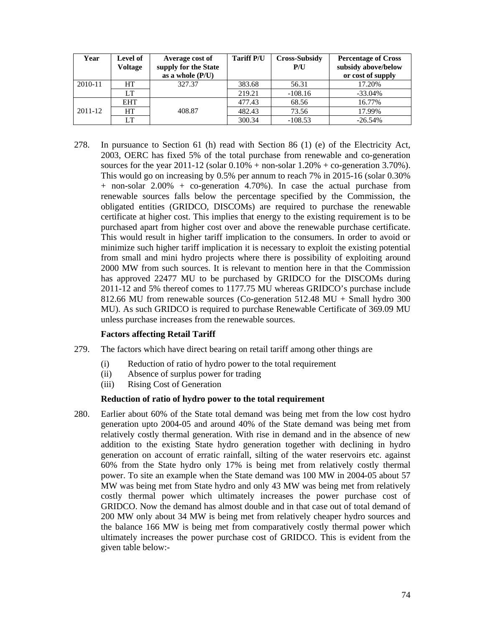| Year    | Level of<br><b>Voltage</b> | Average cost of<br>supply for the State<br>as a whole $(P/U)$ | <b>Tariff P/U</b> | <b>Cross-Subsidy</b><br>P/U | <b>Percentage of Cross</b><br>subsidy above/below<br>or cost of supply |
|---------|----------------------------|---------------------------------------------------------------|-------------------|-----------------------------|------------------------------------------------------------------------|
| 2010-11 | HT                         | 327.37                                                        | 383.68            | 56.31                       | 17.20%                                                                 |
|         | LT                         |                                                               | 219.21            | $-108.16$                   | $-33.04\%$                                                             |
|         | <b>EHT</b>                 |                                                               | 477.43            | 68.56                       | 16.77%                                                                 |
| 2011-12 | <b>HT</b>                  | 408.87                                                        | 482.43            | 73.56                       | 17.99%                                                                 |
|         | LT                         |                                                               | 300.34            | $-108.53$                   | $-26.54%$                                                              |

278. In pursuance to Section 61 (h) read with Section 86 (1) (e) of the Electricity Act, 2003, OERC has fixed 5% of the total purchase from renewable and co-generation sources for the year 2011-12 (solar  $0.10\%$  + non-solar  $1.20\%$  + co-generation 3.70%). This would go on increasing by 0.5% per annum to reach 7% in 2015-16 (solar 0.30% + non-solar 2.00% + co-generation 4.70%). In case the actual purchase from renewable sources falls below the percentage specified by the Commission, the obligated entities (GRIDCO, DISCOMs) are required to purchase the renewable certificate at higher cost. This implies that energy to the existing requirement is to be purchased apart from higher cost over and above the renewable purchase certificate. This would result in higher tariff implication to the consumers. In order to avoid or minimize such higher tariff implication it is necessary to exploit the existing potential from small and mini hydro projects where there is possibility of exploiting around 2000 MW from such sources. It is relevant to mention here in that the Commission has approved 22477 MU to be purchased by GRIDCO for the DISCOMs during 2011-12 and 5% thereof comes to 1177.75 MU whereas GRIDCO's purchase include 812.66 MU from renewable sources (Co-generation 512.48 MU + Small hydro 300 MU). As such GRIDCO is required to purchase Renewable Certificate of 369.09 MU unless purchase increases from the renewable sources.

## **Factors affecting Retail Tariff**

- 279. The factors which have direct bearing on retail tariff among other things are
	- (i) Reduction of ratio of hydro power to the total requirement
	- (ii) Absence of surplus power for trading
	- (iii) Rising Cost of Generation

#### **Reduction of ratio of hydro power to the total requirement**

280. Earlier about 60% of the State total demand was being met from the low cost hydro generation upto 2004-05 and around 40% of the State demand was being met from relatively costly thermal generation. With rise in demand and in the absence of new addition to the existing State hydro generation together with declining in hydro generation on account of erratic rainfall, silting of the water reservoirs etc. against 60% from the State hydro only 17% is being met from relatively costly thermal power. To site an example when the State demand was 100 MW in 2004-05 about 57 MW was being met from State hydro and only 43 MW was being met from relatively costly thermal power which ultimately increases the power purchase cost of GRIDCO. Now the demand has almost double and in that case out of total demand of 200 MW only about 34 MW is being met from relatively cheaper hydro sources and the balance 166 MW is being met from comparatively costly thermal power which ultimately increases the power purchase cost of GRIDCO. This is evident from the given table below:-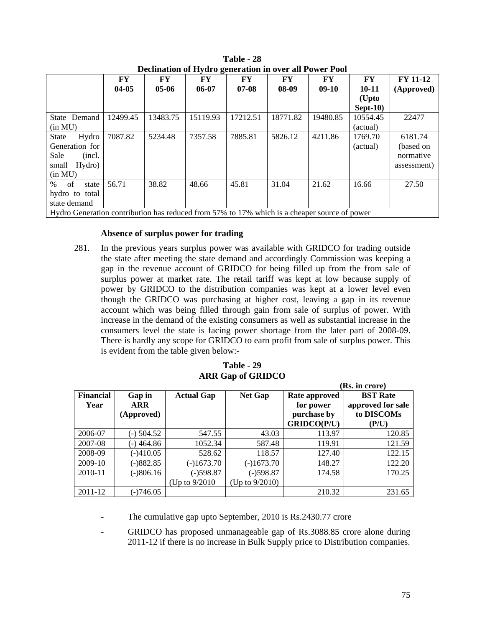| Declination of Hydro generation in over an Fower Fool                                        |          |          |           |          |          |          |                        |                 |  |  |  |
|----------------------------------------------------------------------------------------------|----------|----------|-----------|----------|----------|----------|------------------------|-----------------|--|--|--|
|                                                                                              | FY       | FY       | FY        | FY       | FY       | FY       | $\mathbf{F}\mathbf{Y}$ | <b>FY 11-12</b> |  |  |  |
|                                                                                              | $04-05$  | $05-06$  | $06 - 07$ | $07-08$  | 08-09    | $09-10$  | $10 - 11$              | (Approved)      |  |  |  |
|                                                                                              |          |          |           |          |          |          | (Upto                  |                 |  |  |  |
|                                                                                              |          |          |           |          |          |          | $Sept-10)$             |                 |  |  |  |
| State Demand                                                                                 | 12499.45 | 13483.75 | 15119.93  | 17212.51 | 18771.82 | 19480.85 | 10554.45               | 22477           |  |  |  |
| (in MU)                                                                                      |          |          |           |          |          |          | (actual)               |                 |  |  |  |
| Hydro<br><b>State</b>                                                                        | 7087.82  | 5234.48  | 7357.58   | 7885.81  | 5826.12  | 4211.86  | 1769.70                | 6181.74         |  |  |  |
| Generation for                                                                               |          |          |           |          |          |          | (actual)               | (based on       |  |  |  |
| Sale<br>(incl.                                                                               |          |          |           |          |          |          |                        | normative       |  |  |  |
| Hydro)<br>small                                                                              |          |          |           |          |          |          |                        | assessment)     |  |  |  |
| (in MU)                                                                                      |          |          |           |          |          |          |                        |                 |  |  |  |
| $\%$<br>of<br>state                                                                          | 56.71    | 38.82    | 48.66     | 45.81    | 31.04    | 21.62    | 16.66                  | 27.50           |  |  |  |
| hydro to total                                                                               |          |          |           |          |          |          |                        |                 |  |  |  |
| state demand                                                                                 |          |          |           |          |          |          |                        |                 |  |  |  |
| Hydro Generation contribution has reduced from 57% to 17% which is a cheaper source of power |          |          |           |          |          |          |                        |                 |  |  |  |

**Table - 28 Declination of Hydro generation in over all Power Pool** 

# **Absence of surplus power for trading**

281. In the previous years surplus power was available with GRIDCO for trading outside the state after meeting the state demand and accordingly Commission was keeping a gap in the revenue account of GRIDCO for being filled up from the from sale of surplus power at market rate. The retail tariff was kept at low because supply of power by GRIDCO to the distribution companies was kept at a lower level even though the GRIDCO was purchasing at higher cost, leaving a gap in its revenue account which was being filled through gain from sale of surplus of power. With increase in the demand of the existing consumers as well as substantial increase in the consumers level the state is facing power shortage from the later part of 2008-09. There is hardly any scope for GRIDCO to earn profit from sale of surplus power. This is evident from the table given below:-

|                          |                                    |                   |                |                                                                 | (Rs. in crore)                                              |
|--------------------------|------------------------------------|-------------------|----------------|-----------------------------------------------------------------|-------------------------------------------------------------|
| <b>Financial</b><br>Year | Gap in<br><b>ARR</b><br>(Approved) | <b>Actual Gap</b> | <b>Net Gap</b> | Rate approved<br>for power<br>purchase by<br><b>GRIDCO(P/U)</b> | <b>BST Rate</b><br>approved for sale<br>to DISCOMs<br>(P/U) |
| 2006-07                  | (-) 504.52                         | 547.55            | 43.03          | 113.97                                                          | 120.85                                                      |
| 2007-08                  | $-)464.86$                         | 1052.34           | 587.48         | 119.91                                                          | 121.59                                                      |
| 2008-09                  | $(-)410.05$                        | 528.62            | 118.57         | 127.40                                                          | 122.15                                                      |
| 2009-10                  | $(-)882.85$                        | $(-)1673.70$      | $(-)1673.70$   | 148.27                                                          | 122.20                                                      |
| 2010-11                  | (-)806.16                          | $(-)598.87$       | $(-)598.87$    | 174.58                                                          | 170.25                                                      |
|                          |                                    | (Up to $9/2010$ ) | (Up to 9/2010) |                                                                 |                                                             |
| 2011-12                  | (-)746.05                          |                   |                | 210.32                                                          | 231.65                                                      |

**Table - 29 ARR Gap of GRIDCO** 

The cumulative gap upto September, 2010 is Rs.2430.77 crore

GRIDCO has proposed unmanageable gap of Rs.3088.85 crore alone during 2011-12 if there is no increase in Bulk Supply price to Distribution companies.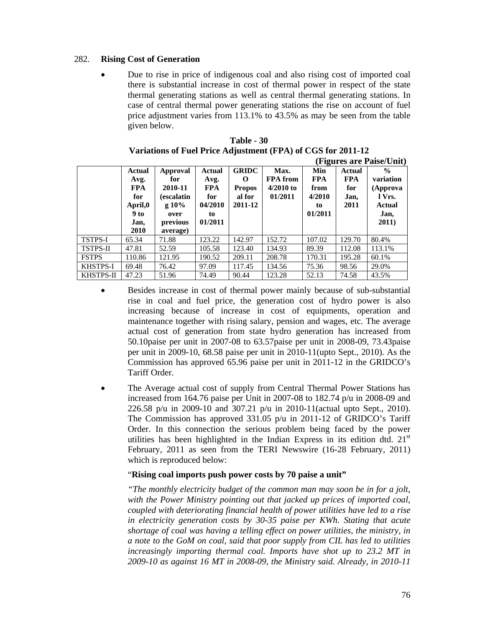# 282. **Rising Cost of Generation**

• Due to rise in price of indigenous coal and also rising cost of imported coal there is substantial increase in cost of thermal power in respect of the state thermal generating stations as well as central thermal generating stations. In case of central thermal power generating stations the rise on account of fuel price adjustment varies from 113.1% to 43.5% as may be seen from the table given below.

|                 |                                                                        |                                                                                          |                                                                        |                                                         |                                                   |                                                      |                                             | (Figures are Paise/Unit)                                                    |
|-----------------|------------------------------------------------------------------------|------------------------------------------------------------------------------------------|------------------------------------------------------------------------|---------------------------------------------------------|---------------------------------------------------|------------------------------------------------------|---------------------------------------------|-----------------------------------------------------------------------------|
|                 | Actual<br>Avg.<br><b>FPA</b><br>for<br>April,0<br>9 to<br>Jan,<br>2010 | Approval<br>for<br>2010-11<br><i>(escalatin)</i><br>g10%<br>over<br>previous<br>average) | <b>Actual</b><br>Avg.<br><b>FPA</b><br>for<br>04/2010<br>to<br>01/2011 | <b>GRIDC</b><br>O<br><b>Propos</b><br>al for<br>2011-12 | Max.<br><b>FPA</b> from<br>$4/2010$ to<br>01/2011 | Min<br><b>FPA</b><br>from<br>4/2010<br>to<br>01/2011 | Actual<br><b>FPA</b><br>for<br>Jan,<br>2011 | $\frac{0}{0}$<br>variation<br>(Approva<br>l Vrs.<br>Actual<br>Jan,<br>2011) |
| <b>TSTPS-I</b>  | 65.34                                                                  | 71.88                                                                                    | 123.22                                                                 | 142.97                                                  | 152.72                                            | 107.02                                               | 129.70                                      | 80.4%                                                                       |
| <b>TSTPS-II</b> | 47.81                                                                  | 52.59                                                                                    | 105.58                                                                 | 123.40                                                  | 134.93                                            | 89.39                                                | 112.08                                      | 113.1%                                                                      |
| <b>FSTPS</b>    | 110.86                                                                 | 121.95                                                                                   | 190.52                                                                 | 209.11                                                  | 208.78                                            | 170.31                                               | 195.28                                      | 60.1%                                                                       |
| <b>KHSTPS-I</b> | 69.48                                                                  | 76.42                                                                                    | 97.09                                                                  | 117.45                                                  | 134.56                                            | 75.36                                                | 98.56                                       | 29.0%                                                                       |
| KHSTPS-II       | 47.23                                                                  | 51.96                                                                                    | 74.49                                                                  | 90.44                                                   | 123.28                                            | 52.13                                                | 74.58                                       | 43.5%                                                                       |

| Table - 30                                                   |
|--------------------------------------------------------------|
| Variations of Fuel Price Adjustment (FPA) of CGS for 2011-12 |

- Besides increase in cost of thermal power mainly because of sub-substantial rise in coal and fuel price, the generation cost of hydro power is also increasing because of increase in cost of equipments, operation and maintenance together with rising salary, pension and wages, etc. The average actual cost of generation from state hydro generation has increased from 50.10paise per unit in 2007-08 to 63.57paise per unit in 2008-09, 73.43paise per unit in 2009-10, 68.58 paise per unit in 2010-11(upto Sept., 2010). As the Commission has approved 65.96 paise per unit in 2011-12 in the GRIDCO's Tariff Order.
- The Average actual cost of supply from Central Thermal Power Stations has increased from 164.76 paise per Unit in 2007-08 to 182.74 p/u in 2008-09 and 226.58 p/u in 2009-10 and 307.21 p/u in 2010-11(actual upto Sept., 2010). The Commission has approved 331.05 p/u in 2011-12 of GRIDCO's Tariff Order. In this connection the serious problem being faced by the power utilities has been highlighted in the Indian Express in its edition dtd.  $21<sup>st</sup>$ February, 2011 as seen from the TERI Newswire (16-28 February, 2011) which is reproduced below:

# "**Rising coal imports push power costs by 70 paise a unit"**

*"The monthly electricity budget of the common man may soon be in for a jolt, with the Power Ministry pointing out that jacked up prices of imported coal, coupled with deteriorating financial health of power utilities have led to a rise in electricity generation costs by 30-35 paise per KWh. Stating that acute shortage of coal was having a telling effect on power utilities, the ministry, in a note to the GoM on coal, said that poor supply from CIL has led to utilities increasingly importing thermal coal. Imports have shot up to 23.2 MT in 2009-10 as against 16 MT in 2008-09, the Ministry said. Already, in 2010-11*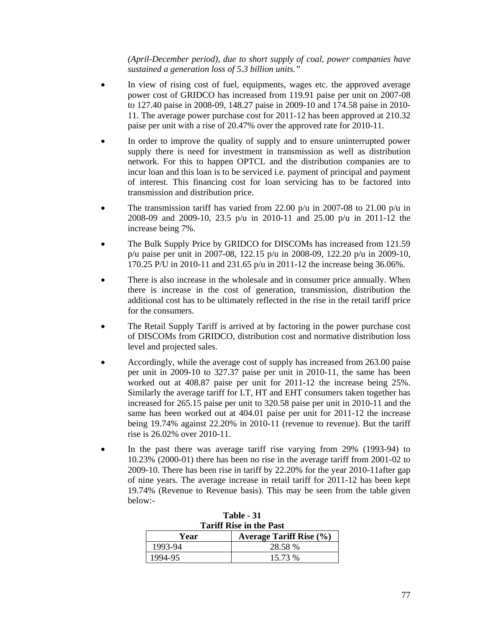*(April-December period), due to short supply of coal, power companies have sustained a generation loss of 5.3 billion units."*

- In view of rising cost of fuel, equipments, wages etc. the approved average power cost of GRIDCO has increased from 119.91 paise per unit on 2007-08 to 127.40 paise in 2008-09, 148.27 paise in 2009-10 and 174.58 paise in 2010- 11. The average power purchase cost for 2011-12 has been approved at 210.32 paise per unit with a rise of 20.47% over the approved rate for 2010-11.
- In order to improve the quality of supply and to ensure uninterrupted power supply there is need for investment in transmission as well as distribution network. For this to happen OPTCL and the distribution companies are to incur loan and this loan is to be serviced i.e. payment of principal and payment of interest. This financing cost for loan servicing has to be factored into transmission and distribution price.
- The transmission tariff has varied from 22.00 p/u in 2007-08 to 21.00 p/u in 2008-09 and 2009-10, 23.5 p/u in 2010-11 and 25.00 p/u in 2011-12 the increase being 7%.
- The Bulk Supply Price by GRIDCO for DISCOMs has increased from 121.59 p/u paise per unit in 2007-08, 122.15 p/u in 2008-09, 122.20 p/u in 2009-10, 170.25 P/U in 2010-11 and 231.65 p/u in 2011-12 the increase being 36.06%.
- There is also increase in the wholesale and in consumer price annually. When there is increase in the cost of generation, transmission, distribution the additional cost has to be ultimately reflected in the rise in the retail tariff price for the consumers.
- The Retail Supply Tariff is arrived at by factoring in the power purchase cost of DISCOMs from GRIDCO, distribution cost and normative distribution loss level and projected sales.
- Accordingly, while the average cost of supply has increased from 263.00 paise per unit in 2009-10 to 327.37 paise per unit in 2010-11, the same has been worked out at 408.87 paise per unit for 2011-12 the increase being 25%. Similarly the average tariff for LT, HT and EHT consumers taken together has increased for 265.15 paise per unit to 320.58 paise per unit in 2010-11 and the same has been worked out at 404.01 paise per unit for 2011-12 the increase being 19.74% against 22.20% in 2010-11 (revenue to revenue). But the tariff rise is 26.02% over 2010-11.
- In the past there was average tariff rise varying from 29% (1993-94) to 10.23% (2000-01) there has been no rise in the average tariff from 2001-02 to 2009-10. There has been rise in tariff by 22.20% for the year 2010-11after gap of nine years. The average increase in retail tariff for 2011-12 has been kept 19.74% (Revenue to Revenue basis). This may be seen from the table given below:-

| <b>Tariff Rise in the Past</b> |                                |  |  |  |  |  |  |
|--------------------------------|--------------------------------|--|--|--|--|--|--|
| Year                           | <b>Average Tariff Rise (%)</b> |  |  |  |  |  |  |
| 1993-94                        | 28.58 %                        |  |  |  |  |  |  |
| 1994-95                        | 15.73 %                        |  |  |  |  |  |  |

**Table - 31 Tariff Rise in the Past**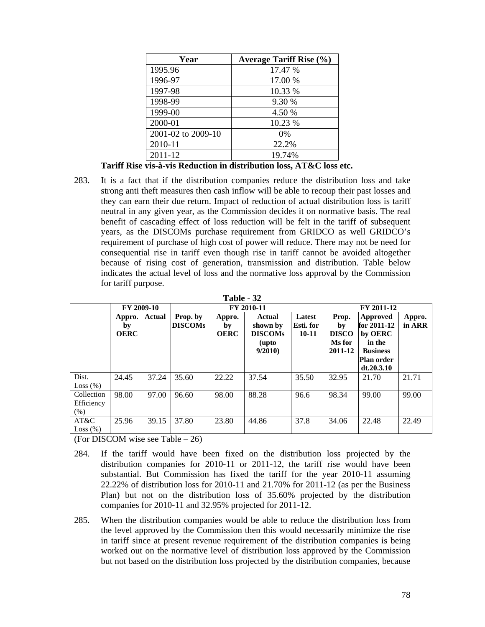| Year               | <b>Average Tariff Rise (%)</b> |
|--------------------|--------------------------------|
| 1995.96            | 17.47 %                        |
| 1996-97            | 17.00 %                        |
| 1997-98            | 10.33 %                        |
| 1998-99            | 9.30 %                         |
| 1999-00            | 4.50 %                         |
| 2000-01            | 10.23 %                        |
| 2001-02 to 2009-10 | $0\%$                          |
| 2010-11            | 22.2%                          |
| 2011-12            | 19.74%                         |

 **Tariff Rise vis-à-vis Reduction in distribution loss, AT&C loss etc.** 

283. It is a fact that if the distribution companies reduce the distribution loss and take strong anti theft measures then cash inflow will be able to recoup their past losses and they can earn their due return. Impact of reduction of actual distribution loss is tariff neutral in any given year, as the Commission decides it on normative basis. The real benefit of cascading effect of loss reduction will be felt in the tariff of subsequent years, as the DISCOMs purchase requirement from GRIDCO as well GRIDCO's requirement of purchase of high cost of power will reduce. There may not be need for consequential rise in tariff even though rise in tariff cannot be avoided altogether because of rising cost of generation, transmission and distribution. Table below indicates the actual level of loss and the normative loss approval by the Commission for tariff purpose.

| Table |  |
|-------|--|
|-------|--|

|                                  | FY 2009-10                  |               |                            | FY 2010-11                  |                                                         |                                  |                                                  | FY 2011-12                                                                                         |                  |  |
|----------------------------------|-----------------------------|---------------|----------------------------|-----------------------------|---------------------------------------------------------|----------------------------------|--------------------------------------------------|----------------------------------------------------------------------------------------------------|------------------|--|
|                                  | Appro.<br>by<br><b>OERC</b> | <b>Actual</b> | Prop. by<br><b>DISCOMs</b> | Appro.<br>by<br><b>OERC</b> | Actual<br>shown by<br><b>DISCOMs</b><br>(upto<br>9/2010 | Latest<br>Esti. for<br>$10 - 11$ | Prop.<br>by<br><b>DISCO</b><br>Ms for<br>2011-12 | Approved<br>for 2011-12<br>by OERC<br>in the<br><b>Business</b><br><b>Plan order</b><br>dt.20.3.10 | Appro.<br>in ARR |  |
| Dist.<br>Loss (%)                | 24.45                       | 37.24         | 35.60                      | 22.22                       | 37.54                                                   | 35.50                            | 32.95                                            | 21.70                                                                                              | 21.71            |  |
| Collection<br>Efficiency<br>(% ) | 98.00                       | 97.00         | 96.60                      | 98.00                       | 88.28                                                   | 96.6                             | 98.34                                            | 99.00                                                                                              | 99.00            |  |
| AT&C<br>Loss (%)                 | 25.96                       | 39.15         | 37.80                      | 23.80                       | 44.86                                                   | 37.8                             | 34.06                                            | 22.48                                                                                              | 22.49            |  |

(For DISCOM wise see Table – 26)

- 284. If the tariff would have been fixed on the distribution loss projected by the distribution companies for 2010-11 or 2011-12, the tariff rise would have been substantial. But Commission has fixed the tariff for the year 2010-11 assuming 22.22% of distribution loss for 2010-11 and 21.70% for 2011-12 (as per the Business Plan) but not on the distribution loss of 35.60% projected by the distribution companies for 2010-11 and 32.95% projected for 2011-12.
- 285. When the distribution companies would be able to reduce the distribution loss from the level approved by the Commission then this would necessarily minimize the rise in tariff since at present revenue requirement of the distribution companies is being worked out on the normative level of distribution loss approved by the Commission but not based on the distribution loss projected by the distribution companies, because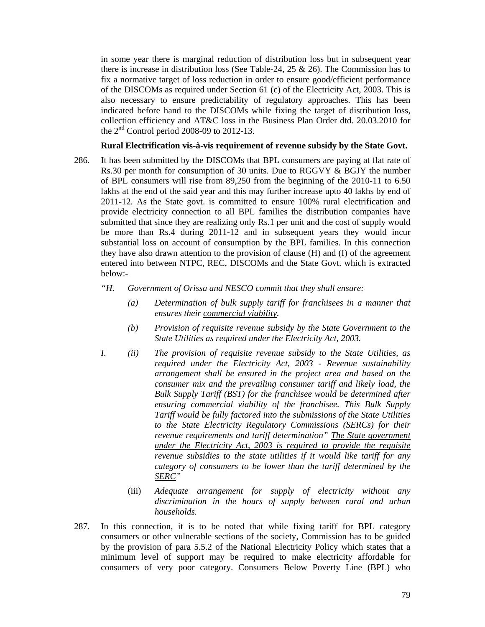in some year there is marginal reduction of distribution loss but in subsequent year there is increase in distribution loss (See Table-24, 25 & 26). The Commission has to fix a normative target of loss reduction in order to ensure good/efficient performance of the DISCOMs as required under Section 61 (c) of the Electricity Act, 2003. This is also necessary to ensure predictability of regulatory approaches. This has been indicated before hand to the DISCOMs while fixing the target of distribution loss, collection efficiency and AT&C loss in the Business Plan Order dtd. 20.03.2010 for the  $2<sup>nd</sup>$  Control period 2008-09 to 2012-13.

#### **Rural Electrification vis-à-vis requirement of revenue subsidy by the State Govt.**

- 286. It has been submitted by the DISCOMs that BPL consumers are paying at flat rate of Rs.30 per month for consumption of 30 units. Due to RGGVY & BGJY the number of BPL consumers will rise from 89,250 from the beginning of the 2010-11 to 6.50 lakhs at the end of the said year and this may further increase upto 40 lakhs by end of 2011-12. As the State govt. is committed to ensure 100% rural electrification and provide electricity connection to all BPL families the distribution companies have submitted that since they are realizing only Rs.1 per unit and the cost of supply would be more than Rs.4 during 2011-12 and in subsequent years they would incur substantial loss on account of consumption by the BPL families. In this connection they have also drawn attention to the provision of clause (H) and (I) of the agreement entered into between NTPC, REC, DISCOMs and the State Govt. which is extracted below:-
	- *"H. Government of Orissa and NESCO commit that they shall ensure:* 
		- *(a) Determination of bulk supply tariff for franchisees in a manner that ensures their commercial viability.*
		- *(b) Provision of requisite revenue subsidy by the State Government to the State Utilities as required under the Electricity Act, 2003.*
	- *I. (ii) The provision of requisite revenue subsidy to the State Utilities, as required under the Electricity Act, 2003 - Revenue sustainability arrangement shall be ensured in the project area and based on the consumer mix and the prevailing consumer tariff and likely load, the Bulk Supply Tariff (BST) for the franchisee would be determined after ensuring commercial viability of the franchisee. This Bulk Supply Tariff would be fully factored into the submissions of the State Utilities to the State Electricity Regulatory Commissions (SERCs) for their revenue requirements and tariff determination" The State government under the Electricity Act, 2003 is required to provide the requisite revenue subsidies to the state utilities if it would like tariff for any category of consumers to be lower than the tariff determined by the SERC"* 
		- (iii) *Adequate arrangement for supply of electricity without any discrimination in the hours of supply between rural and urban households.*
- 287. In this connection, it is to be noted that while fixing tariff for BPL category consumers or other vulnerable sections of the society, Commission has to be guided by the provision of para 5.5.2 of the National Electricity Policy which states that a minimum level of support may be required to make electricity affordable for consumers of very poor category. Consumers Below Poverty Line (BPL) who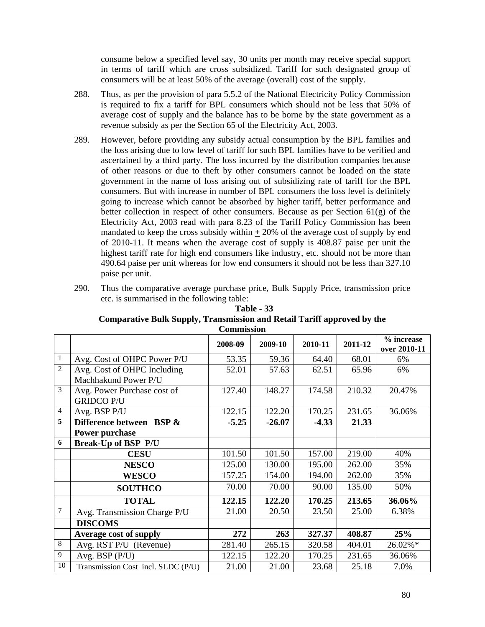consume below a specified level say, 30 units per month may receive special support in terms of tariff which are cross subsidized. Tariff for such designated group of consumers will be at least 50% of the average (overall) cost of the supply.

- 288. Thus, as per the provision of para 5.5.2 of the National Electricity Policy Commission is required to fix a tariff for BPL consumers which should not be less that 50% of average cost of supply and the balance has to be borne by the state government as a revenue subsidy as per the Section 65 of the Electricity Act, 2003.
- 289. However, before providing any subsidy actual consumption by the BPL families and the loss arising due to low level of tariff for such BPL families have to be verified and ascertained by a third party. The loss incurred by the distribution companies because of other reasons or due to theft by other consumers cannot be loaded on the state government in the name of loss arising out of subsidizing rate of tariff for the BPL consumers. But with increase in number of BPL consumers the loss level is definitely going to increase which cannot be absorbed by higher tariff, better performance and better collection in respect of other consumers. Because as per Section 61(g) of the Electricity Act, 2003 read with para 8.23 of the Tariff Policy Commission has been mandated to keep the cross subsidy within  $+20\%$  of the average cost of supply by end of 2010-11. It means when the average cost of supply is 408.87 paise per unit the highest tariff rate for high end consumers like industry, etc. should not be more than 490.64 paise per unit whereas for low end consumers it should not be less than 327.10 paise per unit.
- 290. Thus the comparative average purchase price, Bulk Supply Price, transmission price etc. is summarised in the following table:

|                |                                                     | Commission |          |         |         |                            |
|----------------|-----------------------------------------------------|------------|----------|---------|---------|----------------------------|
|                |                                                     | 2008-09    | 2009-10  | 2010-11 | 2011-12 | % increase<br>over 2010-11 |
| 1              | Avg. Cost of OHPC Power P/U                         | 53.35      | 59.36    | 64.40   | 68.01   | 6%                         |
| $\overline{2}$ | Avg. Cost of OHPC Including<br>Machhakund Power P/U | 52.01      | 57.63    | 62.51   | 65.96   | 6%                         |
| 3              | Avg. Power Purchase cost of<br><b>GRIDCO P/U</b>    | 127.40     | 148.27   | 174.58  | 210.32  | 20.47%                     |
| 4              | Avg. BSP P/U                                        | 122.15     | 122.20   | 170.25  | 231.65  | 36.06%                     |
| 5              | Difference between BSP &                            | $-5.25$    | $-26.07$ | $-4.33$ | 21.33   |                            |
|                | Power purchase                                      |            |          |         |         |                            |
| 6              | <b>Break-Up of BSP P/U</b>                          |            |          |         |         |                            |
|                | <b>CESU</b>                                         | 101.50     | 101.50   | 157.00  | 219.00  | 40%                        |
|                | <b>NESCO</b>                                        | 125.00     | 130.00   | 195.00  | 262.00  | 35%                        |
|                | <b>WESCO</b>                                        | 157.25     | 154.00   | 194.00  | 262.00  | 35%                        |
|                | <b>SOUTHCO</b>                                      | 70.00      | 70.00    | 90.00   | 135.00  | 50%                        |
|                | <b>TOTAL</b>                                        | 122.15     | 122.20   | 170.25  | 213.65  | 36.06%                     |
| 7              | Avg. Transmission Charge P/U                        | 21.00      | 20.50    | 23.50   | 25.00   | 6.38%                      |
|                | <b>DISCOMS</b>                                      |            |          |         |         |                            |
|                | <b>Average cost of supply</b>                       | 272        | 263      | 327.37  | 408.87  | 25%                        |
| 8              | Avg. RST P/U (Revenue)                              | 281.40     | 265.15   | 320.58  | 404.01  | 26.02%*                    |
| 9              | Avg. BSP (P/U)                                      | 122.15     | 122.20   | 170.25  | 231.65  | 36.06%                     |
| 10             | Transmission Cost incl. SLDC (P/U)                  | 21.00      | 21.00    | 23.68   | 25.18   | 7.0%                       |

#### **Table - 33 Comparative Bulk Supply, Transmission and Retail Tariff approved by the Commission**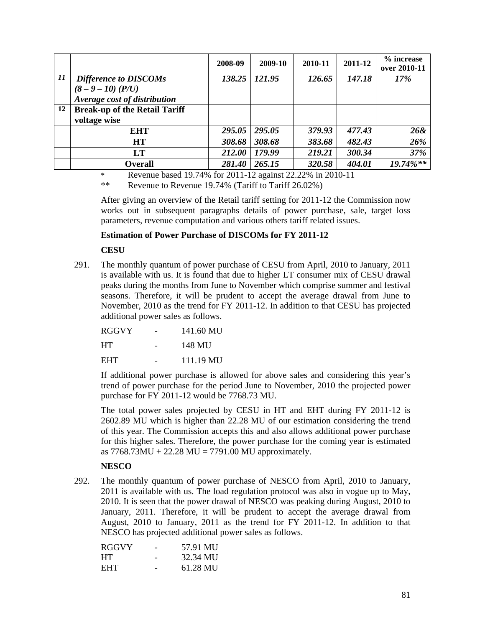|    |                                      | 2008-09 | 2009-10 | 2010-11 | 2011-12 | % increase<br>over 2010-11 |
|----|--------------------------------------|---------|---------|---------|---------|----------------------------|
| 11 | Difference to DISCOMs                | 138.25  | 121.95  | 126.65  | 147.18  | 17%                        |
|    | $(8 - 9 - 10)$ (P/U)                 |         |         |         |         |                            |
|    | Average cost of distribution         |         |         |         |         |                            |
| 12 | <b>Break-up of the Retail Tariff</b> |         |         |         |         |                            |
|    | voltage wise                         |         |         |         |         |                            |
|    | <b>EHT</b>                           | 295.05  | 295.05  | 379.93  | 477.43  | 26&                        |
|    | <b>HT</b>                            | 308.68  | 308.68  | 383.68  | 482.43  | 26%                        |
|    | LT                                   | 212.00  | 179.99  | 219.21  | 300.34  | 37%                        |
|    | <b>Overall</b>                       | 281.40  | 265.15  | 320.58  | 404.01  | $19.74\%**$                |

\* Revenue based 19.74% for 2011-12 against 22.22% in 2010-11

\*\* Revenue to Revenue 19.74% (Tariff to Tariff 26.02%)

After giving an overview of the Retail tariff setting for 2011-12 the Commission now works out in subsequent paragraphs details of power purchase, sale, target loss parameters, revenue computation and various others tariff related issues.

## **Estimation of Power Purchase of DISCOMs for FY 2011-12**

 **CESU** 

291. The monthly quantum of power purchase of CESU from April, 2010 to January, 2011 is available with us. It is found that due to higher LT consumer mix of CESU drawal peaks during the months from June to November which comprise summer and festival seasons. Therefore, it will be prudent to accept the average drawal from June to November, 2010 as the trend for FY 2011-12. In addition to that CESU has projected additional power sales as follows.

| <b>RGGVY</b> | 141.60 MU              |
|--------------|------------------------|
| HT.          | 148 MU                 |
| <b>EHT</b>   | $111.19 \,\mathrm{MU}$ |

If additional power purchase is allowed for above sales and considering this year's trend of power purchase for the period June to November, 2010 the projected power purchase for FY 2011-12 would be 7768.73 MU.

The total power sales projected by CESU in HT and EHT during FY 2011-12 is 2602.89 MU which is higher than 22.28 MU of our estimation considering the trend of this year. The Commission accepts this and also allows additional power purchase for this higher sales. Therefore, the power purchase for the coming year is estimated as  $7768.73MU + 22.28 MU = 7791.00 MU$  approximately.

# **NESCO**

292. The monthly quantum of power purchase of NESCO from April, 2010 to January, 2011 is available with us. The load regulation protocol was also in vogue up to May, 2010. It is seen that the power drawal of NESCO was peaking during August, 2010 to January, 2011. Therefore, it will be prudent to accept the average drawal from August, 2010 to January, 2011 as the trend for FY 2011-12. In addition to that NESCO has projected additional power sales as follows.

| <b>RGGVY</b> | 57.91 MU |
|--------------|----------|
| <b>HT</b>    | 32.34 MU |
| <b>EHT</b>   | 61.28 MU |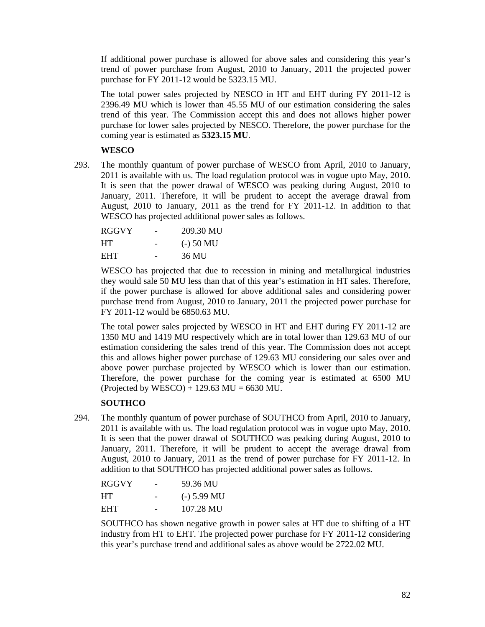If additional power purchase is allowed for above sales and considering this year's trend of power purchase from August, 2010 to January, 2011 the projected power purchase for FY 2011-12 would be 5323.15 MU.

The total power sales projected by NESCO in HT and EHT during FY 2011-12 is 2396.49 MU which is lower than 45.55 MU of our estimation considering the sales trend of this year. The Commission accept this and does not allows higher power purchase for lower sales projected by NESCO. Therefore, the power purchase for the coming year is estimated as **5323.15 MU**.

# **WESCO**

293. The monthly quantum of power purchase of WESCO from April, 2010 to January, 2011 is available with us. The load regulation protocol was in vogue upto May, 2010. It is seen that the power drawal of WESCO was peaking during August, 2010 to January, 2011. Therefore, it will be prudent to accept the average drawal from August, 2010 to January, 2011 as the trend for FY 2011-12. In addition to that WESCO has projected additional power sales as follows.

| <b>RGGVY</b> | 209.30 MU   |
|--------------|-------------|
| <b>HT</b>    | $(-)$ 50 MU |
| <b>EHT</b>   | 36 MU       |

WESCO has projected that due to recession in mining and metallurgical industries they would sale 50 MU less than that of this year's estimation in HT sales. Therefore, if the power purchase is allowed for above additional sales and considering power purchase trend from August, 2010 to January, 2011 the projected power purchase for FY 2011-12 would be 6850.63 MU.

The total power sales projected by WESCO in HT and EHT during FY 2011-12 are 1350 MU and 1419 MU respectively which are in total lower than 129.63 MU of our estimation considering the sales trend of this year. The Commission does not accept this and allows higher power purchase of 129.63 MU considering our sales over and above power purchase projected by WESCO which is lower than our estimation. Therefore, the power purchase for the coming year is estimated at 6500 MU (Projected by WESCO) + 129.63 MU = 6630 MU.

# **SOUTHCO**

294. The monthly quantum of power purchase of SOUTHCO from April, 2010 to January, 2011 is available with us. The load regulation protocol was in vogue upto May, 2010. It is seen that the power drawal of SOUTHCO was peaking during August, 2010 to January, 2011. Therefore, it will be prudent to accept the average drawal from August, 2010 to January, 2011 as the trend of power purchase for FY 2011-12. In addition to that SOUTHCO has projected additional power sales as follows.

| <b>RGGVY</b> | 59.36 MU      |
|--------------|---------------|
| <b>HT</b>    | $(-)$ 5.99 MU |
| EHT.         | 107.28 MU     |

SOUTHCO has shown negative growth in power sales at HT due to shifting of a HT industry from HT to EHT. The projected power purchase for FY 2011-12 considering this year's purchase trend and additional sales as above would be 2722.02 MU.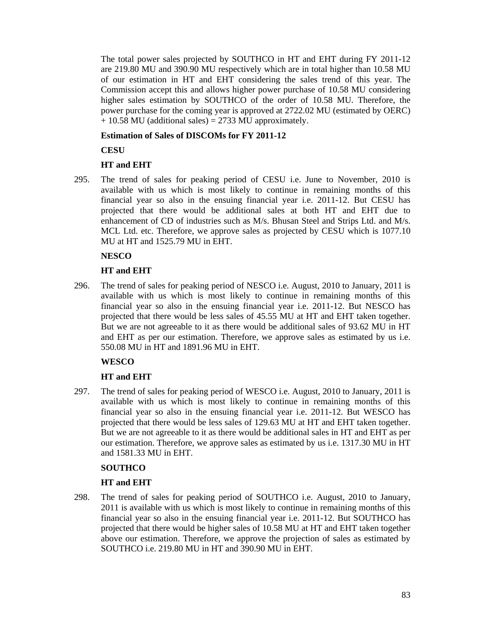The total power sales projected by SOUTHCO in HT and EHT during FY 2011-12 are 219.80 MU and 390.90 MU respectively which are in total higher than 10.58 MU of our estimation in HT and EHT considering the sales trend of this year. The Commission accept this and allows higher power purchase of 10.58 MU considering higher sales estimation by SOUTHCO of the order of 10.58 MU. Therefore, the power purchase for the coming year is approved at 2722.02 MU (estimated by OERC) + 10.58 MU (additional sales) = 2733 MU approximately.

# **Estimation of Sales of DISCOMs for FY 2011-12**

**CESU** 

# **HT and EHT**

295. The trend of sales for peaking period of CESU i.e. June to November, 2010 is available with us which is most likely to continue in remaining months of this financial year so also in the ensuing financial year i.e. 2011-12. But CESU has projected that there would be additional sales at both HT and EHT due to enhancement of CD of industries such as M/s. Bhusan Steel and Strips Ltd. and M/s. MCL Ltd. etc. Therefore, we approve sales as projected by CESU which is 1077.10 MU at HT and 1525.79 MU in EHT.

# **NESCO**

# **HT and EHT**

296. The trend of sales for peaking period of NESCO i.e. August, 2010 to January, 2011 is available with us which is most likely to continue in remaining months of this financial year so also in the ensuing financial year i.e. 2011-12. But NESCO has projected that there would be less sales of 45.55 MU at HT and EHT taken together. But we are not agreeable to it as there would be additional sales of 93.62 MU in HT and EHT as per our estimation. Therefore, we approve sales as estimated by us i.e. 550.08 MU in HT and 1891.96 MU in EHT.

# **WESCO**

# **HT and EHT**

297. The trend of sales for peaking period of WESCO i.e. August, 2010 to January, 2011 is available with us which is most likely to continue in remaining months of this financial year so also in the ensuing financial year i.e. 2011-12. But WESCO has projected that there would be less sales of 129.63 MU at HT and EHT taken together. But we are not agreeable to it as there would be additional sales in HT and EHT as per our estimation. Therefore, we approve sales as estimated by us i.e. 1317.30 MU in HT and 1581.33 MU in EHT.

## **SOUTHCO**

## **HT and EHT**

298. The trend of sales for peaking period of SOUTHCO i.e. August, 2010 to January, 2011 is available with us which is most likely to continue in remaining months of this financial year so also in the ensuing financial year i.e. 2011-12. But SOUTHCO has projected that there would be higher sales of 10.58 MU at HT and EHT taken together above our estimation. Therefore, we approve the projection of sales as estimated by SOUTHCO i.e. 219.80 MU in HT and 390.90 MU in EHT.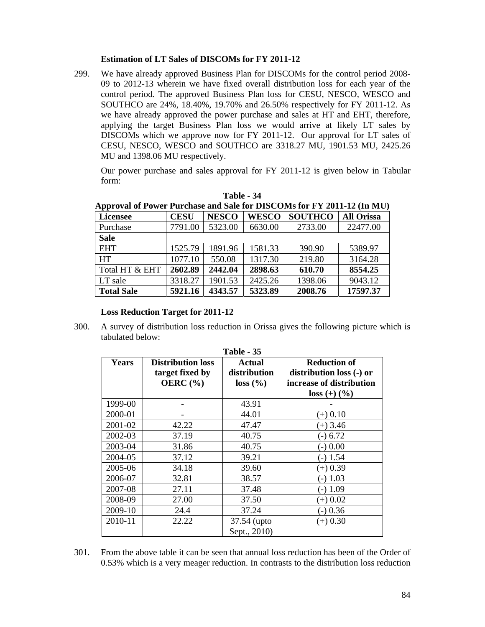## **Estimation of LT Sales of DISCOMs for FY 2011-12**

299. We have already approved Business Plan for DISCOMs for the control period 2008- 09 to 2012-13 wherein we have fixed overall distribution loss for each year of the control period. The approved Business Plan loss for CESU, NESCO, WESCO and SOUTHCO are 24%, 18.40%, 19.70% and 26.50% respectively for FY 2011-12. As we have already approved the power purchase and sales at HT and EHT, therefore, applying the target Business Plan loss we would arrive at likely LT sales by DISCOMs which we approve now for FY 2011-12. Our approval for LT sales of CESU, NESCO, WESCO and SOUTHCO are 3318.27 MU, 1901.53 MU, 2425.26 MU and 1398.06 MU respectively.

 Our power purchase and sales approval for FY 2011-12 is given below in Tabular form:

|                   | Approval of Power Purchase and Sale for DISCOMs for FY 2011-12 (In MU) |              |              |                |                   |  |  |  |
|-------------------|------------------------------------------------------------------------|--------------|--------------|----------------|-------------------|--|--|--|
| Licensee          | <b>CESU</b>                                                            | <b>NESCO</b> | <b>WESCO</b> | <b>SOUTHCO</b> | <b>All Orissa</b> |  |  |  |
| Purchase          | 7791.00                                                                | 5323.00      | 6630.00      | 2733.00        | 22477.00          |  |  |  |
| <b>Sale</b>       |                                                                        |              |              |                |                   |  |  |  |
| <b>EHT</b>        | 1525.79                                                                | 1891.96      | 1581.33      | 390.90         | 5389.97           |  |  |  |
| <b>HT</b>         | 1077.10                                                                | 550.08       | 1317.30      | 219.80         | 3164.28           |  |  |  |
| Total HT & EHT    | 2602.89                                                                | 2442.04      | 2898.63      | 610.70         | 8554.25           |  |  |  |
| LT sale           | 3318.27                                                                | 1901.53      | 2425.26      | 1398.06        | 9043.12           |  |  |  |
| <b>Total Sale</b> | 5921.16                                                                | 4343.57      | 5323.89      | 2008.76        | 17597.37          |  |  |  |

**Table - 34 Approval of Power Purchase and Sale for DISCOMs for FY 2011-12 (In MU)** 

#### **Loss Reduction Target for 2011-12**

300. A survey of distribution loss reduction in Orissa gives the following picture which is tabulated below:

| Table - 35 |                                                             |                                    |                                                                             |  |  |  |
|------------|-------------------------------------------------------------|------------------------------------|-----------------------------------------------------------------------------|--|--|--|
| Years      | <b>Distribution loss</b><br>target fixed by<br>OERC $(\% )$ | Actual<br>distribution<br>loss (%) | <b>Reduction of</b><br>distribution loss (-) or<br>increase of distribution |  |  |  |
|            |                                                             |                                    | $loss (+) (%)$                                                              |  |  |  |
| 1999-00    |                                                             | 43.91                              |                                                                             |  |  |  |
| 2000-01    |                                                             | 44.01                              | $(+) 0.10$                                                                  |  |  |  |
| 2001-02    | 42.22                                                       | 47.47                              | $(+)$ 3.46                                                                  |  |  |  |
| 2002-03    | 37.19                                                       | 40.75                              | $(-) 6.72$                                                                  |  |  |  |
| 2003-04    | 31.86                                                       | 40.75                              | $-) 0.00$                                                                   |  |  |  |
| 2004-05    | 37.12                                                       | 39.21                              | 1.54                                                                        |  |  |  |
| 2005-06    | 34.18                                                       | 39.60                              | $(+) 0.39$                                                                  |  |  |  |
| 2006-07    | 32.81                                                       | 38.57                              | $-$ ) 1.03                                                                  |  |  |  |
| 2007-08    | 27.11                                                       | 37.48                              | $-1.09$                                                                     |  |  |  |
| 2008-09    | 27.00                                                       | 37.50                              | $(+)$ 0.02                                                                  |  |  |  |
| 2009-10    | 24.4                                                        | 37.24                              | $-0.36$                                                                     |  |  |  |
| 2010-11    | 22.22                                                       | 37.54 (upto                        | $(+) 0.30$                                                                  |  |  |  |
|            |                                                             | Sept., 2010)                       |                                                                             |  |  |  |

301. From the above table it can be seen that annual loss reduction has been of the Order of 0.53% which is a very meager reduction. In contrasts to the distribution loss reduction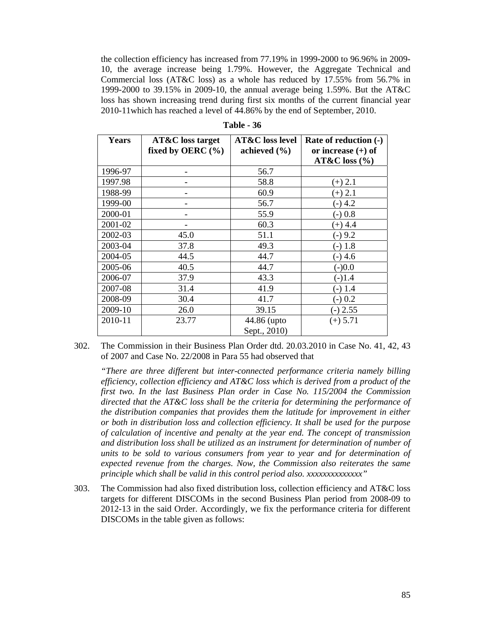the collection efficiency has increased from 77.19% in 1999-2000 to 96.96% in 2009- 10, the average increase being 1.79%. However, the Aggregate Technical and Commercial loss (AT&C loss) as a whole has reduced by 17.55% from 56.7% in 1999-2000 to 39.15% in 2009-10, the annual average being 1.59%. But the AT&C loss has shown increasing trend during first six months of the current financial year 2010-11which has reached a level of 44.86% by the end of September, 2010.

| Years   | <b>AT&amp;C</b> loss target | <b>AT&amp;C</b> loss level | Rate of reduction (-) |
|---------|-----------------------------|----------------------------|-----------------------|
|         | fixed by OERC $(\% )$       | achieved $(\% )$           | or increase $(+)$ of  |
|         |                             |                            | $AT&C$ loss $(\% )$   |
| 1996-97 |                             | 56.7                       |                       |
| 1997.98 |                             | 58.8                       | $(+)$ 2.1             |
| 1988-99 |                             | 60.9                       | $(+)$ 2.1             |
| 1999-00 |                             | 56.7                       | $(-)$ 4.2             |
| 2000-01 |                             | 55.9                       | $-)0.8$               |
| 2001-02 |                             | 60.3                       | $(+) 4.4$             |
| 2002-03 | 45.0                        | 51.1                       | $-)9.2$               |
| 2003-04 | 37.8                        | 49.3                       | $(-) 1.8$             |
| 2004-05 | 44.5                        | 44.7                       | $(-)$ 4.6             |
| 2005-06 | 40.5                        | 44.7                       | $(-)0.0$              |
| 2006-07 | 37.9                        | 43.3                       | $(-)1.4$              |
| 2007-08 | 31.4                        | 41.9                       | $(-)$ 1.4             |
| 2008-09 | 30.4                        | 41.7                       | $(-) 0.2$             |
| 2009-10 | 26.0                        | 39.15                      | $(-) 2.55$            |
| 2010-11 | 23.77                       | 44.86 (upto                | $(+) 5.71$            |
|         |                             | Sept., 2010)               |                       |

**Table - 36** 

302. The Commission in their Business Plan Order dtd. 20.03.2010 in Case No. 41, 42, 43 of 2007 and Case No. 22/2008 in Para 55 had observed that

*"There are three different but inter-connected performance criteria namely billing efficiency, collection efficiency and AT&C loss which is derived from a product of the first two. In the last Business Plan order in Case No. 115/2004 the Commission directed that the AT&C loss shall be the criteria for determining the performance of the distribution companies that provides them the latitude for improvement in either or both in distribution loss and collection efficiency. It shall be used for the purpose of calculation of incentive and penalty at the year end. The concept of transmission and distribution loss shall be utilized as an instrument for determination of number of units to be sold to various consumers from year to year and for determination of expected revenue from the charges. Now, the Commission also reiterates the same principle which shall be valid in this control period also. xxxxxxxxxxxxxx"* 

303. The Commission had also fixed distribution loss, collection efficiency and  $AT&C$  loss targets for different DISCOMs in the second Business Plan period from 2008-09 to 2012-13 in the said Order. Accordingly, we fix the performance criteria for different DISCOMs in the table given as follows: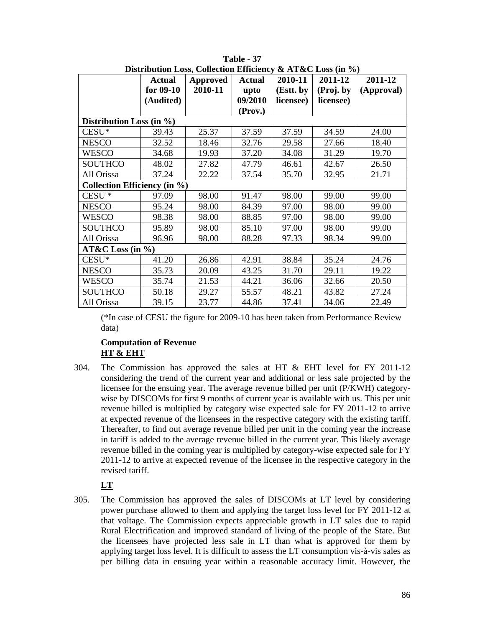|                                     | DISH IDUHUDII LOSS, COHECHOH EHICIEHCY & A I &C LOSS (III $\gamma_0$ ) |          |               |           |           |            |
|-------------------------------------|------------------------------------------------------------------------|----------|---------------|-----------|-----------|------------|
|                                     | <b>Actual</b>                                                          | Approved | <b>Actual</b> | 2010-11   | 2011-12   | 2011-12    |
|                                     | for $09-10$                                                            | 2010-11  | upto          | (Estt. by | (Proj. by | (Approval) |
|                                     | (Audited)                                                              |          | 09/2010       | licensee) | licensee) |            |
|                                     |                                                                        |          | (Prov.)       |           |           |            |
| Distribution Loss (in $\%$ )        |                                                                        |          |               |           |           |            |
| $CESU*$                             | 39.43                                                                  | 25.37    | 37.59         | 37.59     | 34.59     | 24.00      |
| <b>NESCO</b>                        | 32.52                                                                  | 18.46    | 32.76         | 29.58     | 27.66     | 18.40      |
| <b>WESCO</b>                        | 34.68                                                                  | 19.93    | 37.20         | 34.08     | 31.29     | 19.70      |
| <b>SOUTHCO</b>                      | 48.02                                                                  | 27.82    | 47.79         | 46.61     | 42.67     | 26.50      |
| All Orissa                          | 37.24                                                                  | 22.22    | 37.54         | 35.70     | 32.95     | 21.71      |
| <b>Collection Efficiency (in %)</b> |                                                                        |          |               |           |           |            |
| CESU <sup>*</sup>                   | 97.09                                                                  | 98.00    | 91.47         | 98.00     | 99.00     | 99.00      |
| <b>NESCO</b>                        | 95.24                                                                  | 98.00    | 84.39         | 97.00     | 98.00     | 99.00      |
| WESCO                               | 98.38                                                                  | 98.00    | 88.85         | 97.00     | 98.00     | 99.00      |
| <b>SOUTHCO</b>                      | 95.89                                                                  | 98.00    | 85.10         | 97.00     | 98.00     | 99.00      |
| All Orissa                          | 96.96                                                                  | 98.00    | 88.28         | 97.33     | 98.34     | 99.00      |
| $AT&C$ Loss (in %)                  |                                                                        |          |               |           |           |            |
| $CESU*$                             | 41.20                                                                  | 26.86    | 42.91         | 38.84     | 35.24     | 24.76      |
| <b>NESCO</b>                        | 35.73                                                                  | 20.09    | 43.25         | 31.70     | 29.11     | 19.22      |
| <b>WESCO</b>                        | 35.74                                                                  | 21.53    | 44.21         | 36.06     | 32.66     | 20.50      |
| <b>SOUTHCO</b>                      | 50.18                                                                  | 29.27    | 55.57         | 48.21     | 43.82     | 27.24      |
| All Orissa                          | 39.15                                                                  | 23.77    | 44.86         | 37.41     | 34.06     | 22.49      |

**Table - 37**  Distribution Loss, Collection Efficiency & AT&C Loss (in  $\mathcal{V}_A$ )

(\*In case of CESU the figure for 2009-10 has been taken from Performance Review data)

# **Computation of Revenue HT & EHT**

304. The Commission has approved the sales at HT & EHT level for FY 2011-12 considering the trend of the current year and additional or less sale projected by the licensee for the ensuing year. The average revenue billed per unit (P/KWH) categorywise by DISCOMs for first 9 months of current year is available with us. This per unit revenue billed is multiplied by category wise expected sale for FY 2011-12 to arrive at expected revenue of the licensees in the respective category with the existing tariff. Thereafter, to find out average revenue billed per unit in the coming year the increase in tariff is added to the average revenue billed in the current year. This likely average revenue billed in the coming year is multiplied by category-wise expected sale for FY 2011-12 to arrive at expected revenue of the licensee in the respective category in the revised tariff.

# **LT**

305. The Commission has approved the sales of DISCOMs at LT level by considering power purchase allowed to them and applying the target loss level for FY 2011-12 at that voltage. The Commission expects appreciable growth in LT sales due to rapid Rural Electrification and improved standard of living of the people of the State. But the licensees have projected less sale in LT than what is approved for them by applying target loss level. It is difficult to assess the LT consumption vis-à-vis sales as per billing data in ensuing year within a reasonable accuracy limit. However, the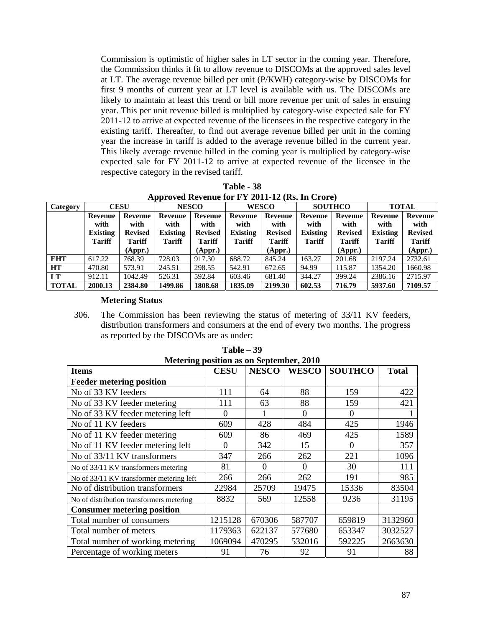Commission is optimistic of higher sales in LT sector in the coming year. Therefore, the Commission thinks it fit to allow revenue to DISCOMs at the approved sales level at LT. The average revenue billed per unit (P/KWH) category-wise by DISCOMs for first 9 months of current year at LT level is available with us. The DISCOMs are likely to maintain at least this trend or bill more revenue per unit of sales in ensuing year. This per unit revenue billed is multiplied by category-wise expected sale for FY 2011-12 to arrive at expected revenue of the licensees in the respective category in the existing tariff. Thereafter, to find out average revenue billed per unit in the coming year the increase in tariff is added to the average revenue billed in the current year. This likely average revenue billed in the coming year is multiplied by category-wise expected sale for FY 2011-12 to arrive at expected revenue of the licensee in the respective category in the revised tariff.

**Table - 38 Approved Revenue for FY 2011-12 (Rs. In Crore)** 

| Category     | <b>CESU</b>                      |                                 | <b>NESCO</b>              |                                 | <b>WESCO</b>                     |                                 | <b>SOUTHCO</b>                   |                                 | <b>TOTAL</b>                     |                                 |
|--------------|----------------------------------|---------------------------------|---------------------------|---------------------------------|----------------------------------|---------------------------------|----------------------------------|---------------------------------|----------------------------------|---------------------------------|
|              | Revenue<br>with                  | Revenue<br>with                 | Revenue<br>with           | Revenue<br>with                 | Revenue<br>with                  | Revenue<br>with                 | Revenue<br>with                  | Revenue<br>with                 | <b>Revenue</b><br>with           | <b>Revenue</b><br>with          |
|              | <b>Existing</b><br><b>Tariff</b> | <b>Revised</b><br><b>Tariff</b> | Existing<br><b>Tariff</b> | <b>Revised</b><br><b>Tariff</b> | <b>Existing</b><br><b>Tariff</b> | <b>Revised</b><br><b>Tariff</b> | <b>Existing</b><br><b>Tariff</b> | <b>Revised</b><br><b>Tariff</b> | <b>Existing</b><br><b>Tariff</b> | <b>Revised</b><br><b>Tariff</b> |
|              |                                  | (Appr.)                         |                           | (Appr.)                         |                                  | (Appr.)                         |                                  | (Appr.)                         |                                  | (Appr.)                         |
| <b>EHT</b>   | 617.22                           | 768.39                          | 728.03                    | 917.30                          | 688.72                           | 845.24                          | 163.27                           | 201.68                          | 2197.24                          | 2732.61                         |
| <b>HT</b>    | 470.80                           | 573.91                          | 245.51                    | 298.55                          | 542.91                           | 672.65                          | 94.99                            | 115.87                          | 1354.20                          | 1660.98                         |
| LT           | 912.11                           | 1042.49                         | 526.31                    | 592.84                          | 603.46                           | 681.40                          | 344.27                           | 399.24                          | 2386.16                          | 2715.97                         |
| <b>TOTAL</b> | 2000.13                          | 2384.80                         | 1499.86                   | 1808.68                         | 1835.09                          | 2199.30                         | 602.53                           | 716.79                          | 5937.60                          | 7109.57                         |

#### **Metering Status**

306. The Commission has been reviewing the status of metering of 33/11 KV feeders, distribution transformers and consumers at the end of every two months. The progress as reported by the DISCOMs are as under:

| incucring position as on beptember, 2010<br><b>Items</b> | <b>CESU</b> | <b>NESCO</b> | <b>WESCO</b> | <b>SOUTHCO</b> | <b>Total</b> |
|----------------------------------------------------------|-------------|--------------|--------------|----------------|--------------|
| <b>Feeder metering position</b>                          |             |              |              |                |              |
| No of 33 KV feeders                                      | 111         | 64           | 88           | 159            | 422          |
| No of 33 KV feeder metering                              | 111         | 63           | 88           | 159            | 421          |
| No of 33 KV feeder metering left                         | 0           |              | $\theta$     | $\Omega$       |              |
| No of 11 KV feeders                                      | 609         | 428          | 484          | 425            | 1946         |
| No of 11 KV feeder metering                              | 609         | 86           | 469          | 425            | 1589         |
| No of 11 KV feeder metering left                         | $\theta$    | 342          | 15           | $\theta$       | 357          |
| No of 33/11 KV transformers                              | 347         | 266          | 262          | 221            | 1096         |
| No of 33/11 KV transformers metering                     | 81          | $\theta$     | $\Omega$     | 30             | 111          |
| No of 33/11 KV transformer metering left                 | 266         | 266          | 262          | 191            | 985          |
| No of distribution transformers                          | 22984       | 25709        | 19475        | 15336          | 83504        |
| No of distribution transformers metering                 | 8832        | 569          | 12558        | 9236           | 31195        |
| <b>Consumer metering position</b>                        |             |              |              |                |              |
| Total number of consumers                                | 1215128     | 670306       | 587707       | 659819         | 3132960      |
| Total number of meters                                   | 1179363     | 622137       | 577680       | 653347         | 3032527      |
| Total number of working metering                         | 1069094     | 470295       | 532016       | 592225         | 2663630      |
| Percentage of working meters                             | 91          | 76           | 92           | 91             | 88           |

**Table – 39 Metering position as on September, 2010**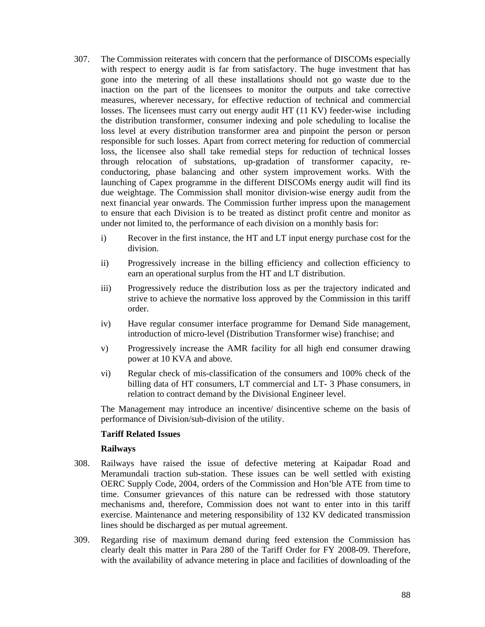- 307. The Commission reiterates with concern that the performance of DISCOMs especially with respect to energy audit is far from satisfactory. The huge investment that has gone into the metering of all these installations should not go waste due to the inaction on the part of the licensees to monitor the outputs and take corrective measures, wherever necessary, for effective reduction of technical and commercial losses. The licensees must carry out energy audit HT (11 KV) feeder-wise including the distribution transformer, consumer indexing and pole scheduling to localise the loss level at every distribution transformer area and pinpoint the person or person responsible for such losses. Apart from correct metering for reduction of commercial loss, the licensee also shall take remedial steps for reduction of technical losses through relocation of substations, up-gradation of transformer capacity, reconductoring, phase balancing and other system improvement works. With the launching of Capex programme in the different DISCOMs energy audit will find its due weightage. The Commission shall monitor division-wise energy audit from the next financial year onwards. The Commission further impress upon the management to ensure that each Division is to be treated as distinct profit centre and monitor as under not limited to, the performance of each division on a monthly basis for:
	- i) Recover in the first instance, the HT and LT input energy purchase cost for the division.
	- ii) Progressively increase in the billing efficiency and collection efficiency to earn an operational surplus from the HT and LT distribution.
	- iii) Progressively reduce the distribution loss as per the trajectory indicated and strive to achieve the normative loss approved by the Commission in this tariff order.
	- iv) Have regular consumer interface programme for Demand Side management, introduction of micro-level (Distribution Transformer wise) franchise; and
	- v) Progressively increase the AMR facility for all high end consumer drawing power at 10 KVA and above.
	- vi) Regular check of mis-classification of the consumers and 100% check of the billing data of HT consumers, LT commercial and LT- 3 Phase consumers, in relation to contract demand by the Divisional Engineer level.

The Management may introduce an incentive/ disincentive scheme on the basis of performance of Division/sub-division of the utility.

## **Tariff Related Issues**

#### **Railways**

- 308. Railways have raised the issue of defective metering at Kaipadar Road and Meramundali traction sub-station. These issues can be well settled with existing OERC Supply Code, 2004, orders of the Commission and Hon'ble ATE from time to time. Consumer grievances of this nature can be redressed with those statutory mechanisms and, therefore, Commission does not want to enter into in this tariff exercise. Maintenance and metering responsibility of 132 KV dedicated transmission lines should be discharged as per mutual agreement.
- 309. Regarding rise of maximum demand during feed extension the Commission has clearly dealt this matter in Para 280 of the Tariff Order for FY 2008-09. Therefore, with the availability of advance metering in place and facilities of downloading of the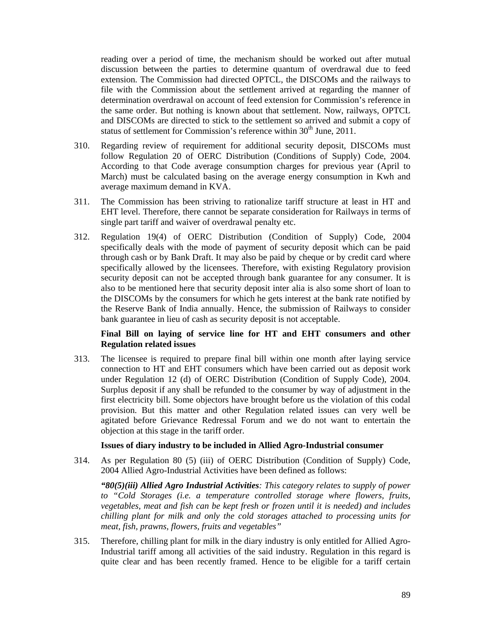reading over a period of time, the mechanism should be worked out after mutual discussion between the parties to determine quantum of overdrawal due to feed extension. The Commission had directed OPTCL, the DISCOMs and the railways to file with the Commission about the settlement arrived at regarding the manner of determination overdrawal on account of feed extension for Commission's reference in the same order. But nothing is known about that settlement. Now, railways, OPTCL and DISCOMs are directed to stick to the settlement so arrived and submit a copy of status of settlement for Commission's reference within 30<sup>th</sup> June, 2011.

- 310. Regarding review of requirement for additional security deposit, DISCOMs must follow Regulation 20 of OERC Distribution (Conditions of Supply) Code, 2004. According to that Code average consumption charges for previous year (April to March) must be calculated basing on the average energy consumption in Kwh and average maximum demand in KVA.
- 311. The Commission has been striving to rationalize tariff structure at least in HT and EHT level. Therefore, there cannot be separate consideration for Railways in terms of single part tariff and waiver of overdrawal penalty etc.
- 312. Regulation 19(4) of OERC Distribution (Condition of Supply) Code, 2004 specifically deals with the mode of payment of security deposit which can be paid through cash or by Bank Draft. It may also be paid by cheque or by credit card where specifically allowed by the licensees. Therefore, with existing Regulatory provision security deposit can not be accepted through bank guarantee for any consumer. It is also to be mentioned here that security deposit inter alia is also some short of loan to the DISCOMs by the consumers for which he gets interest at the bank rate notified by the Reserve Bank of India annually. Hence, the submission of Railways to consider bank guarantee in lieu of cash as security deposit is not acceptable.

## **Final Bill on laying of service line for HT and EHT consumers and other Regulation related issues**

313. The licensee is required to prepare final bill within one month after laying service connection to HT and EHT consumers which have been carried out as deposit work under Regulation 12 (d) of OERC Distribution (Condition of Supply Code), 2004. Surplus deposit if any shall be refunded to the consumer by way of adjustment in the first electricity bill. Some objectors have brought before us the violation of this codal provision. But this matter and other Regulation related issues can very well be agitated before Grievance Redressal Forum and we do not want to entertain the objection at this stage in the tariff order.

## **Issues of diary industry to be included in Allied Agro-Industrial consumer**

314. As per Regulation 80 (5) (iii) of OERC Distribution (Condition of Supply) Code, 2004 Allied Agro-Industrial Activities have been defined as follows:

*"80(5)(iii) Allied Agro Industrial Activities: This category relates to supply of power to "Cold Storages (i.e. a temperature controlled storage where flowers, fruits, vegetables, meat and fish can be kept fresh or frozen until it is needed) and includes chilling plant for milk and only the cold storages attached to processing units for meat, fish, prawns, flowers, fruits and vegetables"* 

315. Therefore, chilling plant for milk in the diary industry is only entitled for Allied Agro-Industrial tariff among all activities of the said industry. Regulation in this regard is quite clear and has been recently framed. Hence to be eligible for a tariff certain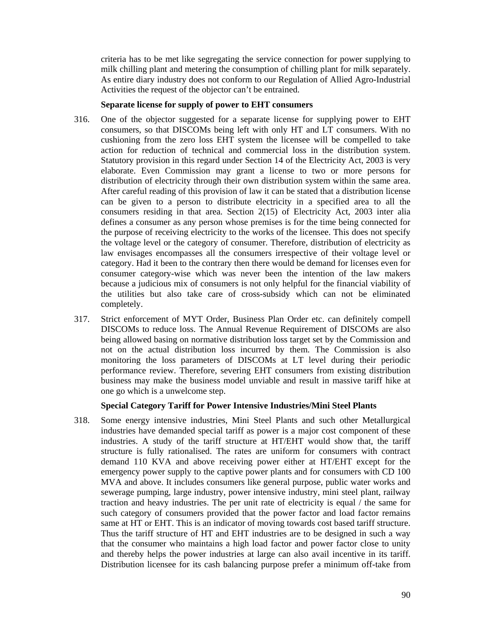criteria has to be met like segregating the service connection for power supplying to milk chilling plant and metering the consumption of chilling plant for milk separately. As entire diary industry does not conform to our Regulation of Allied Agro-Industrial Activities the request of the objector can't be entrained.

#### **Separate license for supply of power to EHT consumers**

- 316. One of the objector suggested for a separate license for supplying power to EHT consumers, so that DISCOMs being left with only HT and LT consumers. With no cushioning from the zero loss EHT system the licensee will be compelled to take action for reduction of technical and commercial loss in the distribution system. Statutory provision in this regard under Section 14 of the Electricity Act, 2003 is very elaborate. Even Commission may grant a license to two or more persons for distribution of electricity through their own distribution system within the same area. After careful reading of this provision of law it can be stated that a distribution license can be given to a person to distribute electricity in a specified area to all the consumers residing in that area. Section 2(15) of Electricity Act, 2003 inter alia defines a consumer as any person whose premises is for the time being connected for the purpose of receiving electricity to the works of the licensee. This does not specify the voltage level or the category of consumer. Therefore, distribution of electricity as law envisages encompasses all the consumers irrespective of their voltage level or category. Had it been to the contrary then there would be demand for licenses even for consumer category-wise which was never been the intention of the law makers because a judicious mix of consumers is not only helpful for the financial viability of the utilities but also take care of cross-subsidy which can not be eliminated completely.
- 317. Strict enforcement of MYT Order, Business Plan Order etc. can definitely compell DISCOMs to reduce loss. The Annual Revenue Requirement of DISCOMs are also being allowed basing on normative distribution loss target set by the Commission and not on the actual distribution loss incurred by them. The Commission is also monitoring the loss parameters of DISCOMs at LT level during their periodic performance review. Therefore, severing EHT consumers from existing distribution business may make the business model unviable and result in massive tariff hike at one go which is a unwelcome step.

## **Special Category Tariff for Power Intensive Industries/Mini Steel Plants**

318. Some energy intensive industries, Mini Steel Plants and such other Metallurgical industries have demanded special tariff as power is a major cost component of these industries. A study of the tariff structure at HT/EHT would show that, the tariff structure is fully rationalised. The rates are uniform for consumers with contract demand 110 KVA and above receiving power either at HT/EHT except for the emergency power supply to the captive power plants and for consumers with CD 100 MVA and above. It includes consumers like general purpose, public water works and sewerage pumping, large industry, power intensive industry, mini steel plant, railway traction and heavy industries. The per unit rate of electricity is equal / the same for such category of consumers provided that the power factor and load factor remains same at HT or EHT. This is an indicator of moving towards cost based tariff structure. Thus the tariff structure of HT and EHT industries are to be designed in such a way that the consumer who maintains a high load factor and power factor close to unity and thereby helps the power industries at large can also avail incentive in its tariff. Distribution licensee for its cash balancing purpose prefer a minimum off-take from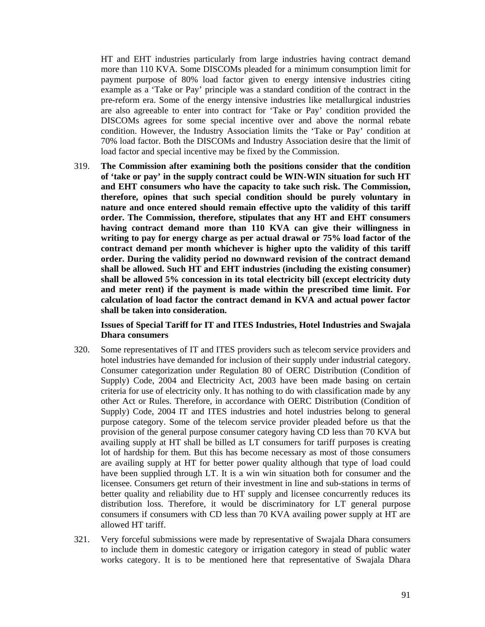HT and EHT industries particularly from large industries having contract demand more than 110 KVA. Some DISCOMs pleaded for a minimum consumption limit for payment purpose of 80% load factor given to energy intensive industries citing example as a 'Take or Pay' principle was a standard condition of the contract in the pre-reform era. Some of the energy intensive industries like metallurgical industries are also agreeable to enter into contract for 'Take or Pay' condition provided the DISCOMs agrees for some special incentive over and above the normal rebate condition. However, the Industry Association limits the 'Take or Pay' condition at 70% load factor. Both the DISCOMs and Industry Association desire that the limit of load factor and special incentive may be fixed by the Commission.

319. **The Commission after examining both the positions consider that the condition of 'take or pay' in the supply contract could be WIN-WIN situation for such HT and EHT consumers who have the capacity to take such risk. The Commission, therefore, opines that such special condition should be purely voluntary in nature and once entered should remain effective upto the validity of this tariff order. The Commission, therefore, stipulates that any HT and EHT consumers having contract demand more than 110 KVA can give their willingness in writing to pay for energy charge as per actual drawal or 75% load factor of the contract demand per month whichever is higher upto the validity of this tariff order. During the validity period no downward revision of the contract demand shall be allowed. Such HT and EHT industries (including the existing consumer) shall be allowed 5% concession in its total electricity bill (except electricity duty and meter rent) if the payment is made within the prescribed time limit. For calculation of load factor the contract demand in KVA and actual power factor shall be taken into consideration.** 

#### **Issues of Special Tariff for IT and ITES Industries, Hotel Industries and Swajala Dhara consumers**

- 320. Some representatives of IT and ITES providers such as telecom service providers and hotel industries have demanded for inclusion of their supply under industrial category. Consumer categorization under Regulation 80 of OERC Distribution (Condition of Supply) Code, 2004 and Electricity Act, 2003 have been made basing on certain criteria for use of electricity only. It has nothing to do with classification made by any other Act or Rules. Therefore, in accordance with OERC Distribution (Condition of Supply) Code, 2004 IT and ITES industries and hotel industries belong to general purpose category. Some of the telecom service provider pleaded before us that the provision of the general purpose consumer category having CD less than 70 KVA but availing supply at HT shall be billed as LT consumers for tariff purposes is creating lot of hardship for them. But this has become necessary as most of those consumers are availing supply at HT for better power quality although that type of load could have been supplied through LT. It is a win win situation both for consumer and the licensee. Consumers get return of their investment in line and sub-stations in terms of better quality and reliability due to HT supply and licensee concurrently reduces its distribution loss. Therefore, it would be discriminatory for LT general purpose consumers if consumers with CD less than 70 KVA availing power supply at HT are allowed HT tariff.
- 321. Very forceful submissions were made by representative of Swajala Dhara consumers to include them in domestic category or irrigation category in stead of public water works category. It is to be mentioned here that representative of Swajala Dhara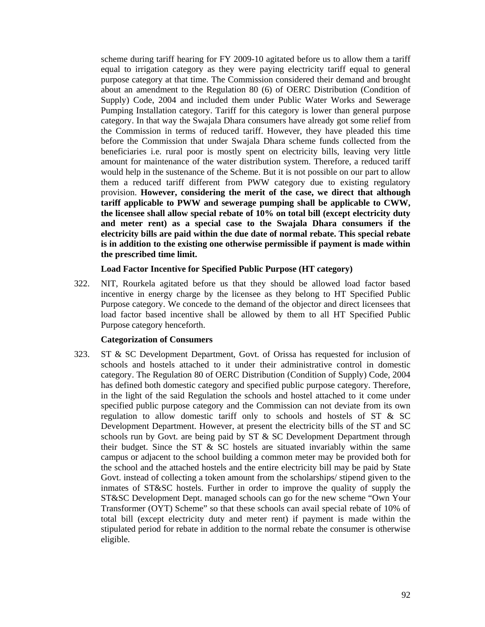scheme during tariff hearing for FY 2009-10 agitated before us to allow them a tariff equal to irrigation category as they were paying electricity tariff equal to general purpose category at that time. The Commission considered their demand and brought about an amendment to the Regulation 80 (6) of OERC Distribution (Condition of Supply) Code, 2004 and included them under Public Water Works and Sewerage Pumping Installation category. Tariff for this category is lower than general purpose category. In that way the Swajala Dhara consumers have already got some relief from the Commission in terms of reduced tariff. However, they have pleaded this time before the Commission that under Swajala Dhara scheme funds collected from the beneficiaries i.e. rural poor is mostly spent on electricity bills, leaving very little amount for maintenance of the water distribution system. Therefore, a reduced tariff would help in the sustenance of the Scheme. But it is not possible on our part to allow them a reduced tariff different from PWW category due to existing regulatory provision. **However, considering the merit of the case, we direct that although tariff applicable to PWW and sewerage pumping shall be applicable to CWW, the licensee shall allow special rebate of 10% on total bill (except electricity duty and meter rent) as a special case to the Swajala Dhara consumers if the electricity bills are paid within the due date of normal rebate. This special rebate is in addition to the existing one otherwise permissible if payment is made within the prescribed time limit.**

#### **Load Factor Incentive for Specified Public Purpose (HT category)**

322. NIT, Rourkela agitated before us that they should be allowed load factor based incentive in energy charge by the licensee as they belong to HT Specified Public Purpose category. We concede to the demand of the objector and direct licensees that load factor based incentive shall be allowed by them to all HT Specified Public Purpose category henceforth.

#### **Categorization of Consumers**

323. ST & SC Development Department, Govt. of Orissa has requested for inclusion of schools and hostels attached to it under their administrative control in domestic category. The Regulation 80 of OERC Distribution (Condition of Supply) Code, 2004 has defined both domestic category and specified public purpose category. Therefore, in the light of the said Regulation the schools and hostel attached to it come under specified public purpose category and the Commission can not deviate from its own regulation to allow domestic tariff only to schools and hostels of  $ST \& SC$ Development Department. However, at present the electricity bills of the ST and SC schools run by Govt. are being paid by ST & SC Development Department through their budget. Since the ST  $\&$  SC hostels are situated invariably within the same campus or adjacent to the school building a common meter may be provided both for the school and the attached hostels and the entire electricity bill may be paid by State Govt. instead of collecting a token amount from the scholarships/ stipend given to the inmates of ST&SC hostels. Further in order to improve the quality of supply the ST&SC Development Dept. managed schools can go for the new scheme "Own Your Transformer (OYT) Scheme" so that these schools can avail special rebate of 10% of total bill (except electricity duty and meter rent) if payment is made within the stipulated period for rebate in addition to the normal rebate the consumer is otherwise eligible.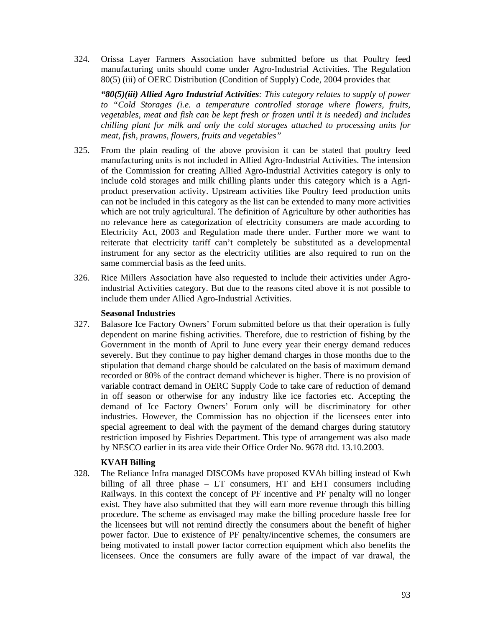324. Orissa Layer Farmers Association have submitted before us that Poultry feed manufacturing units should come under Agro-Industrial Activities. The Regulation 80(5) (iii) of OERC Distribution (Condition of Supply) Code, 2004 provides that

*"80(5)(iii) Allied Agro Industrial Activities: This category relates to supply of power to "Cold Storages (i.e. a temperature controlled storage where flowers, fruits, vegetables, meat and fish can be kept fresh or frozen until it is needed) and includes chilling plant for milk and only the cold storages attached to processing units for meat, fish, prawns, flowers, fruits and vegetables"* 

- 325. From the plain reading of the above provision it can be stated that poultry feed manufacturing units is not included in Allied Agro-Industrial Activities. The intension of the Commission for creating Allied Agro-Industrial Activities category is only to include cold storages and milk chilling plants under this category which is a Agriproduct preservation activity. Upstream activities like Poultry feed production units can not be included in this category as the list can be extended to many more activities which are not truly agricultural. The definition of Agriculture by other authorities has no relevance here as categorization of electricity consumers are made according to Electricity Act, 2003 and Regulation made there under. Further more we want to reiterate that electricity tariff can't completely be substituted as a developmental instrument for any sector as the electricity utilities are also required to run on the same commercial basis as the feed units.
- 326. Rice Millers Association have also requested to include their activities under Agroindustrial Activities category. But due to the reasons cited above it is not possible to include them under Allied Agro-Industrial Activities.

## **Seasonal Industries**

327. Balasore Ice Factory Owners' Forum submitted before us that their operation is fully dependent on marine fishing activities. Therefore, due to restriction of fishing by the Government in the month of April to June every year their energy demand reduces severely. But they continue to pay higher demand charges in those months due to the stipulation that demand charge should be calculated on the basis of maximum demand recorded or 80% of the contract demand whichever is higher. There is no provision of variable contract demand in OERC Supply Code to take care of reduction of demand in off season or otherwise for any industry like ice factories etc. Accepting the demand of Ice Factory Owners' Forum only will be discriminatory for other industries. However, the Commission has no objection if the licensees enter into special agreement to deal with the payment of the demand charges during statutory restriction imposed by Fishries Department. This type of arrangement was also made by NESCO earlier in its area vide their Office Order No. 9678 dtd. 13.10.2003.

## **KVAH Billing**

328. The Reliance Infra managed DISCOMs have proposed KVAh billing instead of Kwh billing of all three phase – LT consumers, HT and EHT consumers including Railways. In this context the concept of PF incentive and PF penalty will no longer exist. They have also submitted that they will earn more revenue through this billing procedure. The scheme as envisaged may make the billing procedure hassle free for the licensees but will not remind directly the consumers about the benefit of higher power factor. Due to existence of PF penalty/incentive schemes, the consumers are being motivated to install power factor correction equipment which also benefits the licensees. Once the consumers are fully aware of the impact of var drawal, the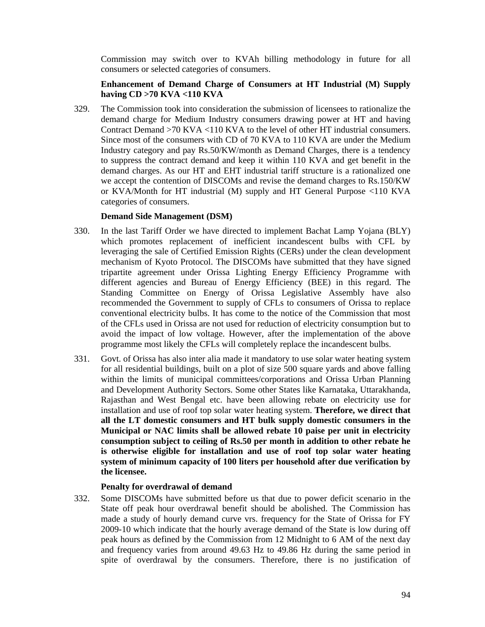Commission may switch over to KVAh billing methodology in future for all consumers or selected categories of consumers.

# **Enhancement of Demand Charge of Consumers at HT Industrial (M) Supply having CD >70 KVA <110 KVA**

329. The Commission took into consideration the submission of licensees to rationalize the demand charge for Medium Industry consumers drawing power at HT and having Contract Demand  $>70$  KVA  $<110$  KVA to the level of other HT industrial consumers. Since most of the consumers with CD of 70 KVA to 110 KVA are under the Medium Industry category and pay Rs.50/KW/month as Demand Charges, there is a tendency to suppress the contract demand and keep it within 110 KVA and get benefit in the demand charges. As our HT and EHT industrial tariff structure is a rationalized one we accept the contention of DISCOMs and revise the demand charges to Rs.150/KW or KVA/Month for HT industrial (M) supply and HT General Purpose <110 KVA categories of consumers.

#### **Demand Side Management (DSM)**

- 330. In the last Tariff Order we have directed to implement Bachat Lamp Yojana (BLY) which promotes replacement of inefficient incandescent bulbs with CFL by leveraging the sale of Certified Emission Rights (CERs) under the clean development mechanism of Kyoto Protocol. The DISCOMs have submitted that they have signed tripartite agreement under Orissa Lighting Energy Efficiency Programme with different agencies and Bureau of Energy Efficiency (BEE) in this regard. The Standing Committee on Energy of Orissa Legislative Assembly have also recommended the Government to supply of CFLs to consumers of Orissa to replace conventional electricity bulbs. It has come to the notice of the Commission that most of the CFLs used in Orissa are not used for reduction of electricity consumption but to avoid the impact of low voltage. However, after the implementation of the above programme most likely the CFLs will completely replace the incandescent bulbs.
- 331. Govt. of Orissa has also inter alia made it mandatory to use solar water heating system for all residential buildings, built on a plot of size 500 square yards and above falling within the limits of municipal committees/corporations and Orissa Urban Planning and Development Authority Sectors. Some other States like Karnataka, Uttarakhanda, Rajasthan and West Bengal etc. have been allowing rebate on electricity use for installation and use of roof top solar water heating system. **Therefore, we direct that all the LT domestic consumers and HT bulk supply domestic consumers in the Municipal or NAC limits shall be allowed rebate 10 paise per unit in electricity consumption subject to ceiling of Rs.50 per month in addition to other rebate he is otherwise eligible for installation and use of roof top solar water heating system of minimum capacity of 100 liters per household after due verification by the licensee.**

## **Penalty for overdrawal of demand**

332. Some DISCOMs have submitted before us that due to power deficit scenario in the State off peak hour overdrawal benefit should be abolished. The Commission has made a study of hourly demand curve vrs. frequency for the State of Orissa for FY 2009-10 which indicate that the hourly average demand of the State is low during off peak hours as defined by the Commission from 12 Midnight to 6 AM of the next day and frequency varies from around 49.63 Hz to 49.86 Hz during the same period in spite of overdrawal by the consumers. Therefore, there is no justification of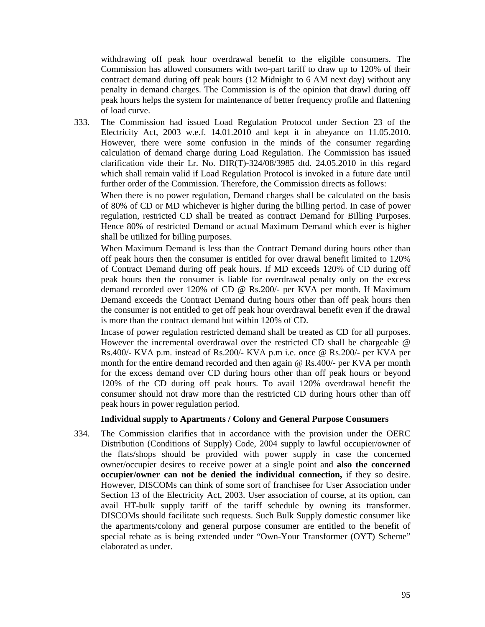withdrawing off peak hour overdrawal benefit to the eligible consumers. The Commission has allowed consumers with two-part tariff to draw up to 120% of their contract demand during off peak hours (12 Midnight to 6 AM next day) without any penalty in demand charges. The Commission is of the opinion that drawl during off peak hours helps the system for maintenance of better frequency profile and flattening of load curve.

333. The Commission had issued Load Regulation Protocol under Section 23 of the Electricity Act, 2003 w.e.f. 14.01.2010 and kept it in abeyance on 11.05.2010. However, there were some confusion in the minds of the consumer regarding calculation of demand charge during Load Regulation. The Commission has issued clarification vide their Lr. No. DIR(T)-324/08/3985 dtd. 24.05.2010 in this regard which shall remain valid if Load Regulation Protocol is invoked in a future date until further order of the Commission. Therefore, the Commission directs as follows:

When there is no power regulation, Demand charges shall be calculated on the basis of 80% of CD or MD whichever is higher during the billing period. In case of power regulation, restricted CD shall be treated as contract Demand for Billing Purposes. Hence 80% of restricted Demand or actual Maximum Demand which ever is higher shall be utilized for billing purposes.

When Maximum Demand is less than the Contract Demand during hours other than off peak hours then the consumer is entitled for over drawal benefit limited to 120% of Contract Demand during off peak hours. If MD exceeds 120% of CD during off peak hours then the consumer is liable for overdrawal penalty only on the excess demand recorded over 120% of CD @ Rs.200/- per KVA per month. If Maximum Demand exceeds the Contract Demand during hours other than off peak hours then the consumer is not entitled to get off peak hour overdrawal benefit even if the drawal is more than the contract demand but within 120% of CD.

Incase of power regulation restricted demand shall be treated as CD for all purposes. However the incremental overdrawal over the restricted CD shall be chargeable @ Rs.400/- KVA p.m. instead of Rs.200/- KVA p.m i.e. once @ Rs.200/- per KVA per month for the entire demand recorded and then again @ Rs.400/- per KVA per month for the excess demand over CD during hours other than off peak hours or beyond 120% of the CD during off peak hours. To avail 120% overdrawal benefit the consumer should not draw more than the restricted CD during hours other than off peak hours in power regulation period.

#### **Individual supply to Apartments / Colony and General Purpose Consumers**

334. The Commission clarifies that in accordance with the provision under the OERC Distribution (Conditions of Supply) Code, 2004 supply to lawful occupier/owner of the flats/shops should be provided with power supply in case the concerned owner/occupier desires to receive power at a single point and **also the concerned occupier/owner can not be denied the individual connection,** if they so desire. However, DISCOMs can think of some sort of franchisee for User Association under Section 13 of the Electricity Act, 2003. User association of course, at its option, can avail HT-bulk supply tariff of the tariff schedule by owning its transformer. DISCOMs should facilitate such requests. Such Bulk Supply domestic consumer like the apartments/colony and general purpose consumer are entitled to the benefit of special rebate as is being extended under "Own-Your Transformer (OYT) Scheme" elaborated as under.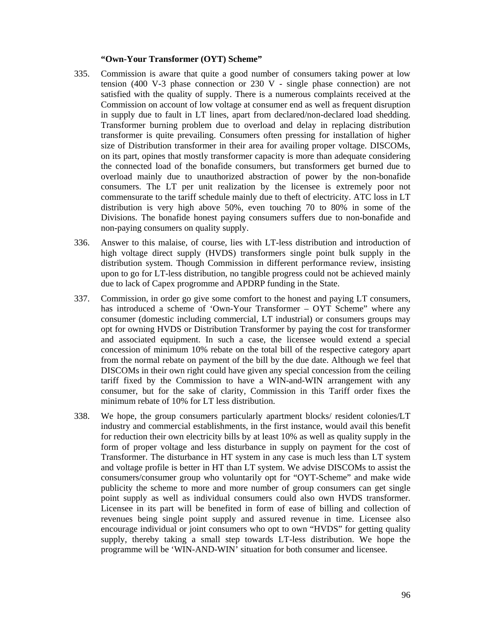#### **"Own-Your Transformer (OYT) Scheme"**

- 335. Commission is aware that quite a good number of consumers taking power at low tension (400 V-3 phase connection or 230 V - single phase connection) are not satisfied with the quality of supply. There is a numerous complaints received at the Commission on account of low voltage at consumer end as well as frequent disruption in supply due to fault in LT lines, apart from declared/non-declared load shedding. Transformer burning problem due to overload and delay in replacing distribution transformer is quite prevailing. Consumers often pressing for installation of higher size of Distribution transformer in their area for availing proper voltage. DISCOMs, on its part, opines that mostly transformer capacity is more than adequate considering the connected load of the bonafide consumers, but transformers get burned due to overload mainly due to unauthorized abstraction of power by the non-bonafide consumers. The LT per unit realization by the licensee is extremely poor not commensurate to the tariff schedule mainly due to theft of electricity. ATC loss in LT distribution is very high above 50%, even touching 70 to 80% in some of the Divisions. The bonafide honest paying consumers suffers due to non-bonafide and non-paying consumers on quality supply.
- 336. Answer to this malaise, of course, lies with LT-less distribution and introduction of high voltage direct supply (HVDS) transformers single point bulk supply in the distribution system. Though Commission in different performance review, insisting upon to go for LT-less distribution, no tangible progress could not be achieved mainly due to lack of Capex progromme and APDRP funding in the State.
- 337. Commission, in order go give some comfort to the honest and paying LT consumers, has introduced a scheme of 'Own-Your Transformer – OYT Scheme" where any consumer (domestic including commercial, LT industrial) or consumers groups may opt for owning HVDS or Distribution Transformer by paying the cost for transformer and associated equipment. In such a case, the licensee would extend a special concession of minimum 10% rebate on the total bill of the respective category apart from the normal rebate on payment of the bill by the due date. Although we feel that DISCOMs in their own right could have given any special concession from the ceiling tariff fixed by the Commission to have a WIN-and-WIN arrangement with any consumer, but for the sake of clarity, Commission in this Tariff order fixes the minimum rebate of 10% for LT less distribution.
- 338. We hope, the group consumers particularly apartment blocks/ resident colonies/LT industry and commercial establishments, in the first instance, would avail this benefit for reduction their own electricity bills by at least 10% as well as quality supply in the form of proper voltage and less disturbance in supply on payment for the cost of Transformer. The disturbance in HT system in any case is much less than LT system and voltage profile is better in HT than LT system. We advise DISCOMs to assist the consumers/consumer group who voluntarily opt for "OYT-Scheme" and make wide publicity the scheme to more and more number of group consumers can get single point supply as well as individual consumers could also own HVDS transformer. Licensee in its part will be benefited in form of ease of billing and collection of revenues being single point supply and assured revenue in time. Licensee also encourage individual or joint consumers who opt to own "HVDS" for getting quality supply, thereby taking a small step towards LT-less distribution. We hope the programme will be 'WIN-AND-WIN' situation for both consumer and licensee.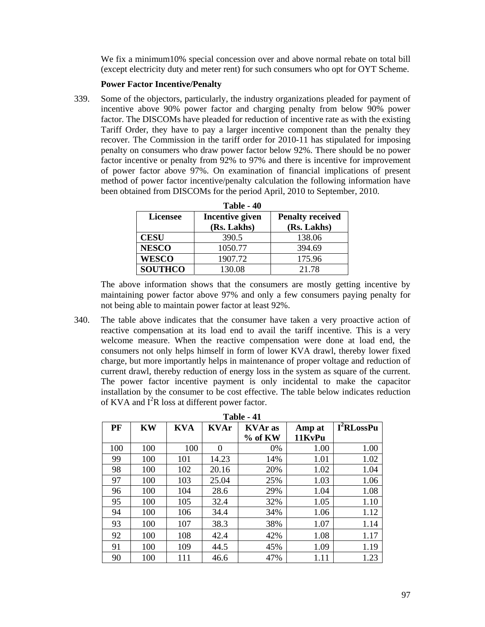We fix a minimum10% special concession over and above normal rebate on total bill (except electricity duty and meter rent) for such consumers who opt for OYT Scheme.

#### **Power Factor Incentive/Penalty**

339. Some of the objectors, particularly, the industry organizations pleaded for payment of incentive above 90% power factor and charging penalty from below 90% power factor. The DISCOMs have pleaded for reduction of incentive rate as with the existing Tariff Order, they have to pay a larger incentive component than the penalty they recover. The Commission in the tariff order for 2010-11 has stipulated for imposing penalty on consumers who draw power factor below 92%. There should be no power factor incentive or penalty from 92% to 97% and there is incentive for improvement of power factor above 97%. On examination of financial implications of present method of power factor incentive/penalty calculation the following information have been obtained from DISCOMs for the period April, 2010 to September, 2010.

| Table - 40      |                        |                         |  |  |  |
|-----------------|------------------------|-------------------------|--|--|--|
| <b>Licensee</b> | <b>Incentive given</b> | <b>Penalty received</b> |  |  |  |
|                 | (Rs. Lakhs)            | (Rs. Lakhs)             |  |  |  |
| <b>CESU</b>     | 390.5                  | 138.06                  |  |  |  |
| <b>NESCO</b>    | 1050.77                | 394.69                  |  |  |  |
| <b>WESCO</b>    | 1907.72                | 175.96                  |  |  |  |
| <b>SOUTHCO</b>  | 130.08                 | 21.78                   |  |  |  |

| <b>Table</b> |  | 40 |
|--------------|--|----|
|--------------|--|----|

The above information shows that the consumers are mostly getting incentive by maintaining power factor above 97% and only a few consumers paying penalty for not being able to maintain power factor at least 92%.

340. The table above indicates that the consumer have taken a very proactive action of reactive compensation at its load end to avail the tariff incentive. This is a very welcome measure. When the reactive compensation were done at load end, the consumers not only helps himself in form of lower KVA drawl, thereby lower fixed charge, but more importantly helps in maintenance of proper voltage and reduction of current drawl, thereby reduction of energy loss in the system as square of the current. The power factor incentive payment is only incidental to make the capacitor installation by the consumer to be cost effective. The table below indicates reduction of KVA and  $\mathbf{I}^2$ R loss at different power factor.

| Table - 41 |           |            |             |                |        |                        |
|------------|-----------|------------|-------------|----------------|--------|------------------------|
| PF         | <b>KW</b> | <b>KVA</b> | <b>KVAr</b> | <b>KVAr</b> as | Amp at | I <sup>2</sup> RLossPu |
|            |           |            |             | % of KW        | 11KvPu |                        |
| 100        | 100       | 100        | 0           | 0%             | 1.00   | 1.00                   |
| 99         | 100       | 101        | 14.23       | 14%            | 1.01   | 1.02                   |
| 98         | 100       | 102        | 20.16       | 20%            | 1.02   | 1.04                   |
| 97         | 100       | 103        | 25.04       | 25%            | 1.03   | 1.06                   |
| 96         | 100       | 104        | 28.6        | 29%            | 1.04   | 1.08                   |
| 95         | 100       | 105        | 32.4        | 32%            | 1.05   | 1.10                   |
| 94         | 100       | 106        | 34.4        | 34%            | 1.06   | 1.12                   |
| 93         | 100       | 107        | 38.3        | 38%            | 1.07   | 1.14                   |
| 92         | 100       | 108        | 42.4        | 42%            | 1.08   | 1.17                   |
| 91         | 100       | 109        | 44.5        | 45%            | 1.09   | 1.19                   |
| 90         | 100       | 111        | 46.6        | 47%            | 1.11   | 1.23                   |

**Table 11**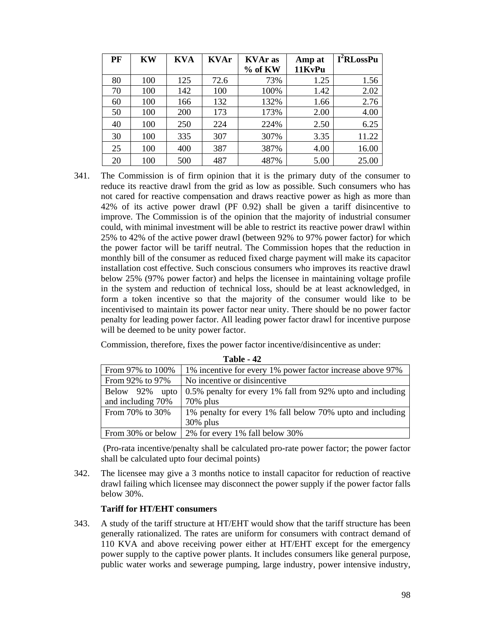| PF | <b>KW</b> | <b>KVA</b> | <b>KVAr</b> | <b>KVAr</b> as | Amp at | I <sup>2</sup> RLossPu |
|----|-----------|------------|-------------|----------------|--------|------------------------|
|    |           |            |             | $%$ of KW      | 11KvPu |                        |
| 80 | 100       | 125        | 72.6        | 73%            | 1.25   | 1.56                   |
| 70 | 100       | 142        | 100         | 100%           | 1.42   | 2.02                   |
| 60 | 100       | 166        | 132         | 132%           | 1.66   | 2.76                   |
| 50 | 100       | 200        | 173         | 173%           | 2.00   | 4.00                   |
| 40 | 100       | 250        | 224         | 224%           | 2.50   | 6.25                   |
| 30 | 100       | 335        | 307         | 307%           | 3.35   | 11.22                  |
| 25 | 100       | 400        | 387         | 387%           | 4.00   | 16.00                  |
| 20 | 100       | 500        | 487         | 487%           | 5.00   | 25.00                  |

341. The Commission is of firm opinion that it is the primary duty of the consumer to reduce its reactive drawl from the grid as low as possible. Such consumers who has not cared for reactive compensation and draws reactive power as high as more than 42% of its active power drawl (PF 0.92) shall be given a tariff disincentive to improve. The Commission is of the opinion that the majority of industrial consumer could, with minimal investment will be able to restrict its reactive power drawl within 25% to 42% of the active power drawl (between 92% to 97% power factor) for which the power factor will be tariff neutral. The Commission hopes that the reduction in monthly bill of the consumer as reduced fixed charge payment will make its capacitor installation cost effective. Such conscious consumers who improves its reactive drawl below 25% (97% power factor) and helps the licensee in maintaining voltage profile in the system and reduction of technical loss, should be at least acknowledged, in form a token incentive so that the majority of the consumer would like to be incentivised to maintain its power factor near unity. There should be no power factor penalty for leading power factor. All leading power factor drawl for incentive purpose will be deemed to be unity power factor.

Commission, therefore, fixes the power factor incentive/disincentive as under:

|                   | 1 AVIC - 44                                                |
|-------------------|------------------------------------------------------------|
| From 97% to 100%  | 1% incentive for every 1% power factor increase above 97%  |
| From 92% to 97%   | No incentive or disincentive                               |
| Below 92% upto    | 0.5% penalty for every 1% fall from 92% upto and including |
| and including 70% | $70\%$ plus                                                |
| From 70% to 30%   | 1% penalty for every 1% fall below 70% upto and including  |
|                   | $30\%$ plus                                                |
| From 30% or below | 2% for every 1% fall below 30%                             |

**Table 42** 

 (Pro-rata incentive/penalty shall be calculated pro-rate power factor; the power factor shall be calculated upto four decimal points)

342. The licensee may give a 3 months notice to install capacitor for reduction of reactive drawl failing which licensee may disconnect the power supply if the power factor falls below 30%.

## **Tariff for HT/EHT consumers**

343. A study of the tariff structure at HT/EHT would show that the tariff structure has been generally rationalized. The rates are uniform for consumers with contract demand of 110 KVA and above receiving power either at HT/EHT except for the emergency power supply to the captive power plants. It includes consumers like general purpose, public water works and sewerage pumping, large industry, power intensive industry,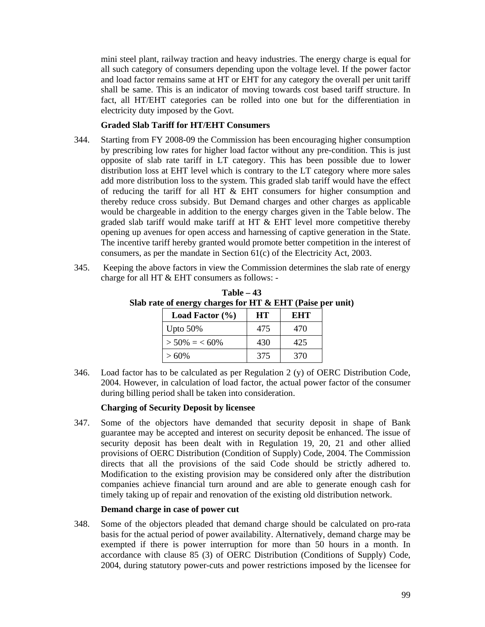mini steel plant, railway traction and heavy industries. The energy charge is equal for all such category of consumers depending upon the voltage level. If the power factor and load factor remains same at HT or EHT for any category the overall per unit tariff shall be same. This is an indicator of moving towards cost based tariff structure. In fact, all HT/EHT categories can be rolled into one but for the differentiation in electricity duty imposed by the Govt.

#### **Graded Slab Tariff for HT/EHT Consumers**

- 344. Starting from FY 2008-09 the Commission has been encouraging higher consumption by prescribing low rates for higher load factor without any pre-condition. This is just opposite of slab rate tariff in LT category. This has been possible due to lower distribution loss at EHT level which is contrary to the LT category where more sales add more distribution loss to the system. This graded slab tariff would have the effect of reducing the tariff for all HT & EHT consumers for higher consumption and thereby reduce cross subsidy. But Demand charges and other charges as applicable would be chargeable in addition to the energy charges given in the Table below. The graded slab tariff would make tariff at HT & EHT level more competitive thereby opening up avenues for open access and harnessing of captive generation in the State. The incentive tariff hereby granted would promote better competition in the interest of consumers, as per the mandate in Section 61(c) of the Electricity Act, 2003.
- 345. Keeping the above factors in view the Commission determines the slab rate of energy charge for all HT & EHT consumers as follows: -

| rate of energy charges for HT & EHT (Paise p |     |            |  |  |
|----------------------------------------------|-----|------------|--|--|
| Load Factor $(\% )$                          | HT  | <b>EHT</b> |  |  |
| Upto $50\%$                                  | 475 | 470        |  |  |
| $>$ 50% = < 60%                              | 430 | 425        |  |  |
| $>60\%$                                      | 375 | 370        |  |  |

**Table – 43 Slab rate of energy charges for HT & EHT (Paise per unit)** 

346. Load factor has to be calculated as per Regulation  $2(y)$  of OERC Distribution Code, 2004. However, in calculation of load factor, the actual power factor of the consumer during billing period shall be taken into consideration.

#### **Charging of Security Deposit by licensee**

347. Some of the objectors have demanded that security deposit in shape of Bank guarantee may be accepted and interest on security deposit be enhanced. The issue of security deposit has been dealt with in Regulation 19, 20, 21 and other allied provisions of OERC Distribution (Condition of Supply) Code, 2004. The Commission directs that all the provisions of the said Code should be strictly adhered to. Modification to the existing provision may be considered only after the distribution companies achieve financial turn around and are able to generate enough cash for timely taking up of repair and renovation of the existing old distribution network.

#### **Demand charge in case of power cut**

348. Some of the objectors pleaded that demand charge should be calculated on pro-rata basis for the actual period of power availability. Alternatively, demand charge may be exempted if there is power interruption for more than 50 hours in a month. In accordance with clause 85 (3) of OERC Distribution (Conditions of Supply) Code, 2004, during statutory power-cuts and power restrictions imposed by the licensee for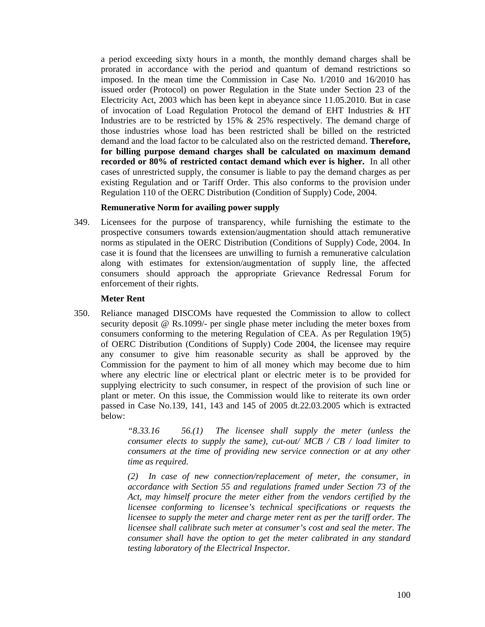a period exceeding sixty hours in a month, the monthly demand charges shall be prorated in accordance with the period and quantum of demand restrictions so imposed. In the mean time the Commission in Case No. 1/2010 and 16/2010 has issued order (Protocol) on power Regulation in the State under Section 23 of the Electricity Act, 2003 which has been kept in abeyance since 11.05.2010. But in case of invocation of Load Regulation Protocol the demand of EHT Industries & HT Industries are to be restricted by 15% & 25% respectively. The demand charge of those industries whose load has been restricted shall be billed on the restricted demand and the load factor to be calculated also on the restricted demand. **Therefore, for billing purpose demand charges shall be calculated on maximum demand recorded or 80% of restricted contact demand which ever is higher.** In all other cases of unrestricted supply, the consumer is liable to pay the demand charges as per existing Regulation and or Tariff Order. This also conforms to the provision under Regulation 110 of the OERC Distribution (Condition of Supply) Code, 2004.

#### **Remunerative Norm for availing power supply**

349. Licensees for the purpose of transparency, while furnishing the estimate to the prospective consumers towards extension/augmentation should attach remunerative norms as stipulated in the OERC Distribution (Conditions of Supply) Code, 2004. In case it is found that the licensees are unwilling to furnish a remunerative calculation along with estimates for extension/augmentation of supply line, the affected consumers should approach the appropriate Grievance Redressal Forum for enforcement of their rights.

#### **Meter Rent**

350. Reliance managed DISCOMs have requested the Commission to allow to collect security deposit @ Rs.1099/- per single phase meter including the meter boxes from consumers conforming to the metering Regulation of CEA. As per Regulation 19(5) of OERC Distribution (Conditions of Supply) Code 2004, the licensee may require any consumer to give him reasonable security as shall be approved by the Commission for the payment to him of all money which may become due to him where any electric line or electrical plant or electric meter is to be provided for supplying electricity to such consumer, in respect of the provision of such line or plant or meter. On this issue, the Commission would like to reiterate its own order passed in Case No.139, 141, 143 and 145 of 2005 dt.22.03.2005 which is extracted below:

> *"8.33.16 56.(1) The licensee shall supply the meter (unless the consumer elects to supply the same), cut-out/ MCB / CB / load limiter to consumers at the time of providing new service connection or at any other time as required.*

> *(2) In case of new connection/replacement of meter, the consumer, in accordance with Section 55 and regulations framed under Section 73 of the Act, may himself procure the meter either from the vendors certified by the licensee conforming to licensee's technical specifications or requests the licensee to supply the meter and charge meter rent as per the tariff order. The licensee shall calibrate such meter at consumer's cost and seal the meter. The consumer shall have the option to get the meter calibrated in any standard testing laboratory of the Electrical Inspector.*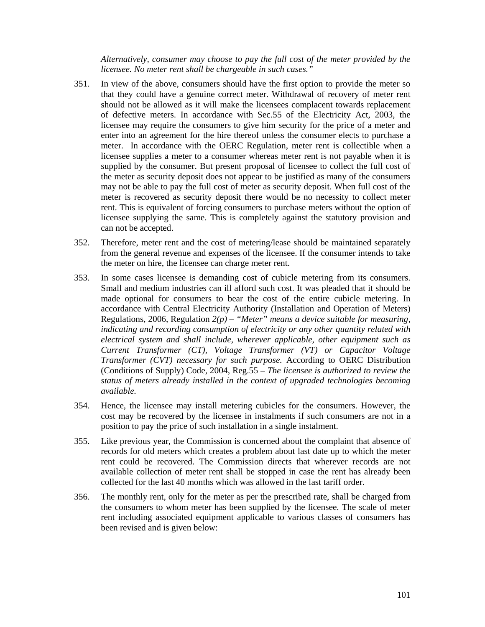*Alternatively, consumer may choose to pay the full cost of the meter provided by the licensee. No meter rent shall be chargeable in such cases."* 

- 351. In view of the above, consumers should have the first option to provide the meter so that they could have a genuine correct meter. Withdrawal of recovery of meter rent should not be allowed as it will make the licensees complacent towards replacement of defective meters. In accordance with Sec.55 of the Electricity Act, 2003, the licensee may require the consumers to give him security for the price of a meter and enter into an agreement for the hire thereof unless the consumer elects to purchase a meter. In accordance with the OERC Regulation, meter rent is collectible when a licensee supplies a meter to a consumer whereas meter rent is not payable when it is supplied by the consumer. But present proposal of licensee to collect the full cost of the meter as security deposit does not appear to be justified as many of the consumers may not be able to pay the full cost of meter as security deposit. When full cost of the meter is recovered as security deposit there would be no necessity to collect meter rent. This is equivalent of forcing consumers to purchase meters without the option of licensee supplying the same. This is completely against the statutory provision and can not be accepted.
- 352. Therefore, meter rent and the cost of metering/lease should be maintained separately from the general revenue and expenses of the licensee. If the consumer intends to take the meter on hire, the licensee can charge meter rent.
- 353. In some cases licensee is demanding cost of cubicle metering from its consumers. Small and medium industries can ill afford such cost. It was pleaded that it should be made optional for consumers to bear the cost of the entire cubicle metering. In accordance with Central Electricity Authority (Installation and Operation of Meters) Regulations, 2006, Regulation *2(p) – "Meter" means a device suitable for measuring, indicating and recording consumption of electricity or any other quantity related with electrical system and shall include, wherever applicable, other equipment such as Current Transformer (CT), Voltage Transformer (VT) or Capacitor Voltage Transformer (CVT) necessary for such purpose.* According to OERC Distribution (Conditions of Supply) Code, 2004, Reg.55 – *The licensee is authorized to review the status of meters already installed in the context of upgraded technologies becoming available.*
- 354. Hence, the licensee may install metering cubicles for the consumers. However, the cost may be recovered by the licensee in instalments if such consumers are not in a position to pay the price of such installation in a single instalment.
- 355. Like previous year, the Commission is concerned about the complaint that absence of records for old meters which creates a problem about last date up to which the meter rent could be recovered. The Commission directs that wherever records are not available collection of meter rent shall be stopped in case the rent has already been collected for the last 40 months which was allowed in the last tariff order.
- 356. The monthly rent, only for the meter as per the prescribed rate, shall be charged from the consumers to whom meter has been supplied by the licensee. The scale of meter rent including associated equipment applicable to various classes of consumers has been revised and is given below: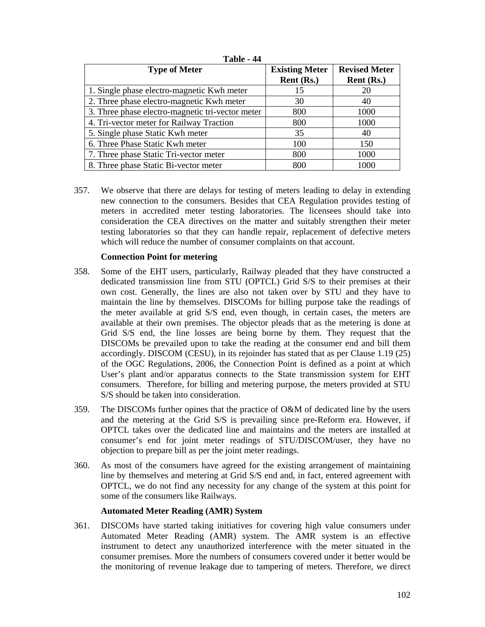| <b>Type of Meter</b>                             | <b>Existing Meter</b> | <b>Revised Meter</b> |  |
|--------------------------------------------------|-----------------------|----------------------|--|
|                                                  | Rent (Rs.)            | Rent (Rs.)           |  |
| 1. Single phase electro-magnetic Kwh meter       | 15                    | 20                   |  |
| 2. Three phase electro-magnetic Kwh meter        | 30                    | 40                   |  |
| 3. Three phase electro-magnetic tri-vector meter | 800                   | 1000                 |  |
| 4. Tri-vector meter for Railway Traction         | 800                   | 1000                 |  |
| 5. Single phase Static Kwh meter                 | 35                    | 40                   |  |
| 6. Three Phase Static Kwh meter                  | 100                   | 150                  |  |
| 7. Three phase Static Tri-vector meter           | 800                   | 1000                 |  |
| 8. Three phase Static Bi-vector meter            | 800                   | 1000                 |  |

**Table - 44** 

357. We observe that there are delays for testing of meters leading to delay in extending new connection to the consumers. Besides that CEA Regulation provides testing of meters in accredited meter testing laboratories. The licensees should take into consideration the CEA directives on the matter and suitably strengthen their meter testing laboratories so that they can handle repair, replacement of defective meters which will reduce the number of consumer complaints on that account.

## **Connection Point for metering**

- 358. Some of the EHT users, particularly, Railway pleaded that they have constructed a dedicated transmission line from STU (OPTCL) Grid S/S to their premises at their own cost. Generally, the lines are also not taken over by STU and they have to maintain the line by themselves. DISCOMs for billing purpose take the readings of the meter available at grid S/S end, even though, in certain cases, the meters are available at their own premises. The objector pleads that as the metering is done at Grid S/S end, the line losses are being borne by them. They request that the DISCOMs be prevailed upon to take the reading at the consumer end and bill them accordingly. DISCOM (CESU), in its rejoinder has stated that as per Clause 1.19 (25) of the OGC Regulations, 2006, the Connection Point is defined as a point at which User's plant and/or apparatus connects to the State transmission system for EHT consumers. Therefore, for billing and metering purpose, the meters provided at STU S/S should be taken into consideration.
- 359. The DISCOMs further opines that the practice of O&M of dedicated line by the users and the metering at the Grid S/S is prevailing since pre-Reform era. However, if OPTCL takes over the dedicated line and maintains and the meters are installed at consumer's end for joint meter readings of STU/DISCOM/user, they have no objection to prepare bill as per the joint meter readings.
- 360. As most of the consumers have agreed for the existing arrangement of maintaining line by themselves and metering at Grid S/S end and, in fact, entered agreement with OPTCL, we do not find any necessity for any change of the system at this point for some of the consumers like Railways.

## **Automated Meter Reading (AMR) System**

361. DISCOMs have started taking initiatives for covering high value consumers under Automated Meter Reading (AMR) system. The AMR system is an effective instrument to detect any unauthorized interference with the meter situated in the consumer premises. More the numbers of consumers covered under it better would be the monitoring of revenue leakage due to tampering of meters. Therefore, we direct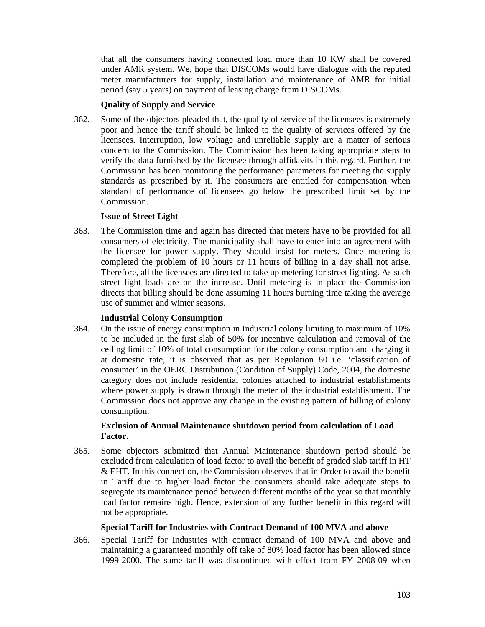that all the consumers having connected load more than 10 KW shall be covered under AMR system. We, hope that DISCOMs would have dialogue with the reputed meter manufacturers for supply, installation and maintenance of AMR for initial period (say 5 years) on payment of leasing charge from DISCOMs.

# **Quality of Supply and Service**

362. Some of the objectors pleaded that, the quality of service of the licensees is extremely poor and hence the tariff should be linked to the quality of services offered by the licensees. Interruption, low voltage and unreliable supply are a matter of serious concern to the Commission. The Commission has been taking appropriate steps to verify the data furnished by the licensee through affidavits in this regard. Further, the Commission has been monitoring the performance parameters for meeting the supply standards as prescribed by it. The consumers are entitled for compensation when standard of performance of licensees go below the prescribed limit set by the Commission.

# **Issue of Street Light**

363. The Commission time and again has directed that meters have to be provided for all consumers of electricity. The municipality shall have to enter into an agreement with the licensee for power supply. They should insist for meters. Once metering is completed the problem of 10 hours or 11 hours of billing in a day shall not arise. Therefore, all the licensees are directed to take up metering for street lighting. As such street light loads are on the increase. Until metering is in place the Commission directs that billing should be done assuming 11 hours burning time taking the average use of summer and winter seasons.

## **Industrial Colony Consumption**

364. On the issue of energy consumption in Industrial colony limiting to maximum of 10% to be included in the first slab of 50% for incentive calculation and removal of the ceiling limit of 10% of total consumption for the colony consumption and charging it at domestic rate, it is observed that as per Regulation 80 i.e. 'classification of consumer' in the OERC Distribution (Condition of Supply) Code, 2004, the domestic category does not include residential colonies attached to industrial establishments where power supply is drawn through the meter of the industrial establishment. The Commission does not approve any change in the existing pattern of billing of colony consumption.

# **Exclusion of Annual Maintenance shutdown period from calculation of Load Factor.**

365. Some objectors submitted that Annual Maintenance shutdown period should be excluded from calculation of load factor to avail the benefit of graded slab tariff in HT & EHT. In this connection, the Commission observes that in Order to avail the benefit in Tariff due to higher load factor the consumers should take adequate steps to segregate its maintenance period between different months of the year so that monthly load factor remains high. Hence, extension of any further benefit in this regard will not be appropriate.

# **Special Tariff for Industries with Contract Demand of 100 MVA and above**

366. Special Tariff for Industries with contract demand of 100 MVA and above and maintaining a guaranteed monthly off take of 80% load factor has been allowed since 1999-2000. The same tariff was discontinued with effect from FY 2008-09 when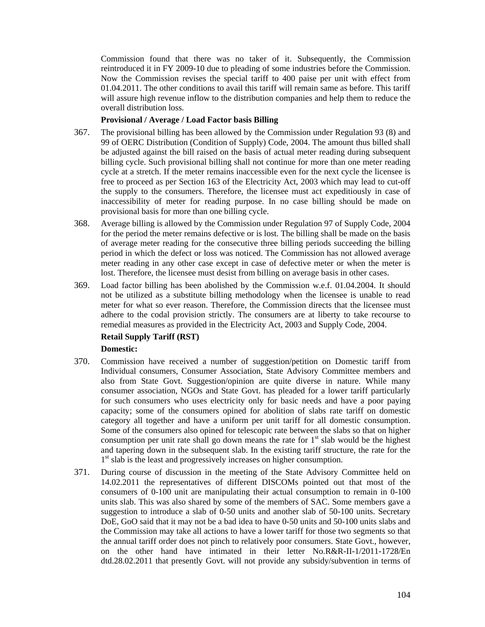Commission found that there was no taker of it. Subsequently, the Commission reintroduced it in FY 2009-10 due to pleading of some industries before the Commission. Now the Commission revises the special tariff to 400 paise per unit with effect from 01.04.2011. The other conditions to avail this tariff will remain same as before. This tariff will assure high revenue inflow to the distribution companies and help them to reduce the overall distribution loss.

#### **Provisional / Average / Load Factor basis Billing**

- 367. The provisional billing has been allowed by the Commission under Regulation 93 (8) and 99 of OERC Distribution (Condition of Supply) Code, 2004. The amount thus billed shall be adjusted against the bill raised on the basis of actual meter reading during subsequent billing cycle. Such provisional billing shall not continue for more than one meter reading cycle at a stretch. If the meter remains inaccessible even for the next cycle the licensee is free to proceed as per Section 163 of the Electricity Act, 2003 which may lead to cut-off the supply to the consumers. Therefore, the licensee must act expeditiously in case of inaccessibility of meter for reading purpose. In no case billing should be made on provisional basis for more than one billing cycle.
- 368. Average billing is allowed by the Commission under Regulation 97 of Supply Code, 2004 for the period the meter remains defective or is lost. The billing shall be made on the basis of average meter reading for the consecutive three billing periods succeeding the billing period in which the defect or loss was noticed. The Commission has not allowed average meter reading in any other case except in case of defective meter or when the meter is lost. Therefore, the licensee must desist from billing on average basis in other cases.
- 369. Load factor billing has been abolished by the Commission w.e.f. 01.04.2004. It should not be utilized as a substitute billing methodology when the licensee is unable to read meter for what so ever reason. Therefore, the Commission directs that the licensee must adhere to the codal provision strictly. The consumers are at liberty to take recourse to remedial measures as provided in the Electricity Act, 2003 and Supply Code, 2004.

## **Retail Supply Tariff (RST)**

## **Domestic:**

- 370. Commission have received a number of suggestion/petition on Domestic tariff from Individual consumers, Consumer Association, State Advisory Committee members and also from State Govt. Suggestion/opinion are quite diverse in nature. While many consumer association, NGOs and State Govt. has pleaded for a lower tariff particularly for such consumers who uses electricity only for basic needs and have a poor paying capacity; some of the consumers opined for abolition of slabs rate tariff on domestic category all together and have a uniform per unit tariff for all domestic consumption. Some of the consumers also opined for telescopic rate between the slabs so that on higher consumption per unit rate shall go down means the rate for  $1<sup>st</sup>$  slab would be the highest and tapering down in the subsequent slab. In the existing tariff structure, the rate for the 1<sup>st</sup> slab is the least and progressively increases on higher consumption.
- 371. During course of discussion in the meeting of the State Advisory Committee held on 14.02.2011 the representatives of different DISCOMs pointed out that most of the consumers of 0-100 unit are manipulating their actual consumption to remain in 0-100 units slab. This was also shared by some of the members of SAC. Some members gave a suggestion to introduce a slab of 0-50 units and another slab of 50-100 units. Secretary DoE, GoO said that it may not be a bad idea to have 0-50 units and 50-100 units slabs and the Commission may take all actions to have a lower tariff for those two segments so that the annual tariff order does not pinch to relatively poor consumers. State Govt., however, on the other hand have intimated in their letter No.R&R-II-1/2011-1728/En dtd.28.02.2011 that presently Govt. will not provide any subsidy/subvention in terms of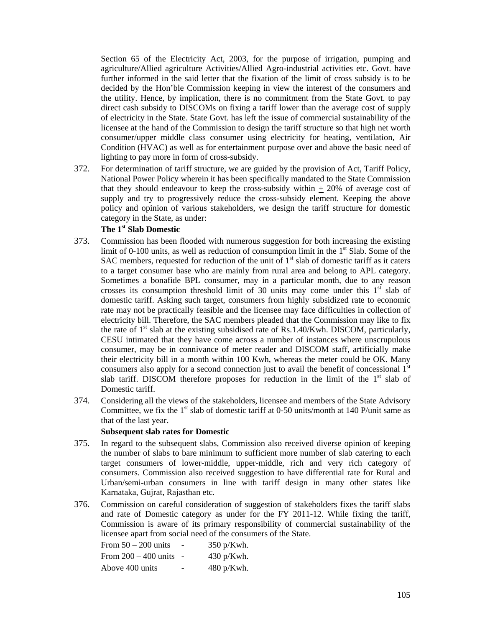Section 65 of the Electricity Act, 2003, for the purpose of irrigation, pumping and agriculture/Allied agriculture Activities/Allied Agro-industrial activities etc. Govt. have further informed in the said letter that the fixation of the limit of cross subsidy is to be decided by the Hon'ble Commission keeping in view the interest of the consumers and the utility. Hence, by implication, there is no commitment from the State Govt. to pay direct cash subsidy to DISCOMs on fixing a tariff lower than the average cost of supply of electricity in the State. State Govt. has left the issue of commercial sustainability of the licensee at the hand of the Commission to design the tariff structure so that high net worth consumer/upper middle class consumer using electricity for heating, ventilation, Air Condition (HVAC) as well as for entertainment purpose over and above the basic need of lighting to pay more in form of cross-subsidy.

372. For determination of tariff structure, we are guided by the provision of Act, Tariff Policy, National Power Policy wherein it has been specifically mandated to the State Commission that they should endeavour to keep the cross-subsidy within  $+20\%$  of average cost of supply and try to progressively reduce the cross-subsidy element. Keeping the above policy and opinion of various stakeholders, we design the tariff structure for domestic category in the State, as under:

# **The 1st Slab Domestic**

- 373. Commission has been flooded with numerous suggestion for both increasing the existing limit of 0-100 units, as well as reduction of consumption limit in the  $1<sup>st</sup>$  Slab. Some of the SAC members, requested for reduction of the unit of  $1<sup>st</sup>$  slab of domestic tariff as it caters to a target consumer base who are mainly from rural area and belong to APL category. Sometimes a bonafide BPL consumer, may in a particular month, due to any reason crosses its consumption threshold limit of 30 units may come under this  $1<sup>st</sup>$  slab of domestic tariff. Asking such target, consumers from highly subsidized rate to economic rate may not be practically feasible and the licensee may face difficulties in collection of electricity bill. Therefore, the SAC members pleaded that the Commission may like to fix the rate of  $1<sup>st</sup>$  slab at the existing subsidised rate of Rs.1.40/Kwh. DISCOM, particularly, CESU intimated that they have come across a number of instances where unscrupulous consumer, may be in connivance of meter reader and DISCOM staff, artificially make their electricity bill in a month within 100 Kwh, whereas the meter could be OK. Many consumers also apply for a second connection just to avail the benefit of concessional  $1<sup>st</sup>$ slab tariff. DISCOM therefore proposes for reduction in the limit of the  $1<sup>st</sup>$  slab of Domestic tariff.
- 374. Considering all the views of the stakeholders, licensee and members of the State Advisory Committee, we fix the  $1<sup>st</sup>$  slab of domestic tariff at 0-50 units/month at 140 P/unit same as that of the last year.

#### **Subsequent slab rates for Domestic**

- 375. In regard to the subsequent slabs, Commission also received diverse opinion of keeping the number of slabs to bare minimum to sufficient more number of slab catering to each target consumers of lower-middle, upper-middle, rich and very rich category of consumers. Commission also received suggestion to have differential rate for Rural and Urban/semi-urban consumers in line with tariff design in many other states like Karnataka, Gujrat, Rajasthan etc.
- 376. Commission on careful consideration of suggestion of stakeholders fixes the tariff slabs and rate of Domestic category as under for the FY 2011-12. While fixing the tariff, Commission is aware of its primary responsibility of commercial sustainability of the licensee apart from social need of the consumers of the State.

| From $50 - 200$ units  |                          | $350$ p/Kwh. |
|------------------------|--------------------------|--------------|
| From $200 - 400$ units |                          | 430 p/Kwh.   |
| Above 400 units        | $\overline{\phantom{a}}$ | 480 p/Kwh.   |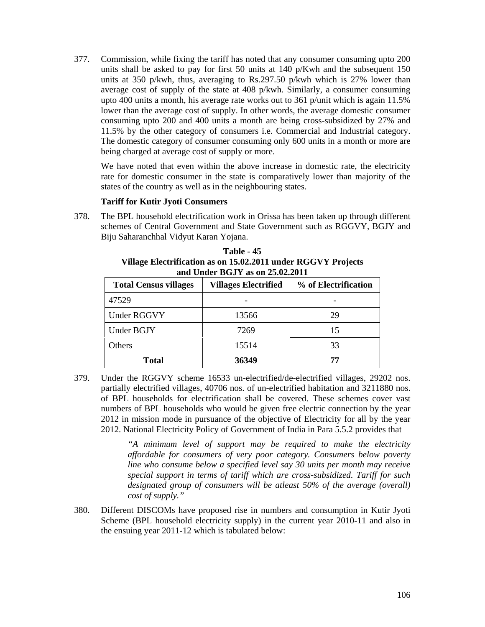377. Commission, while fixing the tariff has noted that any consumer consuming upto 200 units shall be asked to pay for first 50 units at 140 p/Kwh and the subsequent 150 units at 350 p/kwh, thus, averaging to Rs.297.50 p/kwh which is 27% lower than average cost of supply of the state at 408 p/kwh. Similarly, a consumer consuming upto 400 units a month, his average rate works out to 361 p/unit which is again 11.5% lower than the average cost of supply. In other words, the average domestic consumer consuming upto 200 and 400 units a month are being cross-subsidized by 27% and 11.5% by the other category of consumers i.e. Commercial and Industrial category. The domestic category of consumer consuming only 600 units in a month or more are being charged at average cost of supply or more.

We have noted that even within the above increase in domestic rate, the electricity rate for domestic consumer in the state is comparatively lower than majority of the states of the country as well as in the neighbouring states.

## **Tariff for Kutir Jyoti Consumers**

378. The BPL household electrification work in Orissa has been taken up through different schemes of Central Government and State Government such as RGGVY, BGJY and Biju Saharanchhal Vidyut Karan Yojana.

**Table - 45 Village Electrification as on 15.02.2011 under RGGVY Projects and Under BGJY as on 25.02.2011** 

| <b>Total Census villages</b> | <b>Villages Electrified</b> | % of Electrification |  |
|------------------------------|-----------------------------|----------------------|--|
| 47529                        |                             |                      |  |
| Under RGGVY                  | 13566                       | 29                   |  |
| Under BGJY                   | 7269                        | 15                   |  |
| Others                       | 15514                       | 33                   |  |
| <b>Total</b>                 | 36349                       | 77                   |  |

379. Under the RGGVY scheme 16533 un-electrified/de-electrified villages, 29202 nos. partially electrified villages, 40706 nos. of un-electrified habitation and 3211880 nos. of BPL households for electrification shall be covered. These schemes cover vast numbers of BPL households who would be given free electric connection by the year 2012 in mission mode in pursuance of the objective of Electricity for all by the year 2012. National Electricity Policy of Government of India in Para 5.5.2 provides that

> *"A minimum level of support may be required to make the electricity affordable for consumers of very poor category. Consumers below poverty line who consume below a specified level say 30 units per month may receive special support in terms of tariff which are cross-subsidized. Tariff for such designated group of consumers will be atleast 50% of the average (overall) cost of supply."*

380. Different DISCOMs have proposed rise in numbers and consumption in Kutir Jyoti Scheme (BPL household electricity supply) in the current year 2010-11 and also in the ensuing year 2011-12 which is tabulated below: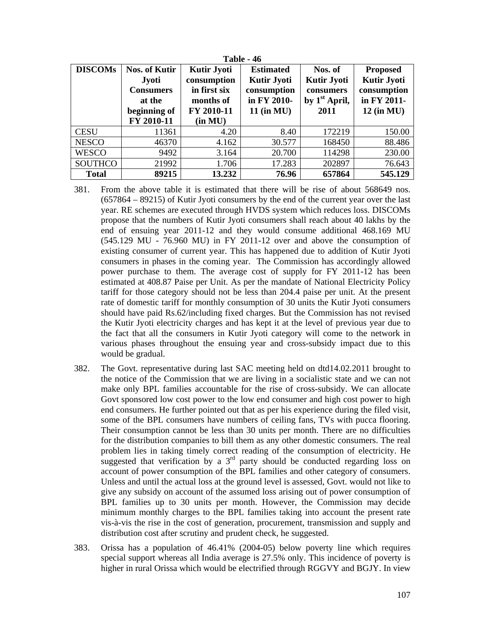| <b>Table - 46</b> |                      |                    |                    |                    |                    |  |  |
|-------------------|----------------------|--------------------|--------------------|--------------------|--------------------|--|--|
| <b>DISCOMs</b>    | <b>Nos. of Kutir</b> | <b>Kutir Jyoti</b> | <b>Estimated</b>   | Nos. of            | <b>Proposed</b>    |  |  |
|                   | <b>Jyoti</b>         | consumption        | <b>Kutir Jyoti</b> | <b>Kutir Jyoti</b> | <b>Kutir Jyoti</b> |  |  |
|                   | <b>Consumers</b>     | in first six       | consumption        | consumers          | consumption        |  |  |
|                   | at the               | months of          | in FY 2010-        | by $1st$ April,    | in FY 2011-        |  |  |
|                   | beginning of         | FY 2010-11         | $11$ (in MU)       | 2011               | $12$ (in MU)       |  |  |
|                   | FY 2010-11           | (in MU)            |                    |                    |                    |  |  |
| <b>CESU</b>       | 11361                | 4.20               | 8.40               | 172219             | 150.00             |  |  |
| <b>NESCO</b>      | 46370                | 4.162              | 30.577             | 168450             | 88.486             |  |  |
| <b>WESCO</b>      | 9492                 | 3.164              | 20.700             | 114298             | 230.00             |  |  |
| <b>SOUTHCO</b>    | 21992                | 1.706              | 17.283             | 202897             | 76.643             |  |  |
| <b>Total</b>      | 89215                | 13.232             | 76.96              | 657864             | 545.129            |  |  |

- 381. From the above table it is estimated that there will be rise of about 568649 nos. (657864 – 89215) of Kutir Jyoti consumers by the end of the current year over the last year. RE schemes are executed through HVDS system which reduces loss. DISCOMs propose that the numbers of Kutir Jyoti consumers shall reach about 40 lakhs by the end of ensuing year 2011-12 and they would consume additional 468.169 MU (545.129 MU - 76.960 MU) in FY 2011-12 over and above the consumption of existing consumer of current year. This has happened due to addition of Kutir Jyoti consumers in phases in the coming year. The Commission has accordingly allowed power purchase to them. The average cost of supply for FY 2011-12 has been estimated at 408.87 Paise per Unit. As per the mandate of National Electricity Policy tariff for those category should not be less than 204.4 paise per unit. At the present rate of domestic tariff for monthly consumption of 30 units the Kutir Jyoti consumers should have paid Rs.62/including fixed charges. But the Commission has not revised the Kutir Jyoti electricity charges and has kept it at the level of previous year due to the fact that all the consumers in Kutir Jyoti category will come to the network in various phases throughout the ensuing year and cross-subsidy impact due to this would be gradual.
- 382. The Govt. representative during last SAC meeting held on dtd14.02.2011 brought to the notice of the Commission that we are living in a socialistic state and we can not make only BPL families accountable for the rise of cross-subsidy. We can allocate Govt sponsored low cost power to the low end consumer and high cost power to high end consumers. He further pointed out that as per his experience during the filed visit, some of the BPL consumers have numbers of ceiling fans, TVs with pucca flooring. Their consumption cannot be less than 30 units per month. There are no difficulties for the distribution companies to bill them as any other domestic consumers. The real problem lies in taking timely correct reading of the consumption of electricity. He suggested that verification by a  $3<sup>rd</sup>$  party should be conducted regarding loss on account of power consumption of the BPL families and other category of consumers. Unless and until the actual loss at the ground level is assessed, Govt. would not like to give any subsidy on account of the assumed loss arising out of power consumption of BPL families up to 30 units per month. However, the Commission may decide minimum monthly charges to the BPL families taking into account the present rate vis-à-vis the rise in the cost of generation, procurement, transmission and supply and distribution cost after scrutiny and prudent check, he suggested.
- 383. Orissa has a population of 46.41% (2004-05) below poverty line which requires special support whereas all India average is 27.5% only. This incidence of poverty is higher in rural Orissa which would be electrified through RGGVY and BGJY. In view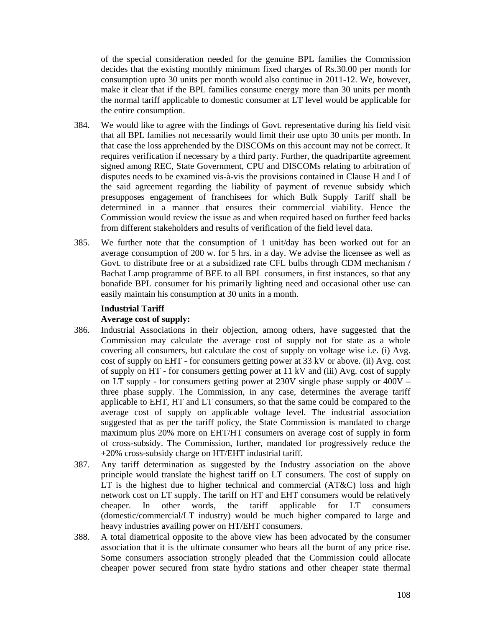of the special consideration needed for the genuine BPL families the Commission decides that the existing monthly minimum fixed charges of Rs.30.00 per month for consumption upto 30 units per month would also continue in 2011-12. We, however, make it clear that if the BPL families consume energy more than 30 units per month the normal tariff applicable to domestic consumer at LT level would be applicable for the entire consumption.

- 384. We would like to agree with the findings of Govt. representative during his field visit that all BPL families not necessarily would limit their use upto 30 units per month. In that case the loss apprehended by the DISCOMs on this account may not be correct. It requires verification if necessary by a third party. Further, the quadripartite agreement signed among REC, State Government, CPU and DISCOMs relating to arbitration of disputes needs to be examined vis-à-vis the provisions contained in Clause H and I of the said agreement regarding the liability of payment of revenue subsidy which presupposes engagement of franchisees for which Bulk Supply Tariff shall be determined in a manner that ensures their commercial viability. Hence the Commission would review the issue as and when required based on further feed backs from different stakeholders and results of verification of the field level data.
- 385. We further note that the consumption of 1 unit/day has been worked out for an average consumption of 200 w. for 5 hrs. in a day. We advise the licensee as well as Govt. to distribute free or at a subsidized rate CFL bulbs through CDM mechanism **/**  Bachat Lamp programme of BEE to all BPL consumers, in first instances, so that any bonafide BPL consumer for his primarily lighting need and occasional other use can easily maintain his consumption at 30 units in a month.

# **Industrial Tariff Average cost of supply:**

- 386. Industrial Associations in their objection, among others, have suggested that the Commission may calculate the average cost of supply not for state as a whole covering all consumers, but calculate the cost of supply on voltage wise i.e. (i) Avg. cost of supply on EHT - for consumers getting power at 33 kV or above. (ii) Avg. cost of supply on HT - for consumers getting power at 11 kV and (iii) Avg. cost of supply on LT supply - for consumers getting power at 230V single phase supply or 400V – three phase supply. The Commission, in any case, determines the average tariff applicable to EHT, HT and LT consumers, so that the same could be compared to the average cost of supply on applicable voltage level. The industrial association suggested that as per the tariff policy, the State Commission is mandated to charge maximum plus 20% more on EHT/HT consumers on average cost of supply in form of cross-subsidy. The Commission, further, mandated for progressively reduce the +20% cross-subsidy charge on HT/EHT industrial tariff.
- 387. Any tariff determination as suggested by the Industry association on the above principle would translate the highest tariff on LT consumers. The cost of supply on LT is the highest due to higher technical and commercial (AT&C) loss and high network cost on LT supply. The tariff on HT and EHT consumers would be relatively cheaper. In other words, the tariff applicable for LT consumers (domestic/commercial/LT industry) would be much higher compared to large and heavy industries availing power on HT/EHT consumers.
- 388. A total diametrical opposite to the above view has been advocated by the consumer association that it is the ultimate consumer who bears all the burnt of any price rise. Some consumers association strongly pleaded that the Commission could allocate cheaper power secured from state hydro stations and other cheaper state thermal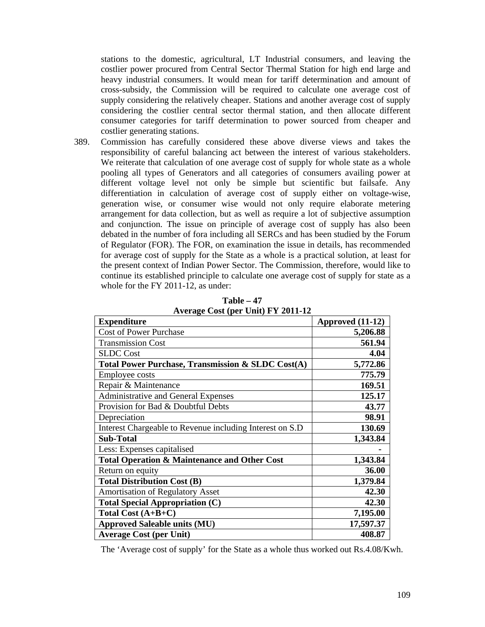stations to the domestic, agricultural, LT Industrial consumers, and leaving the costlier power procured from Central Sector Thermal Station for high end large and heavy industrial consumers. It would mean for tariff determination and amount of cross-subsidy, the Commission will be required to calculate one average cost of supply considering the relatively cheaper. Stations and another average cost of supply considering the costlier central sector thermal station, and then allocate different consumer categories for tariff determination to power sourced from cheaper and costlier generating stations.

389. Commission has carefully considered these above diverse views and takes the responsibility of careful balancing act between the interest of various stakeholders. We reiterate that calculation of one average cost of supply for whole state as a whole pooling all types of Generators and all categories of consumers availing power at different voltage level not only be simple but scientific but failsafe. Any differentiation in calculation of average cost of supply either on voltage-wise, generation wise, or consumer wise would not only require elaborate metering arrangement for data collection, but as well as require a lot of subjective assumption and conjunction. The issue on principle of average cost of supply has also been debated in the number of fora including all SERCs and has been studied by the Forum of Regulator (FOR). The FOR, on examination the issue in details, has recommended for average cost of supply for the State as a whole is a practical solution, at least for the present context of Indian Power Sector. The Commission, therefore, would like to continue its established principle to calculate one average cost of supply for state as a whole for the FY 2011-12, as under:

| <b>Expenditure</b>                                           | Approved (11-12) |
|--------------------------------------------------------------|------------------|
| <b>Cost of Power Purchase</b>                                | 5,206.88         |
| <b>Transmission Cost</b>                                     | 561.94           |
| <b>SLDC</b> Cost                                             | 4.04             |
| <b>Total Power Purchase, Transmission &amp; SLDC Cost(A)</b> | 5,772.86         |
| <b>Employee costs</b>                                        | 775.79           |
| Repair & Maintenance                                         | 169.51           |
| <b>Administrative and General Expenses</b>                   | 125.17           |
| Provision for Bad & Doubtful Debts                           | 43.77            |
| Depreciation                                                 | 98.91            |
| Interest Chargeable to Revenue including Interest on S.D     | 130.69           |
| <b>Sub-Total</b>                                             | 1,343.84         |
| Less: Expenses capitalised                                   |                  |
| <b>Total Operation &amp; Maintenance and Other Cost</b>      | 1,343.84         |
| Return on equity                                             | 36.00            |
| <b>Total Distribution Cost (B)</b>                           | 1,379.84         |
| <b>Amortisation of Regulatory Asset</b>                      | 42.30            |
| <b>Total Special Appropriation (C)</b>                       | 42.30            |
| Total Cost $(A+B+C)$                                         | 7,195.00         |
| <b>Approved Saleable units (MU)</b>                          | 17,597.37        |
| <b>Average Cost (per Unit)</b>                               | 408.87           |

**Table – 47 Average Cost (per Unit) FY 2011-12** 

The 'Average cost of supply' for the State as a whole thus worked out Rs.4.08/Kwh.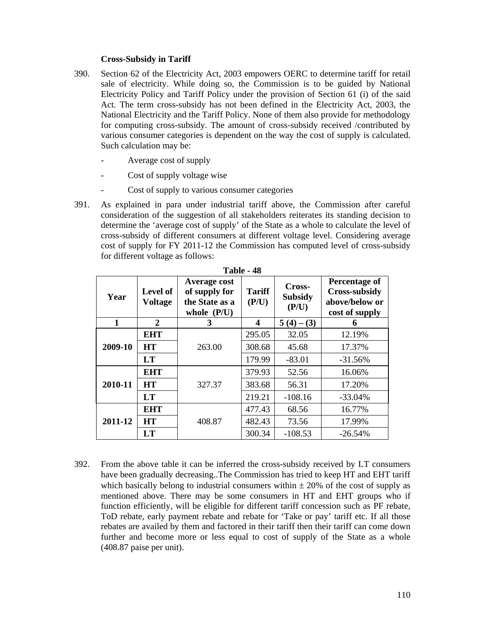## **Cross-Subsidy in Tariff**

- 390. Section 62 of the Electricity Act, 2003 empowers OERC to determine tariff for retail sale of electricity. While doing so, the Commission is to be guided by National Electricity Policy and Tariff Policy under the provision of Section 61 (i) of the said Act. The term cross-subsidy has not been defined in the Electricity Act, 2003, the National Electricity and the Tariff Policy. None of them also provide for methodology for computing cross-subsidy. The amount of cross-subsidy received /contributed by various consumer categories is dependent on the way the cost of supply is calculated. Such calculation may be:
	- Average cost of supply
	- Cost of supply voltage wise
	- Cost of supply to various consumer categories
- 391. As explained in para under industrial tariff above, the Commission after careful consideration of the suggestion of all stakeholders reiterates its standing decision to determine the 'average cost of supply' of the State as a whole to calculate the level of cross-subsidy of different consumers at different voltage level. Considering average cost of supply for FY 2011-12 the Commission has computed level of cross-subsidy for different voltage as follows:

| Year         | Level of<br><b>Voltage</b> | Average cost<br>of supply for<br>the State as a<br>whole $(P/U)$ | <b>Tariff</b><br>(P/U) | Cross-<br><b>Subsidy</b><br>(P/U) | <b>Percentage of</b><br><b>Cross-subsidy</b><br>above/below or<br>cost of supply |
|--------------|----------------------------|------------------------------------------------------------------|------------------------|-----------------------------------|----------------------------------------------------------------------------------|
| $\mathbf{1}$ | 2                          | 3                                                                | 4                      | $5(4) - (3)$                      | 6                                                                                |
|              | <b>EHT</b>                 |                                                                  | 295.05                 | 32.05                             | 12.19%                                                                           |
| 2009-10      | <b>HT</b>                  | 263.00                                                           | 308.68                 | 45.68                             | 17.37%                                                                           |
|              | <b>LT</b>                  |                                                                  | 179.99                 | $-83.01$                          | $-31.56%$                                                                        |
|              | <b>EHT</b>                 |                                                                  | 379.93                 | 52.56                             | 16.06%                                                                           |
| 2010-11      | <b>HT</b>                  | 327.37                                                           | 383.68                 | 56.31                             | 17.20%                                                                           |
|              | LT                         |                                                                  | 219.21                 | $-108.16$                         | $-33.04%$                                                                        |
|              | <b>EHT</b>                 |                                                                  | 477.43                 | 68.56                             | 16.77%                                                                           |
| 2011-12      | <b>HT</b>                  | 408.87                                                           | 482.43                 | 73.56                             | 17.99%                                                                           |
|              | <b>LT</b>                  |                                                                  | 300.34                 | $-108.53$                         | $-26.54%$                                                                        |

**Table - 48** 

392. From the above table it can be inferred the cross-subsidy received by LT consumers have been gradually decreasing..The Commission has tried to keep HT and EHT tariff which basically belong to industrial consumers within  $\pm$  20% of the cost of supply as mentioned above. There may be some consumers in HT and EHT groups who if function efficiently, will be eligible for different tariff concession such as PF rebate, ToD rebate, early payment rebate and rebate for 'Take or pay' tariff etc. If all those rebates are availed by them and factored in their tariff then their tariff can come down further and become more or less equal to cost of supply of the State as a whole (408.87 paise per unit).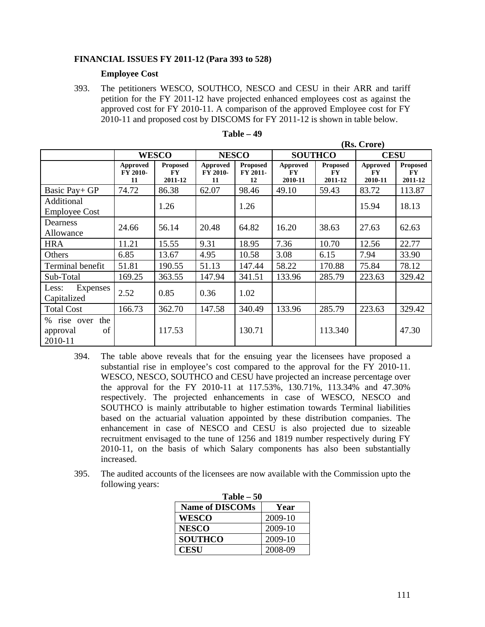## **FINANCIAL ISSUES FY 2011-12 (Para 393 to 528)**

## **Employee Cost**

393. The petitioners WESCO, SOUTHCO, NESCO and CESU in their ARR and tariff petition for the FY 2011-12 have projected enhanced employees cost as against the approved cost for FY 2010-11. A comparison of the approved Employee cost for FY 2010-11 and proposed cost by DISCOMS for FY 2011-12 is shown in table below.

|                                              | (RS. Crore)                |                                         |                            |                                   |                                  |                                         |                                  |                                         |
|----------------------------------------------|----------------------------|-----------------------------------------|----------------------------|-----------------------------------|----------------------------------|-----------------------------------------|----------------------------------|-----------------------------------------|
|                                              | <b>WESCO</b>               |                                         | <b>NESCO</b>               |                                   | <b>SOUTHCO</b>                   |                                         | <b>CESU</b>                      |                                         |
|                                              | Approved<br>FY 2010-<br>11 | <b>Proposed</b><br><b>FY</b><br>2011-12 | Approved<br>FY 2010-<br>11 | <b>Proposed</b><br>FY 2011-<br>12 | Approved<br><b>FY</b><br>2010-11 | <b>Proposed</b><br><b>FY</b><br>2011-12 | Approved<br><b>FY</b><br>2010-11 | <b>Proposed</b><br><b>FY</b><br>2011-12 |
| Basic Pay+ GP                                | 74.72                      | 86.38                                   | 62.07                      | 98.46                             | 49.10                            | 59.43                                   | 83.72                            | 113.87                                  |
| Additional<br><b>Employee Cost</b>           |                            | 1.26                                    |                            | 1.26                              |                                  |                                         | 15.94                            | 18.13                                   |
| Dearness<br>Allowance                        | 24.66                      | 56.14                                   | 20.48                      | 64.82                             | 16.20                            | 38.63                                   | 27.63                            | 62.63                                   |
| <b>HRA</b>                                   | 11.21                      | 15.55                                   | 9.31                       | 18.95                             | 7.36                             | 10.70                                   | 12.56                            | 22.77                                   |
| Others                                       | 6.85                       | 13.67                                   | 4.95                       | 10.58                             | 3.08                             | 6.15                                    | 7.94                             | 33.90                                   |
| Terminal benefit                             | 51.81                      | 190.55                                  | 51.13                      | 147.44                            | 58.22                            | 170.88                                  | 75.84                            | 78.12                                   |
| Sub-Total                                    | 169.25                     | 363.55                                  | 147.94                     | 341.51                            | 133.96                           | 285.79                                  | 223.63                           | 329.42                                  |
| <b>Expenses</b><br>Less:<br>Capitalized      | 2.52                       | 0.85                                    | 0.36                       | 1.02                              |                                  |                                         |                                  |                                         |
| <b>Total Cost</b>                            | 166.73                     | 362.70                                  | 147.58                     | 340.49                            | 133.96                           | 285.79                                  | 223.63                           | 329.42                                  |
| % rise over the<br>of<br>approval<br>2010-11 |                            | 117.53                                  |                            | 130.71                            |                                  | 113.340                                 |                                  | 47.30                                   |

| able | 40 |
|------|----|
|------|----|

 $($ R $. 0.01)$ 

- 394. The table above reveals that for the ensuing year the licensees have proposed a substantial rise in employee's cost compared to the approval for the FY 2010-11. WESCO, NESCO, SOUTHCO and CESU have projected an increase percentage over the approval for the FY 2010-11 at 117.53%, 130.71%, 113.34% and 47.30% respectively. The projected enhancements in case of WESCO, NESCO and SOUTHCO is mainly attributable to higher estimation towards Terminal liabilities based on the actuarial valuation appointed by these distribution companies. The enhancement in case of NESCO and CESU is also projected due to sizeable recruitment envisaged to the tune of 1256 and 1819 number respectively during FY 2010-11, on the basis of which Salary components has also been substantially increased.
- 395. The audited accounts of the licensees are now available with the Commission upto the following years:

| <b>Table – 50</b>      |         |  |  |  |
|------------------------|---------|--|--|--|
| <b>Name of DISCOMs</b> | Year    |  |  |  |
| <b>WESCO</b>           | 2009-10 |  |  |  |
| <b>NESCO</b>           | 2009-10 |  |  |  |
| <b>SOUTHCO</b>         | 2009-10 |  |  |  |
| <b>CESU</b>            | 2008-09 |  |  |  |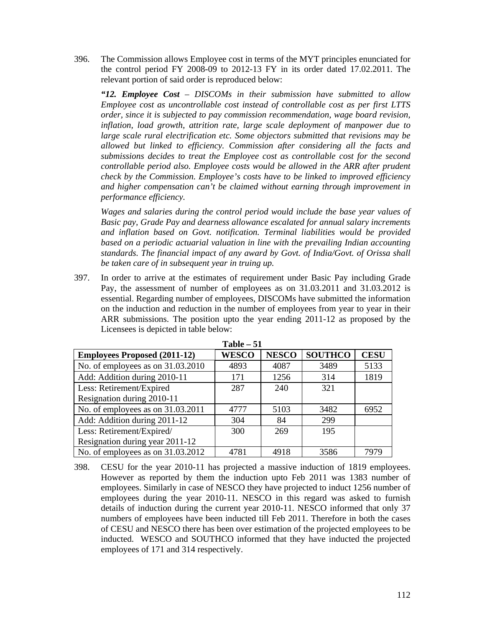396. The Commission allows Employee cost in terms of the MYT principles enunciated for the control period FY 2008-09 to 2012-13 FY in its order dated 17.02.2011. The relevant portion of said order is reproduced below:

*"12. Employee Cost – DISCOMs in their submission have submitted to allow Employee cost as uncontrollable cost instead of controllable cost as per first LTTS order, since it is subjected to pay commission recommendation, wage board revision, inflation, load growth, attrition rate, large scale deployment of manpower due to large scale rural electrification etc. Some objectors submitted that revisions may be allowed but linked to efficiency. Commission after considering all the facts and submissions decides to treat the Employee cost as controllable cost for the second controllable period also. Employee costs would be allowed in the ARR after prudent check by the Commission. Employee's costs have to be linked to improved efficiency and higher compensation can't be claimed without earning through improvement in performance efficiency.* 

*Wages and salaries during the control period would include the base year values of Basic pay, Grade Pay and dearness allowance escalated for annual salary increments and inflation based on Govt. notification. Terminal liabilities would be provided based on a periodic actuarial valuation in line with the prevailing Indian accounting standards. The financial impact of any award by Govt. of India/Govt. of Orissa shall be taken care of in subsequent year in truing up.* 

397. In order to arrive at the estimates of requirement under Basic Pay including Grade Pay, the assessment of number of employees as on 31.03.2011 and 31.03.2012 is essential. Regarding number of employees, DISCOMs have submitted the information on the induction and reduction in the number of employees from year to year in their ARR submissions. The position upto the year ending 2011-12 as proposed by the Licensees is depicted in table below:

|                                     | $1$ avit $ \cup$ $1$ |              |                |             |
|-------------------------------------|----------------------|--------------|----------------|-------------|
| <b>Employees Proposed (2011-12)</b> | <b>WESCO</b>         | <b>NESCO</b> | <b>SOUTHCO</b> | <b>CESU</b> |
| No. of employees as on 31.03.2010   | 4893                 | 4087         | 3489           | 5133        |
| Add: Addition during 2010-11        | 171                  | 1256         | 314            | 1819        |
| Less: Retirement/Expired            | 287                  | 240          | 321            |             |
| Resignation during 2010-11          |                      |              |                |             |
| No. of employees as on 31.03.2011   | 4777                 | 5103         | 3482           | 6952        |
| Add: Addition during 2011-12        | 304                  | 84           | 299            |             |
| Less: Retirement/Expired/           | 300                  | 269          | 195            |             |
| Resignation during year 2011-12     |                      |              |                |             |
| No. of employees as on 31.03.2012   | 4781                 | 4918         | 3586           | 7979        |

**Table – 51** 

398. CESU for the year 2010-11 has projected a massive induction of 1819 employees. However as reported by them the induction upto Feb 2011 was 1383 number of employees. Similarly in case of NESCO they have projected to induct 1256 number of employees during the year 2010-11. NESCO in this regard was asked to furnish details of induction during the current year 2010-11. NESCO informed that only 37 numbers of employees have been inducted till Feb 2011. Therefore in both the cases of CESU and NESCO there has been over estimation of the projected employees to be inducted. WESCO and SOUTHCO informed that they have inducted the projected employees of 171 and 314 respectively.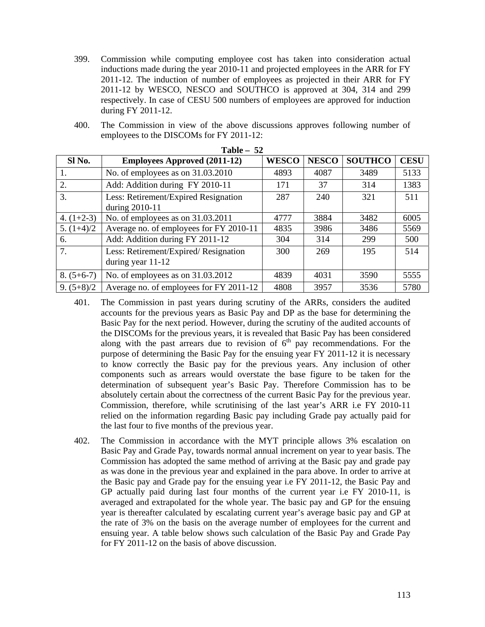- 399. Commission while computing employee cost has taken into consideration actual inductions made during the year 2010-11 and projected employees in the ARR for FY 2011-12. The induction of number of employees as projected in their ARR for FY 2011-12 by WESCO, NESCO and SOUTHCO is approved at 304, 314 and 299 respectively. In case of CESU 500 numbers of employees are approved for induction during FY 2011-12.
- 400. The Commission in view of the above discussions approves following number of employees to the DISCOMs for FY 2011-12:

| $1400 = 34$  |                                                           |              |              |                |             |
|--------------|-----------------------------------------------------------|--------------|--------------|----------------|-------------|
| Sl No.       | <b>Employees Approved (2011-12)</b>                       | <b>WESCO</b> | <b>NESCO</b> | <b>SOUTHCO</b> | <b>CESU</b> |
| 1.           | No. of employees as on 31.03.2010                         | 4893         | 4087         | 3489           | 5133        |
| 2.           | Add: Addition during FY 2010-11                           | 171          | 37           | 314            | 1383        |
| 3.           | Less: Retirement/Expired Resignation<br>during 2010-11    | 287          | 240          | 321            | 511         |
| 4. $(1+2-3)$ | No. of employees as on 31.03.2011                         | 4777         | 3884         | 3482           | 6005        |
| 5. $(1+4)/2$ | Average no. of employees for FY 2010-11                   | 4835         | 3986         | 3486           | 5569        |
| 6.           | Add: Addition during FY 2011-12                           | 304          | 314          | 299            | 500         |
| 7.           | Less: Retirement/Expired/Resignation<br>during year 11-12 | 300          | 269          | 195            | 514         |
| $8. (5+6-7)$ | No. of employees as on 31.03.2012                         | 4839         | 4031         | 3590           | 5555        |
| $9. (5+8)/2$ | Average no. of employees for FY 2011-12                   | 4808         | 3957         | 3536           | 5780        |

**Table – 52** 

- 401. The Commission in past years during scrutiny of the ARRs, considers the audited accounts for the previous years as Basic Pay and DP as the base for determining the Basic Pay for the next period. However, during the scrutiny of the audited accounts of the DISCOMs for the previous years, it is revealed that Basic Pay has been considered along with the past arrears due to revision of  $6<sup>th</sup>$  pay recommendations. For the purpose of determining the Basic Pay for the ensuing year FY 2011-12 it is necessary to know correctly the Basic pay for the previous years. Any inclusion of other components such as arrears would overstate the base figure to be taken for the determination of subsequent year's Basic Pay. Therefore Commission has to be absolutely certain about the correctness of the current Basic Pay for the previous year. Commission, therefore, while scrutinising of the last year's ARR i.e FY 2010-11 relied on the information regarding Basic pay including Grade pay actually paid for the last four to five months of the previous year.
- 402. The Commission in accordance with the MYT principle allows 3% escalation on Basic Pay and Grade Pay, towards normal annual increment on year to year basis. The Commission has adopted the same method of arriving at the Basic pay and grade pay as was done in the previous year and explained in the para above. In order to arrive at the Basic pay and Grade pay for the ensuing year i.e FY 2011-12, the Basic Pay and GP actually paid during last four months of the current year i.e FY 2010-11, is averaged and extrapolated for the whole year. The basic pay and GP for the ensuing year is thereafter calculated by escalating current year's average basic pay and GP at the rate of 3% on the basis on the average number of employees for the current and ensuing year. A table below shows such calculation of the Basic Pay and Grade Pay for FY 2011-12 on the basis of above discussion.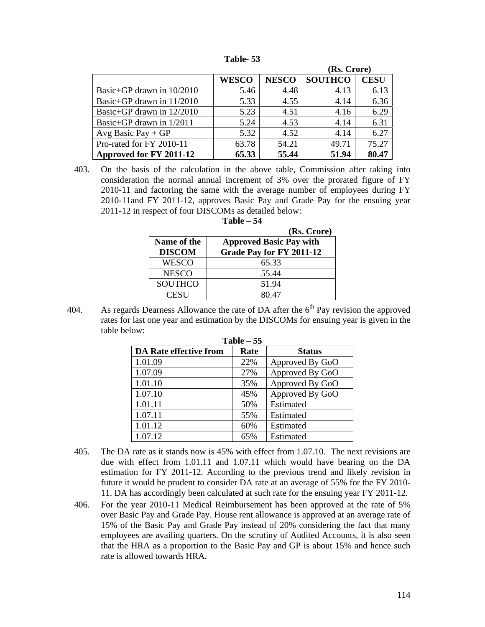|                             |              |              | (Rs. Crore)    |             |
|-----------------------------|--------------|--------------|----------------|-------------|
|                             | <b>WESCO</b> | <b>NESCO</b> | <b>SOUTHCO</b> | <b>CESU</b> |
| Basic+GP drawn in $10/2010$ | 5.46         | 4.48         | 4.13           | 6.13        |
| Basic+GP drawn in 11/2010   | 5.33         | 4.55         | 4.14           | 6.36        |
| Basic+GP drawn in $12/2010$ | 5.23         | 4.51         | 4.16           | 6.29        |
| Basic+GP drawn in $1/2011$  | 5.24         | 4.53         | 4.14           | 6.31        |
| Avg Basic Pay $+GP$         | 5.32         | 4.52         | 4.14           | 6.27        |
| Pro-rated for FY 2010-11    | 63.78        | 54.21        | 49.71          | 75.27       |

**Table- 53** 

403. On the basis of the calculation in the above table, Commission after taking into consideration the normal annual increment of 3% over the prorated figure of FY 2010-11 and factoring the same with the average number of employees during FY 2010-11and FY 2011-12, approves Basic Pay and Grade Pay for the ensuing year 2011-12 in respect of four DISCOMs as detailed below:

**Table – 54** 

Approved for FY 2011-12 65.33 55.44 51.94 80.47

|                | (Rs. Crore)                    |
|----------------|--------------------------------|
| Name of the    | <b>Approved Basic Pay with</b> |
| <b>DISCOM</b>  | Grade Pay for FY 2011-12       |
| <b>WESCO</b>   | 65.33                          |
| <b>NESCO</b>   | 55.44                          |
| <b>SOUTHCO</b> | 51.94                          |
| <b>CESU</b>    | 80 47                          |

404. As regards Dearness Allowance the rate of DA after the  $6<sup>th</sup>$  Pay revision the approved rates for last one year and estimation by the DISCOMs for ensuing year is given in the table below:

| Table $-55$                   |      |                 |  |  |  |
|-------------------------------|------|-----------------|--|--|--|
| <b>DA Rate effective from</b> | Rate | <b>Status</b>   |  |  |  |
| 1.01.09                       | 22%  | Approved By GoO |  |  |  |
| 1.07.09                       | 27%  | Approved By GoO |  |  |  |
| 1.01.10                       | 35%  | Approved By GoO |  |  |  |
| 1.07.10                       | 45%  | Approved By GoO |  |  |  |
| 1.01.11                       | 50%  | Estimated       |  |  |  |
| 1.07.11                       | 55%  | Estimated       |  |  |  |
| 1.01.12                       | 60%  | Estimated       |  |  |  |
| 1.07.12                       | 65%  | Estimated       |  |  |  |

**Table – 55** 

- 405. The DA rate as it stands now is 45% with effect from 1.07.10. The next revisions are due with effect from 1.01.11 and 1.07.11 which would have bearing on the DA estimation for FY 2011-12. According to the previous trend and likely revision in future it would be prudent to consider DA rate at an average of 55% for the FY 2010- 11. DA has accordingly been calculated at such rate for the ensuing year FY 2011-12.
- 406. For the year 2010-11 Medical Reimbursement has been approved at the rate of 5% over Basic Pay and Grade Pay. House rent allowance is approved at an average rate of 15% of the Basic Pay and Grade Pay instead of 20% considering the fact that many employees are availing quarters. On the scrutiny of Audited Accounts, it is also seen that the HRA as a proportion to the Basic Pay and GP is about 15% and hence such rate is allowed towards HRA.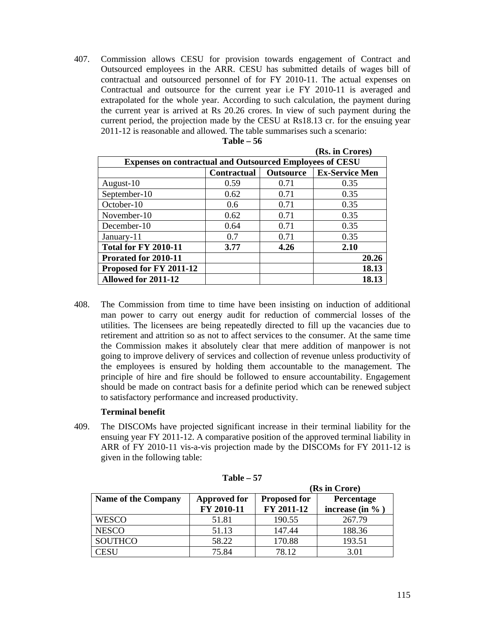407. Commission allows CESU for provision towards engagement of Contract and Outsourced employees in the ARR. CESU has submitted details of wages bill of contractual and outsourced personnel of for FY 2010-11. The actual expenses on Contractual and outsource for the current year i.e FY 2010-11 is averaged and extrapolated for the whole year. According to such calculation, the payment during the current year is arrived at Rs 20.26 crores. In view of such payment during the current period, the projection made by the CESU at Rs18.13 cr. for the ensuing year 2011-12 is reasonable and allowed. The table summarises such a scenario:

|                                                                 |                                                                 |      | (Rs. in Crores) |  |  |  |
|-----------------------------------------------------------------|-----------------------------------------------------------------|------|-----------------|--|--|--|
| <b>Expenses on contractual and Outsourced Employees of CESU</b> |                                                                 |      |                 |  |  |  |
|                                                                 | <b>Ex-Service Men</b><br><b>Contractual</b><br><b>Outsource</b> |      |                 |  |  |  |
| August-10                                                       | 0.59                                                            | 0.71 | 0.35            |  |  |  |
| September-10                                                    | 0.62                                                            | 0.71 | 0.35            |  |  |  |
| October-10                                                      | 0.6                                                             | 0.71 | 0.35            |  |  |  |
| November-10                                                     | 0.62                                                            | 0.71 | 0.35            |  |  |  |
| December-10                                                     | 0.64                                                            | 0.71 | 0.35            |  |  |  |
| January-11                                                      | 0.7                                                             | 0.71 | 0.35            |  |  |  |
| <b>Total for FY 2010-11</b>                                     | 3.77                                                            | 4.26 | 2.10            |  |  |  |
| Prorated for 2010-11                                            |                                                                 |      | 20.26           |  |  |  |
| Proposed for FY 2011-12                                         |                                                                 |      | 18.13           |  |  |  |
| Allowed for 2011-12                                             |                                                                 |      | 18.13           |  |  |  |

408. The Commission from time to time have been insisting on induction of additional man power to carry out energy audit for reduction of commercial losses of the utilities. The licensees are being repeatedly directed to fill up the vacancies due to retirement and attrition so as not to affect services to the consumer. At the same time the Commission makes it absolutely clear that mere addition of manpower is not going to improve delivery of services and collection of revenue unless productivity of the employees is ensured by holding them accountable to the management. The principle of hire and fire should be followed to ensure accountability. Engagement should be made on contract basis for a definite period which can be renewed subject to satisfactory performance and increased productivity.

## **Terminal benefit**

409. The DISCOMs have projected significant increase in their terminal liability for the ensuing year FY 2011-12. A comparative position of the approved terminal liability in ARR of FY 2010-11 vis-a-vis projection made by the DISCOMs for FY 2011-12 is given in the following table:

|                            |                     | (Rs in Crore)       |                     |  |  |  |  |
|----------------------------|---------------------|---------------------|---------------------|--|--|--|--|
| <b>Name of the Company</b> | <b>Approved for</b> | <b>Proposed for</b> | Percentage          |  |  |  |  |
|                            | FY 2010-11          | FY 2011-12          | increase (in $\%$ ) |  |  |  |  |
| WESCO                      | 51.81               | 190.55              | 267.79              |  |  |  |  |
| <b>NESCO</b>               | 51.13               | 147.44              | 188.36              |  |  |  |  |
| <b>SOUTHCO</b>             | 58.22               | 170.88              | 193.51              |  |  |  |  |
| CESU                       | 75.84               | 78.12               | 3.01                |  |  |  |  |

**Table – 57**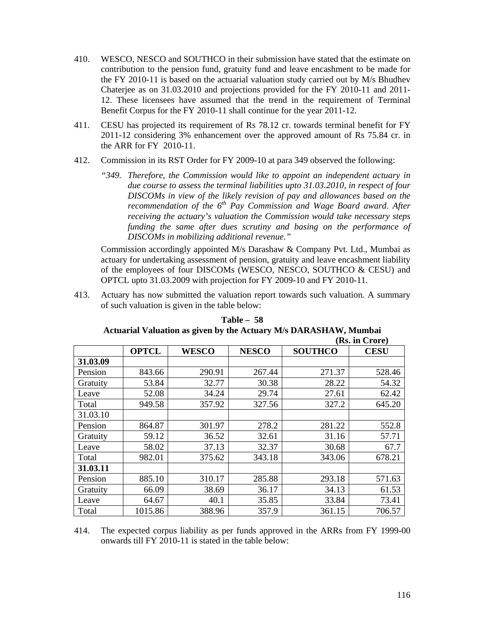- 410. WESCO, NESCO and SOUTHCO in their submission have stated that the estimate on contribution to the pension fund, gratuity fund and leave encashment to be made for the FY 2010-11 is based on the actuarial valuation study carried out by M/s Bhudhev Chaterjee as on 31.03.2010 and projections provided for the FY 2010-11 and 2011- 12. These licensees have assumed that the trend in the requirement of Terminal Benefit Corpus for the FY 2010-11 shall continue for the year 2011-12.
- 411. CESU has projected its requirement of Rs 78.12 cr. towards terminal benefit for FY 2011-12 considering 3% enhancement over the approved amount of Rs 75.84 cr. in the ARR for FY 2010-11.
- 412. Commission in its RST Order for FY 2009-10 at para 349 observed the following:
	- *"349. Therefore, the Commission would like to appoint an independent actuary in due course to assess the terminal liabilities upto 31.03.2010, in respect of four DISCOMs in view of the likely revision of pay and allowances based on the recommendation of the 6<sup>th</sup> Pay Commission and Wage Board award. After receiving the actuary's valuation the Commission would take necessary steps funding the same after dues scrutiny and basing on the performance of DISCOMs in mobilizing additional revenue."*

Commission accordingly appointed M/s Darashaw & Company Pvt. Ltd., Mumbai as actuary for undertaking assessment of pension, gratuity and leave encashment liability of the employees of four DISCOMs (WESCO, NESCO, SOUTHCO & CESU) and OPTCL upto 31.03.2009 with projection for FY 2009-10 and FY 2010-11.

413. Actuary has now submitted the valuation report towards such valuation. A summary of such valuation is given in the table below:

|          |              |              |              | (Rs. in Crore) |             |  |  |  |
|----------|--------------|--------------|--------------|----------------|-------------|--|--|--|
|          | <b>OPTCL</b> | <b>WESCO</b> | <b>NESCO</b> | <b>SOUTHCO</b> | <b>CESU</b> |  |  |  |
| 31.03.09 |              |              |              |                |             |  |  |  |
| Pension  | 843.66       | 290.91       | 267.44       | 271.37         | 528.46      |  |  |  |
| Gratuity | 53.84        | 32.77        | 30.38        | 28.22          | 54.32       |  |  |  |
| Leave    | 52.08        | 34.24        | 29.74        | 27.61          | 62.42       |  |  |  |
| Total    | 949.58       | 357.92       | 327.56       | 327.2          | 645.20      |  |  |  |
| 31.03.10 |              |              |              |                |             |  |  |  |
| Pension  | 864.87       | 301.97       | 278.2        | 281.22         | 552.8       |  |  |  |
| Gratuity | 59.12        | 36.52        | 32.61        | 31.16          | 57.71       |  |  |  |
| Leave    | 58.02        | 37.13        | 32.37        | 30.68          | 67.7        |  |  |  |
| Total    | 982.01       | 375.62       | 343.18       | 343.06         | 678.21      |  |  |  |
| 31.03.11 |              |              |              |                |             |  |  |  |
| Pension  | 885.10       | 310.17       | 285.88       | 293.18         | 571.63      |  |  |  |
| Gratuity | 66.09        | 38.69        | 36.17        | 34.13          | 61.53       |  |  |  |
| Leave    | 64.67        | 40.1         | 35.85        | 33.84          | 73.41       |  |  |  |
| Total    | 1015.86      | 388.96       | 357.9        | 361.15         | 706.57      |  |  |  |

**Table – 58 Actuarial Valuation as given by the Actuary M/s DARASHAW, Mumbai** 

414. The expected corpus liability as per funds approved in the ARRs from FY 1999-00 onwards till FY 2010-11 is stated in the table below: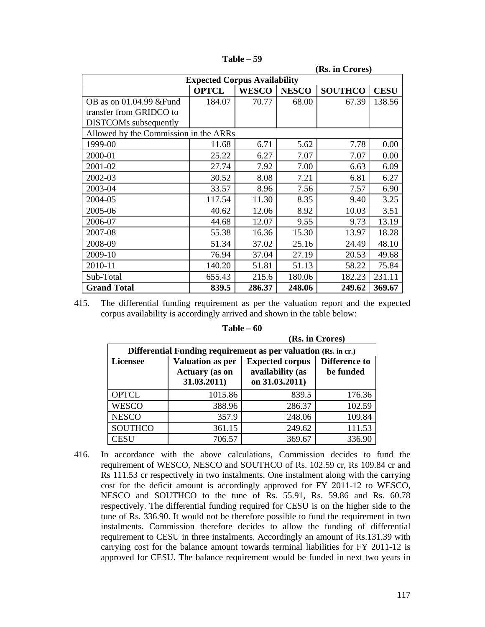| (Rs. in Crores)                       |                                     |              |              |                |             |  |  |  |
|---------------------------------------|-------------------------------------|--------------|--------------|----------------|-------------|--|--|--|
|                                       | <b>Expected Corpus Availability</b> |              |              |                |             |  |  |  |
|                                       | <b>OPTCL</b>                        | <b>WESCO</b> | <b>NESCO</b> | <b>SOUTHCO</b> | <b>CESU</b> |  |  |  |
| OB as on 01.04.99 & Fund              | 184.07                              | 70.77        | 68.00        | 67.39          | 138.56      |  |  |  |
| transfer from GRIDCO to               |                                     |              |              |                |             |  |  |  |
| <b>DISTCOMs</b> subsequently          |                                     |              |              |                |             |  |  |  |
| Allowed by the Commission in the ARRs |                                     |              |              |                |             |  |  |  |
| 1999-00                               | 11.68                               | 6.71         | 5.62         | 7.78           | 0.00        |  |  |  |
| 2000-01                               | 25.22                               | 6.27         | 7.07         | 7.07           | 0.00        |  |  |  |
| 2001-02                               | 27.74                               | 7.92         | 7.00         | 6.63           | 6.09        |  |  |  |
| 2002-03                               | 30.52                               | 8.08         | 7.21         | 6.81           | 6.27        |  |  |  |
| 2003-04                               | 33.57                               | 8.96         | 7.56         | 7.57           | 6.90        |  |  |  |
| 2004-05                               | 117.54                              | 11.30        | 8.35         | 9.40           | 3.25        |  |  |  |
| 2005-06                               | 40.62                               | 12.06        | 8.92         | 10.03          | 3.51        |  |  |  |
| 2006-07                               | 44.68                               | 12.07        | 9.55         | 9.73           | 13.19       |  |  |  |
| 2007-08                               | 55.38                               | 16.36        | 15.30        | 13.97          | 18.28       |  |  |  |
| 2008-09                               | 51.34                               | 37.02        | 25.16        | 24.49          | 48.10       |  |  |  |
| 2009-10                               | 76.94                               | 37.04        | 27.19        | 20.53          | 49.68       |  |  |  |
| 2010-11                               | 140.20                              | 51.81        | 51.13        | 58.22          | 75.84       |  |  |  |
| Sub-Total                             | 655.43                              | 215.6        | 180.06       | 182.23         | 231.11      |  |  |  |
| <b>Grand Total</b>                    | 839.5                               | 286.37       | 248.06       | 249.62         | 369.67      |  |  |  |

**Table – 59** 

415. The differential funding requirement as per the valuation report and the expected corpus availability is accordingly arrived and shown in the table below:

| мжи стогет                                                     |                                                                 |                                                              |                                   |  |  |  |  |  |  |
|----------------------------------------------------------------|-----------------------------------------------------------------|--------------------------------------------------------------|-----------------------------------|--|--|--|--|--|--|
| Differential Funding requirement as per valuation (Rs. in cr.) |                                                                 |                                                              |                                   |  |  |  |  |  |  |
| <b>Licensee</b>                                                | <b>Valuation as per</b><br><b>Actuary</b> (as on<br>31.03.2011) | <b>Expected corpus</b><br>availability (as<br>on 31.03.2011) | <b>Difference to</b><br>be funded |  |  |  |  |  |  |
| <b>OPTCL</b>                                                   | 1015.86                                                         | 839.5                                                        | 176.36                            |  |  |  |  |  |  |
| <b>WESCO</b>                                                   | 388.96                                                          | 286.37                                                       | 102.59                            |  |  |  |  |  |  |
| <b>NESCO</b>                                                   | 357.9                                                           | 248.06                                                       | 109.84                            |  |  |  |  |  |  |
| <b>SOUTHCO</b>                                                 | 361.15                                                          | 249.62                                                       | 111.53                            |  |  |  |  |  |  |
| <b>CESU</b>                                                    | 706.57                                                          | 369.67                                                       | 336.90                            |  |  |  |  |  |  |

**Table – 60** 

**(Rs. in Crores)**

416. In accordance with the above calculations, Commission decides to fund the requirement of WESCO, NESCO and SOUTHCO of Rs. 102.59 cr, Rs 109.84 cr and Rs 111.53 cr respectively in two instalments. One instalment along with the carrying cost for the deficit amount is accordingly approved for FY 2011-12 to WESCO, NESCO and SOUTHCO to the tune of Rs. 55.91, Rs. 59.86 and Rs. 60.78 respectively. The differential funding required for CESU is on the higher side to the tune of Rs. 336.90. It would not be therefore possible to fund the requirement in two instalments. Commission therefore decides to allow the funding of differential requirement to CESU in three instalments. Accordingly an amount of Rs.131.39 with carrying cost for the balance amount towards terminal liabilities for FY 2011-12 is approved for CESU. The balance requirement would be funded in next two years in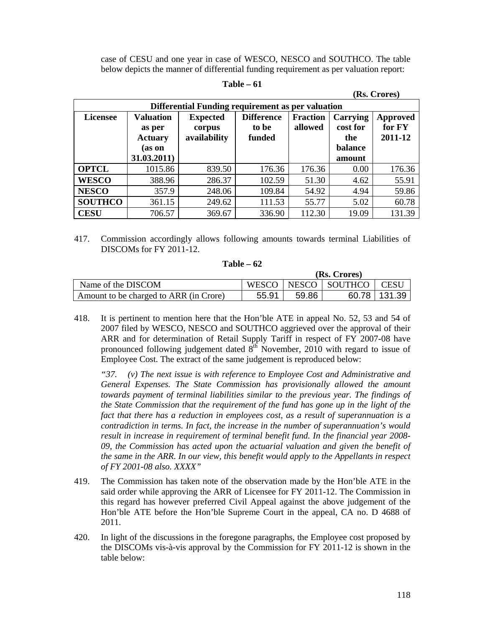case of CESU and one year in case of WESCO, NESCO and SOUTHCO. The table below depicts the manner of differential funding requirement as per valuation report:

| 'anie<br>n |  |
|------------|--|
|------------|--|

| (Rs. Crores)                                      |                  |                 |                   |                 |          |          |  |  |  |  |
|---------------------------------------------------|------------------|-----------------|-------------------|-----------------|----------|----------|--|--|--|--|
| Differential Funding requirement as per valuation |                  |                 |                   |                 |          |          |  |  |  |  |
| <b>Licensee</b>                                   | <b>Valuation</b> | <b>Expected</b> | <b>Difference</b> | <b>Fraction</b> | Carrying | Approved |  |  |  |  |
|                                                   | as per           | corpus          | to be             | allowed         | cost for | for FY   |  |  |  |  |
|                                                   | <b>Actuary</b>   | availability    | funded            |                 | the      | 2011-12  |  |  |  |  |
|                                                   | (as on           |                 |                   |                 | balance  |          |  |  |  |  |
|                                                   | 31.03.2011)      |                 |                   |                 | amount   |          |  |  |  |  |
| <b>OPTCL</b>                                      | 1015.86          | 839.50          | 176.36            | 176.36          | 0.00     | 176.36   |  |  |  |  |
| <b>WESCO</b>                                      | 388.96           | 286.37          | 102.59            | 51.30           | 4.62     | 55.91    |  |  |  |  |
| <b>NESCO</b>                                      | 357.9            | 248.06          | 109.84            | 54.92           | 4.94     | 59.86    |  |  |  |  |
| <b>SOUTHCO</b>                                    | 361.15           | 249.62          | 111.53            | 55.77           | 5.02     | 60.78    |  |  |  |  |
| <b>CESU</b>                                       | 706.57           | 369.67          | 336.90            | 112.30          | 19.09    | 131.39   |  |  |  |  |

417. Commission accordingly allows following amounts towards terminal Liabilities of DISCOMs for FY 2011-12.

|                                        | (Rs. Crores) |       |                         |                |  |  |  |
|----------------------------------------|--------------|-------|-------------------------|----------------|--|--|--|
| Name of the DISCOM                     |              |       | WESCO   NESCO   SOUTHCO | CESU           |  |  |  |
| Amount to be charged to ARR (in Crore) | 55.91        | 59.86 |                         | 60.78   131.39 |  |  |  |

- **Table 62**
- 418. It is pertinent to mention here that the Hon'ble ATE in appeal No. 52, 53 and 54 of 2007 filed by WESCO, NESCO and SOUTHCO aggrieved over the approval of their ARR and for determination of Retail Supply Tariff in respect of FY 2007-08 have pronounced following judgement dated  $8<sup>th</sup>$  November, 2010 with regard to issue of Employee Cost. The extract of the same judgement is reproduced below:

*"37. (v) The next issue is with reference to Employee Cost and Administrative and General Expenses. The State Commission has provisionally allowed the amount towards payment of terminal liabilities similar to the previous year. The findings of the State Commission that the requirement of the fund has gone up in the light of the fact that there has a reduction in employees cost, as a result of superannuation is a contradiction in terms. In fact, the increase in the number of superannuation's would result in increase in requirement of terminal benefit fund. In the financial year 2008- 09, the Commission has acted upon the actuarial valuation and given the benefit of the same in the ARR. In our view, this benefit would apply to the Appellants in respect of FY 2001-08 also. XXXX"* 

- 419. The Commission has taken note of the observation made by the Hon'ble ATE in the said order while approving the ARR of Licensee for FY 2011-12. The Commission in this regard has however preferred Civil Appeal against the above judgement of the Hon'ble ATE before the Hon'ble Supreme Court in the appeal, CA no. D 4688 of 2011.
- 420. In light of the discussions in the foregone paragraphs, the Employee cost proposed by the DISCOMs vis-à-vis approval by the Commission for FY 2011-12 is shown in the table below: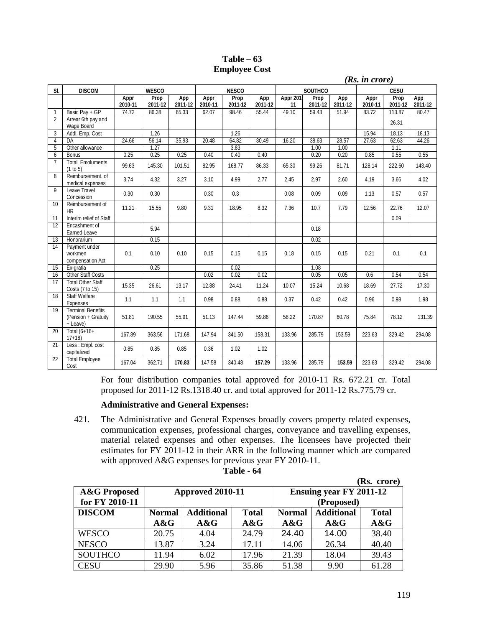| Table $-63$          |  |
|----------------------|--|
| <b>Employee Cost</b> |  |

|                |                                                             | (Rs. in crore)  |                 |                |                 |                 |                |                |                 |                |                 |                 |                |
|----------------|-------------------------------------------------------------|-----------------|-----------------|----------------|-----------------|-----------------|----------------|----------------|-----------------|----------------|-----------------|-----------------|----------------|
| SI.            | <b>DISCOM</b>                                               |                 | <b>WESCO</b>    |                |                 | <b>NESCO</b>    |                |                | SOUTHCO         |                |                 | CESU            |                |
|                |                                                             | Appr<br>2010-11 | Prop<br>2011-12 | App<br>2011-12 | Appr<br>2010-11 | Prop<br>2011-12 | App<br>2011-12 | Appr 201<br>11 | Prop<br>2011-12 | App<br>2011-12 | Appr<br>2010-11 | Prop<br>2011-12 | App<br>2011-12 |
| 1              | Basic Pay + GP                                              | 74.72           | 86.38           | 65.33          | 62.07           | 98.46           | 55.44          | 49.10          | 59.43           | 51.94          | 83.72           | 113.87          | 80.47          |
| $\overline{2}$ | Arrear 6th pay and<br>Wage Board                            |                 |                 |                |                 |                 |                |                |                 |                |                 | 26.31           |                |
| 3              | Addl. Emp. Cost                                             |                 | 1.26            |                |                 | 1.26            |                |                |                 |                | 15.94           | 18.13           | 18.13          |
| $\overline{4}$ | DA                                                          | 24.66           | 56.14           | 35.93          | 20.48           | 64.82           | 30.49          | 16.20          | 38.63           | 28.57          | 27.63           | 62.63           | 44.26          |
| 5              | Other allowance                                             |                 | 1.27            |                |                 | 3.83            |                |                | 1.00            | 1.00           |                 | 1.11            |                |
| 6              | Bonus                                                       | 0.25            | 0.25            | 0.25           | 0.40            | 0.40            | 0.40           |                | 0.20            | 0.20           | 0.85            | 0.55            | 0.55           |
| $\overline{7}$ | <b>Total Emoluments</b><br>(1 to 5)                         | 99.63           | 145.30          | 101.51         | 82.95           | 168.77          | 86.33          | 65.30          | 99.26           | 81.71          | 128.14          | 222.60          | 143.40         |
| 8              | Reimbursement, of<br>medical expenses                       | 3.74            | 4.32            | 3.27           | 3.10            | 4.99            | 2.77           | 2.45           | 2.97            | 2.60           | 4.19            | 3.66            | 4.02           |
| $\mathsf{Q}$   | Leave Travel<br>Concession                                  | 0.30            | 0.30            |                | 0.30            | 0.3             |                | 0.08           | 0.09            | 0.09           | 1.13            | 0.57            | 0.57           |
| 10             | Reimbursement of<br><b>HR</b>                               | 11.21           | 15.55           | 9.80           | 9.31            | 18.95           | 8.32           | 7.36           | 10.7            | 7.79           | 12.56           | 22.76           | 12.07          |
| 11             | Interim relief of Staff                                     |                 |                 |                |                 |                 |                |                |                 |                |                 | 0.09            |                |
| 12             | Encashment of<br>Earned Leave                               |                 | 5.94            |                |                 |                 |                |                | 0.18            |                |                 |                 |                |
| 13             | Honorarium                                                  |                 | 0.15            |                |                 |                 |                |                | 0.02            |                |                 |                 |                |
| 14             | Payment under<br>workmen<br>compensation Act                | 0.1             | 0.10            | 0.10           | 0.15            | 0.15            | 0.15           | 0.18           | 0.15            | 0.15           | 0.21            | 0.1             | 0.1            |
| 15             | Ex-gratia                                                   |                 | 0.25            |                |                 | 0.02            |                |                | 1.08            |                |                 |                 |                |
| 16             | <b>Other Staff Costs</b>                                    |                 |                 |                | 0.02            | 0.02            | 0.02           |                | 0.05            | 0.05           | 0.6             | 0.54            | 0.54           |
| 17             | <b>Total Other Staff</b><br>Costs (7 to 15)                 | 15.35           | 26.61           | 13.17          | 12.88           | 24.41           | 11.24          | 10.07          | 15.24           | 10.68          | 18.69           | 27.72           | 17.30          |
| 18             | <b>Staff Welfare</b><br>Expenses                            | 1.1             | 1.1             | 1.1            | 0.98            | 0.88            | 0.88           | 0.37           | 0.42            | 0.42           | 0.96            | 0.98            | 1.98           |
| 19             | <b>Terminal Benefits</b><br>(Pension + Gratuity<br>+ Leave) | 51.81           | 190.55          | 55.91          | 51.13           | 147.44          | 59.86          | 58.22          | 170.87          | 60.78          | 75.84           | 78.12           | 131.39         |
| 20             | Total (6+16+<br>$17+18$                                     | 167.89          | 363.56          | 171.68         | 147.94          | 341.50          | 158.31         | 133.96         | 285.79          | 153.59         | 223.63          | 329.42          | 294.08         |
| 21             | Less : Empl. cost<br>capitalized                            | 0.85            | 0.85            | 0.85           | 0.36            | 1.02            | 1.02           |                |                 |                |                 |                 |                |
| 22             | <b>Total Employee</b><br>Cost                               | 167.04          | 362.71          | 170.83         | 147.58          | 340.48          | 157.29         | 133.96         | 285.79          | 153.59         | 223.63          | 329.42          | 294.08         |

For four distribution companies total approved for 2010-11 Rs. 672.21 cr. Total proposed for 2011-12 Rs.1318.40 cr. and total approved for 2011-12 Rs.775.79 cr.

## **Administrative and General Expenses:**

421. The Administrative and General Expenses broadly covers property related expenses, communication expenses, professional charges, conveyance and travelling expenses, material related expenses and other expenses. The licensees have projected their estimates for FY 2011-12 in their ARR in the following manner which are compared with approved A&G expenses for previous year FY 2010-11.

| Table |  | 64 |
|-------|--|----|
|-------|--|----|

|                         |               |                   |              |                                |                   | (Rs. crore)  |  |  |
|-------------------------|---------------|-------------------|--------------|--------------------------------|-------------------|--------------|--|--|
| <b>A&amp;G Proposed</b> |               | Approved 2010-11  |              | <b>Ensuing year FY 2011-12</b> |                   |              |  |  |
| for FY 2010-11          |               |                   |              | (Proposed)                     |                   |              |  |  |
| <b>DISCOM</b>           | <b>Normal</b> | <b>Additional</b> | <b>Total</b> | <b>Normal</b>                  | <b>Additional</b> | <b>Total</b> |  |  |
|                         | A&G           | A&G               | A&G          | A&G                            | A&G               | A&G          |  |  |
| <b>WESCO</b>            | 20.75         | 4.04              | 24.79        | 24.40                          | 14.00             | 38.40        |  |  |
| <b>NESCO</b>            | 13.87         | 3.24              | 17.11        | 14.06                          | 26.34             | 40.40        |  |  |
| <b>SOUTHCO</b>          | 11.94         | 6.02              | 17.96        | 21.39                          | 18.04             | 39.43        |  |  |
| <b>CESU</b>             | 29.90         | 5.96              | 35.86        | 51.38                          | 9.90              | 61.28        |  |  |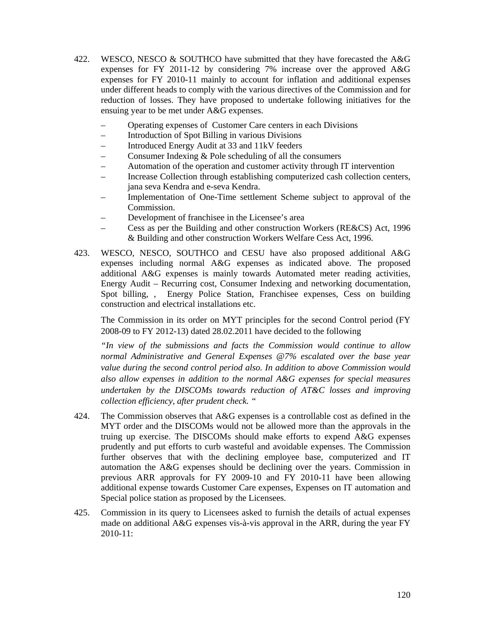- 422. WESCO, NESCO & SOUTHCO have submitted that they have forecasted the A&G expenses for FY 2011-12 by considering 7% increase over the approved A&G expenses for FY 2010-11 mainly to account for inflation and additional expenses under different heads to comply with the various directives of the Commission and for reduction of losses. They have proposed to undertake following initiatives for the ensuing year to be met under A&G expenses.
	- Operating expenses of Customer Care centers in each Divisions
	- Introduction of Spot Billing in various Divisions
	- Introduced Energy Audit at 33 and 11kV feeders
	- Consumer Indexing  $&$  Pole scheduling of all the consumers
	- Automation of the operation and customer activity through IT intervention
	- Increase Collection through establishing computerized cash collection centers, jana seva Kendra and e-seva Kendra.
	- Implementation of One-Time settlement Scheme subject to approval of the Commission.
	- Development of franchisee in the Licensee's area
	- Cess as per the Building and other construction Workers (RE&CS) Act, 1996 & Building and other construction Workers Welfare Cess Act, 1996.
- 423. WESCO, NESCO, SOUTHCO and CESU have also proposed additional A&G expenses including normal A&G expenses as indicated above. The proposed additional A&G expenses is mainly towards Automated meter reading activities, Energy Audit – Recurring cost, Consumer Indexing and networking documentation, Spot billing, , Energy Police Station, Franchisee expenses, Cess on building construction and electrical installations etc.

The Commission in its order on MYT principles for the second Control period (FY 2008-09 to FY 2012-13) dated 28.02.2011 have decided to the following

*"In view of the submissions and facts the Commission would continue to allow normal Administrative and General Expenses @7% escalated over the base year value during the second control period also. In addition to above Commission would also allow expenses in addition to the normal A&G expenses for special measures undertaken by the DISCOMs towards reduction of AT&C losses and improving collection efficiency, after prudent check. "* 

- 424. The Commission observes that A&G expenses is a controllable cost as defined in the MYT order and the DISCOMs would not be allowed more than the approvals in the truing up exercise. The DISCOMs should make efforts to expend A&G expenses prudently and put efforts to curb wasteful and avoidable expenses. The Commission further observes that with the declining employee base, computerized and IT automation the A&G expenses should be declining over the years. Commission in previous ARR approvals for FY 2009-10 and FY 2010-11 have been allowing additional expense towards Customer Care expenses, Expenses on IT automation and Special police station as proposed by the Licensees.
- 425. Commission in its query to Licensees asked to furnish the details of actual expenses made on additional A&G expenses vis-à-vis approval in the ARR, during the year FY  $2010 - 11$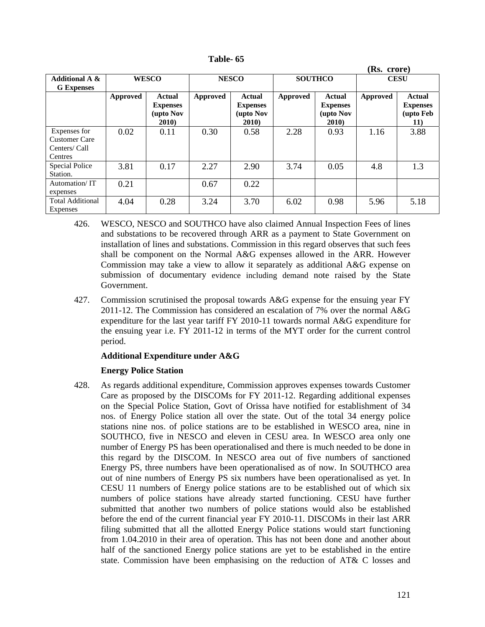**Table- 65** 

|                                                                  | (Rs. crore)     |                                                        |              |                                                                |                |                                                         |                 |                                               |  |
|------------------------------------------------------------------|-----------------|--------------------------------------------------------|--------------|----------------------------------------------------------------|----------------|---------------------------------------------------------|-----------------|-----------------------------------------------|--|
| <b>Additional A &amp;</b><br><b>G</b> Expenses                   |                 | <b>WESCO</b>                                           | <b>NESCO</b> |                                                                | <b>SOUTHCO</b> |                                                         | <b>CESU</b>     |                                               |  |
|                                                                  | <b>Approved</b> | <b>Actual</b><br><b>Expenses</b><br>(upto Nov<br>2010) | Approved     | <b>Actual</b><br><b>Expenses</b><br>(upto Nov<br><b>2010</b> ) | Approved       | Actual<br><b>Expenses</b><br>(upto Nov<br><b>2010</b> ) | <b>Approved</b> | Actual<br><b>Expenses</b><br>(upto Feb<br>11) |  |
| Expenses for<br><b>Customer Care</b><br>Centers/ Call<br>Centres | 0.02            | 0.11                                                   | 0.30         | 0.58                                                           | 2.28           | 0.93                                                    | 1.16            | 3.88                                          |  |
| Special Police<br>Station.                                       | 3.81            | 0.17                                                   | 2.27         | 2.90                                                           | 3.74           | 0.05                                                    | 4.8             | 1.3                                           |  |
| Automation/IT<br>expenses                                        | 0.21            |                                                        | 0.67         | 0.22                                                           |                |                                                         |                 |                                               |  |
| <b>Total Additional</b><br>Expenses                              | 4.04            | 0.28                                                   | 3.24         | 3.70                                                           | 6.02           | 0.98                                                    | 5.96            | 5.18                                          |  |

- 426. WESCO, NESCO and SOUTHCO have also claimed Annual Inspection Fees of lines and substations to be recovered through ARR as a payment to State Government on installation of lines and substations. Commission in this regard observes that such fees shall be component on the Normal A&G expenses allowed in the ARR. However Commission may take a view to allow it separately as additional A&G expense on submission of documentary evidence including demand note raised by the State Government.
- 427. Commission scrutinised the proposal towards A&G expense for the ensuing year FY 2011-12. The Commission has considered an escalation of 7% over the normal A&G expenditure for the last year tariff FY 2010-11 towards normal A&G expenditure for the ensuing year i.e. FY 2011-12 in terms of the MYT order for the current control period.

## **Additional Expenditure under A&G**

## **Energy Police Station**

428. As regards additional expenditure, Commission approves expenses towards Customer Care as proposed by the DISCOMs for FY 2011-12. Regarding additional expenses on the Special Police Station, Govt of Orissa have notified for establishment of 34 nos. of Energy Police station all over the state. Out of the total 34 energy police stations nine nos. of police stations are to be established in WESCO area, nine in SOUTHCO, five in NESCO and eleven in CESU area. In WESCO area only one number of Energy PS has been operationalised and there is much needed to be done in this regard by the DISCOM. In NESCO area out of five numbers of sanctioned Energy PS, three numbers have been operationalised as of now. In SOUTHCO area out of nine numbers of Energy PS six numbers have been operationalised as yet. In CESU 11 numbers of Energy police stations are to be established out of which six numbers of police stations have already started functioning. CESU have further submitted that another two numbers of police stations would also be established before the end of the current financial year FY 2010-11. DISCOMs in their last ARR filing submitted that all the allotted Energy Police stations would start functioning from 1.04.2010 in their area of operation. This has not been done and another about half of the sanctioned Energy police stations are yet to be established in the entire state. Commission have been emphasising on the reduction of AT& C losses and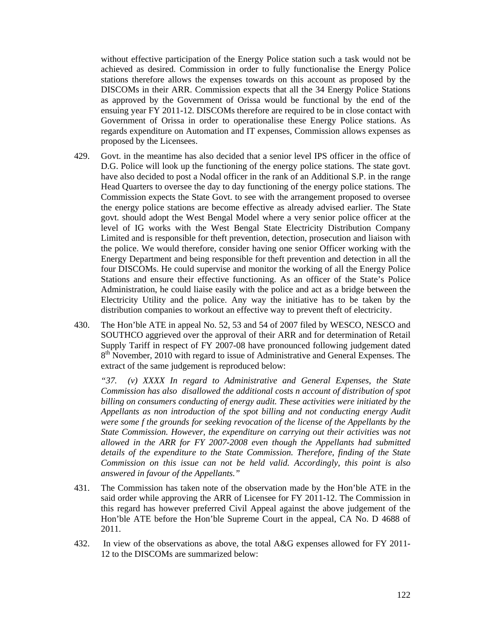without effective participation of the Energy Police station such a task would not be achieved as desired. Commission in order to fully functionalise the Energy Police stations therefore allows the expenses towards on this account as proposed by the DISCOMs in their ARR. Commission expects that all the 34 Energy Police Stations as approved by the Government of Orissa would be functional by the end of the ensuing year FY 2011-12. DISCOMs therefore are required to be in close contact with Government of Orissa in order to operationalise these Energy Police stations. As regards expenditure on Automation and IT expenses, Commission allows expenses as proposed by the Licensees.

- 429. Govt. in the meantime has also decided that a senior level IPS officer in the office of D.G. Police will look up the functioning of the energy police stations. The state govt. have also decided to post a Nodal officer in the rank of an Additional S.P. in the range Head Quarters to oversee the day to day functioning of the energy police stations. The Commission expects the State Govt. to see with the arrangement proposed to oversee the energy police stations are become effective as already advised earlier. The State govt. should adopt the West Bengal Model where a very senior police officer at the level of IG works with the West Bengal State Electricity Distribution Company Limited and is responsible for theft prevention, detection, prosecution and liaison with the police. We would therefore, consider having one senior Officer working with the Energy Department and being responsible for theft prevention and detection in all the four DISCOMs. He could supervise and monitor the working of all the Energy Police Stations and ensure their effective functioning. As an officer of the State's Police Administration, he could liaise easily with the police and act as a bridge between the Electricity Utility and the police. Any way the initiative has to be taken by the distribution companies to workout an effective way to prevent theft of electricity.
- 430. The Hon'ble ATE in appeal No. 52, 53 and 54 of 2007 filed by WESCO, NESCO and SOUTHCO aggrieved over the approval of their ARR and for determination of Retail Supply Tariff in respect of FY 2007-08 have pronounced following judgement dated  $8<sup>th</sup>$  November, 2010 with regard to issue of Administrative and General Expenses. The extract of the same judgement is reproduced below:

*"37. (v) XXXX In regard to Administrative and General Expenses, the State Commission has also disallowed the additional costs n account of distribution of spot billing on consumers conducting of energy audit. These activities were initiated by the Appellants as non introduction of the spot billing and not conducting energy Audit were some f the grounds for seeking revocation of the license of the Appellants by the State Commission. However, the expenditure on carrying out their activities was not allowed in the ARR for FY 2007-2008 even though the Appellants had submitted details of the expenditure to the State Commission. Therefore, finding of the State Commission on this issue can not be held valid. Accordingly, this point is also answered in favour of the Appellants."* 

- 431. The Commission has taken note of the observation made by the Hon'ble ATE in the said order while approving the ARR of Licensee for FY 2011-12. The Commission in this regard has however preferred Civil Appeal against the above judgement of the Hon'ble ATE before the Hon'ble Supreme Court in the appeal, CA No. D 4688 of 2011.
- 432. In view of the observations as above, the total A&G expenses allowed for FY 2011- 12 to the DISCOMs are summarized below: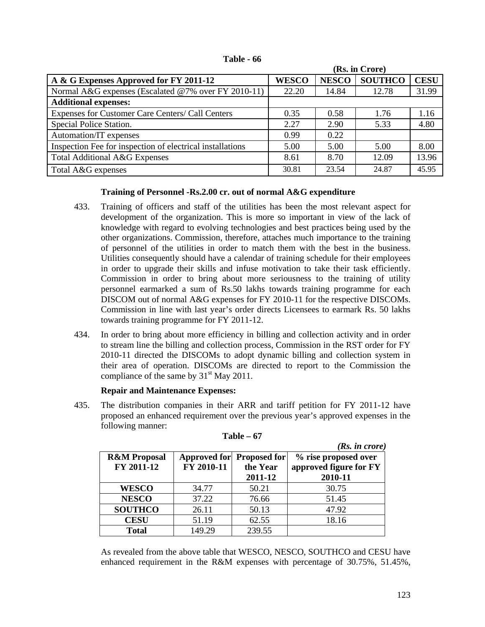| Table - 66 |
|------------|
|------------|

|                                                           |              |              | (Rs. in Crore) |             |
|-----------------------------------------------------------|--------------|--------------|----------------|-------------|
| A & G Expenses Approved for FY 2011-12                    | <b>WESCO</b> | <b>NESCO</b> | <b>SOUTHCO</b> | <b>CESU</b> |
| Normal A&G expenses (Escalated @7% over FY 2010-11)       | 22.20        | 14.84        | 12.78          | 31.99       |
| <b>Additional expenses:</b>                               |              |              |                |             |
| Expenses for Customer Care Centers/ Call Centers          | 0.35         | 0.58         | 1.76           | 1.16        |
| Special Police Station.                                   | 2.27         | 2.90         | 5.33           | 4.80        |
| Automation/IT expenses                                    | 0.99         | 0.22         |                |             |
| Inspection Fee for inspection of electrical installations | 5.00         | 5.00         | 5.00           | 8.00        |
| <b>Total Additional A&amp;G Expenses</b>                  | 8.61         | 8.70         | 12.09          | 13.96       |
| Total A&G expenses                                        | 30.81        | 23.54        | 24.87          | 45.95       |

# **Training of Personnel -Rs.2.00 cr. out of normal A&G expenditure**

- 433. Training of officers and staff of the utilities has been the most relevant aspect for development of the organization. This is more so important in view of the lack of knowledge with regard to evolving technologies and best practices being used by the other organizations. Commission, therefore, attaches much importance to the training of personnel of the utilities in order to match them with the best in the business. Utilities consequently should have a calendar of training schedule for their employees in order to upgrade their skills and infuse motivation to take their task efficiently. Commission in order to bring about more seriousness to the training of utility personnel earmarked a sum of Rs.50 lakhs towards training programme for each DISCOM out of normal A&G expenses for FY 2010-11 for the respective DISCOMs. Commission in line with last year's order directs Licensees to earmark Rs. 50 lakhs towards training programme for FY 2011-12.
- 434. In order to bring about more efficiency in billing and collection activity and in order to stream line the billing and collection process, Commission in the RST order for FY 2010-11 directed the DISCOMs to adopt dynamic billing and collection system in their area of operation. DISCOMs are directed to report to the Commission the compliance of the same by  $31<sup>st</sup>$  May 2011.

# **Repair and Maintenance Expenses:**

435. The distribution companies in their ARR and tariff petition for FY 2011-12 have proposed an enhanced requirement over the previous year's approved expenses in the following manner:

|                         |            |                           | (Rs. in <i>core</i> )  |
|-------------------------|------------|---------------------------|------------------------|
| <b>R&amp;M</b> Proposal |            | Approved for Proposed for | % rise proposed over   |
| FY 2011-12              | FY 2010-11 | the Year                  | approved figure for FY |
|                         |            | 2011-12                   | 2010-11                |
| <b>WESCO</b>            | 34.77      | 50.21                     | 30.75                  |
| <b>NESCO</b>            | 37.22      | 76.66                     | 51.45                  |
| <b>SOUTHCO</b>          | 26.11      | 50.13                     | 47.92                  |
| <b>CESU</b>             | 51.19      | 62.55                     | 18.16                  |
| <b>Total</b>            | 149.29     | 239.55                    |                        |

**Table – 67** 

As revealed from the above table that WESCO, NESCO, SOUTHCO and CESU have enhanced requirement in the R&M expenses with percentage of 30.75%, 51.45%,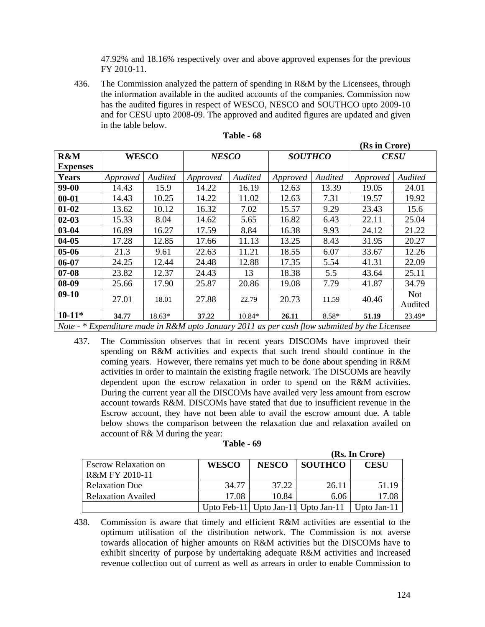47.92% and 18.16% respectively over and above approved expenses for the previous FY 2010-11.

436. The Commission analyzed the pattern of spending in R&M by the Licensees, through the information available in the audited accounts of the companies. Commission now has the audited figures in respect of WESCO, NESCO and SOUTHCO upto 2009-10 and for CESU upto 2008-09. The approved and audited figures are updated and given in the table below.

|                 | (RS In Crore) |          |                                                                                               |                                |          |             |          |                       |
|-----------------|---------------|----------|-----------------------------------------------------------------------------------------------|--------------------------------|----------|-------------|----------|-----------------------|
| R&M             | <b>WESCO</b>  |          |                                                                                               | <b>NESCO</b><br><b>SOUTHCO</b> |          | <b>CESU</b> |          |                       |
| <b>Expenses</b> |               |          |                                                                                               |                                |          |             |          |                       |
| <b>Years</b>    | Approved      | Audited  | Approved                                                                                      | Audited                        | Approved | Audited     | Approved | Audited               |
| 99-00           | 14.43         | 15.9     | 14.22                                                                                         | 16.19                          | 12.63    | 13.39       | 19.05    | 24.01                 |
| $00 - 01$       | 14.43         | 10.25    | 14.22                                                                                         | 11.02                          | 12.63    | 7.31        | 19.57    | 19.92                 |
| $01 - 02$       | 13.62         | 10.12    | 16.32                                                                                         | 7.02                           | 15.57    | 9.29        | 23.43    | 15.6                  |
| $02 - 03$       | 15.33         | 8.04     | 14.62                                                                                         | 5.65                           | 16.82    | 6.43        | 22.11    | 25.04                 |
| $03 - 04$       | 16.89         | 16.27    | 17.59                                                                                         | 8.84                           | 16.38    | 9.93        | 24.12    | 21.22                 |
| $04 - 05$       | 17.28         | 12.85    | 17.66                                                                                         | 11.13                          | 13.25    | 8.43        | 31.95    | 20.27                 |
| $05 - 06$       | 21.3          | 9.61     | 22.63                                                                                         | 11.21                          | 18.55    | 6.07        | 33.67    | 12.26                 |
| 06-07           | 24.25         | 12.44    | 24.48                                                                                         | 12.88                          | 17.35    | 5.54        | 41.31    | 22.09                 |
| $07 - 08$       | 23.82         | 12.37    | 24.43                                                                                         | 13                             | 18.38    | 5.5         | 43.64    | 25.11                 |
| $08-09$         | 25.66         | 17.90    | 25.87                                                                                         | 20.86                          | 19.08    | 7.79        | 41.87    | 34.79                 |
| $09-10$         | 27.01         | 18.01    | 27.88                                                                                         | 22.79                          | 20.73    | 11.59       | 40.46    | <b>Not</b><br>Audited |
| $10-11*$        | 34.77         | $18.63*$ | 37.22                                                                                         | $10.84*$                       | 26.11    | $8.58*$     | 51.19    | 23.49*                |
|                 |               |          | Note - * Expenditure made in R&M upto January 2011 as per cash flow submitted by the Licensee |                                |          |             |          |                       |

| Table - | -68 |
|---------|-----|
|---------|-----|

437. The Commission observes that in recent years DISCOMs have improved their spending on R&M activities and expects that such trend should continue in the coming years. However, there remains yet much to be done about spending in R&M activities in order to maintain the existing fragile network. The DISCOMs are heavily dependent upon the escrow relaxation in order to spend on the R&M activities. During the current year all the DISCOMs have availed very less amount from escrow account towards R&M. DISCOMs have stated that due to insufficient revenue in the Escrow account, they have not been able to avail the escrow amount due. A table below shows the comparison between the relaxation due and relaxation availed on account of R& M during the year:

| Table - 69 |  |
|------------|--|
|------------|--|

|                             | (Rs. In Crore) |              |                                     |             |  |  |
|-----------------------------|----------------|--------------|-------------------------------------|-------------|--|--|
| <b>Escrow Relaxation on</b> | <b>WESCO</b>   | <b>NESCO</b> | <b>SOUTHCO</b>                      | <b>CESU</b> |  |  |
| R&M FY 2010-11              |                |              |                                     |             |  |  |
| <b>Relaxation Due</b>       | 34.77          | 37.22        | 26.11                               | 51.19       |  |  |
| <b>Relaxation Availed</b>   | 17.08          | 10.84        | 6.06                                | 17.08       |  |  |
|                             |                |              | Upto Feb-11 Upto Jan-11 Upto Jan-11 | Upto Jan-11 |  |  |

438. Commission is aware that timely and efficient R&M activities are essential to the optimum utilisation of the distribution network. The Commission is not averse towards allocation of higher amounts on R&M activities but the DISCOMs have to exhibit sincerity of purpose by undertaking adequate R&M activities and increased revenue collection out of current as well as arrears in order to enable Commission to

 $\overline{R}$  in  $\overline{C}$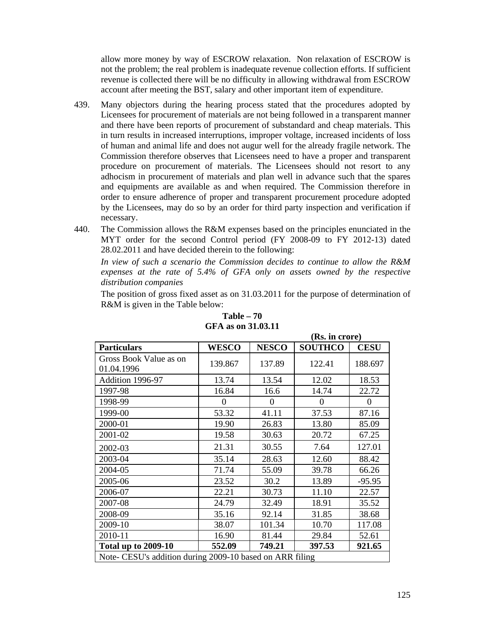allow more money by way of ESCROW relaxation. Non relaxation of ESCROW is not the problem; the real problem is inadequate revenue collection efforts. If sufficient revenue is collected there will be no difficulty in allowing withdrawal from ESCROW account after meeting the BST, salary and other important item of expenditure.

- 439. Many objectors during the hearing process stated that the procedures adopted by Licensees for procurement of materials are not being followed in a transparent manner and there have been reports of procurement of substandard and cheap materials. This in turn results in increased interruptions, improper voltage, increased incidents of loss of human and animal life and does not augur well for the already fragile network. The Commission therefore observes that Licensees need to have a proper and transparent procedure on procurement of materials. The Licensees should not resort to any adhocism in procurement of materials and plan well in advance such that the spares and equipments are available as and when required. The Commission therefore in order to ensure adherence of proper and transparent procurement procedure adopted by the Licensees, may do so by an order for third party inspection and verification if necessary.
- 440. The Commission allows the R&M expenses based on the principles enunciated in the MYT order for the second Control period (FY 2008-09 to FY 2012-13) dated 28.02.2011 and have decided therein to the following:

*In view of such a scenario the Commission decides to continue to allow the R&M expenses at the rate of 5.4% of GFA only on assets owned by the respective distribution companies* 

The position of gross fixed asset as on 31.03.2011 for the purpose of determination of R&M is given in the Table below:

 **(Rs. in crore)** 

| <b>Particulars</b>                                       | <b>WESCO</b> | <b>NESCO</b> | <b>SOUTHCO</b> | <b>CESU</b> |  |  |  |
|----------------------------------------------------------|--------------|--------------|----------------|-------------|--|--|--|
| Gross Book Value as on<br>01.04.1996                     | 139.867      | 137.89       | 122.41         | 188.697     |  |  |  |
| Addition 1996-97                                         | 13.74        | 13.54        | 12.02          | 18.53       |  |  |  |
| 1997-98                                                  | 16.84        | 16.6         | 14.74          | 22.72       |  |  |  |
| 1998-99                                                  | $\theta$     | $\theta$     | $\theta$       | $\theta$    |  |  |  |
| 1999-00                                                  | 53.32        | 41.11        | 37.53          | 87.16       |  |  |  |
| 2000-01                                                  | 19.90        | 26.83        | 13.80          | 85.09       |  |  |  |
| 2001-02                                                  | 19.58        | 30.63        | 20.72          | 67.25       |  |  |  |
| 2002-03                                                  | 21.31        | 30.55        | 7.64           | 127.01      |  |  |  |
| 2003-04                                                  | 35.14        | 28.63        | 12.60          | 88.42       |  |  |  |
| 2004-05                                                  | 71.74        | 55.09        | 39.78          | 66.26       |  |  |  |
| 2005-06                                                  | 23.52        | 30.2         | 13.89          | $-95.95$    |  |  |  |
| 2006-07                                                  | 22.21        | 30.73        | 11.10          | 22.57       |  |  |  |
| 2007-08                                                  | 24.79        | 32.49        | 18.91          | 35.52       |  |  |  |
| 2008-09                                                  | 35.16        | 92.14        | 31.85          | 38.68       |  |  |  |
| 2009-10                                                  | 38.07        | 101.34       | 10.70          | 117.08      |  |  |  |
| 2010-11                                                  | 16.90        | 81.44        | 29.84          | 52.61       |  |  |  |
| <b>Total up to 2009-10</b>                               | 552.09       | 749.21       | 397.53         | 921.65      |  |  |  |
| Note- CESU's addition during 2009-10 based on ARR filing |              |              |                |             |  |  |  |

## **Table – 70 GFA as on 31.03.11**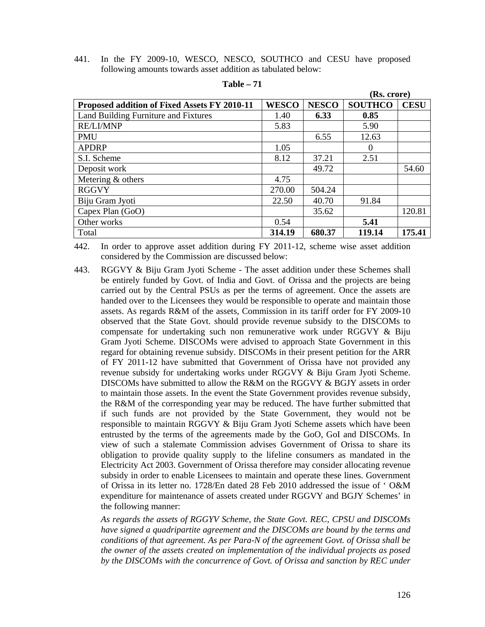441. In the FY 2009-10, WESCO, NESCO, SOUTHCO and CESU have proposed following amounts towards asset addition as tabulated below:

|                                              |              | (INS. CLULE) |                |             |
|----------------------------------------------|--------------|--------------|----------------|-------------|
| Proposed addition of Fixed Assets FY 2010-11 | <b>WESCO</b> | <b>NESCO</b> | <b>SOUTHCO</b> | <b>CESU</b> |
| Land Building Furniture and Fixtures         | 1.40         | 6.33         | 0.85           |             |
| <b>RE/LI/MNP</b>                             | 5.83         |              | 5.90           |             |
| <b>PMU</b>                                   |              | 6.55         | 12.63          |             |
| <b>APDRP</b>                                 | 1.05         |              | $\Omega$       |             |
| S.I. Scheme                                  | 8.12         | 37.21        | 2.51           |             |
| Deposit work                                 |              | 49.72        |                | 54.60       |
| Metering $&$ others                          | 4.75         |              |                |             |
| <b>RGGVY</b>                                 | 270.00       | 504.24       |                |             |
| Biju Gram Jyoti                              | 22.50        | 40.70        | 91.84          |             |
| Capex Plan (GoO)                             |              | 35.62        |                | 120.81      |
| Other works                                  | 0.54         |              | 5.41           |             |
| Total                                        | 314.19       | 680.37       | 119.14         | 175.41      |

#### **Table – 71**

442. In order to approve asset addition during FY 2011-12, scheme wise asset addition considered by the Commission are discussed below:

443. RGGVY & Biju Gram Jyoti Scheme - The asset addition under these Schemes shall be entirely funded by Govt. of India and Govt. of Orissa and the projects are being carried out by the Central PSUs as per the terms of agreement. Once the assets are handed over to the Licensees they would be responsible to operate and maintain those assets. As regards R&M of the assets, Commission in its tariff order for FY 2009-10 observed that the State Govt. should provide revenue subsidy to the DISCOMs to compensate for undertaking such non remunerative work under RGGVY & Biju Gram Jyoti Scheme. DISCOMs were advised to approach State Government in this regard for obtaining revenue subsidy. DISCOMs in their present petition for the ARR of FY 2011-12 have submitted that Government of Orissa have not provided any revenue subsidy for undertaking works under RGGVY & Biju Gram Jyoti Scheme. DISCOMs have submitted to allow the R&M on the RGGVY & BGJY assets in order to maintain those assets. In the event the State Government provides revenue subsidy, the R&M of the corresponding year may be reduced. The have further submitted that if such funds are not provided by the State Government, they would not be responsible to maintain RGGVY & Biju Gram Jyoti Scheme assets which have been entrusted by the terms of the agreements made by the GoO, GoI and DISCOMs. In view of such a stalemate Commission advises Government of Orissa to share its obligation to provide quality supply to the lifeline consumers as mandated in the Electricity Act 2003. Government of Orissa therefore may consider allocating revenue subsidy in order to enable Licensees to maintain and operate these lines. Government of Orissa in its letter no. 1728/En dated 28 Feb 2010 addressed the issue of ' O&M expenditure for maintenance of assets created under RGGVY and BGJY Schemes' in the following manner:

*As regards the assets of RGGYV Scheme, the State Govt. REC, CPSU and DISCOMs have signed a quadripartite agreement and the DISCOMs are bound by the terms and conditions of that agreement. As per Para-N of the agreement Govt. of Orissa shall be the owner of the assets created on implementation of the individual projects as posed by the DISCOMs with the concurrence of Govt. of Orissa and sanction by REC under* 

 **(Rs. crore)**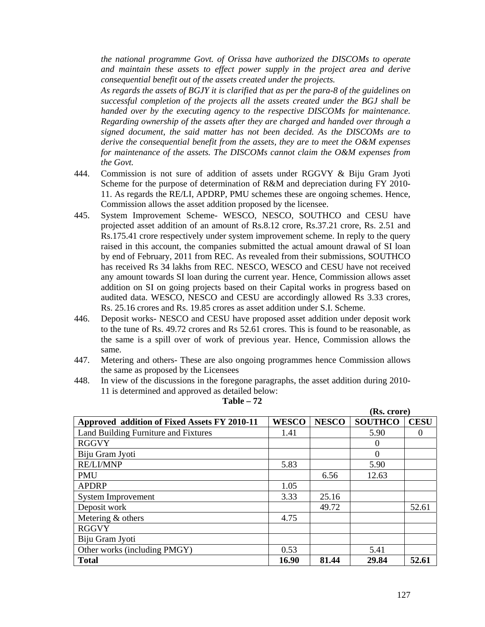*the national programme Govt. of Orissa have authorized the DISCOMs to operate and maintain these assets to effect power supply in the project area and derive consequential benefit out of the assets created under the projects.* 

*As regards the assets of BGJY it is clarified that as per the para-8 of the guidelines on successful completion of the projects all the assets created under the BGJ shall be handed over by the executing agency to the respective DISCOMs for maintenance. Regarding ownership of the assets after they are charged and handed over through a signed document, the said matter has not been decided. As the DISCOMs are to derive the consequential benefit from the assets, they are to meet the O&M expenses for maintenance of the assets. The DISCOMs cannot claim the O&M expenses from the Govt.* 

- 444. Commission is not sure of addition of assets under RGGVY & Biju Gram Jyoti Scheme for the purpose of determination of R&M and depreciation during FY 2010- 11. As regards the RE/LI, APDRP, PMU schemes these are ongoing schemes. Hence, Commission allows the asset addition proposed by the licensee.
- 445. System Improvement Scheme- WESCO, NESCO, SOUTHCO and CESU have projected asset addition of an amount of Rs.8.12 crore, Rs.37.21 crore, Rs. 2.51 and Rs.175.41 crore respectively under system improvement scheme. In reply to the query raised in this account, the companies submitted the actual amount drawal of SI loan by end of February, 2011 from REC. As revealed from their submissions, SOUTHCO has received Rs 34 lakhs from REC. NESCO, WESCO and CESU have not received any amount towards SI loan during the current year. Hence, Commission allows asset addition on SI on going projects based on their Capital works in progress based on audited data. WESCO, NESCO and CESU are accordingly allowed Rs 3.33 crores, Rs. 25.16 crores and Rs. 19.85 crores as asset addition under S.I. Scheme.
- 446. Deposit works- NESCO and CESU have proposed asset addition under deposit work to the tune of Rs. 49.72 crores and Rs 52.61 crores. This is found to be reasonable, as the same is a spill over of work of previous year. Hence, Commission allows the same.
- 447. Metering and others- These are also ongoing programmes hence Commission allows the same as proposed by the Licensees
- 448. In view of the discussions in the foregone paragraphs, the asset addition during 2010- 11 is determined and approved as detailed below:

|                                              |              |              | (Rs. crore)    |             |  |
|----------------------------------------------|--------------|--------------|----------------|-------------|--|
| Approved addition of Fixed Assets FY 2010-11 | <b>WESCO</b> | <b>NESCO</b> | <b>SOUTHCO</b> | <b>CESU</b> |  |
| Land Building Furniture and Fixtures         | 1.41         |              | 5.90           | 0           |  |
| <b>RGGVY</b>                                 |              |              | $\Omega$       |             |  |
| Biju Gram Jyoti                              |              |              | $\Omega$       |             |  |
| <b>RE/LI/MNP</b>                             | 5.83         |              | 5.90           |             |  |
| <b>PMU</b>                                   |              | 6.56         | 12.63          |             |  |
| <b>APDRP</b>                                 | 1.05         |              |                |             |  |
| <b>System Improvement</b>                    | 3.33         | 25.16        |                |             |  |
| Deposit work                                 |              | 49.72        |                | 52.61       |  |
| Metering & others                            | 4.75         |              |                |             |  |
| <b>RGGVY</b>                                 |              |              |                |             |  |
| Biju Gram Jyoti                              |              |              |                |             |  |
| Other works (including PMGY)                 | 0.53         |              | 5.41           |             |  |
| <b>Total</b>                                 | 16.90        | 81.44        | 29.84          | 52.61       |  |

**Table – 72**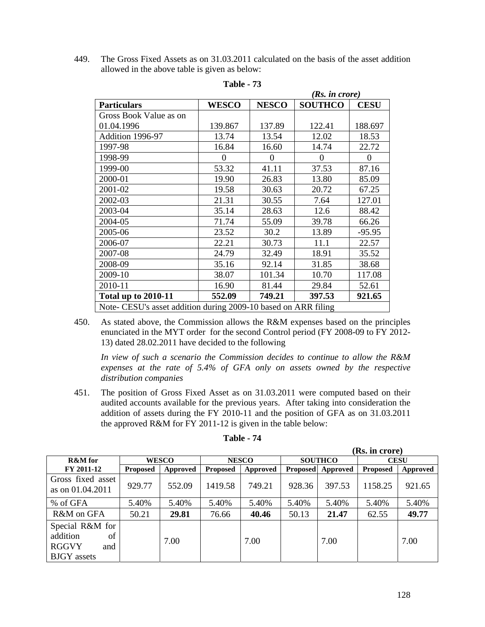449. The Gross Fixed Assets as on 31.03.2011 calculated on the basis of the asset addition allowed in the above table is given as below:

|                                                                |              | (Rs. in <i>core</i> ) |                |             |  |  |  |
|----------------------------------------------------------------|--------------|-----------------------|----------------|-------------|--|--|--|
| <b>Particulars</b>                                             | <b>WESCO</b> | <b>NESCO</b>          | <b>SOUTHCO</b> | <b>CESU</b> |  |  |  |
| Gross Book Value as on                                         |              |                       |                |             |  |  |  |
| 01.04.1996                                                     | 139.867      | 137.89                | 122.41         | 188.697     |  |  |  |
| Addition 1996-97                                               | 13.74        | 13.54                 | 12.02          | 18.53       |  |  |  |
| 1997-98                                                        | 16.84        | 16.60                 | 14.74          | 22.72       |  |  |  |
| 1998-99                                                        | $\theta$     | $\Omega$              | 0              | $\Omega$    |  |  |  |
| 1999-00                                                        | 53.32        | 41.11                 | 37.53          | 87.16       |  |  |  |
| 2000-01                                                        | 19.90        | 26.83                 | 13.80          | 85.09       |  |  |  |
| 2001-02                                                        | 19.58        | 30.63                 | 20.72          | 67.25       |  |  |  |
| 2002-03                                                        | 21.31        | 30.55                 | 7.64           | 127.01      |  |  |  |
| 2003-04                                                        | 35.14        | 28.63                 | 12.6           | 88.42       |  |  |  |
| 2004-05                                                        | 71.74        | 55.09                 | 39.78          | 66.26       |  |  |  |
| 2005-06                                                        | 23.52        | 30.2                  | 13.89          | -95.95      |  |  |  |
| 2006-07                                                        | 22.21        | 30.73                 | 11.1           | 22.57       |  |  |  |
| 2007-08                                                        | 24.79        | 32.49                 | 18.91          | 35.52       |  |  |  |
| 2008-09                                                        | 35.16        | 92.14                 | 31.85          | 38.68       |  |  |  |
| 2009-10                                                        | 38.07        | 101.34                | 10.70          | 117.08      |  |  |  |
| 2010-11                                                        | 16.90        | 81.44                 | 29.84          | 52.61       |  |  |  |
| <b>Total up to 2010-11</b>                                     | 552.09       | 749.21                | 397.53         | 921.65      |  |  |  |
| Note- CESU's asset addition during 2009-10 based on ARR filing |              |                       |                |             |  |  |  |

**Table - 73** 

450. As stated above, the Commission allows the R&M expenses based on the principles enunciated in the MYT order for the second Control period (FY 2008-09 to FY 2012- 13) dated 28.02.2011 have decided to the following

*In view of such a scenario the Commission decides to continue to allow the R&M expenses at the rate of 5.4% of GFA only on assets owned by the respective distribution companies* 

451. The position of Gross Fixed Asset as on 31.03.2011 were computed based on their audited accounts available for the previous years. After taking into consideration the addition of assets during the FY 2010-11 and the position of GFA as on 31.03.2011 the approved R&M for FY 2011-12 is given in the table below:

|                                                                                |                 |              |                 |              |        |                          | (Rs. in crore)  |          |
|--------------------------------------------------------------------------------|-----------------|--------------|-----------------|--------------|--------|--------------------------|-----------------|----------|
| <b>R&amp;M</b> for                                                             |                 | <b>WESCO</b> |                 | <b>NESCO</b> |        | <b>SOUTHCO</b>           | <b>CESU</b>     |          |
| FY 2011-12                                                                     | <b>Proposed</b> | Approved     | <b>Proposed</b> | Approved     |        | <b>Proposed</b> Approved | <b>Proposed</b> | Approved |
| Gross fixed asset<br>as on 01.04.2011                                          | 929.77          | 552.09       | 1419.58         | 749.21       | 928.36 | 397.53                   | 1158.25         | 921.65   |
| % of GFA                                                                       | 5.40%           | 5.40%        | 5.40%           | 5.40%        | 5.40%  | 5.40%                    | 5.40%           | 5.40%    |
| R&M on GFA                                                                     | 50.21           | 29.81        | 76.66           | 40.46        | 50.13  | 21.47                    | 62.55           | 49.77    |
| Special R&M for<br>addition<br>of<br><b>RGGVY</b><br>and<br><b>BJGY</b> assets |                 | 7.00         |                 | 7.00         |        | 7.00                     |                 | 7.00     |

**Table - 74**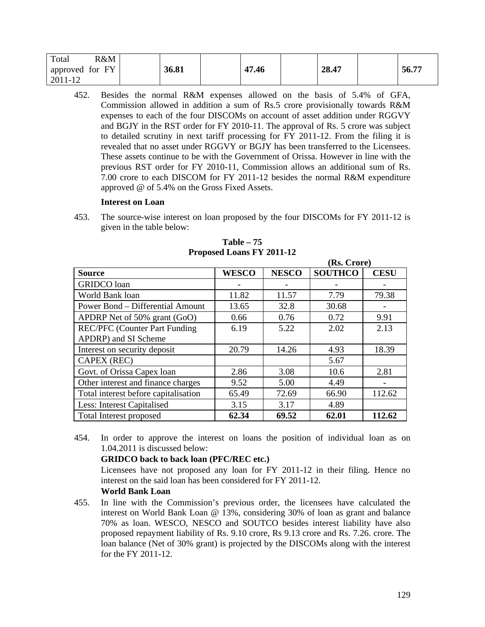| R&M<br>Total    |       |       |       |       |
|-----------------|-------|-------|-------|-------|
| approved for FY | 36.81 | 47.46 | 28.47 | 56.77 |
| 2011-12         |       |       |       |       |

452. Besides the normal R&M expenses allowed on the basis of 5.4% of GFA, Commission allowed in addition a sum of Rs.5 crore provisionally towards R&M expenses to each of the four DISCOMs on account of asset addition under RGGVY and BGJY in the RST order for FY 2010-11. The approval of Rs. 5 crore was subject to detailed scrutiny in next tariff processing for FY 2011-12. From the filing it is revealed that no asset under RGGVY or BGJY has been transferred to the Licensees. These assets continue to be with the Government of Orissa. However in line with the previous RST order for FY 2010-11, Commission allows an additional sum of Rs. 7.00 crore to each DISCOM for FY 2011-12 besides the normal R&M expenditure approved @ of 5.4% on the Gross Fixed Assets.

# **Interest on Loan**

453. The source-wise interest on loan proposed by the four DISCOMs for FY 2011-12 is given in the table below:

|                                      |              |              | (RS. Urore)    |             |
|--------------------------------------|--------------|--------------|----------------|-------------|
| <b>Source</b>                        | <b>WESCO</b> | <b>NESCO</b> | <b>SOUTHCO</b> | <b>CESU</b> |
| <b>GRIDCO</b> loan                   |              |              |                |             |
| World Bank loan                      | 11.82        | 11.57        | 7.79           | 79.38       |
| Power Bond - Differential Amount     | 13.65        | 32.8         | 30.68          |             |
| APDRP Net of 50% grant (GoO)         | 0.66         | 0.76         | 0.72           | 9.91        |
| <b>REC/PFC</b> (Counter Part Funding | 6.19         | 5.22         | 2.02           | 2.13        |
| APDRP) and SI Scheme                 |              |              |                |             |
| Interest on security deposit         | 20.79        | 14.26        | 4.93           | 18.39       |
| <b>CAPEX (REC)</b>                   |              |              | 5.67           |             |
| Govt. of Orissa Capex loan           | 2.86         | 3.08         | 10.6           | 2.81        |
| Other interest and finance charges   | 9.52         | 5.00         | 4.49           |             |
| Total interest before capitalisation | 65.49        | 72.69        | 66.90          | 112.62      |
| Less: Interest Capitalised           | 3.15         | 3.17         | 4.89           |             |
| Total Interest proposed              | 62.34        | 69.52        | 62.01          | 112.62      |

**Table – 75 Proposed Loans FY 2011-12**

 $(2.6 \times 10^{-12})$ 

454. In order to approve the interest on loans the position of individual loan as on 1.04.2011 is discussed below:

## **GRIDCO back to back loan (PFC/REC etc.)**

Licensees have not proposed any loan for FY 2011-12 in their filing. Hence no interest on the said loan has been considered for FY 2011-12.

# **World Bank Loan**

455. In line with the Commission's previous order, the licensees have calculated the interest on World Bank Loan @ 13%, considering 30% of loan as grant and balance 70% as loan. WESCO, NESCO and SOUTCO besides interest liability have also proposed repayment liability of Rs. 9.10 crore, Rs 9.13 crore and Rs. 7.26. crore. The loan balance (Net of 30% grant) is projected by the DISCOMs along with the interest for the FY 2011-12.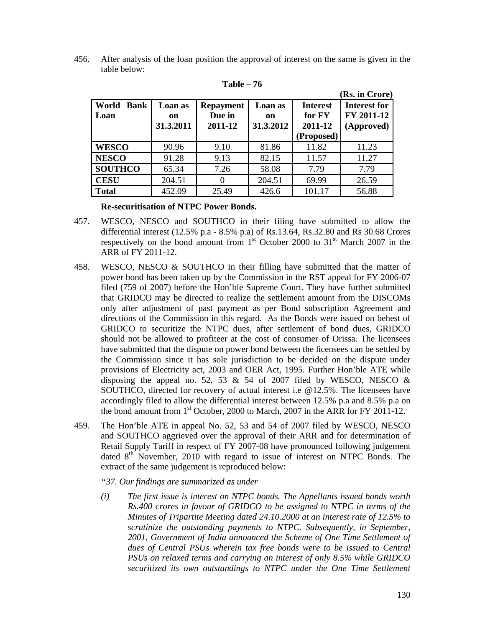456. After analysis of the loan position the approval of interest on the same is given in the table below:

|                              |                            |                                       |                            |                                                    | (Rs. in Crore)                           |
|------------------------------|----------------------------|---------------------------------------|----------------------------|----------------------------------------------------|------------------------------------------|
| World<br><b>Bank</b><br>Loan | Loan as<br>on<br>31.3.2011 | <b>Repayment</b><br>Due in<br>2011-12 | Loan as<br>on<br>31.3.2012 | <b>Interest</b><br>for FY<br>2011-12<br>(Proposed) | Interest for<br>FY 2011-12<br>(Approved) |
| <b>WESCO</b>                 | 90.96                      | 9.10                                  | 81.86                      | 11.82                                              | 11.23                                    |
| <b>NESCO</b>                 | 91.28                      | 9.13                                  | 82.15                      | 11.57                                              | 11.27                                    |
| <b>SOUTHCO</b>               | 65.34                      | 7.26                                  | 58.08                      | 7.79                                               | 7.79                                     |
| <b>CESU</b>                  | 204.51                     | $\theta$                              | 204.51                     | 69.99                                              | 26.59                                    |
| <b>Total</b>                 | 452.09                     | 25.49                                 | 426.6                      | 101.17                                             | 56.88                                    |

**Table – 76** 

## **Re-securitisation of NTPC Power Bonds.**

- 457. WESCO, NESCO and SOUTHCO in their filing have submitted to allow the differential interest (12.5% p.a - 8.5% p.a) of Rs.13.64, Rs.32.80 and Rs 30.68 Crores respectively on the bond amount from  $1<sup>st</sup>$  October 2000 to  $31<sup>st</sup>$  March 2007 in the ARR of FY 2011-12.
- 458. WESCO, NESCO & SOUTHCO in their filling have submitted that the matter of power bond has been taken up by the Commission in the RST appeal for FY 2006-07 filed (759 of 2007) before the Hon'ble Supreme Court. They have further submitted that GRIDCO may be directed to realize the settlement amount from the DISCOMs only after adjustment of past payment as per Bond subscription Agreement and directions of the Commission in this regard. As the Bonds were issued on behest of GRIDCO to securitize the NTPC dues, after settlement of bond dues, GRIDCO should not be allowed to profiteer at the cost of consumer of Orissa. The licensees have submitted that the dispute on power bond between the licensees can be settled by the Commission since it has sole jurisdiction to be decided on the dispute under provisions of Electricity act, 2003 and OER Act, 1995. Further Hon'ble ATE while disposing the appeal no. 52, 53 & 54 of 2007 filed by WESCO, NESCO & SOUTHCO, directed for recovery of actual interest i.e @12.5%. The licensees have accordingly filed to allow the differential interest between 12.5% p.a and 8.5% p.a on the bond amount from 1<sup>st</sup> October, 2000 to March, 2007 in the ARR for FY 2011-12.
- 459. The Hon'ble ATE in appeal No. 52, 53 and 54 of 2007 filed by WESCO, NESCO and SOUTHCO aggrieved over the approval of their ARR and for determination of Retail Supply Tariff in respect of FY 2007-08 have pronounced following judgement dated  $8<sup>th</sup>$  November, 2010 with regard to issue of interest on NTPC Bonds. The extract of the same judgement is reproduced below:

*"37. Our findings are summarized as under* 

*(i) The first issue is interest on NTPC bonds. The Appellants issued bonds worth Rs.400 crores in favour of GRIDCO to be assigned to NTPC in terms of the Minutes of Tripartite Meeting dated 24.10.2000 at an interest rate of 12.5% to scrutinize the outstanding payments to NTPC. Subsequently, in September,*  2001, Government of India announced the Scheme of One Time Settlement of *dues of Central PSUs wherein tax free bonds were to be issued to Central PSUs on relaxed terms and carrying an interest of only 8.5% while GRIDCO securitized its own outstandings to NTPC under the One Time Settlement*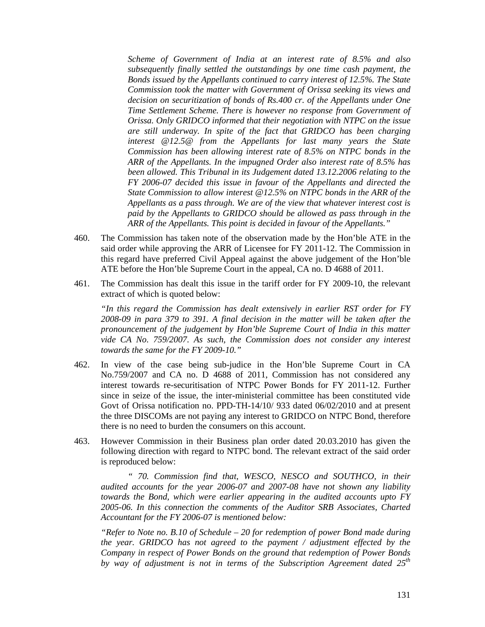*Scheme of Government of India at an interest rate of 8.5% and also subsequently finally settled the outstandings by one time cash payment, the Bonds issued by the Appellants continued to carry interest of 12.5%. The State Commission took the matter with Government of Orissa seeking its views and decision on securitization of bonds of Rs.400 cr. of the Appellants under One Time Settlement Scheme. There is however no response from Government of Orissa. Only GRIDCO informed that their negotiation with NTPC on the issue are still underway. In spite of the fact that GRIDCO has been charging interest @12.5@ from the Appellants for last many years the State Commission has been allowing interest rate of 8.5% on NTPC bonds in the ARR of the Appellants. In the impugned Order also interest rate of 8.5% has been allowed. This Tribunal in its Judgement dated 13.12.2006 relating to the FY 2006-07 decided this issue in favour of the Appellants and directed the State Commission to allow interest @12.5% on NTPC bonds in the ARR of the Appellants as a pass through. We are of the view that whatever interest cost is paid by the Appellants to GRIDCO should be allowed as pass through in the ARR of the Appellants. This point is decided in favour of the Appellants."* 

- 460. The Commission has taken note of the observation made by the Hon'ble ATE in the said order while approving the ARR of Licensee for FY 2011-12. The Commission in this regard have preferred Civil Appeal against the above judgement of the Hon'ble ATE before the Hon'ble Supreme Court in the appeal, CA no. D 4688 of 2011.
- 461. The Commission has dealt this issue in the tariff order for FY 2009-10, the relevant extract of which is quoted below:

*"In this regard the Commission has dealt extensively in earlier RST order for FY 2008-09 in para 379 to 391. A final decision in the matter will be taken after the pronouncement of the judgement by Hon'ble Supreme Court of India in this matter vide CA No. 759/2007. As such, the Commission does not consider any interest towards the same for the FY 2009-10."* 

- 462. In view of the case being sub-judice in the Hon'ble Supreme Court in CA No.759/2007 and CA no. D 4688 of 2011, Commission has not considered any interest towards re-securitisation of NTPC Power Bonds for FY 2011-12. Further since in seize of the issue, the inter-ministerial committee has been constituted vide Govt of Orissa notification no. PPD-TH-14/10/ 933 dated 06/02/2010 and at present the three DISCOMs are not paying any interest to GRIDCO on NTPC Bond, therefore there is no need to burden the consumers on this account.
- 463. However Commission in their Business plan order dated 20.03.2010 has given the following direction with regard to NTPC bond. The relevant extract of the said order is reproduced below:

*" 70. Commission find that, WESCO, NESCO and SOUTHCO, in their audited accounts for the year 2006-07 and 2007-08 have not shown any liability towards the Bond, which were earlier appearing in the audited accounts upto FY 2005-06. In this connection the comments of the Auditor SRB Associates, Charted Accountant for the FY 2006-07 is mentioned below:* 

*"Refer to Note no. B.10 of Schedule – 20 for redemption of power Bond made during the year. GRIDCO has not agreed to the payment / adjustment effected by the Company in respect of Power Bonds on the ground that redemption of Power Bonds by way of adjustment is not in terms of the Subscription Agreement dated 25th*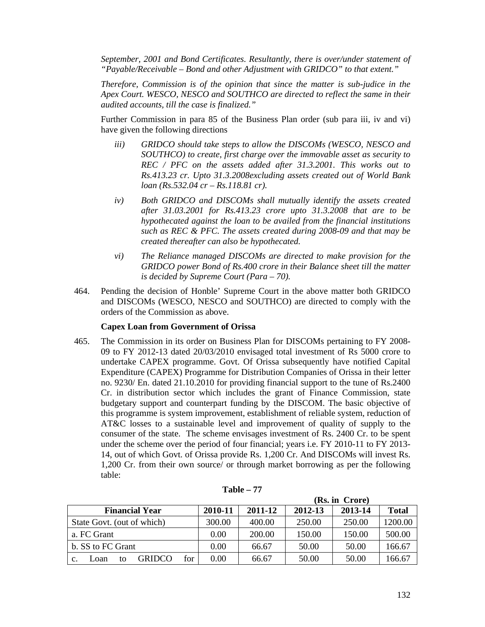*September, 2001 and Bond Certificates. Resultantly, there is over/under statement of "Payable/Receivable – Bond and other Adjustment with GRIDCO" to that extent."* 

*Therefore, Commission is of the opinion that since the matter is sub-judice in the Apex Court. WESCO, NESCO and SOUTHCO are directed to reflect the same in their audited accounts, till the case is finalized."* 

Further Commission in para 85 of the Business Plan order (sub para iii, iv and vi) have given the following directions

- *iii) GRIDCO should take steps to allow the DISCOMs (WESCO, NESCO and SOUTHCO) to create, first charge over the immovable asset as security to REC / PFC on the assets added after 31.3.2001. This works out to Rs.413.23 cr. Upto 31.3.2008excluding assets created out of World Bank loan (Rs.532.04 cr – Rs.118.81 cr).*
- *iv) Both GRIDCO and DISCOMs shall mutually identify the assets created after 31.03.2001 for Rs.413.23 crore upto 31.3.2008 that are to be hypothecated against the loan to be availed from the financial institutions such as REC & PFC. The assets created during 2008-09 and that may be created thereafter can also be hypothecated.*
- *vi) The Reliance managed DISCOMs are directed to make provision for the GRIDCO power Bond of Rs.400 crore in their Balance sheet till the matter is decided by Supreme Court (Para – 70).*
- 464. Pending the decision of Honble' Supreme Court in the above matter both GRIDCO and DISCOMs (WESCO, NESCO and SOUTHCO) are directed to comply with the orders of the Commission as above.

## **Capex Loan from Government of Orissa**

465. The Commission in its order on Business Plan for DISCOMs pertaining to FY 2008- 09 to FY 2012-13 dated 20/03/2010 envisaged total investment of Rs 5000 crore to undertake CAPEX programme. Govt. Of Orissa subsequently have notified Capital Expenditure (CAPEX) Programme for Distribution Companies of Orissa in their letter no. 9230/ En. dated 21.10.2010 for providing financial support to the tune of Rs.2400 Cr. in distribution sector which includes the grant of Finance Commission, state budgetary support and counterpart funding by the DISCOM. The basic objective of this programme is system improvement, establishment of reliable system, reduction of AT&C losses to a sustainable level and improvement of quality of supply to the consumer of the state. The scheme envisages investment of Rs. 2400 Cr. to be spent under the scheme over the period of four financial; years i.e. FY 2010-11 to FY 2013- 14, out of which Govt. of Orissa provide Rs. 1,200 Cr. And DISCOMs will invest Rs. 1,200 Cr. from their own source/ or through market borrowing as per the following table:

|                             |         | (Rs. in Crore) |         |         |              |  |
|-----------------------------|---------|----------------|---------|---------|--------------|--|
| <b>Financial Year</b>       | 2010-11 | 2011-12        | 2012-13 | 2013-14 | <b>Total</b> |  |
| State Govt. (out of which)  | 300.00  | 400.00         | 250.00  | 250.00  | 1200.00      |  |
| a. FC Grant                 | 0.00    | 200.00         | 150.00  | 150.00  | 500.00       |  |
| b. SS to FC Grant           | 0.00    | 66.67          | 50.00   | 50.00   | 166.67       |  |
| GRIDCO<br>for<br>Loan<br>tο | 0.00    | 66.67          | 50.00   | 50.00   | 166.67       |  |

**Table – 77**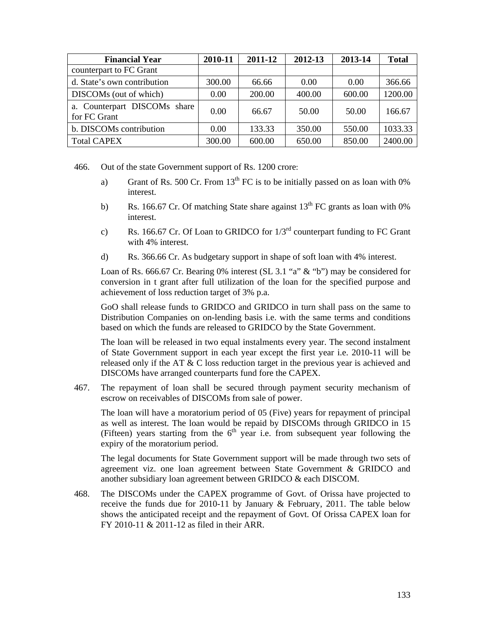| <b>Financial Year</b>                        | 2010-11 | 2011-12 | 2012-13 | 2013-14 | <b>Total</b> |
|----------------------------------------------|---------|---------|---------|---------|--------------|
| counterpart to FC Grant                      |         |         |         |         |              |
| d. State's own contribution                  | 300.00  | 66.66   | 0.00    | 0.00    | 366.66       |
| DISCOMs (out of which)                       | 0.00    | 200.00  | 400.00  | 600.00  | 1200.00      |
| a. Counterpart DISCOMs share<br>for FC Grant | 0.00    | 66.67   | 50.00   | 50.00   | 166.67       |
| b. DISCOMs contribution                      | 0.00    | 133.33  | 350.00  | 550.00  | 1033.33      |
| <b>Total CAPEX</b>                           | 300.00  | 600.00  | 650.00  | 850.00  | 2400.00      |

466. Out of the state Government support of Rs. 1200 crore:

- a) Grant of Rs. 500 Cr. From 13<sup>th</sup> FC is to be initially passed on as loan with 0% interest.
- b) Rs. 166.67 Cr. Of matching State share against  $13^{th}$  FC grants as loan with 0% interest.
- c) Rs. 166.67 Cr. Of Loan to GRIDCO for  $1/3<sup>rd</sup>$  counterpart funding to FC Grant with 4% interest.
- d) Rs. 366.66 Cr. As budgetary support in shape of soft loan with 4% interest.

Loan of Rs. 666.67 Cr. Bearing 0% interest (SL 3.1 "a" & "b") may be considered for conversion in t grant after full utilization of the loan for the specified purpose and achievement of loss reduction target of 3% p.a.

GoO shall release funds to GRIDCO and GRIDCO in turn shall pass on the same to Distribution Companies on on-lending basis i.e. with the same terms and conditions based on which the funds are released to GRIDCO by the State Government.

The loan will be released in two equal instalments every year. The second instalment of State Government support in each year except the first year i.e. 2010-11 will be released only if the AT & C loss reduction target in the previous year is achieved and DISCOMs have arranged counterparts fund fore the CAPEX.

467. The repayment of loan shall be secured through payment security mechanism of escrow on receivables of DISCOMs from sale of power.

The loan will have a moratorium period of 05 (Five) years for repayment of principal as well as interest. The loan would be repaid by DISCOMs through GRIDCO in 15 (Fifteen) years starting from the  $6<sup>th</sup>$  year i.e. from subsequent year following the expiry of the moratorium period.

The legal documents for State Government support will be made through two sets of agreement viz. one loan agreement between State Government & GRIDCO and another subsidiary loan agreement between GRIDCO & each DISCOM.

468. The DISCOMs under the CAPEX programme of Govt. of Orissa have projected to receive the funds due for 2010-11 by January & February, 2011. The table below shows the anticipated receipt and the repayment of Govt. Of Orissa CAPEX loan for FY 2010-11 & 2011-12 as filed in their ARR.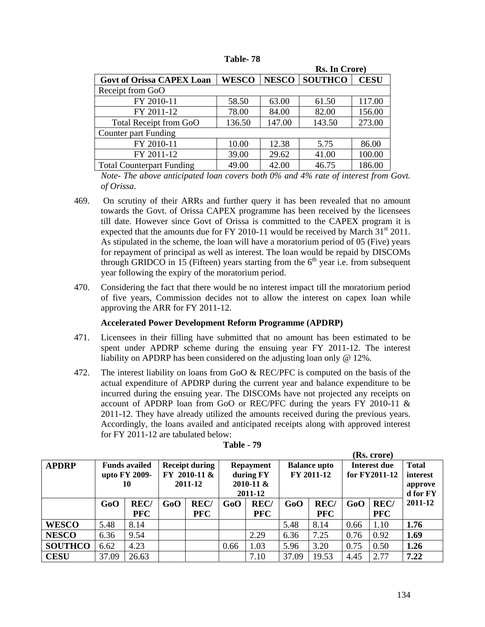#### **Table- 78**

|                                  |                |             | Rs. In Crore) |        |  |
|----------------------------------|----------------|-------------|---------------|--------|--|
| <b>Govt of Orissa CAPEX Loan</b> | <b>SOUTHCO</b> | <b>CESU</b> |               |        |  |
| Receipt from GoO                 |                |             |               |        |  |
| FY 2010-11                       | 58.50          | 63.00       | 61.50         | 117.00 |  |
| FY 2011-12                       | 78.00          | 84.00       | 82.00         | 156.00 |  |
| Total Receipt from GoO           | 136.50         | 147.00      | 143.50        | 273.00 |  |
| Counter part Funding             |                |             |               |        |  |
| FY 2010-11                       | 10.00          | 12.38       | 5.75          | 86.00  |  |
| FY 2011-12                       | 39.00          | 29.62       | 41.00         | 100.00 |  |
| <b>Total Counterpart Funding</b> | 49.00          | 42.00       | 46.75         | 186.00 |  |

*Note- The above anticipated loan covers both 0% and 4% rate of interest from Govt. of Orissa.* 

- 469. On scrutiny of their ARRs and further query it has been revealed that no amount towards the Govt. of Orissa CAPEX programme has been received by the licensees till date. However since Govt of Orissa is committed to the CAPEX program it is expected that the amounts due for FY 2010-11 would be received by March  $31<sup>st</sup> 2011$ . As stipulated in the scheme, the loan will have a moratorium period of 05 (Five) years for repayment of principal as well as interest. The loan would be repaid by DISCOMs through GRIDCO in 15 (Fifteen) years starting from the  $6<sup>th</sup>$  year i.e. from subsequent year following the expiry of the moratorium period.
- 470. Considering the fact that there would be no interest impact till the moratorium period of five years, Commission decides not to allow the interest on capex loan while approving the ARR for FY 2011-12.

#### **Accelerated Power Development Reform Programme (APDRP)**

- 471. Licensees in their filling have submitted that no amount has been estimated to be spent under APDRP scheme during the ensuing year FY 2011-12. The interest liability on APDRP has been considered on the adjusting loan only @ 12%.
- 472. The interest liability on loans from GoO & REC/PFC is computed on the basis of the actual expenditure of APDRP during the current year and balance expenditure to be incurred during the ensuing year. The DISCOMs have not projected any receipts on account of APDRP loan from GoO or REC/PFC during the years FY 2010-11 & 2011-12. They have already utilized the amounts received during the previous years. Accordingly, the loans availed and anticipated receipts along with approved interest for FY 2011-12 are tabulated below:

|                |       |                      |     | (Rs. crore)           |      |                  |       |                     |      |               |              |
|----------------|-------|----------------------|-----|-----------------------|------|------------------|-------|---------------------|------|---------------|--------------|
| <b>APDRP</b>   |       | <b>Funds availed</b> |     | <b>Receipt during</b> |      | <b>Repayment</b> |       | <b>Balance upto</b> |      | Interest due  | <b>Total</b> |
|                |       | upto FY 2009-        |     | $FY$ 2010-11 &        |      | during FY        |       | FY 2011-12          |      | for FY2011-12 | interest     |
|                |       | 10                   |     | 2011-12               |      | $2010 - 11 &$    |       |                     |      |               | approve      |
|                |       |                      |     |                       |      | 2011-12          |       |                     |      |               | d for FY     |
|                | GoO   | <b>REC/</b>          | GoO | REC/                  | GoO  | REC/             | GoO   | REC/                | GoO  | REC/          | 2011-12      |
|                |       | <b>PFC</b>           |     | <b>PFC</b>            |      | <b>PFC</b>       |       | <b>PFC</b>          |      | <b>PFC</b>    |              |
| <b>WESCO</b>   | 5.48  | 8.14                 |     |                       |      |                  | 5.48  | 8.14                | 0.66 | 1.10          | 1.76         |
| <b>NESCO</b>   | 6.36  | 9.54                 |     |                       |      | 2.29             | 6.36  | 7.25                | 0.76 | 0.92          | 1.69         |
| <b>SOUTHCO</b> | 6.62  | 4.23                 |     |                       | 0.66 | 1.03             | 5.96  | 3.20                | 0.75 | 0.50          | 1.26         |
| <b>CESU</b>    | 37.09 | 26.63                |     |                       |      | 7.10             | 37.09 | 19.53               | 4.45 | 2.77          | 7.22         |

| Table | 70 |
|-------|----|
|-------|----|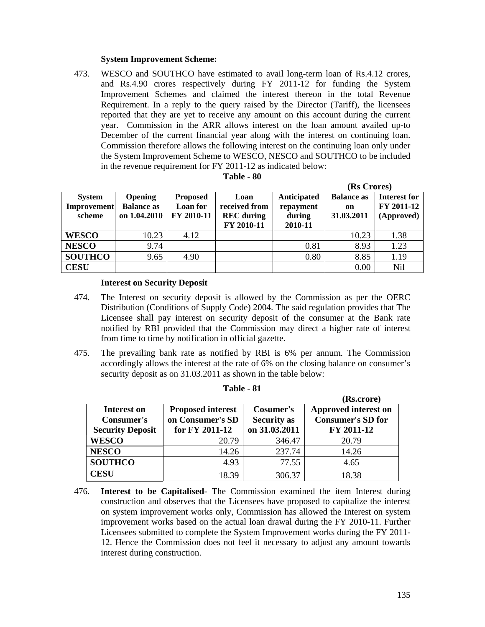#### **System Improvement Scheme:**

473. WESCO and SOUTHCO have estimated to avail long-term loan of Rs.4.12 crores, and Rs.4.90 crores respectively during FY 2011-12 for funding the System Improvement Schemes and claimed the interest thereon in the total Revenue Requirement. In a reply to the query raised by the Director (Tariff), the licensees reported that they are yet to receive any amount on this account during the current year. Commission in the ARR allows interest on the loan amount availed up-to December of the current financial year along with the interest on continuing loan. Commission therefore allows the following interest on the continuing loan only under the System Improvement Scheme to WESCO, NESCO and SOUTHCO to be included in the revenue requirement for FY 2011-12 as indicated below:

| Table - 80 |  |
|------------|--|
|------------|--|

|                                               |                                                     |                                           |                                                          |                                               | (Rs Crores)                           |                                          |
|-----------------------------------------------|-----------------------------------------------------|-------------------------------------------|----------------------------------------------------------|-----------------------------------------------|---------------------------------------|------------------------------------------|
| <b>System</b><br><b>Improvement</b><br>scheme | <b>Opening</b><br><b>Balance as</b><br>on 1.04.2010 | <b>Proposed</b><br>Loan for<br>FY 2010-11 | Loan<br>received from<br><b>REC</b> during<br>FY 2010-11 | Anticipated<br>repayment<br>during<br>2010-11 | <b>Balance as</b><br>on<br>31.03.2011 | Interest for<br>FY 2011-12<br>(Approved) |
| <b>WESCO</b>                                  | 10.23                                               | 4.12                                      |                                                          |                                               | 10.23                                 | 1.38                                     |
| <b>NESCO</b>                                  | 9.74                                                |                                           |                                                          | 0.81                                          | 8.93                                  | 1.23                                     |
| <b>SOUTHCO</b>                                | 9.65                                                | 4.90                                      |                                                          | 0.80                                          | 8.85                                  | 1.19                                     |
| <b>CESU</b>                                   |                                                     |                                           |                                                          |                                               | 0.00                                  | <b>Nil</b>                               |

#### **Interest on Security Deposit**

- 474. The Interest on security deposit is allowed by the Commission as per the OERC Distribution (Conditions of Supply Code) 2004. The said regulation provides that The Licensee shall pay interest on security deposit of the consumer at the Bank rate notified by RBI provided that the Commission may direct a higher rate of interest from time to time by notification in official gazette.
- 475. The prevailing bank rate as notified by RBI is 6% per annum. The Commission accordingly allows the interest at the rate of 6% on the closing balance on consumer's security deposit as on  $31.03.2011$  as shown in the table below:

|                                         |                  |                    | (Rs.crore)               |
|-----------------------------------------|------------------|--------------------|--------------------------|
| <b>Proposed interest</b><br>Interest on |                  | Cosumer's          | Approved interest on     |
| <b>Consumer's</b>                       | on Consumer's SD | <b>Security as</b> | <b>Consumer's SD for</b> |
| <b>Security Deposit</b>                 | for FY 2011-12   | on 31.03.2011      | FY 2011-12               |
| <b>WESCO</b>                            | 20.79            | 346.47             | 20.79                    |
| <b>NESCO</b>                            | 14.26            | 237.74             | 14.26                    |
| <b>SOUTHCO</b>                          | 4.93             | 77.55              | 4.65                     |
| <b>CESU</b>                             | 18 39            | 306.37             | 18.38                    |

| l'able | וח |
|--------|----|
|--------|----|

476. **Interest to be Capitalised**- The Commission examined the item Interest during construction and observes that the Licensees have proposed to capitalize the interest on system improvement works only, Commission has allowed the Interest on system improvement works based on the actual loan drawal during the FY 2010-11. Further Licensees submitted to complete the System Improvement works during the FY 2011- 12. Hence the Commission does not feel it necessary to adjust any amount towards interest during construction.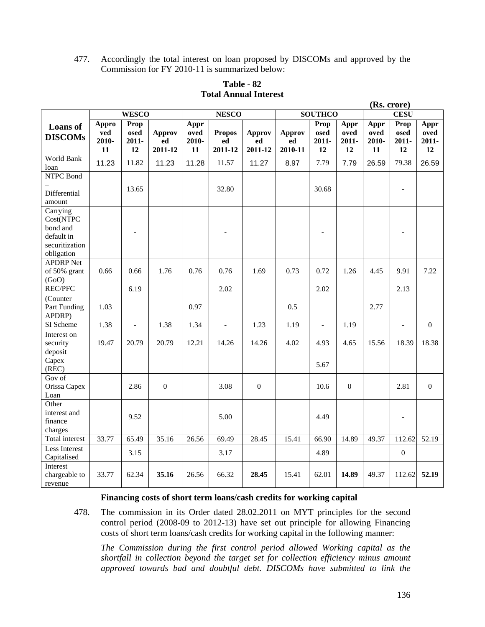477. Accordingly the total interest on loan proposed by DISCOMs and approved by the Commission for FY 2010-11 is summarized below:

|                                                                                 |                             |                             |                                |                             |                                |                                |                                |                                |                             | (Rs. crore)                 |                                |                             |
|---------------------------------------------------------------------------------|-----------------------------|-----------------------------|--------------------------------|-----------------------------|--------------------------------|--------------------------------|--------------------------------|--------------------------------|-----------------------------|-----------------------------|--------------------------------|-----------------------------|
| <b>WESCO</b>                                                                    |                             |                             | <b>NESCO</b>                   |                             |                                |                                | <b>SOUTHCO</b>                 |                                |                             | <b>CESU</b>                 |                                |                             |
| <b>Loans</b> of<br><b>DISCOMs</b>                                               | Appro<br>ved<br>2010-<br>11 | Prop<br>osed<br>2011-<br>12 | <b>Approv</b><br>ed<br>2011-12 | Appr<br>oved<br>2010-<br>11 | <b>Propos</b><br>ed<br>2011-12 | <b>Approv</b><br>ed<br>2011-12 | <b>Approv</b><br>ed<br>2010-11 | Prop<br>osed<br>$2011 -$<br>12 | Appr<br>oved<br>2011-<br>12 | Appr<br>oved<br>2010-<br>11 | Prop<br>osed<br>$2011 -$<br>12 | Appr<br>oved<br>2011-<br>12 |
| World Bank<br>loan                                                              | 11.23                       | 11.82                       | 11.23                          | 11.28                       | 11.57                          | 11.27                          | 8.97                           | 7.79                           | 7.79                        | 26.59                       | 79.38                          | 26.59                       |
| <b>NTPC Bond</b><br>Differential<br>amount                                      |                             | 13.65                       |                                |                             | 32.80                          |                                |                                | 30.68                          |                             |                             |                                |                             |
| Carrying<br>Cost(NTPC<br>bond and<br>default in<br>securitization<br>obligation |                             | ۳                           |                                |                             |                                |                                |                                |                                |                             |                             |                                |                             |
| <b>APDRP</b> Net<br>of 50% grant<br>(GoO)                                       | 0.66                        | 0.66                        | 1.76                           | 0.76                        | 0.76                           | 1.69                           | 0.73                           | 0.72                           | 1.26                        | 4.45                        | 9.91                           | 7.22                        |
| REC/PFC                                                                         |                             | 6.19                        |                                |                             | 2.02                           |                                |                                | 2.02                           |                             |                             | 2.13                           |                             |
| (Counter<br>Part Funding<br>APDRP)                                              | 1.03                        |                             |                                | 0.97                        |                                |                                | 0.5                            |                                |                             | 2.77                        |                                |                             |
| SI Scheme                                                                       | 1.38                        | $\overline{\phantom{a}}$    | 1.38                           | 1.34                        | $\overline{\phantom{a}}$       | 1.23                           | 1.19                           | $\blacksquare$                 | 1.19                        |                             | $\overline{\phantom{a}}$       | $\overline{0}$              |
| Interest on<br>security<br>deposit                                              | 19.47                       | 20.79                       | 20.79                          | 12.21                       | 14.26                          | 14.26                          | 4.02                           | 4.93                           | 4.65                        | 15.56                       | 18.39                          | 18.38                       |
| Capex<br>(REC)                                                                  |                             |                             |                                |                             |                                |                                |                                | 5.67                           |                             |                             |                                |                             |
| Gov of<br>Orissa Capex<br>Loan                                                  |                             | 2.86                        | $\boldsymbol{0}$               |                             | 3.08                           | $\boldsymbol{0}$               |                                | 10.6                           | $\boldsymbol{0}$            |                             | 2.81                           | $\mathbf{0}$                |
| Other<br>interest and<br>finance<br>charges                                     |                             | 9.52                        |                                |                             | 5.00                           |                                |                                | 4.49                           |                             |                             | $\overline{a}$                 |                             |
| Total interest                                                                  | 33.77                       | 65.49                       | 35.16                          | 26.56                       | 69.49                          | 28.45                          | 15.41                          | 66.90                          | 14.89                       | 49.37                       | 112.62                         | 52.19                       |
| Less Interest<br>Capitalised                                                    |                             | 3.15                        |                                |                             | 3.17                           |                                |                                | 4.89                           |                             |                             | $\boldsymbol{0}$               |                             |
| Interest<br>chargeable to<br>revenue                                            | 33.77                       | 62.34                       | 35.16                          | 26.56                       | 66.32                          | 28.45                          | 15.41                          | 62.01                          | 14.89                       | 49.37                       | 112.62                         | 52.19                       |

# **Table - 82 Total Annual Interest**

#### **Financing costs of short term loans/cash credits for working capital**

478. The commission in its Order dated 28.02.2011 on MYT principles for the second control period (2008-09 to 2012-13) have set out principle for allowing Financing costs of short term loans/cash credits for working capital in the following manner:

*The Commission during the first control period allowed Working capital as the shortfall in collection beyond the target set for collection efficiency minus amount approved towards bad and doubtful debt. DISCOMs have submitted to link the*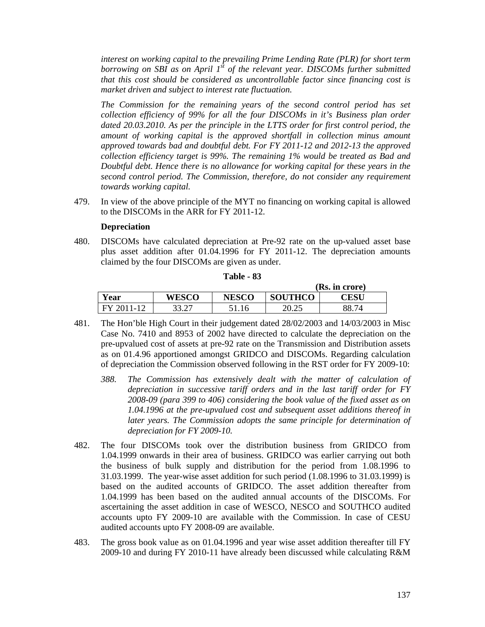*interest on working capital to the prevailing Prime Lending Rate (PLR) for short term borrowing on SBI as on April 1st of the relevant year. DISCOMs further submitted that this cost should be considered as uncontrollable factor since financing cost is market driven and subject to interest rate fluctuation.* 

*The Commission for the remaining years of the second control period has set collection efficiency of 99% for all the four DISCOMs in it's Business plan order dated 20.03.2010. As per the principle in the LTTS order for first control period, the amount of working capital is the approved shortfall in collection minus amount approved towards bad and doubtful debt. For FY 2011-12 and 2012-13 the approved collection efficiency target is 99%. The remaining 1% would be treated as Bad and Doubtful debt. Hence there is no allowance for working capital for these years in the second control period. The Commission, therefore, do not consider any requirement towards working capital.* 

479. In view of the above principle of the MYT no financing on working capital is allowed to the DISCOMs in the ARR for FY 2011-12.

#### **Depreciation**

480. DISCOMs have calculated depreciation at Pre-92 rate on the up-valued asset base plus asset addition after 01.04.1996 for FY 2011-12. The depreciation amounts claimed by the four DISCOMs are given as under.

|      |               |              |                | (Rs. in crore)          |
|------|---------------|--------------|----------------|-------------------------|
| Year | <b>WESCO</b>  | <b>NESCO</b> | <b>SOUTHCO</b> | $\mathbb C\mathbf{ESU}$ |
| E,   | דר רר<br>JJ.Z | 4.16         | 20.25          | .74                     |

**Table - 83** 

- 481. The Hon'ble High Court in their judgement dated 28/02/2003 and 14/03/2003 in Misc Case No. 7410 and 8953 of 2002 have directed to calculate the depreciation on the pre-upvalued cost of assets at pre-92 rate on the Transmission and Distribution assets as on 01.4.96 apportioned amongst GRIDCO and DISCOMs. Regarding calculation of depreciation the Commission observed following in the RST order for FY 2009-10:
	- *388. The Commission has extensively dealt with the matter of calculation of depreciation in successive tariff orders and in the last tariff order for FY 2008-09 (para 399 to 406) considering the book value of the fixed asset as on 1.04.1996 at the pre-upvalued cost and subsequent asset additions thereof in*  later years. The Commission adopts the same principle for determination of *depreciation for FY 2009-10.*
- 482. The four DISCOMs took over the distribution business from GRIDCO from 1.04.1999 onwards in their area of business. GRIDCO was earlier carrying out both the business of bulk supply and distribution for the period from 1.08.1996 to 31.03.1999. The year-wise asset addition for such period (1.08.1996 to 31.03.1999) is based on the audited accounts of GRIDCO. The asset addition thereafter from 1.04.1999 has been based on the audited annual accounts of the DISCOMs. For ascertaining the asset addition in case of WESCO, NESCO and SOUTHCO audited accounts upto FY 2009-10 are available with the Commission. In case of CESU audited accounts upto FY 2008-09 are available.
- 483. The gross book value as on 01.04.1996 and year wise asset addition thereafter till FY 2009-10 and during FY 2010-11 have already been discussed while calculating R&M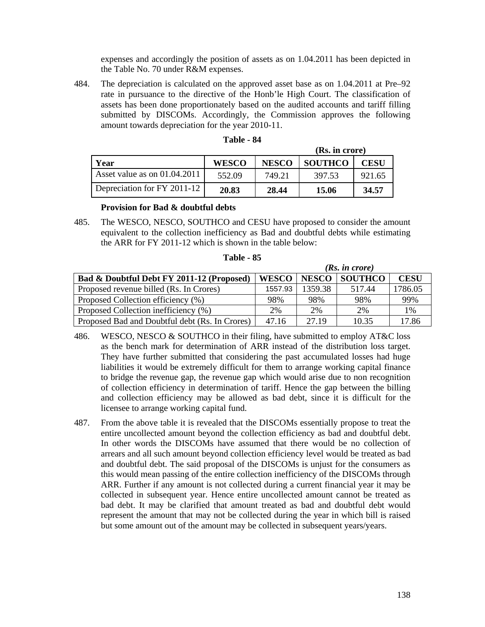expenses and accordingly the position of assets as on 1.04.2011 has been depicted in the Table No. 70 under R&M expenses.

484. The depreciation is calculated on the approved asset base as on 1.04.2011 at Pre–92 rate in pursuance to the directive of the Honb'le High Court. The classification of assets has been done proportionately based on the audited accounts and tariff filling submitted by DISCOMs. Accordingly, the Commission approves the following amount towards depreciation for the year 2010-11.

|                                |              |              | (Rs. in crore) |             |  |
|--------------------------------|--------------|--------------|----------------|-------------|--|
| Year                           | <b>WESCO</b> | <b>NESCO</b> | <b>SOUTHCO</b> | <b>CESU</b> |  |
| Asset value as on $01.04.2011$ | 552.09       | 749.21       | 397.53         | 921.65      |  |
| Depreciation for FY 2011-12    | 20.83        | 28.44        | 15.06          | 34.57       |  |

| Table |  | 84 |
|-------|--|----|
|-------|--|----|

#### **Provision for Bad & doubtful debts**

485. The WESCO, NESCO, SOUTHCO and CESU have proposed to consider the amount equivalent to the collection inefficiency as Bad and doubtful debts while estimating the ARR for FY 2011-12 which is shown in the table below:

|                                                |              |              | (Rs. in <i>core</i> ) |             |
|------------------------------------------------|--------------|--------------|-----------------------|-------------|
| Bad & Doubtful Debt FY 2011-12 (Proposed)      | <b>WESCO</b> | <b>NESCO</b> | <b>SOUTHCO</b>        | <b>CESU</b> |
| Proposed revenue billed (Rs. In Crores)        | 1557.93      | 1359.38      | 517.44                | 1786.05     |
| Proposed Collection efficiency (%)             | 98%          | 98%          | 98%                   | 99%         |
| Proposed Collection inefficiency (%)           | 2%           | 2%           | 2%                    | 1%          |
| Proposed Bad and Doubtful debt (Rs. In Crores) | 47.16        | 27.19        | 10.35                 | 17.86       |

#### **Table - 85**

- 486. WESCO, NESCO & SOUTHCO in their filing, have submitted to employ AT&C loss as the bench mark for determination of ARR instead of the distribution loss target. They have further submitted that considering the past accumulated losses had huge liabilities it would be extremely difficult for them to arrange working capital finance to bridge the revenue gap, the revenue gap which would arise due to non recognition of collection efficiency in determination of tariff. Hence the gap between the billing and collection efficiency may be allowed as bad debt, since it is difficult for the licensee to arrange working capital fund.
- 487. From the above table it is revealed that the DISCOMs essentially propose to treat the entire uncollected amount beyond the collection efficiency as bad and doubtful debt. In other words the DISCOMs have assumed that there would be no collection of arrears and all such amount beyond collection efficiency level would be treated as bad and doubtful debt. The said proposal of the DISCOMs is unjust for the consumers as this would mean passing of the entire collection inefficiency of the DISCOMs through ARR. Further if any amount is not collected during a current financial year it may be collected in subsequent year. Hence entire uncollected amount cannot be treated as bad debt. It may be clarified that amount treated as bad and doubtful debt would represent the amount that may not be collected during the year in which bill is raised but some amount out of the amount may be collected in subsequent years/years.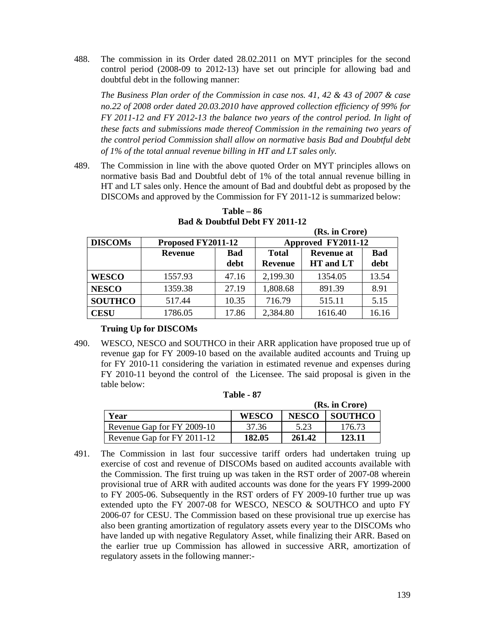488. The commission in its Order dated 28.02.2011 on MYT principles for the second control period (2008-09 to 2012-13) have set out principle for allowing bad and doubtful debt in the following manner:

*The Business Plan order of the Commission in case nos. 41, 42 & 43 of 2007 & case no.22 of 2008 order dated 20.03.2010 have approved collection efficiency of 99% for FY 2011-12 and FY 2012-13 the balance two years of the control period. In light of these facts and submissions made thereof Commission in the remaining two years of the control period Commission shall allow on normative basis Bad and Doubtful debt of 1% of the total annual revenue billing in HT and LT sales only.* 

489. The Commission in line with the above quoted Order on MYT principles allows on normative basis Bad and Doubtful debt of 1% of the total annual revenue billing in HT and LT sales only. Hence the amount of Bad and doubtful debt as proposed by the DISCOMs and approved by the Commission for FY 2011-12 is summarized below:

|                |                    |             | (Rs. in Crore)                 |                                |                    |  |  |
|----------------|--------------------|-------------|--------------------------------|--------------------------------|--------------------|--|--|
| <b>DISCOMs</b> | Proposed FY2011-12 |             | Approved FY2011-12             |                                |                    |  |  |
|                | <b>Revenue</b>     | Bad<br>debt | <b>Total</b><br><b>Revenue</b> | <b>Revenue at</b><br>HT and LT | <b>Bad</b><br>debt |  |  |
| <b>WESCO</b>   | 1557.93            | 47.16       | 2,199.30                       | 1354.05                        | 13.54              |  |  |
| <b>NESCO</b>   | 1359.38            | 27.19       | 1,808.68                       | 891.39                         | 8.91               |  |  |
| <b>SOUTHCO</b> | 517.44             | 10.35       | 716.79                         | 515.11                         | 5.15               |  |  |
| <b>CESU</b>    | 1786.05            | 17.86       | 2,384.80                       | 1616.40                        | 16.16              |  |  |

**Table – 86 Bad & Doubtful Debt FY 2011-12** 

# **Truing Up for DISCOMs**

490. WESCO, NESCO and SOUTHCO in their ARR application have proposed true up of revenue gap for FY 2009-10 based on the available audited accounts and Truing up for FY 2010-11 considering the variation in estimated revenue and expenses during FY 2010-11 beyond the control of the Licensee. The said proposal is given in the table below:

| (Rs. in Crore)             |              |              |                |  |  |  |
|----------------------------|--------------|--------------|----------------|--|--|--|
| Year                       | <b>WESCO</b> | <b>NESCO</b> | <b>SOUTHCO</b> |  |  |  |
| Revenue Gap for FY 2009-10 | 37.36        | 5.23         | 176.73         |  |  |  |
| Revenue Gap for FY 2011-12 | 182.05       | 261.42       | 123.11         |  |  |  |

**Table - 87** 

491. The Commission in last four successive tariff orders had undertaken truing up exercise of cost and revenue of DISCOMs based on audited accounts available with the Commission. The first truing up was taken in the RST order of 2007-08 wherein provisional true of ARR with audited accounts was done for the years FY 1999-2000 to FY 2005-06. Subsequently in the RST orders of FY 2009-10 further true up was extended upto the FY 2007-08 for WESCO, NESCO & SOUTHCO and upto FY 2006-07 for CESU. The Commission based on these provisional true up exercise has also been granting amortization of regulatory assets every year to the DISCOMs who have landed up with negative Regulatory Asset, while finalizing their ARR. Based on the earlier true up Commission has allowed in successive ARR, amortization of regulatory assets in the following manner:-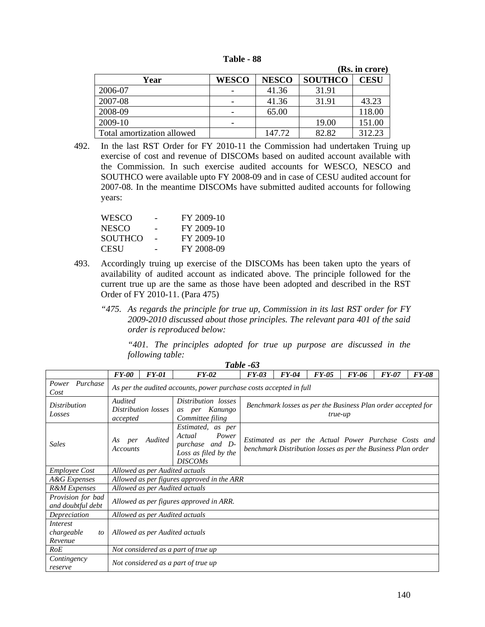| Table |  | xx |
|-------|--|----|
|-------|--|----|

|                            |              |              |                | (Rs. in crore) |
|----------------------------|--------------|--------------|----------------|----------------|
| Year                       | <b>WESCO</b> | <b>NESCO</b> | <b>SOUTHCO</b> | <b>CESU</b>    |
| 2006-07                    |              | 41.36        | 31.91          |                |
| 2007-08                    |              | 41.36        | 31.91          | 43.23          |
| 2008-09                    |              | 65.00        |                | 118.00         |
| 2009-10                    |              |              | 19.00          | 151.00         |
| Total amortization allowed |              | 147.72       | 82.82          | 312.23         |

492. In the last RST Order for FY 2010-11 the Commission had undertaken Truing up exercise of cost and revenue of DISCOMs based on audited account available with the Commission. In such exercise audited accounts for WESCO, NESCO and SOUTHCO were available upto FY 2008-09 and in case of CESU audited account for 2007-08. In the meantime DISCOMs have submitted audited accounts for following years:

| <b>WESCO</b>   | FY 2009-10 |
|----------------|------------|
| <b>NESCO</b>   | FY 2009-10 |
| <b>SOUTHCO</b> | FY 2009-10 |
| CESU           | FY 2008-09 |

493. Accordingly truing up exercise of the DISCOMs has been taken upto the years of availability of audited account as indicated above. The principle followed for the current true up are the same as those have been adopted and described in the RST Order of FY 2010-11. (Para 475)

*Table -63*

*"475. As regards the principle for true up, Commission in its last RST order for FY 2009-2010 discussed about those principles. The relevant para 401 of the said order is reproduced below:* 

*"401. The principles adopted for true up purpose are discussed in the following table:* 

|                                         | <b>FY-00</b>                                                       | <b>FY-01</b>                   | $FY-02$                                                                                           | $FY-03$                                                                                                              | <b>FY-04</b> | $FY-05$ | <b>FY-06</b> | <b>FY-07</b> | <b>FY-08</b> |
|-----------------------------------------|--------------------------------------------------------------------|--------------------------------|---------------------------------------------------------------------------------------------------|----------------------------------------------------------------------------------------------------------------------|--------------|---------|--------------|--------------|--------------|
| Purchase<br>Power<br>Cost               | As per the audited accounts, power purchase costs accepted in full |                                |                                                                                                   |                                                                                                                      |              |         |              |              |              |
| Distribution<br>Losses                  | Audited<br>accepted                                                | Distribution losses            | Distribution losses<br>per Kanungo<br>as<br>Committee filing                                      | Benchmark losses as per the Business Plan order accepted for<br>true-up                                              |              |         |              |              |              |
| <b>Sales</b>                            | As<br>per<br>Accounts                                              | Audited                        | Estimated, as per<br>Power<br>Actual<br>purchase and D-<br>Loss as filed by the<br><b>DISCOMs</b> | Estimated as per the Actual Power Purchase Costs and<br>benchmark Distribution losses as per the Business Plan order |              |         |              |              |              |
| <i>Employee Cost</i>                    |                                                                    | Allowed as per Audited actuals |                                                                                                   |                                                                                                                      |              |         |              |              |              |
| A&G Expenses                            |                                                                    |                                | Allowed as per figures approved in the ARR                                                        |                                                                                                                      |              |         |              |              |              |
| R&M Expenses                            |                                                                    | Allowed as per Audited actuals |                                                                                                   |                                                                                                                      |              |         |              |              |              |
| Provision for bad<br>and doubtful debt  |                                                                    |                                | Allowed as per figures approved in ARR.                                                           |                                                                                                                      |              |         |              |              |              |
| Depreciation                            |                                                                    | Allowed as per Audited actuals |                                                                                                   |                                                                                                                      |              |         |              |              |              |
| Interest<br>chargeable<br>to<br>Revenue | Allowed as per Audited actuals                                     |                                |                                                                                                   |                                                                                                                      |              |         |              |              |              |
| RoE                                     |                                                                    |                                | Not considered as a part of true up                                                               |                                                                                                                      |              |         |              |              |              |
| Contingency<br>reserve                  |                                                                    |                                | Not considered as a part of true up                                                               |                                                                                                                      |              |         |              |              |              |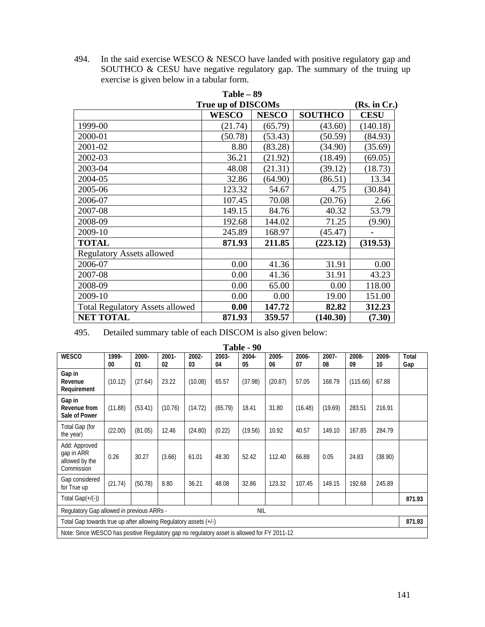494. In the said exercise WESCO & NESCO have landed with positive regulatory gap and SOUTHCO & CESU have negative regulatory gap. The summary of the truing up exercise is given below in a tabular form.

| $Table - 89$                           |              |              |                |             |  |  |  |  |  |
|----------------------------------------|--------------|--------------|----------------|-------------|--|--|--|--|--|
| <b>True up of DISCOMs</b>              |              |              |                |             |  |  |  |  |  |
|                                        | <b>WESCO</b> | <b>NESCO</b> | <b>SOUTHCO</b> | <b>CESU</b> |  |  |  |  |  |
| 1999-00                                | (21.74)      | (65.79)      | (43.60)        | (140.18)    |  |  |  |  |  |
| 2000-01                                | (50.78)      | (53.43)      | (50.59)        | (84.93)     |  |  |  |  |  |
| 2001-02                                | 8.80         | (83.28)      | (34.90)        | (35.69)     |  |  |  |  |  |
| 2002-03                                | 36.21        | (21.92)      | (18.49)        | (69.05)     |  |  |  |  |  |
| 2003-04                                | 48.08        | (21.31)      | (39.12)        | (18.73)     |  |  |  |  |  |
| 2004-05                                | 32.86        | (64.90)      | (86.51)        | 13.34       |  |  |  |  |  |
| 2005-06                                | 123.32       | 54.67        | 4.75           | (30.84)     |  |  |  |  |  |
| 2006-07                                | 107.45       | 70.08        | (20.76)        | 2.66        |  |  |  |  |  |
| 2007-08                                | 149.15       | 84.76        | 40.32          | 53.79       |  |  |  |  |  |
| 2008-09                                | 192.68       | 144.02       | 71.25          | (9.90)      |  |  |  |  |  |
| 2009-10                                | 245.89       | 168.97       | (45.47)        |             |  |  |  |  |  |
| <b>TOTAL</b>                           | 871.93       | 211.85       | (223.12)       | (319.53)    |  |  |  |  |  |
| <b>Regulatory Assets allowed</b>       |              |              |                |             |  |  |  |  |  |
| 2006-07                                | 0.00         | 41.36        | 31.91          | 0.00        |  |  |  |  |  |
| 2007-08                                | 0.00         | 41.36        | 31.91          | 43.23       |  |  |  |  |  |
| 2008-09                                | 0.00         | 65.00        | 0.00           | 118.00      |  |  |  |  |  |
| 2009-10                                | 0.00         | 0.00         | 19.00          | 151.00      |  |  |  |  |  |
| <b>Total Regulatory Assets allowed</b> | 0.00         | 147.72       | 82.82          | 312.23      |  |  |  |  |  |
| <b>NET TOTAL</b>                       | 871.93       | 359.57       | (140.30)       | (7.30)      |  |  |  |  |  |

495. Detailed summary table of each DISCOM is also given below:

| Table - 90                                                                                  |             |             |                |                |             |             |                |             |                |             |             |              |
|---------------------------------------------------------------------------------------------|-------------|-------------|----------------|----------------|-------------|-------------|----------------|-------------|----------------|-------------|-------------|--------------|
| <b>WESCO</b>                                                                                | 1999-<br>00 | 2000-<br>01 | $2001 -$<br>02 | $2002 -$<br>03 | 2003-<br>04 | 2004-<br>05 | $2005 -$<br>06 | 2006-<br>07 | $2007 -$<br>08 | 2008-<br>09 | 2009-<br>10 | Total<br>Gap |
| Gap in<br>Revenue<br>Requirement                                                            | (10.12)     | (27.64)     | 23.22          | (10.08)        | 65.57       | (37.98)     | (20.87)        | 57.05       | 168.79         | (115.66)    | 67.88       |              |
| Gap in<br>Revenue from<br>Sale of Power                                                     | (11.88)     | (53.41)     | (10.76)        | (14.72)        | (65.79)     | 18.41       | 31.80          | (16.48)     | (19.69)        | 283.51      | 216.91      |              |
| Total Gap (for<br>the year)                                                                 | (22.00)     | (81.05)     | 12.46          | (24.80)        | (0.22)      | (19.56)     | 10.92          | 40.57       | 149.10         | 167.85      | 284.79      |              |
| Add: Approved<br>gap in ARR<br>allowed by the<br>Commission                                 | 0.26        | 30.27       | (3.66)         | 61.01          | 48.30       | 52.42       | 112.40         | 66.88       | 0.05           | 24.83       | (38.90)     |              |
| Gap considered<br>for True up                                                               | (21.74)     | (50.78)     | 8.80           | 36.21          | 48.08       | 32.86       | 123.32         | 107.45      | 149.15         | 192.68      | 245.89      |              |
| Total Gap $(+/(-))$                                                                         |             |             |                |                |             |             |                |             |                |             |             | 871.93       |
| Regulatory Gap allowed in previous ARRs -<br><b>NIL</b>                                     |             |             |                |                |             |             |                |             |                |             |             |              |
| Total Gap towards true up after allowing Regulatory assets (+/-)                            |             |             |                |                |             |             |                |             |                |             |             | 871.93       |
| Note: Since WESCO has positive Regulatory gap no regulatory asset is allowed for FY 2011-12 |             |             |                |                |             |             |                |             |                |             |             |              |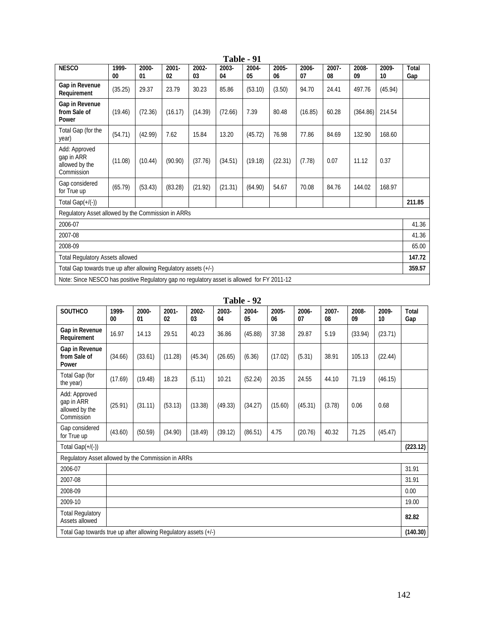|                                                                                             | ravic<br>- 11 |             |                |             |             |             |             |             |                |             |             |              |
|---------------------------------------------------------------------------------------------|---------------|-------------|----------------|-------------|-------------|-------------|-------------|-------------|----------------|-------------|-------------|--------------|
| <b>NESCO</b>                                                                                | 1999-<br>00   | 2000-<br>01 | $2001 -$<br>02 | 2002-<br>03 | 2003-<br>04 | 2004-<br>05 | 2005-<br>06 | 2006-<br>07 | $2007 -$<br>08 | 2008-<br>09 | 2009-<br>10 | Total<br>Gap |
| Gap in Revenue<br>Requirement                                                               | (35.25)       | 29.37       | 23.79          | 30.23       | 85.86       | (53.10)     | (3.50)      | 94.70       | 24.41          | 497.76      | (45.94)     |              |
| Gap in Revenue<br>from Sale of<br>Power                                                     | (19.46)       | (72.36)     | (16.17)        | (14.39)     | (72.66)     | 7.39        | 80.48       | (16.85)     | 60.28          | (364.86)    | 214.54      |              |
| Total Gap (for the<br>year)                                                                 | (54.71)       | (42.99)     | 7.62           | 15.84       | 13.20       | (45.72)     | 76.98       | 77.86       | 84.69          | 132.90      | 168.60      |              |
| Add: Approved<br>gap in ARR<br>allowed by the<br>Commission                                 | (11.08)       | (10.44)     | (90.90)        | (37.76)     | (34.51)     | (19.18)     | (22.31)     | (7.78)      | 0.07           | 11.12       | 0.37        |              |
| Gap considered<br>for True up                                                               | (65.79)       | (53.43)     | (83.28)        | (21.92)     | (21.31)     | (64.90)     | 54.67       | 70.08       | 84.76          | 144.02      | 168.97      |              |
| Total Gap $(+/(-))$                                                                         |               |             |                |             |             |             |             |             |                |             |             | 211.85       |
| Regulatory Asset allowed by the Commission in ARRs                                          |               |             |                |             |             |             |             |             |                |             |             |              |
| 2006-07                                                                                     |               |             |                |             |             |             |             |             |                |             | 41.36       |              |
| 2007-08                                                                                     |               |             |                |             |             |             |             |             |                | 41.36       |             |              |
| 2008-09                                                                                     |               |             |                |             |             |             |             |             | 65.00          |             |             |              |
| <b>Total Regulatory Assets allowed</b>                                                      |               |             |                |             |             |             |             |             |                | 147.72      |             |              |
| Total Gap towards true up after allowing Regulatory assets (+/-)                            |               |             |                |             |             |             |             |             |                |             |             | 359.57       |
| Note: Since NESCO has positive Regulatory gap no regulatory asset is allowed for FY 2011-12 |               |             |                |             |             |             |             |             |                |             |             |              |

| Table - 91 |  |  |
|------------|--|--|
|------------|--|--|

| Table | 92 |
|-------|----|
|-------|----|

| <b>SOUTHCO</b>                                                   | 1999-<br>00 | 2000-<br>01 | $2001 -$<br>02 | 2002-<br>03 | 2003-<br>04 | 2004-<br>05 | 2005-<br>06 | 2006-<br>07 | $2007 -$<br>08 | 2008-<br>09 | 2009-<br>10 | Total<br>Gap |
|------------------------------------------------------------------|-------------|-------------|----------------|-------------|-------------|-------------|-------------|-------------|----------------|-------------|-------------|--------------|
| Gap in Revenue<br>Requirement                                    | 16.97       | 14.13       | 29.51          | 40.23       | 36.86       | (45.88)     | 37.38       | 29.87       | 5.19           | (33.94)     | (23.71)     |              |
| Gap in Revenue<br>from Sale of<br>Power                          | (34.66)     | (33.61)     | (11.28)        | (45.34)     | (26.65)     | (6.36)      | (17.02)     | (5.31)      | 38.91          | 105.13      | (22.44)     |              |
| Total Gap (for<br>the year)                                      | (17.69)     | (19.48)     | 18.23          | (5.11)      | 10.21       | (52.24)     | 20.35       | 24.55       | 44.10          | 71.19       | (46.15)     |              |
| Add: Approved<br>gap in ARR<br>allowed by the<br>Commission      | (25.91)     | (31.11)     | (53.13)        | (13.38)     | (49.33)     | (34.27)     | (15.60)     | (45.31)     | (3.78)         | 0.06        | 0.68        |              |
| Gap considered<br>for True up                                    | (43.60)     | (50.59)     | (34.90)        | (18.49)     | (39.12)     | (86.51)     | 4.75        | (20.76)     | 40.32          | 71.25       | (45.47)     |              |
| Total Gap $(+/(-))$                                              |             |             |                |             |             |             |             |             |                |             |             | (223.12)     |
| Regulatory Asset allowed by the Commission in ARRs               |             |             |                |             |             |             |             |             |                |             |             |              |
| 2006-07                                                          |             |             |                |             |             |             |             |             |                |             |             | 31.91        |
| 2007-08                                                          |             |             |                |             |             |             |             |             |                |             | 31.91       |              |
| 2008-09                                                          |             |             |                |             |             |             |             |             |                |             | 0.00        |              |
| 2009-10                                                          |             |             |                |             |             |             |             |             |                |             | 19.00       |              |
| <b>Total Regulatory</b><br>Assets allowed                        |             |             |                |             |             |             |             |             |                |             | 82.82       |              |
| Total Gap towards true up after allowing Regulatory assets (+/-) |             |             |                |             |             |             |             |             | (140.30)       |             |             |              |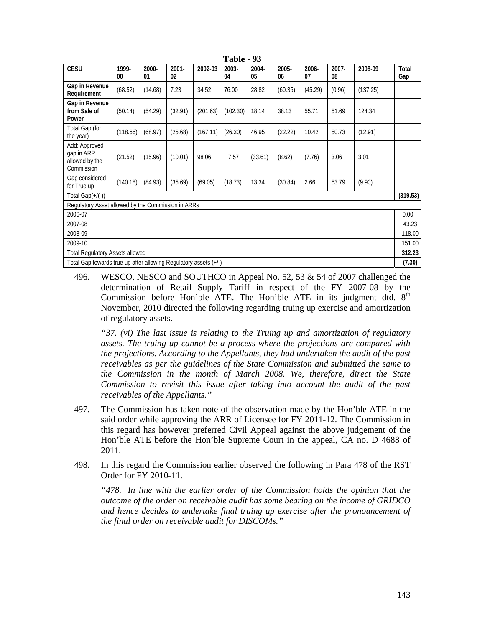| <b>CESU</b>                                                      | 1999-<br>00 | 2000-<br>01 | $2001 -$<br>02 | 2002-03  | 2003-<br>04 | 2004-<br>05 | 2005-<br>06 | 2006-<br>07 | 2007-<br>08 | 2008-09  |        | Total<br>Gap |
|------------------------------------------------------------------|-------------|-------------|----------------|----------|-------------|-------------|-------------|-------------|-------------|----------|--------|--------------|
| Gap in Revenue<br>Requirement                                    | (68.52)     | (14.68)     | 7.23           | 34.52    | 76.00       | 28.82       | (60.35)     | (45.29)     | (0.96)      | (137.25) |        |              |
| Gap in Revenue<br>from Sale of<br>Power                          | (50.14)     | (54.29)     | (32.91)        | (201.63) | (102.30)    | 18.14       | 38.13       | 55.71       | 51.69       | 124.34   |        |              |
| Total Gap (for<br>the year)                                      | (118.66)    | (68.97)     | (25.68)        | (167.11) | (26.30)     | 46.95       | (22.22)     | 10.42       | 50.73       | (12.91)  |        |              |
| Add: Approved<br>gap in ARR<br>allowed by the<br>Commission      | (21.52)     | (15.96)     | (10.01)        | 98.06    | 7.57        | (33.61)     | (8.62)      | (7.76)      | 3.06        | 3.01     |        |              |
| Gap considered<br>for True up                                    | (140.18)    | (84.93)     | (35.69)        | (69.05)  | (18.73)     | 13.34       | (30.84)     | 2.66        | 53.79       | (9.90)   |        |              |
| Total Gap $(+/(-))$                                              |             |             |                |          |             |             |             |             |             |          |        | (319.53)     |
| Regulatory Asset allowed by the Commission in ARRs               |             |             |                |          |             |             |             |             |             |          |        |              |
| 2006-07                                                          |             |             |                |          |             |             |             |             |             |          |        | 0.00         |
| 2007-08                                                          |             |             |                |          |             |             |             |             |             |          |        | 43.23        |
| 2008-09                                                          |             |             |                |          |             |             |             |             |             |          |        | 118.00       |
| 2009-10                                                          |             |             |                |          |             |             |             |             |             |          | 151.00 |              |
| <b>Total Regulatory Assets allowed</b>                           |             |             |                |          |             |             |             |             |             |          |        | 312.23       |
| Total Gap towards true up after allowing Regulatory assets (+/-) |             |             |                |          |             |             |             |             | (7.30)      |          |        |              |

**Table - 93**

496. WESCO, NESCO and SOUTHCO in Appeal No. 52, 53 & 54 of 2007 challenged the determination of Retail Supply Tariff in respect of the FY 2007-08 by the Commission before Hon'ble ATE. The Hon'ble ATE in its judgment dtd. 8<sup>th</sup> November, 2010 directed the following regarding truing up exercise and amortization of regulatory assets.

*"37. (vi) The last issue is relating to the Truing up and amortization of regulatory assets. The truing up cannot be a process where the projections are compared with the projections. According to the Appellants, they had undertaken the audit of the past receivables as per the guidelines of the State Commission and submitted the same to the Commission in the month of March 2008. We, therefore, direct the State Commission to revisit this issue after taking into account the audit of the past receivables of the Appellants."* 

- 497. The Commission has taken note of the observation made by the Hon'ble ATE in the said order while approving the ARR of Licensee for FY 2011-12. The Commission in this regard has however preferred Civil Appeal against the above judgement of the Hon'ble ATE before the Hon'ble Supreme Court in the appeal, CA no. D 4688 of 2011.
- 498. In this regard the Commission earlier observed the following in Para 478 of the RST Order for FY 2010-11.

*"478. In line with the earlier order of the Commission holds the opinion that the outcome of the order on receivable audit has some bearing on the income of GRIDCO and hence decides to undertake final truing up exercise after the pronouncement of the final order on receivable audit for DISCOMs."*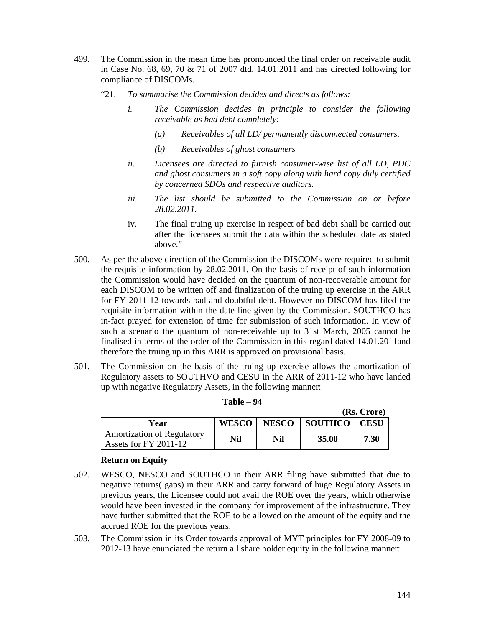- 499. The Commission in the mean time has pronounced the final order on receivable audit in Case No. 68, 69, 70 & 71 of 2007 dtd. 14.01.2011 and has directed following for compliance of DISCOMs.
	- "21. *To summarise the Commission decides and directs as follows:* 
		- *i. The Commission decides in principle to consider the following receivable as bad debt completely:* 
			- *(a) Receivables of all LD/ permanently disconnected consumers.*
			- *(b) Receivables of ghost consumers*
		- *ii. Licensees are directed to furnish consumer-wise list of all LD, PDC and ghost consumers in a soft copy along with hard copy duly certified by concerned SDOs and respective auditors.*
		- *iii. The list should be submitted to the Commission on or before 28.02.2011.*
		- iv. The final truing up exercise in respect of bad debt shall be carried out after the licensees submit the data within the scheduled date as stated above."
- 500. As per the above direction of the Commission the DISCOMs were required to submit the requisite information by 28.02.2011. On the basis of receipt of such information the Commission would have decided on the quantum of non-recoverable amount for each DISCOM to be written off and finalization of the truing up exercise in the ARR for FY 2011-12 towards bad and doubtful debt. However no DISCOM has filed the requisite information within the date line given by the Commission. SOUTHCO has in-fact prayed for extension of time for submission of such information. In view of such a scenario the quantum of non-receivable up to 31st March, 2005 cannot be finalised in terms of the order of the Commission in this regard dated 14.01.2011and therefore the truing up in this ARR is approved on provisional basis.
- 501. The Commission on the basis of the truing up exercise allows the amortization of Regulatory assets to SOUTHVO and CESU in the ARR of 2011-12 who have landed up with negative Regulatory Assets, in the following manner:

|                                                            |              |              |                | (Rs. Crore) |
|------------------------------------------------------------|--------------|--------------|----------------|-------------|
| Year                                                       | <b>WESCO</b> | <b>NESCO</b> | <b>SOUTHCO</b> | <b>CESU</b> |
| <b>Amortization of Regulatory</b><br>Assets for FY 2011-12 | Nil          | Nil          | 35.00          | 7.30        |

## **Return on Equity**

- 502. WESCO, NESCO and SOUTHCO in their ARR filing have submitted that due to negative returns( gaps) in their ARR and carry forward of huge Regulatory Assets in previous years, the Licensee could not avail the ROE over the years, which otherwise would have been invested in the company for improvement of the infrastructure. They have further submitted that the ROE to be allowed on the amount of the equity and the accrued ROE for the previous years.
- 503. The Commission in its Order towards approval of MYT principles for FY 2008-09 to 2012-13 have enunciated the return all share holder equity in the following manner: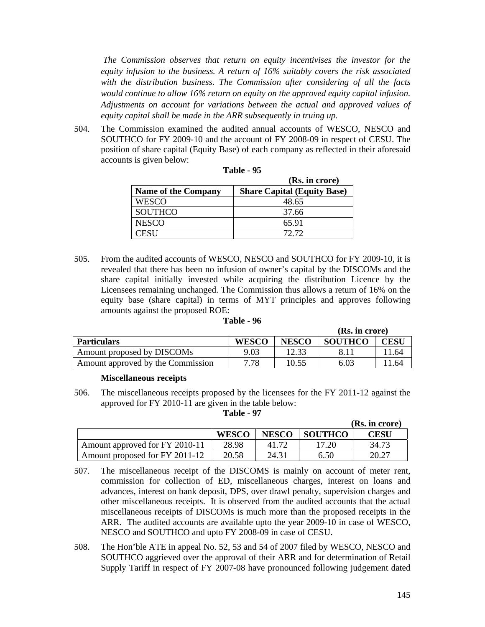*The Commission observes that return on equity incentivises the investor for the equity infusion to the business. A return of 16% suitably covers the risk associated with the distribution business. The Commission after considering of all the facts would continue to allow 16% return on equity on the approved equity capital infusion. Adjustments on account for variations between the actual and approved values of equity capital shall be made in the ARR subsequently in truing up.* 

504. The Commission examined the audited annual accounts of WESCO, NESCO and SOUTHCO for FY 2009-10 and the account of FY 2008-09 in respect of CESU. The position of share capital (Equity Base) of each company as reflected in their aforesaid accounts is given below:

|                            | (Rs. in crore)                     |
|----------------------------|------------------------------------|
| <b>Name of the Company</b> | <b>Share Capital (Equity Base)</b> |
| WESCO                      | 48.65                              |
| <b>SOUTHCO</b>             | 37.66                              |
| <b>NESCO</b>               | 65.91                              |
| ~FSH                       | 72.72                              |

| Table | Œ |
|-------|---|
|       |   |

505. From the audited accounts of WESCO, NESCO and SOUTHCO for FY 2009-10, it is revealed that there has been no infusion of owner's capital by the DISCOMs and the share capital initially invested while acquiring the distribution Licence by the Licensees remaining unchanged. The Commission thus allows a return of 16% on the equity base (share capital) in terms of MYT principles and approves following amounts against the proposed ROE:

#### **Table - 96**

|                                   |              |              | (Rs. in crore) |       |
|-----------------------------------|--------------|--------------|----------------|-------|
| <b>Particulars</b>                | <b>WESCO</b> | <b>NESCO</b> | <b>SOUTHCO</b> | CESU  |
| Amount proposed by DISCOMs        | 9.03         | 12.33        |                | 11.64 |
| Amount approved by the Commission | 7.78         | 10.55        | 6.03           | 11.64 |

#### **Miscellaneous receipts**

506. The miscellaneous receipts proposed by the licensees for the FY 2011-12 against the approved for FY 2010-11 are given in the table below:

| Table |  | 97 |
|-------|--|----|
|-------|--|----|

|                                |              |              |         | (Rs. in crore) |
|--------------------------------|--------------|--------------|---------|----------------|
|                                | <b>WESCO</b> | <b>NESCO</b> | SOUTHCO | CESU           |
| Amount approved for FY 2010-11 | 28.98        |              | 7.20    | 34.73          |
| Amount proposed for FY 2011-12 | 20.58        | 24.31        | 6.50    | 20.27          |

- 507. The miscellaneous receipt of the DISCOMS is mainly on account of meter rent, commission for collection of ED, miscellaneous charges, interest on loans and advances, interest on bank deposit, DPS, over drawl penalty, supervision charges and other miscellaneous receipts. It is observed from the audited accounts that the actual miscellaneous receipts of DISCOMs is much more than the proposed receipts in the ARR. The audited accounts are available upto the year 2009-10 in case of WESCO, NESCO and SOUTHCO and upto FY 2008-09 in case of CESU.
- 508. The Hon'ble ATE in appeal No. 52, 53 and 54 of 2007 filed by WESCO, NESCO and SOUTHCO aggrieved over the approval of their ARR and for determination of Retail Supply Tariff in respect of FY 2007-08 have pronounced following judgement dated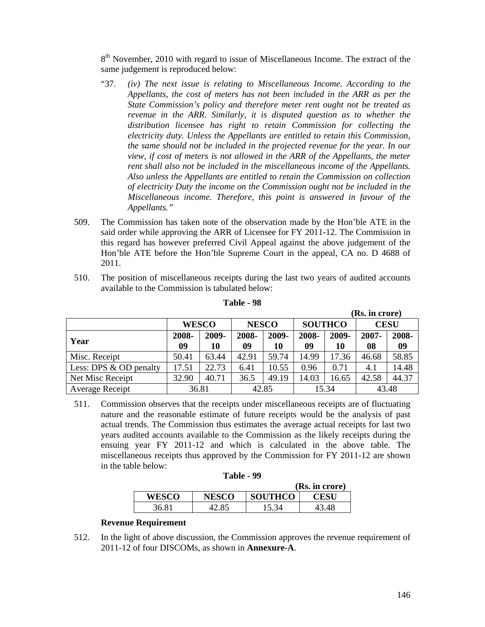8<sup>th</sup> November, 2010 with regard to issue of Miscellaneous Income. The extract of the same judgement is reproduced below:

- "37. *(iv) The next issue is relating to Miscellaneous Income. According to the Appellants, the cost of meters has not been included in the ARR as per the State Commission's policy and therefore meter rent ought not be treated as revenue in the ARR. Similarly, it is disputed question as to whether the distribution licensee has right to retain Commission for collecting the electricity duty. Unless the Appellants are entitled to retain this Commission, the same should not be included in the projected revenue for the year. In our view, if cost of meters is not allowed in the ARR of the Appellants, the meter rent shall also not be included in the miscellaneous income of the Appellants. Also unless the Appellants are entitled to retain the Commission on collection of electricity Duty the income on the Commission ought not be included in the Miscellaneous income. Therefore, this point is answered in favour of the Appellants."*
- 509. The Commission has taken note of the observation made by the Hon'ble ATE in the said order while approving the ARR of Licensee for FY 2011-12. The Commission in this regard has however preferred Civil Appeal against the above judgement of the Hon'ble ATE before the Hon'ble Supreme Court in the appeal, CA no. D 4688 of 2011.
- 510. The position of miscellaneous receipts during the last two years of audited accounts available to the Commission is tabulated below:

|                        |                                                |             |             |             |             |             | (Rs. in crore) |             |  |
|------------------------|------------------------------------------------|-------------|-------------|-------------|-------------|-------------|----------------|-------------|--|
|                        | <b>SOUTHCO</b><br><b>WESCO</b><br><b>NESCO</b> |             |             |             |             |             |                | <b>CESU</b> |  |
| Year                   | 2008-<br>09                                    | 2009-<br>10 | 2008-<br>09 | 2009-<br>10 | 2008-<br>09 | 2009-<br>10 | 2007-<br>08    | 2008-<br>09 |  |
| Misc. Receipt          | 50.41                                          | 63.44       | 42.91       | 59.74       | 14.99       | 17.36       | 46.68          | 58.85       |  |
| Less: DPS & OD penalty | 17.51                                          | 22.73       | 6.41        | 10.55       | 0.96        | 0.71        | 4.1            | 14.48       |  |
| Net Misc Receipt       | 32.90                                          | 40.71       | 36.5        | 49.19       | 14.03       | 16.65       | 42.58          | 44.37       |  |
| Average Receipt        | 36.81                                          |             | 42.85       |             |             | 15.34       | 43.48          |             |  |

#### **Table - 98**

511. Commission observes that the receipts under miscellaneous receipts are of fluctuating nature and the reasonable estimate of future receipts would be the analysis of past actual trends. The Commission thus estimates the average actual receipts for last two years audited accounts available to the Commission as the likely receipts during the ensuing year FY 2011-12 and which is calculated in the above table. The miscellaneous receipts thus approved by the Commission for FY 2011-12 are shown in the table below:

| Table | 99 |
|-------|----|
|-------|----|

|              |              |                | (Rs. in crore) |
|--------------|--------------|----------------|----------------|
| <b>WESCO</b> | <b>NESCO</b> | <b>SOUTHCO</b> | <b>CESU</b>    |
| 36.81        | 42.85        | 15.34          | 43.48          |

## **Revenue Requirement**

512. In the light of above discussion, the Commission approves the revenue requirement of 2011-12 of four DISCOMs, as shown in **Annexure-A**.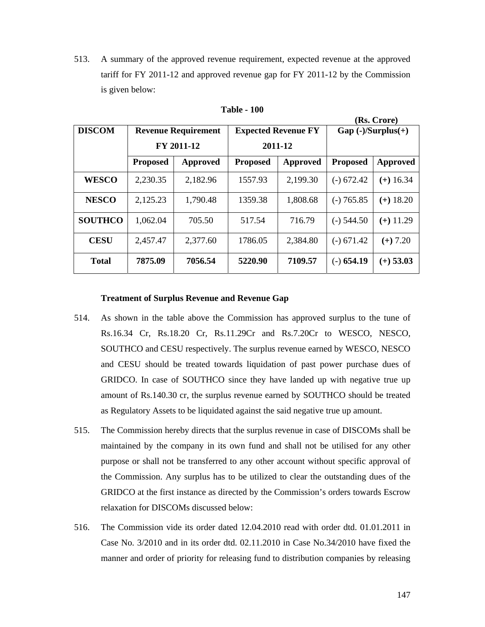513. A summary of the approved revenue requirement, expected revenue at the approved tariff for FY 2011-12 and approved revenue gap for FY 2011-12 by the Commission is given below:

| (Rs. Crore)    |                            |          |                 |                            |                       |             |  |
|----------------|----------------------------|----------|-----------------|----------------------------|-----------------------|-------------|--|
| <b>DISCOM</b>  | <b>Revenue Requirement</b> |          |                 | <b>Expected Revenue FY</b> | $Gap (-)/Surplus (+)$ |             |  |
|                | FY 2011-12                 |          | 2011-12         |                            |                       |             |  |
|                | <b>Proposed</b>            | Approved | <b>Proposed</b> | Approved                   | <b>Proposed</b>       | Approved    |  |
| <b>WESCO</b>   | 2,230.35                   | 2,182.96 | 1557.93         | 2,199.30                   | $(-) 672.42$          | $(+)$ 16.34 |  |
| <b>NESCO</b>   | 2,125.23                   | 1,790.48 | 1359.38         | 1,808.68                   | $(-) 765.85$          | $(+)$ 18.20 |  |
| <b>SOUTHCO</b> | 1,062.04                   | 705.50   | 517.54          | 716.79                     | $(-)$ 544.50          | $(+)$ 11.29 |  |
| <b>CESU</b>    | 2,457.47                   | 2,377.60 | 1786.05         | 2,384.80                   | $(-) 671.42$          | $(+) 7.20$  |  |
| <b>Total</b>   | 7875.09                    | 7056.54  | 5220.90         | 7109.57                    | $(-) 654.19$          | $(+)$ 53.03 |  |

**Table - 100** 

#### **Treatment of Surplus Revenue and Revenue Gap**

- 514. As shown in the table above the Commission has approved surplus to the tune of Rs.16.34 Cr, Rs.18.20 Cr, Rs.11.29Cr and Rs.7.20Cr to WESCO, NESCO, SOUTHCO and CESU respectively. The surplus revenue earned by WESCO, NESCO and CESU should be treated towards liquidation of past power purchase dues of GRIDCO. In case of SOUTHCO since they have landed up with negative true up amount of Rs.140.30 cr, the surplus revenue earned by SOUTHCO should be treated as Regulatory Assets to be liquidated against the said negative true up amount.
- 515. The Commission hereby directs that the surplus revenue in case of DISCOMs shall be maintained by the company in its own fund and shall not be utilised for any other purpose or shall not be transferred to any other account without specific approval of the Commission. Any surplus has to be utilized to clear the outstanding dues of the GRIDCO at the first instance as directed by the Commission's orders towards Escrow relaxation for DISCOMs discussed below:
- 516. The Commission vide its order dated 12.04.2010 read with order dtd. 01.01.2011 in Case No. 3/2010 and in its order dtd. 02.11.2010 in Case No.34/2010 have fixed the manner and order of priority for releasing fund to distribution companies by releasing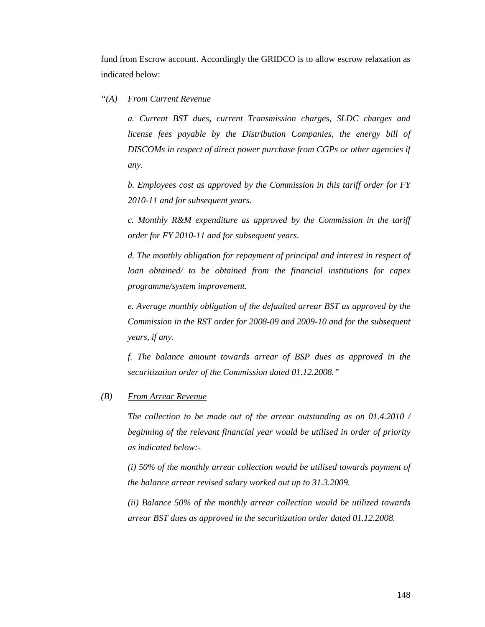fund from Escrow account. Accordingly the GRIDCO is to allow escrow relaxation as indicated below:

#### *"(A) From Current Revenue*

*a. Current BST dues, current Transmission charges, SLDC charges and license fees payable by the Distribution Companies, the energy bill of DISCOMs in respect of direct power purchase from CGPs or other agencies if any.* 

*b. Employees cost as approved by the Commission in this tariff order for FY 2010-11 and for subsequent years.* 

*c. Monthly R&M expenditure as approved by the Commission in the tariff order for FY 2010-11 and for subsequent years.* 

*d. The monthly obligation for repayment of principal and interest in respect of loan obtained/ to be obtained from the financial institutions for capex programme/system improvement.* 

*e. Average monthly obligation of the defaulted arrear BST as approved by the Commission in the RST order for 2008-09 and 2009-10 and for the subsequent years, if any.* 

*f. The balance amount towards arrear of BSP dues as approved in the securitization order of the Commission dated 01.12.2008."* 

#### *(B) From Arrear Revenue*

*The collection to be made out of the arrear outstanding as on 01.4.2010 / beginning of the relevant financial year would be utilised in order of priority as indicated below:-* 

*(i) 50% of the monthly arrear collection would be utilised towards payment of the balance arrear revised salary worked out up to 31.3.2009.* 

*(ii) Balance 50% of the monthly arrear collection would be utilized towards arrear BST dues as approved in the securitization order dated 01.12.2008.*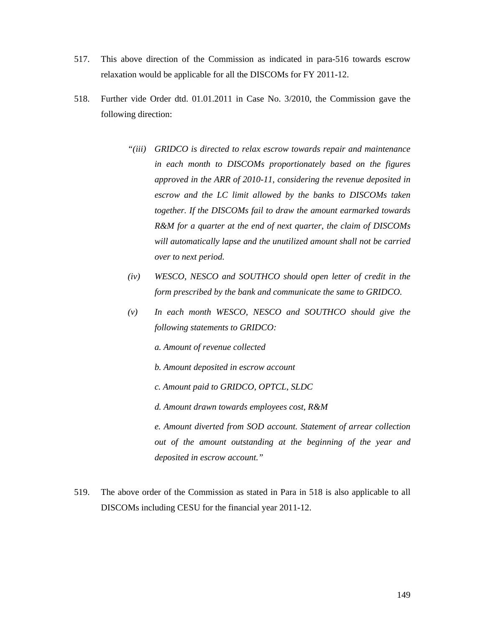- 517. This above direction of the Commission as indicated in para-516 towards escrow relaxation would be applicable for all the DISCOMs for FY 2011-12.
- 518. Further vide Order dtd. 01.01.2011 in Case No. 3/2010, the Commission gave the following direction:
	- *"(iii) GRIDCO is directed to relax escrow towards repair and maintenance in each month to DISCOMs proportionately based on the figures approved in the ARR of 2010-11, considering the revenue deposited in escrow and the LC limit allowed by the banks to DISCOMs taken together. If the DISCOMs fail to draw the amount earmarked towards R&M for a quarter at the end of next quarter, the claim of DISCOMs will automatically lapse and the unutilized amount shall not be carried over to next period.*
	- *(iv) WESCO, NESCO and SOUTHCO should open letter of credit in the form prescribed by the bank and communicate the same to GRIDCO.*
	- *(v) In each month WESCO, NESCO and SOUTHCO should give the following statements to GRIDCO:* 
		- *a. Amount of revenue collected*
		- *b. Amount deposited in escrow account*
		- *c. Amount paid to GRIDCO, OPTCL, SLDC*
		- *d. Amount drawn towards employees cost, R&M*

*e. Amount diverted from SOD account. Statement of arrear collection out of the amount outstanding at the beginning of the year and deposited in escrow account."* 

519. The above order of the Commission as stated in Para in 518 is also applicable to all DISCOMs including CESU for the financial year 2011-12.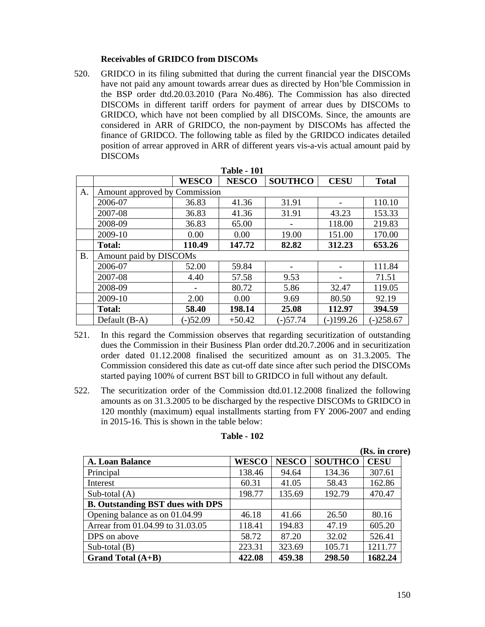## **Receivables of GRIDCO from DISCOMs**

520. GRIDCO in its filing submitted that during the current financial year the DISCOMs have not paid any amount towards arrear dues as directed by Hon'ble Commission in the BSP order dtd.20.03.2010 (Para No.486). The Commission has also directed DISCOMs in different tariff orders for payment of arrear dues by DISCOMs to GRIDCO, which have not been complied by all DISCOMs. Since, the amounts are considered in ARR of GRIDCO, the non-payment by DISCOMs has affected the finance of GRIDCO. The following table as filed by the GRIDCO indicates detailed position of arrear approved in ARR of different years vis-a-vis actual amount paid by DISCOMs

|           |                               |              | <b>Table - 101</b> |                |             |              |
|-----------|-------------------------------|--------------|--------------------|----------------|-------------|--------------|
|           |                               | <b>WESCO</b> | <b>NESCO</b>       | <b>SOUTHCO</b> | <b>CESU</b> | <b>Total</b> |
| A.        | Amount approved by Commission |              |                    |                |             |              |
|           | 2006-07                       | 36.83        | 41.36              | 31.91          |             | 110.10       |
|           | 2007-08                       | 36.83        | 41.36              | 31.91          | 43.23       | 153.33       |
|           | 2008-09                       | 36.83        | 65.00              |                | 118.00      | 219.83       |
|           | 2009-10                       | 0.00         | 0.00               | 19.00          | 151.00      | 170.00       |
|           | <b>Total:</b>                 | 110.49       | 147.72             | 82.82          | 312.23      | 653.26       |
| <b>B.</b> | Amount paid by DISCOMs        |              |                    |                |             |              |
|           | 2006-07                       | 52.00        | 59.84              |                |             | 111.84       |
|           | 2007-08                       | 4.40         | 57.58              | 9.53           |             | 71.51        |
|           | 2008-09                       |              | 80.72              | 5.86           | 32.47       | 119.05       |
|           | 2009-10                       | 2.00         | 0.00               | 9.69           | 80.50       | 92.19        |
|           | <b>Total:</b>                 | 58.40        | 198.14             | 25.08          | 112.97      | 394.59       |
|           | Default (B-A)                 | $(-)52.09$   | $+50.42$           | $(-)57.74$     | $(-)199.26$ | $(-)258.67$  |

- 521. In this regard the Commission observes that regarding securitization of outstanding dues the Commission in their Business Plan order dtd.20.7.2006 and in securitization order dated 01.12.2008 finalised the securitized amount as on 31.3.2005. The Commission considered this date as cut-off date since after such period the DISCOMs started paying 100% of current BST bill to GRIDCO in full without any default.
- 522. The securitization order of the Commission dtd.01.12.2008 finalized the following amounts as on 31.3.2005 to be discharged by the respective DISCOMs to GRIDCO in 120 monthly (maximum) equal installments starting from FY 2006-2007 and ending in 2015-16. This is shown in the table below:

|                                         |              |              |                | (Rs. in crore) |
|-----------------------------------------|--------------|--------------|----------------|----------------|
| A. Loan Balance                         | <b>WESCO</b> | <b>NESCO</b> | <b>SOUTHCO</b> | <b>CESU</b>    |
| Principal                               | 138.46       | 94.64        | 134.36         | 307.61         |
| Interest                                | 60.31        | 41.05        | 58.43          | 162.86         |
| Sub-total $(A)$                         | 198.77       | 135.69       | 192.79         | 470.47         |
| <b>B. Outstanding BST dues with DPS</b> |              |              |                |                |
| Opening balance as on 01.04.99          | 46.18        | 41.66        | 26.50          | 80.16          |
| Arrear from 01.04.99 to 31.03.05        | 118.41       | 194.83       | 47.19          | 605.20         |
| DPS on above                            | 58.72        | 87.20        | 32.02          | 526.41         |
| Sub-total $(B)$                         | 223.31       | 323.69       | 105.71         | 1211.77        |
| Grand Total $(A+B)$                     | 422.08       | 459.38       | 298.50         | 1682.24        |

#### **Table - 102**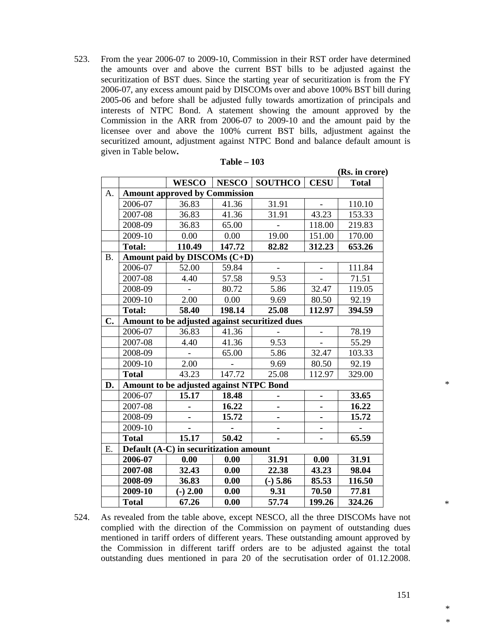523. From the year 2006-07 to 2009-10, Commission in their RST order have determined the amounts over and above the current BST bills to be adjusted against the securitization of BST dues. Since the starting year of securitization is from the FY 2006-07, any excess amount paid by DISCOMs over and above 100% BST bill during 2005-06 and before shall be adjusted fully towards amortization of principals and interests of NTPC Bond. A statement showing the amount approved by the Commission in the ARR from 2006-07 to 2009-10 and the amount paid by the licensee over and above the 100% current BST bills, adjustment against the securitized amount, adjustment against NTPC Bond and balance default amount is given in Table below**.** 

|               |               |                                         |              |                                                |                          | (Rs. in crore) |
|---------------|---------------|-----------------------------------------|--------------|------------------------------------------------|--------------------------|----------------|
|               |               | <b>WESCO</b>                            | <b>NESCO</b> | <b>SOUTHCO</b>                                 | <b>CESU</b>              | <b>Total</b>   |
| A.            |               | <b>Amount approved by Commission</b>    |              |                                                |                          |                |
|               | 2006-07       | 36.83                                   | 41.36        | 31.91                                          |                          | 110.10         |
|               | 2007-08       | 36.83                                   | 41.36        | 31.91                                          | 43.23                    | 153.33         |
|               | 2008-09       | 36.83                                   | 65.00        |                                                | 118.00                   | 219.83         |
|               | 2009-10       | 0.00                                    | 0.00         | 19.00                                          | 151.00                   | 170.00         |
|               | <b>Total:</b> | 110.49                                  | 147.72       | 82.82                                          | 312.23                   | 653.26         |
| <b>B.</b>     |               | Amount paid by DISCOMs (C+D)            |              |                                                |                          |                |
|               | 2006-07       | 52.00                                   | 59.84        | $\blacksquare$                                 | $\blacksquare$           | 111.84         |
|               | 2007-08       | 4.40                                    | 57.58        | 9.53                                           | $\overline{\phantom{0}}$ | 71.51          |
|               | 2008-09       |                                         | 80.72        | 5.86                                           | 32.47                    | 119.05         |
|               | 2009-10       | 2.00                                    | 0.00         | 9.69                                           | 80.50                    | 92.19          |
|               | <b>Total:</b> | 58.40                                   | 198.14       | 25.08                                          | 112.97                   | 394.59         |
| $C_{\bullet}$ |               |                                         |              | Amount to be adjusted against securitized dues |                          |                |
|               | 2006-07       | 36.83                                   | 41.36        |                                                | $\overline{\phantom{a}}$ | 78.19          |
|               | 2007-08       | 4.40                                    | 41.36        | 9.53                                           |                          | 55.29          |
|               | 2008-09       |                                         | 65.00        | 5.86                                           | 32.47                    | 103.33         |
|               | 2009-10       | 2.00                                    |              | 9.69                                           | 80.50                    | 92.19          |
|               | <b>Total</b>  | 43.23                                   | 147.72       | 25.08                                          | 112.97                   | 329.00         |
| D.            |               | Amount to be adjusted against NTPC Bond |              |                                                |                          |                |
|               | 2006-07       | 15.17                                   | 18.48        |                                                | $\blacksquare$           | 33.65          |
|               | 2007-08       |                                         | 16.22        |                                                |                          | 16.22          |
|               | 2008-09       |                                         | 15.72        |                                                |                          | 15.72          |
|               | 2009-10       |                                         |              | ٠                                              | ä,                       |                |
|               | <b>Total</b>  | 15.17                                   | 50.42        |                                                |                          | 65.59          |
| Ε.            |               | Default (A-C) in securitization amount  |              |                                                |                          |                |
|               | 2006-07       | 0.00                                    | 0.00         | 31.91                                          | 0.00                     | 31.91          |
|               | 2007-08       | 32.43                                   | 0.00         | 22.38                                          | 43.23                    | 98.04          |
|               | 2008-09       | 36.83                                   | 0.00         | $(-) 5.86$                                     | 85.53                    | 116.50         |
|               | 2009-10       | $(-) 2.00$                              | 0.00         | 9.31                                           | 70.50                    | 77.81          |
|               | <b>Total</b>  | 67.26                                   | 0.00         | 57.74                                          | 199.26                   | 324.26         |

524. As revealed from the table above, except NESCO, all the three DISCOMs have not complied with the direction of the Commission on payment of outstanding dues mentioned in tariff orders of different years. These outstanding amount approved by the Commission in different tariff orders are to be adjusted against the total outstanding dues mentioned in para 20 of the secrutisation order of 01.12.2008.

\* \*

\*

\*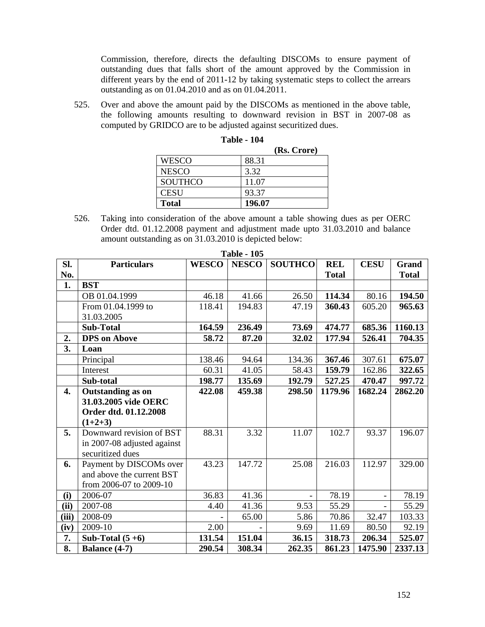Commission, therefore, directs the defaulting DISCOMs to ensure payment of outstanding dues that falls short of the amount approved by the Commission in different years by the end of 2011-12 by taking systematic steps to collect the arrears outstanding as on 01.04.2010 and as on 01.04.2011.

525. Over and above the amount paid by the DISCOMs as mentioned in the above table, the following amounts resulting to downward revision in BST in 2007-08 as computed by GRIDCO are to be adjusted against securitized dues.

|                | (Rs. Crore) |
|----------------|-------------|
| <b>WESCO</b>   | 88.31       |
| <b>NESCO</b>   | 3.32        |
| <b>SOUTHCO</b> | 11.07       |
| <b>CESU</b>    | 93.37       |
| <b>Total</b>   | 196.07      |

| Table - | $-104$ |
|---------|--------|
|---------|--------|

526. Taking into consideration of the above amount a table showing dues as per OERC Order dtd. 01.12.2008 payment and adjustment made upto 31.03.2010 and balance amount outstanding as on 31.03.2010 is depicted below:

| SI.              | <b>Particulars</b>          | <b>WESCO</b> | Tanic - Too<br><b>NESCO</b> | <b>SOUTHCO</b> | <b>REL</b>   | <b>CESU</b> | <b>Grand</b> |
|------------------|-----------------------------|--------------|-----------------------------|----------------|--------------|-------------|--------------|
| No.              |                             |              |                             |                | <b>Total</b> |             | <b>Total</b> |
| 1.               | <b>BST</b>                  |              |                             |                |              |             |              |
|                  | OB 01.04.1999               | 46.18        | 41.66                       | 26.50          | 114.34       | 80.16       | 194.50       |
|                  | From 01.04.1999 to          | 118.41       | 194.83                      | 47.19          | 360.43       | 605.20      | 965.63       |
|                  | 31.03.2005                  |              |                             |                |              |             |              |
|                  | <b>Sub-Total</b>            | 164.59       | 236.49                      | 73.69          | 474.77       | 685.36      | 1160.13      |
| 2.               | <b>DPS</b> on Above         | 58.72        | 87.20                       | 32.02          | 177.94       | 526.41      | 704.35       |
| 3.               | Loan                        |              |                             |                |              |             |              |
|                  | Principal                   | 138.46       | 94.64                       | 134.36         | 367.46       | 307.61      | 675.07       |
|                  | Interest                    | 60.31        | 41.05                       | 58.43          | 159.79       | 162.86      | 322.65       |
|                  | Sub-total                   | 198.77       | 135.69                      | 192.79         | 527.25       | 470.47      | 997.72       |
| $\overline{4}$ . | <b>Outstanding as on</b>    | 422.08       | 459.38                      | 298.50         | 1179.96      | 1682.24     | 2862.20      |
|                  | 31.03.2005 vide OERC        |              |                             |                |              |             |              |
|                  | Order dtd. 01.12.2008       |              |                             |                |              |             |              |
|                  | $(1+2+3)$                   |              |                             |                |              |             |              |
| 5.               | Downward revision of BST    | 88.31        | 3.32                        | 11.07          | 102.7        | 93.37       | 196.07       |
|                  | in 2007-08 adjusted against |              |                             |                |              |             |              |
|                  | securitized dues            |              |                             |                |              |             |              |
| 6.               | Payment by DISCOMs over     | 43.23        | 147.72                      | 25.08          | 216.03       | 112.97      | 329.00       |
|                  | and above the current BST   |              |                             |                |              |             |              |
|                  | from 2006-07 to 2009-10     |              |                             |                |              |             |              |
| (i)              | 2006-07                     | 36.83        | 41.36                       |                | 78.19        |             | 78.19        |
| (ii)             | 2007-08                     | 4.40         | 41.36                       | 9.53           | 55.29        |             | 55.29        |
| (iii)            | 2008-09                     |              | 65.00                       | 5.86           | 70.86        | 32.47       | 103.33       |
| (iv)             | 2009-10                     | 2.00         |                             | 9.69           | 11.69        | 80.50       | 92.19        |
| 7.               | Sub-Total $(5+6)$           | 131.54       | 151.04                      | 36.15          | 318.73       | 206.34      | 525.07       |
| 8.               | Balance (4-7)               | 290.54       | 308.34                      | 262.35         | 861.23       | 1475.90     | 2337.13      |

**Table - 105**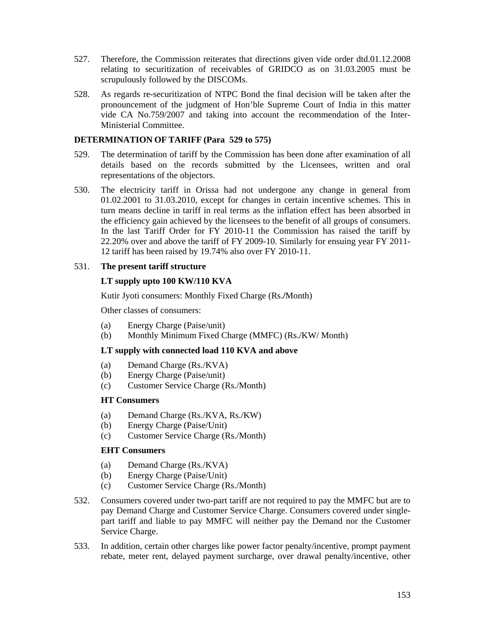- 527. Therefore, the Commission reiterates that directions given vide order dtd.01.12.2008 relating to securitization of receivables of GRIDCO as on 31.03.2005 must be scrupulously followed by the DISCOMs.
- 528. As regards re-securitization of NTPC Bond the final decision will be taken after the pronouncement of the judgment of Hon'ble Supreme Court of India in this matter vide CA No.759/2007 and taking into account the recommendation of the Inter-Ministerial Committee.

# **DETERMINATION OF TARIFF (Para 529 to 575)**

- 529. The determination of tariff by the Commission has been done after examination of all details based on the records submitted by the Licensees, written and oral representations of the objectors.
- 530. The electricity tariff in Orissa had not undergone any change in general from 01.02.2001 to 31.03.2010, except for changes in certain incentive schemes. This in turn means decline in tariff in real terms as the inflation effect has been absorbed in the efficiency gain achieved by the licensees to the benefit of all groups of consumers. In the last Tariff Order for FY 2010-11 the Commission has raised the tariff by 22.20% over and above the tariff of FY 2009-10. Similarly for ensuing year FY 2011- 12 tariff has been raised by 19.74% also over FY 2010-11.

# 531. **The present tariff structure**

# **LT supply upto 100 KW/110 KVA**

Kutir Jyoti consumers: Monthly Fixed Charge (Rs.**/**Month)

Other classes of consumers:

- (a) Energy Charge (Paise/unit)
- (b) Monthly Minimum Fixed Charge (MMFC) (Rs./KW/ Month)

## **LT supply with connected load 110 KVA and above**

- (a) Demand Charge (Rs./KVA)
- (b) Energy Charge (Paise/unit)
- (c) Customer Service Charge (Rs./Month)

## **HT Consumers**

- (a) Demand Charge (Rs./KVA, Rs./KW)
- (b) Energy Charge (Paise/Unit)
- (c) Customer Service Charge (Rs./Month)

## **EHT Consumers**

- (a) Demand Charge (Rs./KVA)
- (b) Energy Charge (Paise/Unit)
- (c) Customer Service Charge (Rs./Month)
- 532. Consumers covered under two-part tariff are not required to pay the MMFC but are to pay Demand Charge and Customer Service Charge. Consumers covered under singlepart tariff and liable to pay MMFC will neither pay the Demand nor the Customer Service Charge.
- 533. In addition, certain other charges like power factor penalty/incentive, prompt payment rebate, meter rent, delayed payment surcharge, over drawal penalty/incentive, other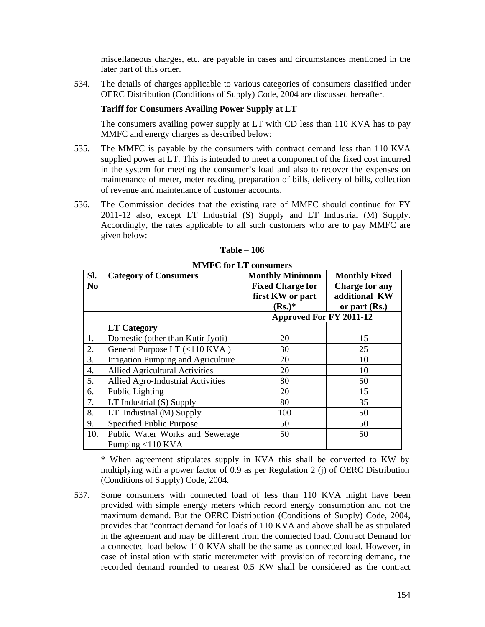miscellaneous charges, etc. are payable in cases and circumstances mentioned in the later part of this order.

534. The details of charges applicable to various categories of consumers classified under OERC Distribution (Conditions of Supply) Code, 2004 are discussed hereafter.

# **Tariff for Consumers Availing Power Supply at LT**

The consumers availing power supply at LT with CD less than 110 KVA has to pay MMFC and energy charges as described below:

- 535. The MMFC is payable by the consumers with contract demand less than 110 KVA supplied power at LT. This is intended to meet a component of the fixed cost incurred in the system for meeting the consumer's load and also to recover the expenses on maintenance of meter, meter reading, preparation of bills, delivery of bills, collection of revenue and maintenance of customer accounts.
- 536. The Commission decides that the existing rate of MMFC should continue for FY 2011-12 also, except LT Industrial (S) Supply and LT Industrial (M) Supply. Accordingly, the rates applicable to all such customers who are to pay MMFC are given below:

|                | мил с юг ег сонзанств                 |                                |                       |  |  |
|----------------|---------------------------------------|--------------------------------|-----------------------|--|--|
| SI.            | <b>Category of Consumers</b>          | <b>Monthly Minimum</b>         | <b>Monthly Fixed</b>  |  |  |
| N <sub>0</sub> |                                       | <b>Fixed Charge for</b>        | <b>Charge for any</b> |  |  |
|                |                                       | first KW or part               | additional KW         |  |  |
|                |                                       | $(Rs.)^*$                      | or part $(Rs.)$       |  |  |
|                |                                       | <b>Approved For FY 2011-12</b> |                       |  |  |
|                | <b>LT Category</b>                    |                                |                       |  |  |
| 1.             | Domestic (other than Kutir Jyoti)     | 20                             | 15                    |  |  |
| 2.             | General Purpose LT (<110 KVA)         | 30                             | 25                    |  |  |
| 3.             | Irrigation Pumping and Agriculture    | 20                             | 10                    |  |  |
| 4.             | <b>Allied Agricultural Activities</b> | 20                             | 10                    |  |  |
| 5.             | Allied Agro-Industrial Activities     | 80                             | 50                    |  |  |
| 6.             | Public Lighting                       | 20                             | 15                    |  |  |
| 7.             | LT Industrial (S) Supply              | 80                             | 35                    |  |  |
| 8.             | LT Industrial (M) Supply              | 100                            | 50                    |  |  |
| 9.             | Specified Public Purpose              | 50                             | 50                    |  |  |
| 10.            | Public Water Works and Sewerage       | 50                             | 50                    |  |  |
|                | Pumping $<$ 110 KVA                   |                                |                       |  |  |

**Table – 106 MMFC for LT consumers** 

Pumping <110 KVA \* When agreement stipulates supply in KVA this shall be converted to KW by

multiplying with a power factor of 0.9 as per Regulation 2 (j) of OERC Distribution (Conditions of Supply) Code, 2004.

537. Some consumers with connected load of less than 110 KVA might have been provided with simple energy meters which record energy consumption and not the maximum demand. But the OERC Distribution (Conditions of Supply) Code, 2004, provides that "contract demand for loads of 110 KVA and above shall be as stipulated in the agreement and may be different from the connected load. Contract Demand for a connected load below 110 KVA shall be the same as connected load. However, in case of installation with static meter/meter with provision of recording demand, the recorded demand rounded to nearest 0.5 KW shall be considered as the contract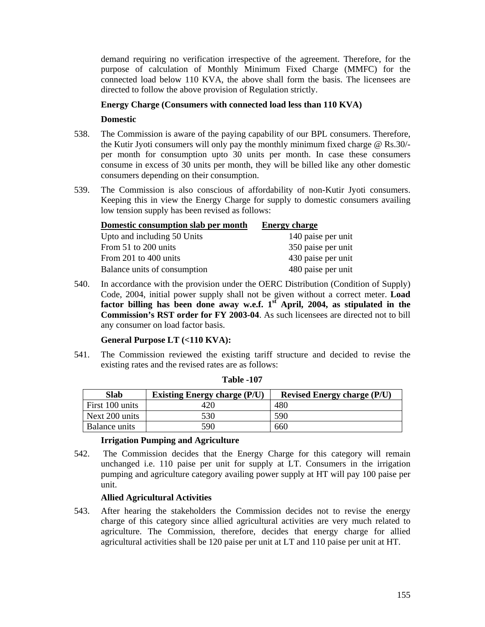demand requiring no verification irrespective of the agreement. Therefore, for the purpose of calculation of Monthly Minimum Fixed Charge (MMFC) for the connected load below 110 KVA, the above shall form the basis. The licensees are directed to follow the above provision of Regulation strictly.

# **Energy Charge (Consumers with connected load less than 110 KVA)**

## **Domestic**

- 538. The Commission is aware of the paying capability of our BPL consumers. Therefore, the Kutir Jyoti consumers will only pay the monthly minimum fixed charge @ Rs.30/ per month for consumption upto 30 units per month. In case these consumers consume in excess of 30 units per month, they will be billed like any other domestic consumers depending on their consumption.
- 539. The Commission is also conscious of affordability of non-Kutir Jyoti consumers. Keeping this in view the Energy Charge for supply to domestic consumers availing low tension supply has been revised as follows:

| Domestic consumption slab per month | <b>Energy charge</b> |
|-------------------------------------|----------------------|
| Upto and including 50 Units         | 140 paise per unit   |
| From 51 to 200 units                | 350 paise per unit   |
| From 201 to 400 units               | 430 paise per unit   |
| Balance units of consumption        | 480 paise per unit   |

540. In accordance with the provision under the OERC Distribution (Condition of Supply) Code, 2004, initial power supply shall not be given without a correct meter. **Load factor billing has been done away w.e.f. 1st April, 2004, as stipulated in the Commission's RST order for FY 2003-04**. As such licensees are directed not to bill any consumer on load factor basis.

## **General Purpose LT (<110 KVA):**

541. The Commission reviewed the existing tariff structure and decided to revise the existing rates and the revised rates are as follows:

| <b>Slab</b>     | <b>Existing Energy charge (P/U)</b> | <b>Revised Energy charge (P/U)</b> |  |
|-----------------|-------------------------------------|------------------------------------|--|
| First 100 units |                                     | 480                                |  |
| Next 200 units  | 530                                 | 590                                |  |
| Balance units   | 590                                 | 660                                |  |

#### **Table -107**

## **Irrigation Pumping and Agriculture**

542. The Commission decides that the Energy Charge for this category will remain unchanged i.e. 110 paise per unit for supply at LT. Consumers in the irrigation pumping and agriculture category availing power supply at HT will pay 100 paise per unit.

## **Allied Agricultural Activities**

543. After hearing the stakeholders the Commission decides not to revise the energy charge of this category since allied agricultural activities are very much related to agriculture. The Commission, therefore, decides that energy charge for allied agricultural activities shall be 120 paise per unit at LT and 110 paise per unit at HT.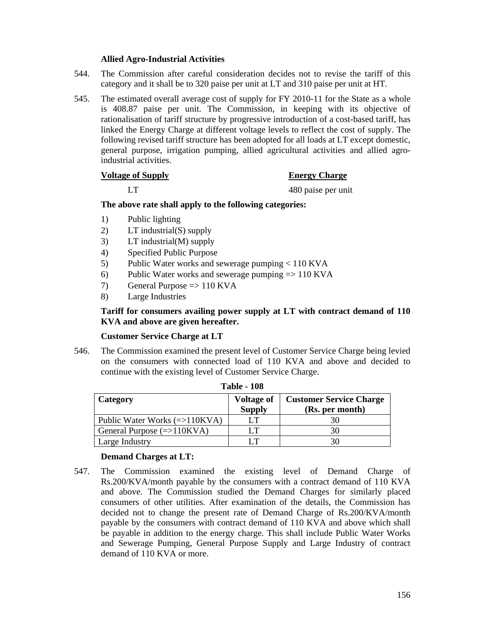## **Allied Agro-Industrial Activities**

- 544. The Commission after careful consideration decides not to revise the tariff of this category and it shall be to 320 paise per unit at LT and 310 paise per unit at HT.
- 545. The estimated overall average cost of supply for FY 2010-11 for the State as a whole is 408.87 paise per unit. The Commission, in keeping with its objective of rationalisation of tariff structure by progressive introduction of a cost-based tariff, has linked the Energy Charge at different voltage levels to reflect the cost of supply. The following revised tariff structure has been adopted for all loads at LT except domestic, general purpose, irrigation pumping, allied agricultural activities and allied agroindustrial activities.

#### **Voltage of Supply Energy Charge**

# LT 480 paise per unit

#### **The above rate shall apply to the following categories:**

- 1) Public lighting
- 2) LT industrial(S) supply
- 3) LT industrial(M) supply
- 4) Specified Public Purpose
- 5) Public Water works and sewerage pumping < 110 KVA
- 6) Public Water works and sewerage pumping  $\Rightarrow$  110 KVA
- 7) General Purpose  $\Rightarrow$  110 KVA
- 8) Large Industries

# **Tariff for consumers availing power supply at LT with contract demand of 110 KVA and above are given hereafter.**

## **Customer Service Charge at LT**

546. The Commission examined the present level of Customer Service Charge being levied on the consumers with connected load of 110 KVA and above and decided to continue with the existing level of Customer Service Charge.

| 1 аріе - 198                    |                                    |                                                   |  |  |  |
|---------------------------------|------------------------------------|---------------------------------------------------|--|--|--|
| Category                        | <b>Voltage of</b><br><b>Supply</b> | <b>Customer Service Charge</b><br>(Rs. per month) |  |  |  |
| Public Water Works $(=>110KVA)$ | LT                                 | 30                                                |  |  |  |
| General Purpose $(=>110KVA)$    | LT                                 | 30                                                |  |  |  |
| Large Industry                  | IТ                                 | 30                                                |  |  |  |

# **Table - 108**

#### **Demand Charges at LT:**

547. The Commission examined the existing level of Demand Charge of Rs.200/KVA/month payable by the consumers with a contract demand of 110 KVA and above. The Commission studied the Demand Charges for similarly placed consumers of other utilities. After examination of the details, the Commission has decided not to change the present rate of Demand Charge of Rs.200/KVA/month payable by the consumers with contract demand of 110 KVA and above which shall be payable in addition to the energy charge. This shall include Public Water Works and Sewerage Pumping, General Purpose Supply and Large Industry of contract demand of 110 KVA or more.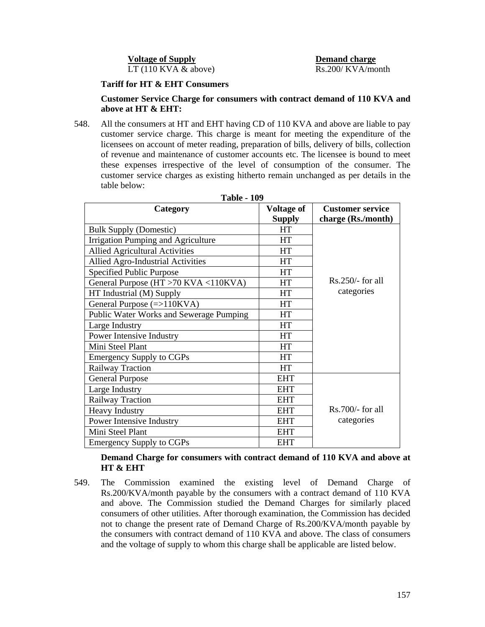**Voltage of Supply Demand charge**  $LT(110 KVA & above)$  Rs.200/ KVA/month

## **Tariff for HT & EHT Consumers**

#### **Customer Service Charge for consumers with contract demand of 110 KVA and above at HT & EHT:**

548. All the consumers at HT and EHT having CD of 110 KVA and above are liable to pay customer service charge. This charge is meant for meeting the expenditure of the licensees on account of meter reading, preparation of bills, delivery of bills, collection of revenue and maintenance of customer accounts etc. The licensee is bound to meet these expenses irrespective of the level of consumption of the consumer. The customer service charges as existing hitherto remain unchanged as per details in the table below:

| Category                                 | <b>Voltage of</b> | <b>Customer service</b> |
|------------------------------------------|-------------------|-------------------------|
|                                          | <b>Supply</b>     | charge (Rs./month)      |
| <b>Bulk Supply (Domestic)</b>            | HT                |                         |
| Irrigation Pumping and Agriculture       | HT                |                         |
| <b>Allied Agricultural Activities</b>    | HT                |                         |
| <b>Allied Agro-Industrial Activities</b> | HT                |                         |
| Specified Public Purpose                 | <b>HT</b>         |                         |
| General Purpose (HT > 70 KVA < 110 KVA)  | HT                | $Rs.250/-$ for all      |
| HT Industrial (M) Supply                 | HT                | categories              |
| General Purpose $(=>110KVA)$             | HT                |                         |
| Public Water Works and Sewerage Pumping  | HT                |                         |
| Large Industry                           | HT                |                         |
| Power Intensive Industry                 | HT                |                         |
| Mini Steel Plant                         | HT                |                         |
| <b>Emergency Supply to CGPs</b>          | HT                |                         |
| Railway Traction                         | HT                |                         |
| <b>General Purpose</b>                   | <b>EHT</b>        |                         |
| Large Industry                           | <b>EHT</b>        |                         |
| Railway Traction                         | <b>EHT</b>        |                         |
| <b>Heavy Industry</b>                    | <b>EHT</b>        | $Rs.700/-$ for all      |
| Power Intensive Industry                 | EHT               | categories              |
| Mini Steel Plant                         | <b>EHT</b>        |                         |
| <b>Emergency Supply to CGPs</b>          | <b>EHT</b>        |                         |

**Table - 109** 

**Demand Charge for consumers with contract demand of 110 KVA and above at HT & EHT** 

549. The Commission examined the existing level of Demand Charge of Rs.200/KVA/month payable by the consumers with a contract demand of 110 KVA and above. The Commission studied the Demand Charges for similarly placed consumers of other utilities. After thorough examination, the Commission has decided not to change the present rate of Demand Charge of Rs.200/KVA/month payable by the consumers with contract demand of 110 KVA and above. The class of consumers and the voltage of supply to whom this charge shall be applicable are listed below.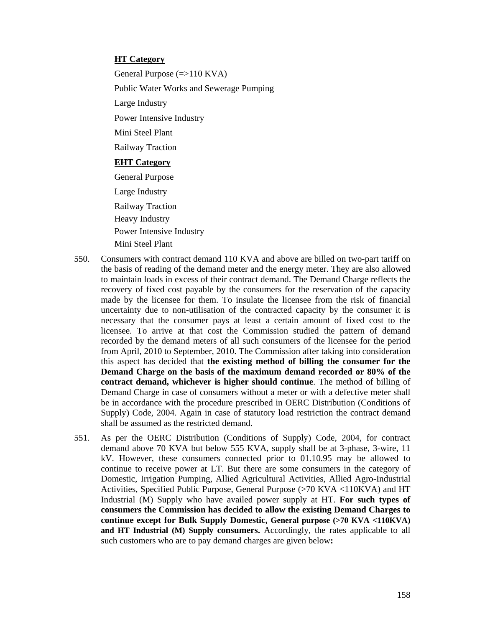#### **HT Category**

General Purpose (=>110 KVA) Public Water Works and Sewerage Pumping Large Industry Power Intensive Industry Mini Steel Plant Railway Traction **EHT Category** General Purpose Large Industry Railway Traction Heavy Industry Power Intensive Industry

Mini Steel Plant

- 550. Consumers with contract demand 110 KVA and above are billed on two-part tariff on the basis of reading of the demand meter and the energy meter. They are also allowed to maintain loads in excess of their contract demand. The Demand Charge reflects the recovery of fixed cost payable by the consumers for the reservation of the capacity made by the licensee for them. To insulate the licensee from the risk of financial uncertainty due to non-utilisation of the contracted capacity by the consumer it is necessary that the consumer pays at least a certain amount of fixed cost to the licensee. To arrive at that cost the Commission studied the pattern of demand recorded by the demand meters of all such consumers of the licensee for the period from April, 2010 to September, 2010. The Commission after taking into consideration this aspect has decided that **the existing method of billing the consumer for the Demand Charge on the basis of the maximum demand recorded or 80% of the contract demand, whichever is higher should continue**. The method of billing of Demand Charge in case of consumers without a meter or with a defective meter shall be in accordance with the procedure prescribed in OERC Distribution (Conditions of Supply) Code, 2004. Again in case of statutory load restriction the contract demand shall be assumed as the restricted demand.
- 551. As per the OERC Distribution (Conditions of Supply) Code, 2004, for contract demand above 70 KVA but below 555 KVA, supply shall be at 3-phase, 3-wire, 11 kV. However, these consumers connected prior to 01.10.95 may be allowed to continue to receive power at LT. But there are some consumers in the category of Domestic, Irrigation Pumping, Allied Agricultural Activities, Allied Agro-Industrial Activities, Specified Public Purpose, General Purpose (>70 KVA <110KVA) and HT Industrial (M) Supply who have availed power supply at HT. **For such types of consumers the Commission has decided to allow the existing Demand Charges to continue except for Bulk Supply Domestic, General purpose (>70 KVA <110KVA) and HT Industrial (M) Supply consumers.** Accordingly, the rates applicable to all such customers who are to pay demand charges are given below**:**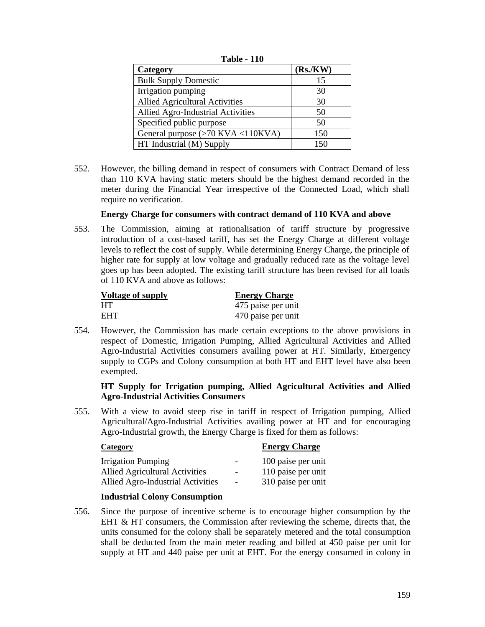| Category                              | (Rs/KW) |
|---------------------------------------|---------|
| <b>Bulk Supply Domestic</b>           | 15      |
| Irrigation pumping                    | 30      |
| <b>Allied Agricultural Activities</b> | 30      |
| Allied Agro-Industrial Activities     | 50      |
| Specified public purpose              | 50      |
| General purpose (>70 KVA <110KVA)     | 150     |
| HT Industrial (M) Supply              | 150     |

**Table - 110** 

552. However, the billing demand in respect of consumers with Contract Demand of less than 110 KVA having static meters should be the highest demand recorded in the meter during the Financial Year irrespective of the Connected Load, which shall require no verification.

## **Energy Charge for consumers with contract demand of 110 KVA and above**

553. The Commission, aiming at rationalisation of tariff structure by progressive introduction of a cost-based tariff, has set the Energy Charge at different voltage levels to reflect the cost of supply. While determining Energy Charge, the principle of higher rate for supply at low voltage and gradually reduced rate as the voltage level goes up has been adopted. The existing tariff structure has been revised for all loads of 110 KVA and above as follows:

| Voltage of supply | <b>Energy Charge</b> |
|-------------------|----------------------|
| HT.               | 475 paise per unit   |
| <b>EHT</b>        | 470 paise per unit   |

554. However, the Commission has made certain exceptions to the above provisions in respect of Domestic, Irrigation Pumping, Allied Agricultural Activities and Allied Agro-Industrial Activities consumers availing power at HT. Similarly, Emergency supply to CGPs and Colony consumption at both HT and EHT level have also been exempted.

# **HT Supply for Irrigation pumping, Allied Agricultural Activities and Allied Agro-Industrial Activities Consumers**

555. With a view to avoid steep rise in tariff in respect of Irrigation pumping, Allied Agricultural/Agro-Industrial Activities availing power at HT and for encouraging Agro-Industrial growth, the Energy Charge is fixed for them as follows:

| <b>Category</b>                       |                          | <b>Energy Charge</b> |
|---------------------------------------|--------------------------|----------------------|
| <b>Irrigation Pumping</b>             | ۰.                       | 100 paise per unit   |
| <b>Allied Agricultural Activities</b> | $\overline{\phantom{a}}$ | 110 paise per unit   |
| Allied Agro-Industrial Activities     | $\overline{\phantom{a}}$ | 310 paise per unit   |

## **Industrial Colony Consumption**

556. Since the purpose of incentive scheme is to encourage higher consumption by the EHT & HT consumers, the Commission after reviewing the scheme, directs that, the units consumed for the colony shall be separately metered and the total consumption shall be deducted from the main meter reading and billed at 450 paise per unit for supply at HT and 440 paise per unit at EHT. For the energy consumed in colony in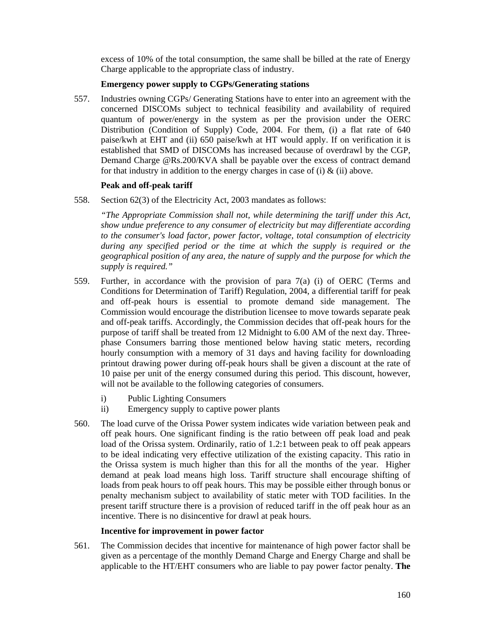excess of 10% of the total consumption, the same shall be billed at the rate of Energy Charge applicable to the appropriate class of industry.

# **Emergency power supply to CGPs/Generating stations**

557. Industries owning CGPs/ Generating Stations have to enter into an agreement with the concerned DISCOMs subject to technical feasibility and availability of required quantum of power/energy in the system as per the provision under the OERC Distribution (Condition of Supply) Code, 2004. For them, (i) a flat rate of 640 paise/kwh at EHT and (ii) 650 paise/kwh at HT would apply. If on verification it is established that SMD of DISCOMs has increased because of overdrawl by the CGP, Demand Charge @Rs.200/KVA shall be payable over the excess of contract demand for that industry in addition to the energy charges in case of (i)  $\&$  (ii) above.

# **Peak and off-peak tariff**

558. Section 62(3) of the Electricity Act, 2003 mandates as follows:

*"The Appropriate Commission shall not, while determining the tariff under this Act, show undue preference to any consumer of electricity but may differentiate according to the consumer's load factor, power factor, voltage, total consumption of electricity during any specified period or the time at which the supply is required or the geographical position of any area, the nature of supply and the purpose for which the supply is required."*

- 559. Further, in accordance with the provision of para 7(a) (i) of OERC (Terms and Conditions for Determination of Tariff) Regulation, 2004, a differential tariff for peak and off-peak hours is essential to promote demand side management. The Commission would encourage the distribution licensee to move towards separate peak and off-peak tariffs. Accordingly, the Commission decides that off-peak hours for the purpose of tariff shall be treated from 12 Midnight to 6.00 AM of the next day. Threephase Consumers barring those mentioned below having static meters, recording hourly consumption with a memory of 31 days and having facility for downloading printout drawing power during off-peak hours shall be given a discount at the rate of 10 paise per unit of the energy consumed during this period. This discount, however, will not be available to the following categories of consumers.
	- i) Public Lighting Consumers
	- ii) Emergency supply to captive power plants
- 560. The load curve of the Orissa Power system indicates wide variation between peak and off peak hours. One significant finding is the ratio between off peak load and peak load of the Orissa system. Ordinarily, ratio of 1.2:1 between peak to off peak appears to be ideal indicating very effective utilization of the existing capacity. This ratio in the Orissa system is much higher than this for all the months of the year. Higher demand at peak load means high loss. Tariff structure shall encourage shifting of loads from peak hours to off peak hours. This may be possible either through bonus or penalty mechanism subject to availability of static meter with TOD facilities. In the present tariff structure there is a provision of reduced tariff in the off peak hour as an incentive. There is no disincentive for drawl at peak hours.

## **Incentive for improvement in power factor**

561. The Commission decides that incentive for maintenance of high power factor shall be given as a percentage of the monthly Demand Charge and Energy Charge and shall be applicable to the HT/EHT consumers who are liable to pay power factor penalty. **The**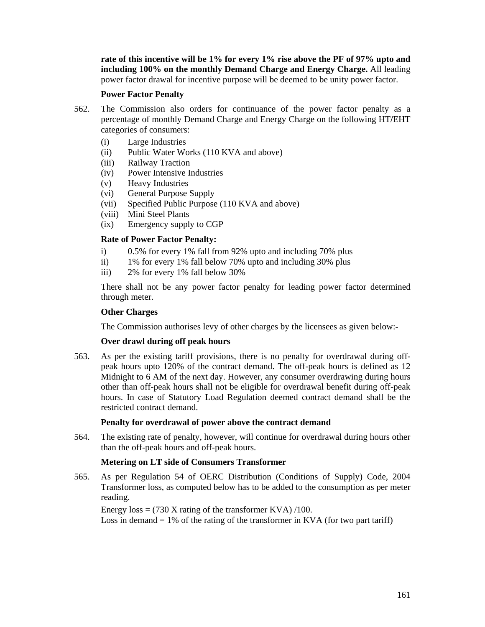**rate of this incentive will be 1% for every 1% rise above the PF of 97% upto and including 100% on the monthly Demand Charge and Energy Charge.** All leading power factor drawal for incentive purpose will be deemed to be unity power factor.

#### **Power Factor Penalty**

- 562. The Commission also orders for continuance of the power factor penalty as a percentage of monthly Demand Charge and Energy Charge on the following HT**/**EHT categories of consumers:
	- (i) Large Industries
	- (ii) Public Water Works (110 KVA and above)
	- (iii) Railway Traction
	- (iv) Power Intensive Industries
	- (v) Heavy Industries
	- (vi) General Purpose Supply
	- (vii) Specified Public Purpose (110 KVA and above)
	- (viii) Mini Steel Plants
	- (ix) Emergency supply to CGP

# **Rate of Power Factor Penalty:**

- i) 0.5% for every 1% fall from 92% upto and including 70% plus
- ii) 1% for every 1% fall below 70% upto and including 30% plus
- iii) 2% for every 1% fall below 30%

There shall not be any power factor penalty for leading power factor determined through meter.

## **Other Charges**

The Commission authorises levy of other charges by the licensees as given below:-

## **Over drawl during off peak hours**

563. As per the existing tariff provisions, there is no penalty for overdrawal during offpeak hours upto 120% of the contract demand. The off-peak hours is defined as 12 Midnight to 6 AM of the next day. However, any consumer overdrawing during hours other than off-peak hours shall not be eligible for overdrawal benefit during off-peak hours. In case of Statutory Load Regulation deemed contract demand shall be the restricted contract demand.

## **Penalty for overdrawal of power above the contract demand**

564. The existing rate of penalty, however, will continue for overdrawal during hours other than the off-peak hours and off-peak hours.

## **Metering on LT side of Consumers Transformer**

565. As per Regulation 54 of OERC Distribution (Conditions of Supply) Code, 2004 Transformer loss, as computed below has to be added to the consumption as per meter reading.

Energy  $loss = (730 \text{ X rating of the transformer KVA})/100$ . Loss in demand  $= 1\%$  of the rating of the transformer in KVA (for two part tariff)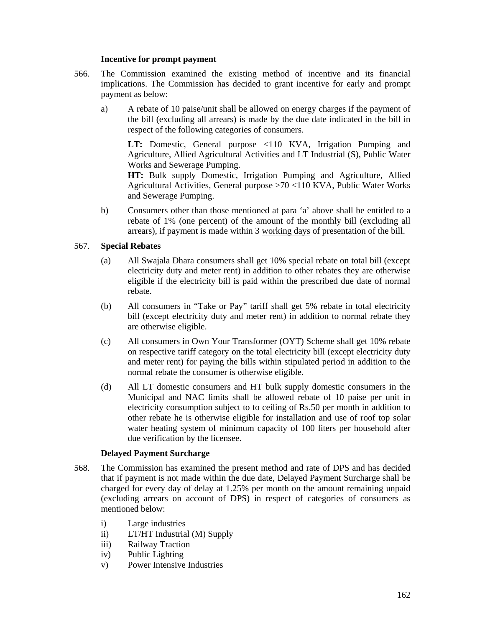#### **Incentive for prompt payment**

- 566. The Commission examined the existing method of incentive and its financial implications. The Commission has decided to grant incentive for early and prompt payment as below:
	- a) A rebate of 10 paise/unit shall be allowed on energy charges if the payment of the bill (excluding all arrears) is made by the due date indicated in the bill in respect of the following categories of consumers.

**LT:** Domestic, General purpose <110 KVA, Irrigation Pumping and Agriculture, Allied Agricultural Activities and LT Industrial (S), Public Water Works and Sewerage Pumping.

**HT:** Bulk supply Domestic, Irrigation Pumping and Agriculture, Allied Agricultural Activities, General purpose >70 <110 KVA, Public Water Works and Sewerage Pumping.

b) Consumers other than those mentioned at para 'a' above shall be entitled to a rebate of 1% (one percent) of the amount of the monthly bill (excluding all arrears), if payment is made within 3 working days of presentation of the bill.

## 567. **Special Rebates**

- (a) All Swajala Dhara consumers shall get 10% special rebate on total bill (except electricity duty and meter rent) in addition to other rebates they are otherwise eligible if the electricity bill is paid within the prescribed due date of normal rebate.
- (b) All consumers in "Take or Pay" tariff shall get 5% rebate in total electricity bill (except electricity duty and meter rent) in addition to normal rebate they are otherwise eligible.
- (c) All consumers in Own Your Transformer (OYT) Scheme shall get 10% rebate on respective tariff category on the total electricity bill (except electricity duty and meter rent) for paying the bills within stipulated period in addition to the normal rebate the consumer is otherwise eligible.
- (d) All LT domestic consumers and HT bulk supply domestic consumers in the Municipal and NAC limits shall be allowed rebate of 10 paise per unit in electricity consumption subject to to ceiling of Rs.50 per month in addition to other rebate he is otherwise eligible for installation and use of roof top solar water heating system of minimum capacity of 100 liters per household after due verification by the licensee.

## **Delayed Payment Surcharge**

- 568. The Commission has examined the present method and rate of DPS and has decided that if payment is not made within the due date, Delayed Payment Surcharge shall be charged for every day of delay at 1.25% per month on the amount remaining unpaid (excluding arrears on account of DPS) in respect of categories of consumers as mentioned below:
	- i) Large industries
	- ii) LT/HT Industrial (M) Supply
	- iii) Railway Traction
	- iv) Public Lighting
	- v) Power Intensive Industries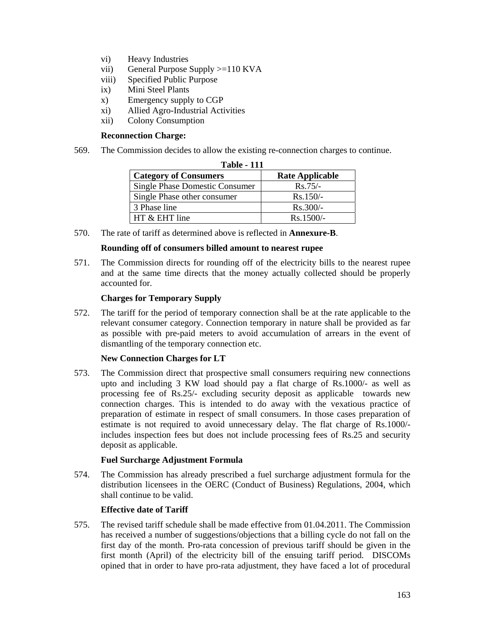- vi) Heavy Industries
- vii) General Purpose Supply >=110 KVA
- viii) Specified Public Purpose
- ix) Mini Steel Plants
- x) Emergency supply to CGP
- xi) Allied Agro-Industrial Activities
- xii) Colony Consumption

## **Reconnection Charge:**

569. The Commission decides to allow the existing re-connection charges to continue.

| <b>Table - 111</b>                    |                        |  |  |  |  |
|---------------------------------------|------------------------|--|--|--|--|
| <b>Category of Consumers</b>          | <b>Rate Applicable</b> |  |  |  |  |
| <b>Single Phase Domestic Consumer</b> | $Rs.75/-$              |  |  |  |  |
| Single Phase other consumer           | $Rs.150/-$             |  |  |  |  |
| 3 Phase line                          | $Rs.300/-$             |  |  |  |  |
| HT & EHT line                         | Rs.1500/-              |  |  |  |  |

570. The rate of tariff as determined above is reflected in **Annexure-B**.

## **Rounding off of consumers billed amount to nearest rupee**

571. The Commission directs for rounding off of the electricity bills to the nearest rupee and at the same time directs that the money actually collected should be properly accounted for.

## **Charges for Temporary Supply**

572. The tariff for the period of temporary connection shall be at the rate applicable to the relevant consumer category. Connection temporary in nature shall be provided as far as possible with pre-paid meters to avoid accumulation of arrears in the event of dismantling of the temporary connection etc.

## **New Connection Charges for LT**

573. The Commission direct that prospective small consumers requiring new connections upto and including 3 KW load should pay a flat charge of Rs.1000/- as well as processing fee of Rs.25/- excluding security deposit as applicable towards new connection charges. This is intended to do away with the vexatious practice of preparation of estimate in respect of small consumers. In those cases preparation of estimate is not required to avoid unnecessary delay. The flat charge of Rs.1000/ includes inspection fees but does not include processing fees of Rs.25 and security deposit as applicable.

## **Fuel Surcharge Adjustment Formula**

574. The Commission has already prescribed a fuel surcharge adjustment formula for the distribution licensees in the OERC (Conduct of Business) Regulations, 2004, which shall continue to be valid.

## **Effective date of Tariff**

575. The revised tariff schedule shall be made effective from 01.04.2011. The Commission has received a number of suggestions/objections that a billing cycle do not fall on the first day of the month. Pro-rata concession of previous tariff should be given in the first month (April) of the electricity bill of the ensuing tariff period. DISCOMs opined that in order to have pro-rata adjustment, they have faced a lot of procedural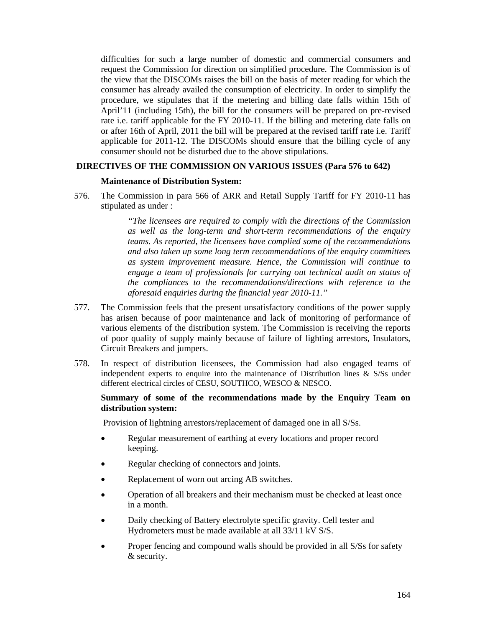difficulties for such a large number of domestic and commercial consumers and request the Commission for direction on simplified procedure. The Commission is of the view that the DISCOMs raises the bill on the basis of meter reading for which the consumer has already availed the consumption of electricity. In order to simplify the procedure, we stipulates that if the metering and billing date falls within 15th of April'11 (including 15th), the bill for the consumers will be prepared on pre-revised rate i.e. tariff applicable for the FY 2010-11. If the billing and metering date falls on or after 16th of April, 2011 the bill will be prepared at the revised tariff rate i.e. Tariff applicable for 2011-12. The DISCOMs should ensure that the billing cycle of any consumer should not be disturbed due to the above stipulations.

#### **DIRECTIVES OF THE COMMISSION ON VARIOUS ISSUES (Para 576 to 642)**

#### **Maintenance of Distribution System:**

576. The Commission in para 566 of ARR and Retail Supply Tariff for FY 2010-11 has stipulated as under :

> *"The licensees are required to comply with the directions of the Commission as well as the long-term and short-term recommendations of the enquiry teams. As reported, the licensees have complied some of the recommendations and also taken up some long term recommendations of the enquiry committees as system improvement measure. Hence, the Commission will continue to engage a team of professionals for carrying out technical audit on status of the compliances to the recommendations/directions with reference to the aforesaid enquiries during the financial year 2010-11."*

- 577. The Commission feels that the present unsatisfactory conditions of the power supply has arisen because of poor maintenance and lack of monitoring of performance of various elements of the distribution system. The Commission is receiving the reports of poor quality of supply mainly because of failure of lighting arrestors, Insulators, Circuit Breakers and jumpers.
- 578. In respect of distribution licensees, the Commission had also engaged teams of independent experts to enquire into the maintenance of Distribution lines & S/Ss under different electrical circles of CESU, SOUTHCO, WESCO & NESCO.

#### **Summary of some of the recommendations made by the Enquiry Team on distribution system:**

Provision of lightning arrestors/replacement of damaged one in all S/Ss.

- Regular measurement of earthing at every locations and proper record keeping.
- Regular checking of connectors and joints.
- Replacement of worn out arcing AB switches.
- Operation of all breakers and their mechanism must be checked at least once in a month.
- Daily checking of Battery electrolyte specific gravity. Cell tester and Hydrometers must be made available at all 33/11 kV S/S.
- Proper fencing and compound walls should be provided in all S/Ss for safety & security.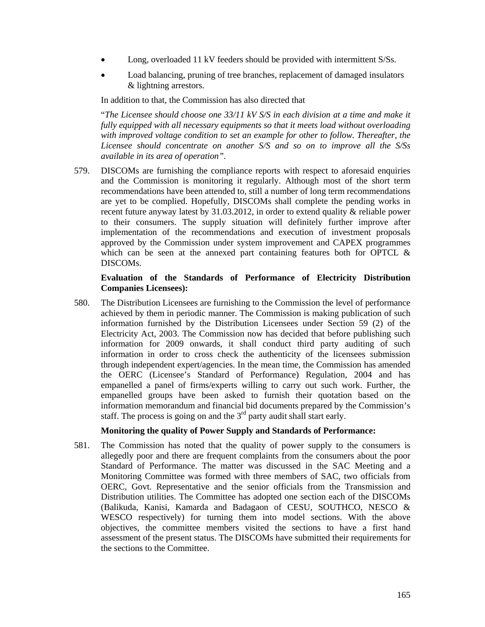- Long, overloaded 11 kV feeders should be provided with intermittent S/Ss.
- Load balancing, pruning of tree branches, replacement of damaged insulators & lightning arrestors.

In addition to that, the Commission has also directed that

"*The Licensee should choose one 33/11 kV S/S in each division at a time and make it fully equipped with all necessary equipments so that it meets load without overloading with improved voltage condition to set an example for other to follow. Thereafter, the Licensee should concentrate on another S/S and so on to improve all the S/Ss available in its area of operation".* 

579. DISCOMs are furnishing the compliance reports with respect to aforesaid enquiries and the Commission is monitoring it regularly. Although most of the short term recommendations have been attended to, still a number of long term recommendations are yet to be complied. Hopefully, DISCOMs shall complete the pending works in recent future anyway latest by 31.03.2012, in order to extend quality & reliable power to their consumers. The supply situation will definitely further improve after implementation of the recommendations and execution of investment proposals approved by the Commission under system improvement and CAPEX programmes which can be seen at the annexed part containing features both for OPTCL  $\&$ DISCOMs.

#### **Evaluation of the Standards of Performance of Electricity Distribution Companies Licensees):**

580. The Distribution Licensees are furnishing to the Commission the level of performance achieved by them in periodic manner. The Commission is making publication of such information furnished by the Distribution Licensees under Section 59 (2) of the Electricity Act, 2003. The Commission now has decided that before publishing such information for 2009 onwards, it shall conduct third party auditing of such information in order to cross check the authenticity of the licensees submission through independent expert/agencies. In the mean time, the Commission has amended the OERC (Licensee's Standard of Performance) Regulation, 2004 and has empanelled a panel of firms/experts willing to carry out such work. Further, the empanelled groups have been asked to furnish their quotation based on the information memorandum and financial bid documents prepared by the Commission's staff. The process is going on and the  $3<sup>rd</sup>$  party audit shall start early.

## **Monitoring the quality of Power Supply and Standards of Performance:**

581. The Commission has noted that the quality of power supply to the consumers is allegedly poor and there are frequent complaints from the consumers about the poor Standard of Performance. The matter was discussed in the SAC Meeting and a Monitoring Committee was formed with three members of SAC, two officials from OERC, Govt. Representative and the senior officials from the Transmission and Distribution utilities. The Committee has adopted one section each of the DISCOMs (Balikuda, Kanisi, Kamarda and Badagaon of CESU, SOUTHCO, NESCO & WESCO respectively) for turning them into model sections. With the above objectives, the committee members visited the sections to have a first hand assessment of the present status. The DISCOMs have submitted their requirements for the sections to the Committee.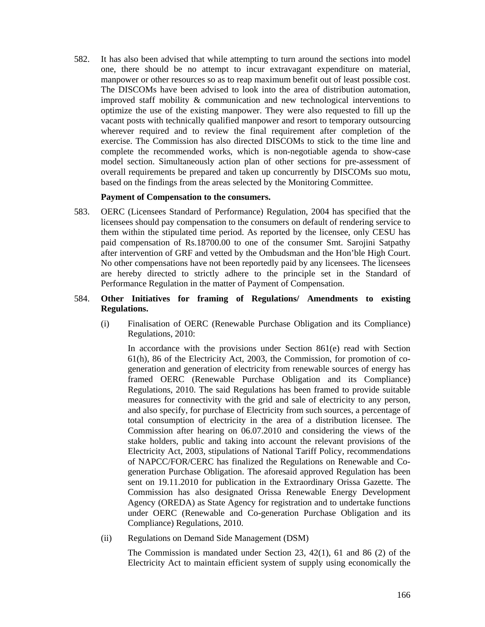582. It has also been advised that while attempting to turn around the sections into model one, there should be no attempt to incur extravagant expenditure on material, manpower or other resources so as to reap maximum benefit out of least possible cost. The DISCOMs have been advised to look into the area of distribution automation, improved staff mobility & communication and new technological interventions to optimize the use of the existing manpower. They were also requested to fill up the vacant posts with technically qualified manpower and resort to temporary outsourcing wherever required and to review the final requirement after completion of the exercise. The Commission has also directed DISCOMs to stick to the time line and complete the recommended works, which is non-negotiable agenda to show-case model section. Simultaneously action plan of other sections for pre-assessment of overall requirements be prepared and taken up concurrently by DISCOMs suo motu, based on the findings from the areas selected by the Monitoring Committee.

#### **Payment of Compensation to the consumers.**

583. OERC (Licensees Standard of Performance) Regulation, 2004 has specified that the licensees should pay compensation to the consumers on default of rendering service to them within the stipulated time period. As reported by the licensee, only CESU has paid compensation of Rs.18700.00 to one of the consumer Smt. Sarojini Satpathy after intervention of GRF and vetted by the Ombudsman and the Hon'ble High Court. No other compensations have not been reportedly paid by any licensees. The licensees are hereby directed to strictly adhere to the principle set in the Standard of Performance Regulation in the matter of Payment of Compensation.

## 584. **Other Initiatives for framing of Regulations/ Amendments to existing Regulations.**

(i) Finalisation of OERC (Renewable Purchase Obligation and its Compliance) Regulations, 2010:

In accordance with the provisions under Section 861(e) read with Section 61(h), 86 of the Electricity Act, 2003, the Commission, for promotion of cogeneration and generation of electricity from renewable sources of energy has framed OERC (Renewable Purchase Obligation and its Compliance) Regulations, 2010. The said Regulations has been framed to provide suitable measures for connectivity with the grid and sale of electricity to any person, and also specify, for purchase of Electricity from such sources, a percentage of total consumption of electricity in the area of a distribution licensee. The Commission after hearing on 06.07.2010 and considering the views of the stake holders, public and taking into account the relevant provisions of the Electricity Act, 2003, stipulations of National Tariff Policy, recommendations of NAPCC/FOR/CERC has finalized the Regulations on Renewable and Cogeneration Purchase Obligation. The aforesaid approved Regulation has been sent on 19.11.2010 for publication in the Extraordinary Orissa Gazette. The Commission has also designated Orissa Renewable Energy Development Agency (OREDA) as State Agency for registration and to undertake functions under OERC (Renewable and Co-generation Purchase Obligation and its Compliance) Regulations, 2010.

(ii) Regulations on Demand Side Management (DSM)

The Commission is mandated under Section 23, 42(1), 61 and 86 (2) of the Electricity Act to maintain efficient system of supply using economically the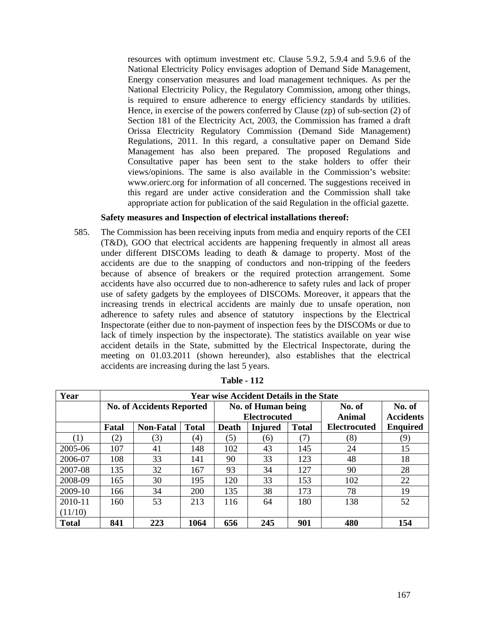resources with optimum investment etc. Clause 5.9.2, 5.9.4 and 5.9.6 of the National Electricity Policy envisages adoption of Demand Side Management, Energy conservation measures and load management techniques. As per the National Electricity Policy, the Regulatory Commission, among other things, is required to ensure adherence to energy efficiency standards by utilities. Hence, in exercise of the powers conferred by Clause (zp) of sub-section (2) of Section 181 of the Electricity Act, 2003, the Commission has framed a draft Orissa Electricity Regulatory Commission (Demand Side Management) Regulations, 2011. In this regard, a consultative paper on Demand Side Management has also been prepared. The proposed Regulations and Consultative paper has been sent to the stake holders to offer their views/opinions. The same is also available in the Commission's website: www.orierc.org for information of all concerned. The suggestions received in this regard are under active consideration and the Commission shall take appropriate action for publication of the said Regulation in the official gazette.

## **Safety measures and Inspection of electrical installations thereof:**

585. The Commission has been receiving inputs from media and enquiry reports of the CEI (T&D), GOO that electrical accidents are happening frequently in almost all areas under different DISCOMs leading to death & damage to property. Most of the accidents are due to the snapping of conductors and non-tripping of the feeders because of absence of breakers or the required protection arrangement. Some accidents have also occurred due to non-adherence to safety rules and lack of proper use of safety gadgets by the employees of DISCOMs. Moreover, it appears that the increasing trends in electrical accidents are mainly due to unsafe operation, non adherence to safety rules and absence of statutory inspections by the Electrical Inspectorate (either due to non-payment of inspection fees by the DISCOMs or due to lack of timely inspection by the inspectorate). The statistics available on year wise accident details in the State, submitted by the Electrical Inspectorate, during the meeting on 01.03.2011 (shown hereunder), also establishes that the electrical accidents are increasing during the last 5 years.

| Year         |                                  | <b>Year wise Accident Details in the State</b> |              |                     |                    |              |                     |                  |  |
|--------------|----------------------------------|------------------------------------------------|--------------|---------------------|--------------------|--------------|---------------------|------------------|--|
|              | <b>No. of Accidents Reported</b> |                                                |              |                     | No. of Human being |              | No. of              | No. of           |  |
|              |                                  |                                                |              | <b>Electrocuted</b> |                    |              | Animal              | <b>Accidents</b> |  |
|              | Fatal                            | <b>Non-Fatal</b>                               | <b>Total</b> | Death               | <b>Injured</b>     | <b>Total</b> | <b>Electrocuted</b> | <b>Enquired</b>  |  |
| (1)          | (2)                              | (3)                                            | (4)          | (5)                 | (6)                | (7)          | (8)                 | (9)              |  |
| 2005-06      | 107                              | 41                                             | 148          | 102                 | 43                 | 145          | 24                  | 15               |  |
| 2006-07      | 108                              | 33                                             | 141          | 90                  | 33                 | 123          | 48                  | 18               |  |
| 2007-08      | 135                              | 32                                             | 167          | 93                  | 34                 | 127          | 90                  | 28               |  |
| 2008-09      | 165                              | 30                                             | 195          | 120                 | 33                 | 153          | 102                 | 22               |  |
| 2009-10      | 166                              | 34                                             | 200          | 135                 | 38                 | 173          | 78                  | 19               |  |
| 2010-11      | 160                              | 53                                             | 213          | 116                 | 64                 | 180          | 138                 | 52               |  |
| (11/10)      |                                  |                                                |              |                     |                    |              |                     |                  |  |
| <b>Total</b> | 841                              | 223                                            | 1064         | 656                 | 245                | 901          | 480                 | 154              |  |

**Table - 112**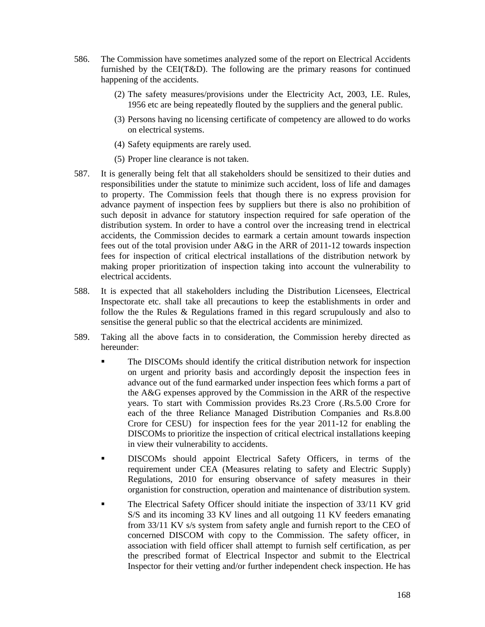- 586. The Commission have sometimes analyzed some of the report on Electrical Accidents furnished by the CEI(T&D). The following are the primary reasons for continued happening of the accidents.
	- (2) The safety measures/provisions under the Electricity Act, 2003, I.E. Rules, 1956 etc are being repeatedly flouted by the suppliers and the general public.
	- (3) Persons having no licensing certificate of competency are allowed to do works on electrical systems.
	- (4) Safety equipments are rarely used.
	- (5) Proper line clearance is not taken.
- 587. It is generally being felt that all stakeholders should be sensitized to their duties and responsibilities under the statute to minimize such accident, loss of life and damages to property. The Commission feels that though there is no express provision for advance payment of inspection fees by suppliers but there is also no prohibition of such deposit in advance for statutory inspection required for safe operation of the distribution system. In order to have a control over the increasing trend in electrical accidents, the Commission decides to earmark a certain amount towards inspection fees out of the total provision under A&G in the ARR of 2011-12 towards inspection fees for inspection of critical electrical installations of the distribution network by making proper prioritization of inspection taking into account the vulnerability to electrical accidents.
- 588. It is expected that all stakeholders including the Distribution Licensees, Electrical Inspectorate etc. shall take all precautions to keep the establishments in order and follow the the Rules & Regulations framed in this regard scrupulously and also to sensitise the general public so that the electrical accidents are minimized.
- 589. Taking all the above facts in to consideration, the Commission hereby directed as hereunder:
	- The DISCOMs should identify the critical distribution network for inspection on urgent and priority basis and accordingly deposit the inspection fees in advance out of the fund earmarked under inspection fees which forms a part of the A&G expenses approved by the Commission in the ARR of the respective years. To start with Commission provides Rs.23 Crore (.Rs.5.00 Crore for each of the three Reliance Managed Distribution Companies and Rs.8.00 Crore for CESU) for inspection fees for the year 2011-12 for enabling the DISCOMs to prioritize the inspection of critical electrical installations keeping in view their vulnerability to accidents.
	- DISCOMs should appoint Electrical Safety Officers, in terms of the requirement under CEA (Measures relating to safety and Electric Supply) Regulations, 2010 for ensuring observance of safety measures in their organistion for construction, operation and maintenance of distribution system.
	- The Electrical Safety Officer should initiate the inspection of 33/11 KV grid S/S and its incoming 33 KV lines and all outgoing 11 KV feeders emanating from 33/11 KV s/s system from safety angle and furnish report to the CEO of concerned DISCOM with copy to the Commission. The safety officer, in association with field officer shall attempt to furnish self certification, as per the prescribed format of Electrical Inspector and submit to the Electrical Inspector for their vetting and/or further independent check inspection. He has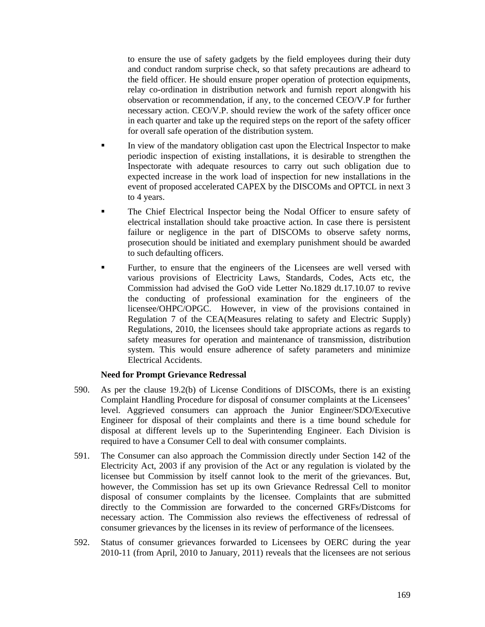to ensure the use of safety gadgets by the field employees during their duty and conduct random surprise check, so that safety precautions are adheard to the field officer. He should ensure proper operation of protection equipments, relay co-ordination in distribution network and furnish report alongwith his observation or recommendation, if any, to the concerned CEO/V.P for further necessary action. CEO/V.P. should review the work of the safety officer once in each quarter and take up the required steps on the report of the safety officer for overall safe operation of the distribution system.

- In view of the mandatory obligation cast upon the Electrical Inspector to make periodic inspection of existing installations, it is desirable to strengthen the Inspectorate with adequate resources to carry out such obligation due to expected increase in the work load of inspection for new installations in the event of proposed accelerated CAPEX by the DISCOMs and OPTCL in next 3 to 4 years.
- The Chief Electrical Inspector being the Nodal Officer to ensure safety of electrical installation should take proactive action. In case there is persistent failure or negligence in the part of DISCOMs to observe safety norms, prosecution should be initiated and exemplary punishment should be awarded to such defaulting officers.
- Further, to ensure that the engineers of the Licensees are well versed with various provisions of Electricity Laws, Standards, Codes, Acts etc, the Commission had advised the GoO vide Letter No.1829 dt.17.10.07 to revive the conducting of professional examination for the engineers of the licensee/OHPC/OPGC. However, in view of the provisions contained in Regulation 7 of the CEA(Measures relating to safety and Electric Supply) Regulations, 2010, the licensees should take appropriate actions as regards to safety measures for operation and maintenance of transmission, distribution system. This would ensure adherence of safety parameters and minimize Electrical Accidents.

## **Need for Prompt Grievance Redressal**

- 590. As per the clause 19.2(b) of License Conditions of DISCOMs, there is an existing Complaint Handling Procedure for disposal of consumer complaints at the Licensees' level. Aggrieved consumers can approach the Junior Engineer/SDO/Executive Engineer for disposal of their complaints and there is a time bound schedule for disposal at different levels up to the Superintending Engineer. Each Division is required to have a Consumer Cell to deal with consumer complaints.
- 591. The Consumer can also approach the Commission directly under Section 142 of the Electricity Act, 2003 if any provision of the Act or any regulation is violated by the licensee but Commission by itself cannot look to the merit of the grievances. But, however, the Commission has set up its own Grievance Redressal Cell to monitor disposal of consumer complaints by the licensee. Complaints that are submitted directly to the Commission are forwarded to the concerned GRFs/Distcoms for necessary action. The Commission also reviews the effectiveness of redressal of consumer grievances by the licenses in its review of performance of the licensees.
- 592. Status of consumer grievances forwarded to Licensees by OERC during the year 2010-11 (from April, 2010 to January, 2011) reveals that the licensees are not serious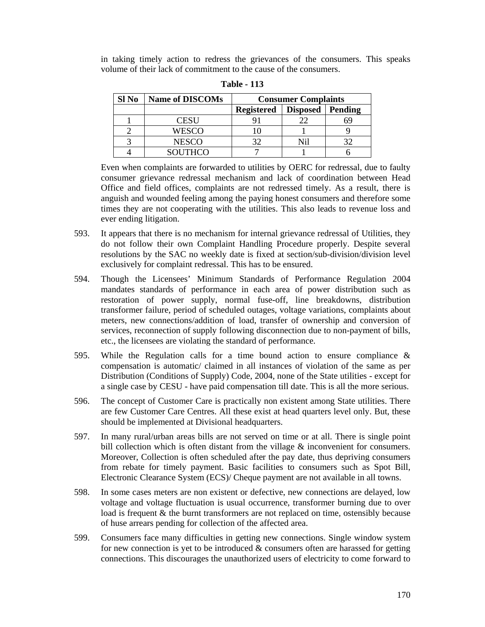in taking timely action to redress the grievances of the consumers. This speaks volume of their lack of commitment to the cause of the consumers.

| Sl No | <b>Name of DISCOMs</b> | <b>Consumer Complaints</b> |          |         |  |
|-------|------------------------|----------------------------|----------|---------|--|
|       |                        | Registered                 | Disposed | Pending |  |
|       | CESU                   |                            |          |         |  |
|       | WESCO                  |                            |          |         |  |
|       | <b>NESCO</b>           |                            |          |         |  |
|       | <b>SOUTHCO</b>         |                            |          |         |  |

**Table - 113** 

Even when complaints are forwarded to utilities by OERC for redressal, due to faulty consumer grievance redressal mechanism and lack of coordination between Head Office and field offices, complaints are not redressed timely. As a result, there is anguish and wounded feeling among the paying honest consumers and therefore some times they are not cooperating with the utilities. This also leads to revenue loss and ever ending litigation.

- 593. It appears that there is no mechanism for internal grievance redressal of Utilities, they do not follow their own Complaint Handling Procedure properly. Despite several resolutions by the SAC no weekly date is fixed at section/sub-division/division level exclusively for complaint redressal. This has to be ensured.
- 594. Though the Licensees' Minimum Standards of Performance Regulation 2004 mandates standards of performance in each area of power distribution such as restoration of power supply, normal fuse-off, line breakdowns, distribution transformer failure, period of scheduled outages, voltage variations, complaints about meters, new connections/addition of load, transfer of ownership and conversion of services, reconnection of supply following disconnection due to non-payment of bills, etc., the licensees are violating the standard of performance.
- 595. While the Regulation calls for a time bound action to ensure compliance & compensation is automatic/ claimed in all instances of violation of the same as per Distribution (Conditions of Supply) Code, 2004, none of the State utilities - except for a single case by CESU - have paid compensation till date. This is all the more serious.
- 596. The concept of Customer Care is practically non existent among State utilities. There are few Customer Care Centres. All these exist at head quarters level only. But, these should be implemented at Divisional headquarters.
- 597. In many rural/urban areas bills are not served on time or at all. There is single point bill collection which is often distant from the village & inconvenient for consumers. Moreover, Collection is often scheduled after the pay date, thus depriving consumers from rebate for timely payment. Basic facilities to consumers such as Spot Bill, Electronic Clearance System (ECS)/ Cheque payment are not available in all towns.
- 598. In some cases meters are non existent or defective, new connections are delayed, low voltage and voltage fluctuation is usual occurrence, transformer burning due to over load is frequent & the burnt transformers are not replaced on time, ostensibly because of huse arrears pending for collection of the affected area.
- 599. Consumers face many difficulties in getting new connections. Single window system for new connection is yet to be introduced  $\&$  consumers often are harassed for getting connections. This discourages the unauthorized users of electricity to come forward to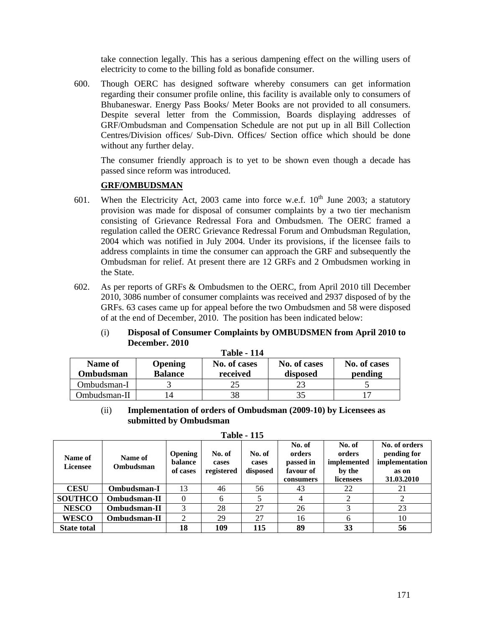take connection legally. This has a serious dampening effect on the willing users of electricity to come to the billing fold as bonafide consumer.

600. Though OERC has designed software whereby consumers can get information regarding their consumer profile online, this facility is available only to consumers of Bhubaneswar. Energy Pass Books/ Meter Books are not provided to all consumers. Despite several letter from the Commission, Boards displaying addresses of GRF/Ombudsman and Compensation Schedule are not put up in all Bill Collection Centres/Division offices/ Sub-Divn. Offices/ Section office which should be done without any further delay.

The consumer friendly approach is to yet to be shown even though a decade has passed since reform was introduced.

# **GRF/OMBUDSMAN**

- 601. When the Electricity Act, 2003 came into force w.e.f.  $10^{th}$  June 2003; a statutory provision was made for disposal of consumer complaints by a two tier mechanism consisting of Grievance Redressal Fora and Ombudsmen. The OERC framed a regulation called the OERC Grievance Redressal Forum and Ombudsman Regulation, 2004 which was notified in July 2004. Under its provisions, if the licensee fails to address complaints in time the consumer can approach the GRF and subsequently the Ombudsman for relief. At present there are 12 GRFs and 2 Ombudsmen working in the State.
- 602. As per reports of GRFs & Ombudsmen to the OERC, from April 2010 till December 2010, 3086 number of consumer complaints was received and 2937 disposed of by the GRFs. 63 cases came up for appeal before the two Ombudsmen and 58 were disposed of at the end of December, 2010. The position has been indicated below:

|              |                | <b>Table - 114</b> |              |              |
|--------------|----------------|--------------------|--------------|--------------|
| Name of      | <b>Opening</b> | No. of cases       | No. of cases | No. of cases |
| Ombudsman    | <b>Balance</b> | received           | disposed     | pending      |
| Ombudsman-I  |                |                    | 23           |              |
| Ombudsman-II | 14             | 38                 | 35           |              |

## (i) **Disposal of Consumer Complaints by OMBUDSMEN from April 2010 to December. 2010**

(ii) **Implementation of orders of Ombudsman (2009-10) by Licensees as submitted by Ombudsman** 

| Name of<br><b>Licensee</b> | Name of<br>Ombudsman | <b>Opening</b><br>balance<br>of cases | No. of<br>cases<br>registered | No. of<br>cases<br>disposed | No. of<br>orders<br>passed in<br>favour of<br>consumers | No. of<br>orders<br>implemented<br>by the<br>licensees | No. of orders<br>pending for<br>implementation<br>as on<br>31.03.2010 |
|----------------------------|----------------------|---------------------------------------|-------------------------------|-----------------------------|---------------------------------------------------------|--------------------------------------------------------|-----------------------------------------------------------------------|
| <b>CESU</b>                | Ombudsman-I          | 13                                    | 46                            | 56                          | 43                                                      | 22                                                     | 21                                                                    |
| <b>SOUTHCO</b>             | Ombudsman-II         | $\theta$                              | 6                             |                             | 4                                                       |                                                        |                                                                       |
| <b>NESCO</b>               | Ombudsman-II         |                                       | 28                            | 27                          | 26                                                      |                                                        | 23                                                                    |
| <b>WESCO</b>               | Ombudsman-II         | 2                                     | 29                            | 27                          | 16                                                      | 6                                                      | 10                                                                    |
| <b>State total</b>         |                      | 18                                    | 109                           | 115                         | 89                                                      | 33                                                     | 56                                                                    |

**Table - 115**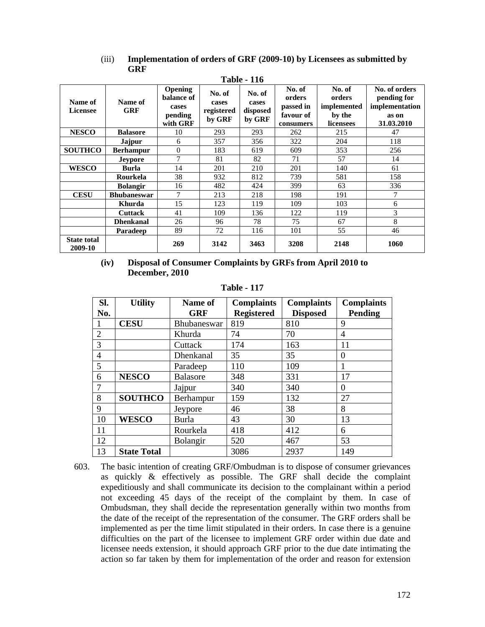| (iii) | Implementation of orders of GRF (2009-10) by Licensees as submitted by |
|-------|------------------------------------------------------------------------|
|       | <b>GRF</b>                                                             |
|       |                                                                        |

| 1 apie - 116                  |                    |                                                              |                                         |                                       |                                                         |                                                        |                                                                       |  |
|-------------------------------|--------------------|--------------------------------------------------------------|-----------------------------------------|---------------------------------------|---------------------------------------------------------|--------------------------------------------------------|-----------------------------------------------------------------------|--|
| Name of<br><b>Licensee</b>    | Name of<br>GRF     | <b>Opening</b><br>balance of<br>cases<br>pending<br>with GRF | No. of<br>cases<br>registered<br>by GRF | No. of<br>cases<br>disposed<br>by GRF | No. of<br>orders<br>passed in<br>favour of<br>consumers | No. of<br>orders<br>implemented<br>by the<br>licensees | No. of orders<br>pending for<br>implementation<br>as on<br>31.03.2010 |  |
| <b>NESCO</b>                  | <b>Balasore</b>    | 10                                                           | 293                                     | 293                                   | 262                                                     | 215                                                    | 47                                                                    |  |
|                               | <b>Jajpur</b>      | 6                                                            | 357                                     | 356                                   | 322                                                     | 204                                                    | 118                                                                   |  |
| <b>SOUTHCO</b>                | <b>Berhampur</b>   | $\overline{0}$                                               | 183                                     | 619                                   | 609                                                     | 353                                                    | 256                                                                   |  |
|                               | <b>Jeypore</b>     | 7                                                            | 81                                      | 82                                    | 71                                                      | 57                                                     | 14                                                                    |  |
| <b>WESCO</b>                  | <b>Burla</b>       | 14                                                           | 201                                     | 210                                   | 201                                                     | 140                                                    | 61                                                                    |  |
|                               | Rourkela           | 38                                                           | 932                                     | 812                                   | 739                                                     | 581                                                    | 158                                                                   |  |
|                               | <b>Bolangir</b>    | 16                                                           | 482                                     | 424                                   | 399                                                     | 63                                                     | 336                                                                   |  |
| <b>CESU</b>                   | <b>Bhubaneswar</b> | 7                                                            | 213                                     | 218                                   | 198                                                     | 191                                                    | 7                                                                     |  |
|                               | Khurda             | 15                                                           | 123                                     | 119                                   | 109                                                     | 103                                                    | 6                                                                     |  |
|                               | <b>Cuttack</b>     | 41                                                           | 109                                     | 136                                   | 122                                                     | 119                                                    | 3                                                                     |  |
|                               | <b>Dhenkanal</b>   | 26                                                           | 96                                      | 78                                    | 75                                                      | 67                                                     | 8                                                                     |  |
|                               | <b>Paradeep</b>    | 89                                                           | 72                                      | 116                                   | 101                                                     | 55                                                     | 46                                                                    |  |
| <b>State total</b><br>2009-10 |                    | 269                                                          | 3142                                    | 3463                                  | 3208                                                    | 2148                                                   | 1060                                                                  |  |

**(iv) Disposal of Consumer Complaints by GRFs from April 2010 to December, 2010** 

**Table - 117** 

| SI.<br>No.     | <b>Utility</b>     | Name of<br><b>GRF</b> | <b>Complaints</b><br><b>Registered</b> | <b>Complaints</b><br><b>Disposed</b> | <b>Complaints</b><br><b>Pending</b> |
|----------------|--------------------|-----------------------|----------------------------------------|--------------------------------------|-------------------------------------|
|                | <b>CESU</b>        | Bhubaneswar           | 819                                    | 810                                  | 9                                   |
| $\overline{2}$ |                    | Khurda                | 74                                     | 70                                   | $\overline{4}$                      |
| 3              |                    | Cuttack               | 174                                    | 163                                  | 11                                  |
| $\overline{4}$ |                    | Dhenkanal             | 35                                     | 35                                   | $\Omega$                            |
| 5              |                    | Paradeep              | 110                                    | 109                                  |                                     |
| 6              | <b>NESCO</b>       | <b>Balasore</b>       | 348                                    | 331                                  | 17                                  |
| $\overline{7}$ |                    | Jajpur                | 340                                    | 340                                  | $\Omega$                            |
| 8              | <b>SOUTHCO</b>     | Berhampur             | 159                                    | 132                                  | 27                                  |
| 9              |                    | Jeypore               | 46                                     | 38                                   | 8                                   |
| 10             | <b>WESCO</b>       | Burla                 | 43                                     | 30                                   | 13                                  |
| 11             |                    | Rourkela              | 418                                    | 412                                  | 6                                   |
| 12             |                    | <b>Bolangir</b>       | 520                                    | 467                                  | 53                                  |
| 13             | <b>State Total</b> |                       | 3086                                   | 2937                                 | 149                                 |

603. The basic intention of creating GRF/Ombudman is to dispose of consumer grievances as quickly & effectively as possible. The GRF shall decide the complaint expeditiously and shall communicate its decision to the complainant within a period not exceeding 45 days of the receipt of the complaint by them. In case of Ombudsman, they shall decide the representation generally within two months from the date of the receipt of the representation of the consumer. The GRF orders shall be implemented as per the time limit stipulated in their orders. In case there is a genuine difficulties on the part of the licensee to implement GRF order within due date and licensee needs extension, it should approach GRF prior to the due date intimating the action so far taken by them for implementation of the order and reason for extension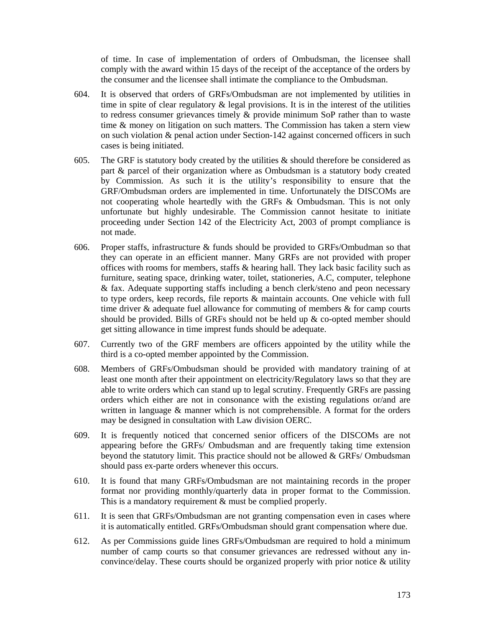of time. In case of implementation of orders of Ombudsman, the licensee shall comply with the award within 15 days of the receipt of the acceptance of the orders by the consumer and the licensee shall intimate the compliance to the Ombudsman.

- 604. It is observed that orders of GRFs/Ombudsman are not implemented by utilities in time in spite of clear regulatory  $\&$  legal provisions. It is in the interest of the utilities to redress consumer grievances timely & provide minimum SoP rather than to waste time & money on litigation on such matters. The Commission has taken a stern view on such violation & penal action under Section-142 against concerned officers in such cases is being initiated.
- 605. The GRF is statutory body created by the utilities  $\&$  should therefore be considered as part & parcel of their organization where as Ombudsman is a statutory body created by Commission. As such it is the utility's responsibility to ensure that the GRF/Ombudsman orders are implemented in time. Unfortunately the DISCOMs are not cooperating whole heartedly with the GRFs & Ombudsman. This is not only unfortunate but highly undesirable. The Commission cannot hesitate to initiate proceeding under Section 142 of the Electricity Act, 2003 of prompt compliance is not made.
- 606. Proper staffs, infrastructure & funds should be provided to GRFs/Ombudman so that they can operate in an efficient manner. Many GRFs are not provided with proper offices with rooms for members, staffs & hearing hall. They lack basic facility such as furniture, seating space, drinking water, toilet, stationeries, A.C, computer, telephone & fax. Adequate supporting staffs including a bench clerk/steno and peon necessary to type orders, keep records, file reports & maintain accounts. One vehicle with full time driver  $\&$  adequate fuel allowance for commuting of members  $\&$  for camp courts should be provided. Bills of GRFs should not be held up & co-opted member should get sitting allowance in time imprest funds should be adequate.
- 607. Currently two of the GRF members are officers appointed by the utility while the third is a co-opted member appointed by the Commission.
- 608. Members of GRFs/Ombudsman should be provided with mandatory training of at least one month after their appointment on electricity/Regulatory laws so that they are able to write orders which can stand up to legal scrutiny. Frequently GRFs are passing orders which either are not in consonance with the existing regulations or/and are written in language  $\&$  manner which is not comprehensible. A format for the orders may be designed in consultation with Law division OERC.
- 609. It is frequently noticed that concerned senior officers of the DISCOMs are not appearing before the GRFs/ Ombudsman and are frequently taking time extension beyond the statutory limit. This practice should not be allowed & GRFs/ Ombudsman should pass ex-parte orders whenever this occurs.
- 610. It is found that many GRFs/Ombudsman are not maintaining records in the proper format nor providing monthly/quarterly data in proper format to the Commission. This is a mandatory requirement  $\&$  must be complied properly.
- 611. It is seen that GRFs/Ombudsman are not granting compensation even in cases where it is automatically entitled. GRFs/Ombudsman should grant compensation where due.
- 612. As per Commissions guide lines GRFs/Ombudsman are required to hold a minimum number of camp courts so that consumer grievances are redressed without any inconvince/delay. These courts should be organized properly with prior notice & utility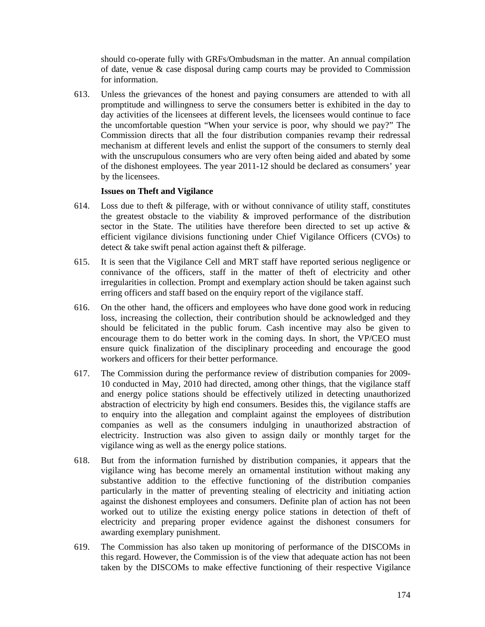should co-operate fully with GRFs/Ombudsman in the matter. An annual compilation of date, venue & case disposal during camp courts may be provided to Commission for information.

613. Unless the grievances of the honest and paying consumers are attended to with all promptitude and willingness to serve the consumers better is exhibited in the day to day activities of the licensees at different levels, the licensees would continue to face the uncomfortable question "When your service is poor, why should we pay?" The Commission directs that all the four distribution companies revamp their redressal mechanism at different levels and enlist the support of the consumers to sternly deal with the unscrupulous consumers who are very often being aided and abated by some of the dishonest employees. The year 2011-12 should be declared as consumers' year by the licensees.

#### **Issues on Theft and Vigilance**

- 614. Loss due to theft  $\&$  pilferage, with or without connivance of utility staff, constitutes the greatest obstacle to the viability & improved performance of the distribution sector in the State. The utilities have therefore been directed to set up active & efficient vigilance divisions functioning under Chief Vigilance Officers (CVOs) to detect & take swift penal action against theft & pilferage.
- 615. It is seen that the Vigilance Cell and MRT staff have reported serious negligence or connivance of the officers, staff in the matter of theft of electricity and other irregularities in collection. Prompt and exemplary action should be taken against such erring officers and staff based on the enquiry report of the vigilance staff.
- 616. On the other hand, the officers and employees who have done good work in reducing loss, increasing the collection, their contribution should be acknowledged and they should be felicitated in the public forum. Cash incentive may also be given to encourage them to do better work in the coming days. In short, the VP/CEO must ensure quick finalization of the disciplinary proceeding and encourage the good workers and officers for their better performance.
- 617. The Commission during the performance review of distribution companies for 2009- 10 conducted in May, 2010 had directed, among other things, that the vigilance staff and energy police stations should be effectively utilized in detecting unauthorized abstraction of electricity by high end consumers. Besides this, the vigilance staffs are to enquiry into the allegation and complaint against the employees of distribution companies as well as the consumers indulging in unauthorized abstraction of electricity. Instruction was also given to assign daily or monthly target for the vigilance wing as well as the energy police stations.
- 618. But from the information furnished by distribution companies, it appears that the vigilance wing has become merely an ornamental institution without making any substantive addition to the effective functioning of the distribution companies particularly in the matter of preventing stealing of electricity and initiating action against the dishonest employees and consumers. Definite plan of action has not been worked out to utilize the existing energy police stations in detection of theft of electricity and preparing proper evidence against the dishonest consumers for awarding exemplary punishment.
- 619. The Commission has also taken up monitoring of performance of the DISCOMs in this regard. However, the Commission is of the view that adequate action has not been taken by the DISCOMs to make effective functioning of their respective Vigilance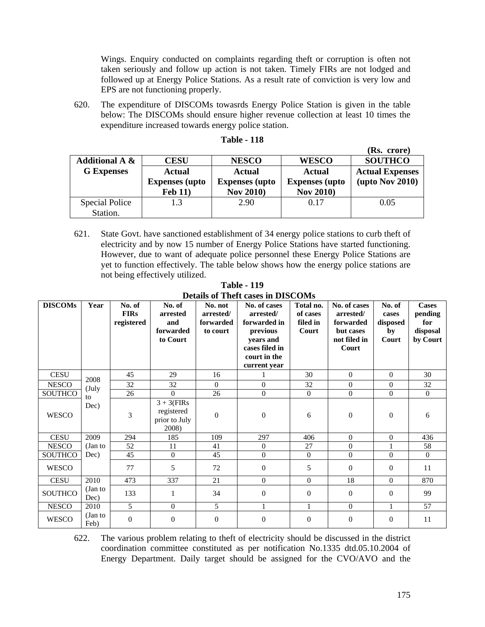Wings. Enquiry conducted on complaints regarding theft or corruption is often not taken seriously and follow up action is not taken. Timely FIRs are not lodged and followed up at Energy Police Stations. As a result rate of conviction is very low and EPS are not functioning properly.

620. The expenditure of DISCOMs towasrds Energy Police Station is given in the table below: The DISCOMs should ensure higher revenue collection at least 10 times the expenditure increased towards energy police station.

|                           |                       |                       |                       | (IS). LIVIE)              |
|---------------------------|-----------------------|-----------------------|-----------------------|---------------------------|
| <b>Additional A &amp;</b> | <b>CESU</b>           | <b>NESCO</b>          | <b>WESCO</b>          | <b>SOUTHCO</b>            |
| <b>G</b> Expenses         | <b>Actual</b>         | Actual                | <b>Actual</b>         | <b>Actual Expenses</b>    |
|                           | <b>Expenses</b> (upto | <b>Expenses</b> (upto | <b>Expenses</b> (upto | $(\text{upto Nov } 2010)$ |
|                           | <b>Feb 11)</b>        | <b>Nov 2010</b> )     | <b>Nov 2010)</b>      |                           |
| Special Police            | 1.3                   | 2.90                  | 0.17                  | 0.05                      |
| Station.                  |                       |                       |                       |                           |

#### **Table - 118**

621. State Govt. have sanctioned establishment of 34 energy police stations to curb theft of electricity and by now 15 number of Energy Police Stations have started functioning. However, due to want of adequate police personnel these Energy Police Stations are yet to function effectively. The table below shows how the energy police stations are not being effectively utilized.

**Table - 119 Details of Theft cases in DISCOMs** 

| <b>DISCOMs</b> | Year            | No. of<br><b>FIRs</b><br>registered | No. of<br>arrested<br>and<br>forwarded<br>to Court    | No. not<br>arrested/<br>forwarded<br>to court | No. of cases<br>arrested/<br>forwarded in<br>previous<br>years and<br>cases filed in<br>court in the<br>current year | Total no.<br>of cases<br>filed in<br>Court | No. of cases<br>arrested/<br>forwarded<br>but cases<br>not filed in<br>Court | No. of<br>cases<br>disposed<br>by<br>Court | <b>Cases</b><br>pending<br>for<br>disposal<br>by Court |
|----------------|-----------------|-------------------------------------|-------------------------------------------------------|-----------------------------------------------|----------------------------------------------------------------------------------------------------------------------|--------------------------------------------|------------------------------------------------------------------------------|--------------------------------------------|--------------------------------------------------------|
| <b>CESU</b>    | 2008            | 45                                  | 29                                                    | 16                                            |                                                                                                                      | 30                                         | $\Omega$                                                                     | $\Omega$                                   | 30                                                     |
| <b>NESCO</b>   | (July           | 32                                  | 32                                                    | $\theta$                                      | $\mathbf{0}$                                                                                                         | 32                                         | $\overline{0}$                                                               | $\overline{0}$                             | 32                                                     |
| <b>SOUTHCO</b> | to              | 26                                  | $\Omega$                                              | 26                                            | $\mathbf{0}$                                                                                                         | $\overline{0}$                             | $\overline{0}$                                                               | $\mathbf{0}$                               | $\Omega$                                               |
| <b>WESCO</b>   | Dec)            | 3                                   | $3 + 3$ (FIRs<br>registered<br>prior to July<br>2008) | $\overline{0}$                                | $\overline{0}$                                                                                                       | 6                                          | $\overline{0}$                                                               | $\overline{0}$                             | 6                                                      |
| <b>CESU</b>    | 2009            | 294                                 | 185                                                   | 109                                           | 297                                                                                                                  | 406                                        | $\Omega$                                                                     | $\Omega$                                   | 436                                                    |
| <b>NESCO</b>   | (Jan to         | 52                                  | 11                                                    | 41                                            | $\mathbf{0}$                                                                                                         | 27                                         | $\overline{0}$                                                               | $\mathbf{1}$                               | 58                                                     |
| <b>SOUTHCO</b> | Dec)            | 45                                  | $\overline{0}$                                        | 45                                            | $\Omega$                                                                                                             | $\Omega$                                   | $\theta$                                                                     | $\Omega$                                   | $\Omega$                                               |
| <b>WESCO</b>   |                 | 77                                  | 5                                                     | 72                                            | $\mathbf{0}$                                                                                                         | 5                                          | $\overline{0}$                                                               | $\theta$                                   | 11                                                     |
| <b>CESU</b>    | 2010            | 473                                 | 337                                                   | 21                                            | $\mathbf{0}$                                                                                                         | $\overline{0}$                             | 18                                                                           | $\mathbf{0}$                               | 870                                                    |
| <b>SOUTHCO</b> | (Jan to<br>Dec) | 133                                 | 1                                                     | 34                                            | $\mathbf{0}$                                                                                                         | $\theta$                                   | $\overline{0}$                                                               | $\overline{0}$                             | 99                                                     |
| <b>NESCO</b>   | 2010            | 5                                   | $\overline{0}$                                        | 5                                             | 1                                                                                                                    | 1                                          | $\overline{0}$                                                               | $\mathbf{1}$                               | 57                                                     |
| <b>WESCO</b>   | (Jan to<br>Feb) | $\theta$                            | $\mathbf{0}$                                          | $\overline{0}$                                | $\overline{0}$                                                                                                       | $\overline{0}$                             | $\theta$                                                                     | $\theta$                                   | 11                                                     |

622. The various problem relating to theft of electricity should be discussed in the district coordination committee constituted as per notification No.1335 dtd.05.10.2004 of Energy Department. Daily target should be assigned for the CVO/AVO and the

**(Rs. crore)**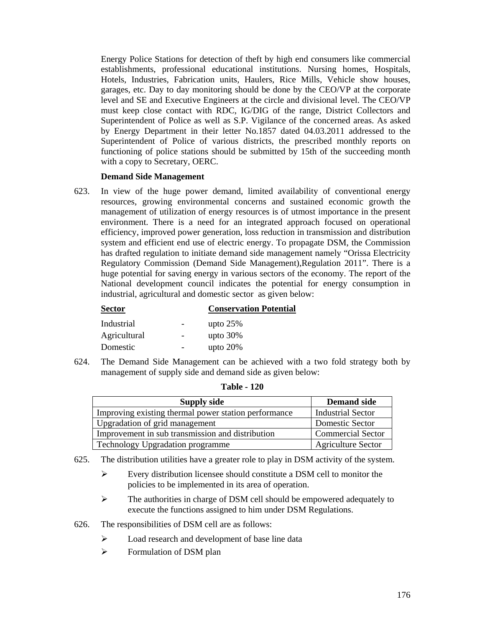Energy Police Stations for detection of theft by high end consumers like commercial establishments, professional educational institutions. Nursing homes, Hospitals, Hotels, Industries, Fabrication units, Haulers, Rice Mills, Vehicle show houses, garages, etc. Day to day monitoring should be done by the CEO/VP at the corporate level and SE and Executive Engineers at the circle and divisional level. The CEO/VP must keep close contact with RDC, IG/DIG of the range, District Collectors and Superintendent of Police as well as S.P. Vigilance of the concerned areas. As asked by Energy Department in their letter No.1857 dated 04.03.2011 addressed to the Superintendent of Police of various districts, the prescribed monthly reports on functioning of police stations should be submitted by 15th of the succeeding month with a copy to Secretary, OERC.

## **Demand Side Management**

623. In view of the huge power demand, limited availability of conventional energy resources, growing environmental concerns and sustained economic growth the management of utilization of energy resources is of utmost importance in the present environment. There is a need for an integrated approach focused on operational efficiency, improved power generation, loss reduction in transmission and distribution system and efficient end use of electric energy. To propagate DSM, the Commission has drafted regulation to initiate demand side management namely "Orissa Electricity Regulatory Commission (Demand Side Management),Regulation 2011". There is a huge potential for saving energy in various sectors of the economy. The report of the National development council indicates the potential for energy consumption in industrial, agricultural and domestic sector as given below:

# **Sector Conservation Potential**

| Industrial   | upto $25%$  |
|--------------|-------------|
| Agricultural | upto $30\%$ |
| Domestic     | upto $20%$  |

624. The Demand Side Management can be achieved with a two fold strategy both by management of supply side and demand side as given below:

| <b>Table - 120</b> |  |
|--------------------|--|
|--------------------|--|

| <b>Supply side</b>                                   | <b>Demand side</b>        |  |  |
|------------------------------------------------------|---------------------------|--|--|
| Improving existing thermal power station performance | Industrial Sector         |  |  |
| Upgradation of grid management                       | <b>Domestic Sector</b>    |  |  |
| Improvement in sub transmission and distribution     | <b>Commercial Sector</b>  |  |  |
| Technology Upgradation programme                     | <b>Agriculture Sector</b> |  |  |

- 625. The distribution utilities have a greater role to play in DSM activity of the system.
	- ¾ Every distribution licensee should constitute a DSM cell to monitor the policies to be implemented in its area of operation.
	- ¾ The authorities in charge of DSM cell should be empowered adequately to execute the functions assigned to him under DSM Regulations.
- 626. The responsibilities of DSM cell are as follows:
	- ¾ Load research and development of base line data
	- $\triangleright$  Formulation of DSM plan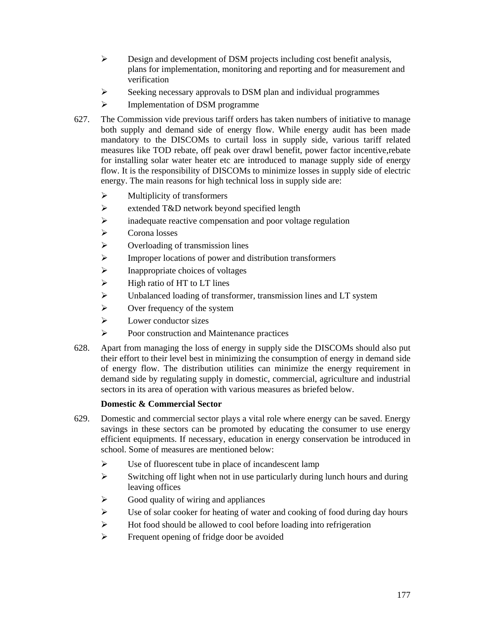- ¾ Design and development of DSM projects including cost benefit analysis, plans for implementation, monitoring and reporting and for measurement and verification
- $\triangleright$  Seeking necessary approvals to DSM plan and individual programmes
- ¾ Implementation of DSM programme
- 627. The Commission vide previous tariff orders has taken numbers of initiative to manage both supply and demand side of energy flow. While energy audit has been made mandatory to the DISCOMs to curtail loss in supply side, various tariff related measures like TOD rebate, off peak over drawl benefit, power factor incentive,rebate for installing solar water heater etc are introduced to manage supply side of energy flow. It is the responsibility of DISCOMs to minimize losses in supply side of electric energy. The main reasons for high technical loss in supply side are:
	- $\triangleright$  Multiplicity of transformers
	- ¾ extended T&D network beyond specified length
	- ¾ inadequate reactive compensation and poor voltage regulation
	- $\triangleright$  Corona losses
	- $\triangleright$  Overloading of transmission lines
	- ¾ Improper locations of power and distribution transformers
	- $\blacktriangleright$  Inappropriate choices of voltages
	- $\blacktriangleright$  High ratio of HT to LT lines
	- ¾ Unbalanced loading of transformer, transmission lines and LT system
	- $\triangleright$  Over frequency of the system
	- $\triangleright$  Lower conductor sizes
	- ¾ Poor construction and Maintenance practices
- 628. Apart from managing the loss of energy in supply side the DISCOMs should also put their effort to their level best in minimizing the consumption of energy in demand side of energy flow. The distribution utilities can minimize the energy requirement in demand side by regulating supply in domestic, commercial, agriculture and industrial sectors in its area of operation with various measures as briefed below.

# **Domestic & Commercial Sector**

- 629. Domestic and commercial sector plays a vital role where energy can be saved. Energy savings in these sectors can be promoted by educating the consumer to use energy efficient equipments. If necessary, education in energy conservation be introduced in school. Some of measures are mentioned below:
	- $\triangleright$  Use of fluorescent tube in place of incandescent lamp
	- $\triangleright$  Switching off light when not in use particularly during lunch hours and during leaving offices
	- $\triangleright$  Good quality of wiring and appliances
	- $\triangleright$  Use of solar cooker for heating of water and cooking of food during day hours
	- $\triangleright$  Hot food should be allowed to cool before loading into refrigeration
	- $\triangleright$  Frequent opening of fridge door be avoided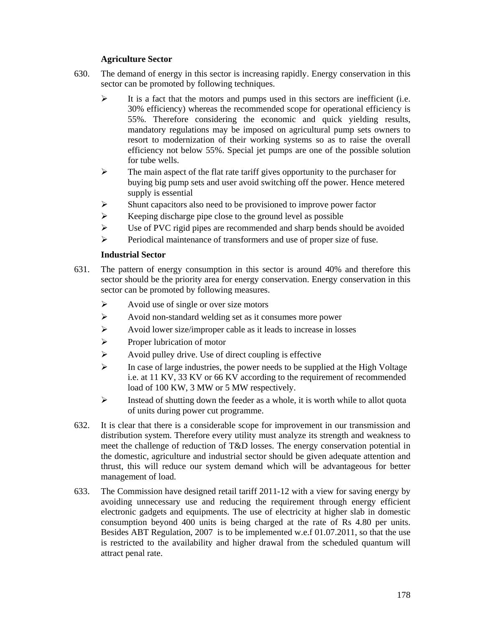# **Agriculture Sector**

- 630. The demand of energy in this sector is increasing rapidly. Energy conservation in this sector can be promoted by following techniques.
	- $\blacktriangleright$  It is a fact that the motors and pumps used in this sectors are inefficient (i.e. 30% efficiency) whereas the recommended scope for operational efficiency is 55%. Therefore considering the economic and quick yielding results, mandatory regulations may be imposed on agricultural pump sets owners to resort to modernization of their working systems so as to raise the overall efficiency not below 55%. Special jet pumps are one of the possible solution for tube wells.
	- $\triangleright$  The main aspect of the flat rate tariff gives opportunity to the purchaser for buying big pump sets and user avoid switching off the power. Hence metered supply is essential
	- $\triangleright$  Shunt capacitors also need to be provisioned to improve power factor
	- $\triangleright$  Keeping discharge pipe close to the ground level as possible
	- $\triangleright$  Use of PVC rigid pipes are recommended and sharp bends should be avoided
	- ¾ Periodical maintenance of transformers and use of proper size of fuse.

## **Industrial Sector**

- 631. The pattern of energy consumption in this sector is around 40% and therefore this sector should be the priority area for energy conservation. Energy conservation in this sector can be promoted by following measures.
	- $\triangleright$  Avoid use of single or over size motors
	- ¾ Avoid non-standard welding set as it consumes more power
	- $\triangleright$  Avoid lower size/improper cable as it leads to increase in losses
	- $\triangleright$  Proper lubrication of motor
	- $\triangleright$  Avoid pulley drive. Use of direct coupling is effective
	- $\triangleright$  In case of large industries, the power needs to be supplied at the High Voltage i.e. at 11 KV, 33 KV or 66 KV according to the requirement of recommended load of 100 KW, 3 MW or 5 MW respectively.
	- $\triangleright$  Instead of shutting down the feeder as a whole, it is worth while to allot quota of units during power cut programme.
- 632. It is clear that there is a considerable scope for improvement in our transmission and distribution system. Therefore every utility must analyze its strength and weakness to meet the challenge of reduction of T&D losses. The energy conservation potential in the domestic, agriculture and industrial sector should be given adequate attention and thrust, this will reduce our system demand which will be advantageous for better management of load.
- 633. The Commission have designed retail tariff 2011-12 with a view for saving energy by avoiding unnecessary use and reducing the requirement through energy efficient electronic gadgets and equipments. The use of electricity at higher slab in domestic consumption beyond 400 units is being charged at the rate of Rs 4.80 per units. Besides ABT Regulation, 2007 is to be implemented w.e.f 01.07.2011, so that the use is restricted to the availability and higher drawal from the scheduled quantum will attract penal rate.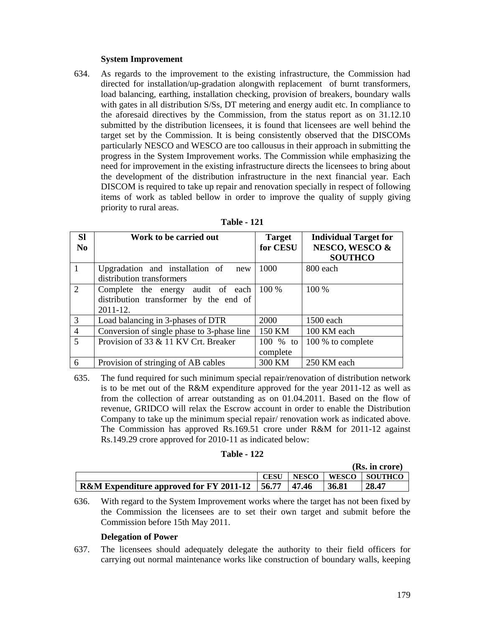## **System Improvement**

634. As regards to the improvement to the existing infrastructure, the Commission had directed for installation/up-gradation alongwith replacement of burnt transformers, load balancing, earthing, installation checking, provision of breakers, boundary walls with gates in all distribution S/Ss, DT metering and energy audit etc. In compliance to the aforesaid directives by the Commission, from the status report as on 31.12.10 submitted by the distribution licensees, it is found that licensees are well behind the target set by the Commission. It is being consistently observed that the DISCOMs particularly NESCO and WESCO are too callousus in their approach in submitting the progress in the System Improvement works. The Commission while emphasizing the need for improvement in the existing infrastructure directs the licensees to bring about the development of the distribution infrastructure in the next financial year. Each DISCOM is required to take up repair and renovation specially in respect of following items of work as tabled bellow in order to improve the quality of supply giving priority to rural areas.

| <b>SI</b><br>No | Work to be carried out                                                                      | <b>Target</b><br>for CESU | <b>Individual Target for</b><br>NESCO, WESCO &<br><b>SOUTHCO</b> |  |
|-----------------|---------------------------------------------------------------------------------------------|---------------------------|------------------------------------------------------------------|--|
|                 | Upgradation and installation of<br>new<br>distribution transformers                         | 1000                      | 800 each                                                         |  |
| 2               | Complete the energy audit of each<br>distribution transformer by the end of<br>$2011 - 12.$ | 100 %                     | 100 %                                                            |  |
| 3               | Load balancing in 3-phases of DTR                                                           | 2000                      | 1500 each                                                        |  |
| $\overline{4}$  | Conversion of single phase to 3-phase line                                                  | 150 KM                    | 100 KM each                                                      |  |
| $\overline{5}$  | Provision of 33 & 11 KV Crt. Breaker                                                        | 100 $%$ to<br>complete    | 100 % to complete                                                |  |
| 6               | Provision of stringing of AB cables                                                         | 300 KM                    | 250 KM each                                                      |  |

| Table - | 121 |  |
|---------|-----|--|
|---------|-----|--|

635. The fund required for such minimum special repair/renovation of distribution network is to be met out of the R&M expenditure approved for the year 2011-12 as well as from the collection of arrear outstanding as on 01.04.2011. Based on the flow of revenue, GRIDCO will relax the Escrow account in order to enable the Distribution Company to take up the minimum special repair/ renovation work as indicated above. The Commission has approved Rs.169.51 crore under R&M for 2011-12 against Rs.149.29 crore approved for 2010-11 as indicated below:

#### **Table - 122**

|                                                                     |             |              | (Rs. in crore) |                |  |
|---------------------------------------------------------------------|-------------|--------------|----------------|----------------|--|
|                                                                     | <b>CESU</b> | <b>NESCO</b> | WESCO          | <b>SOUTHCO</b> |  |
| R&M Expenditure approved for FY 2011-12 $\vert$ 56.77 $\vert$ 47.46 |             |              | 36.81          | 28.47          |  |

636. With regard to the System Improvement works where the target has not been fixed by the Commission the licensees are to set their own target and submit before the Commission before 15th May 2011.

#### **Delegation of Power**

637. The licensees should adequately delegate the authority to their field officers for carrying out normal maintenance works like construction of boundary walls, keeping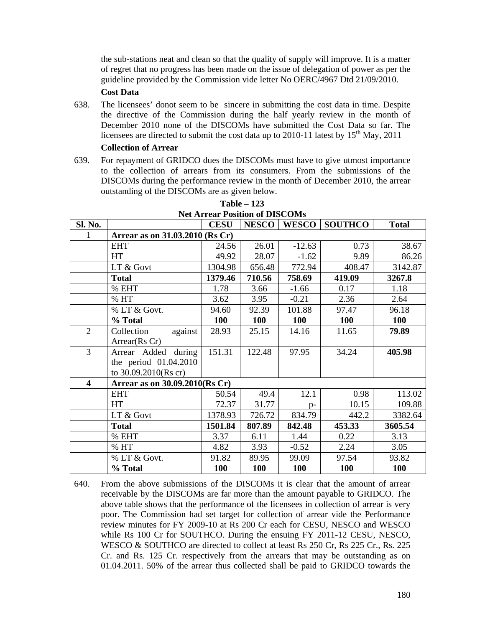the sub-stations neat and clean so that the quality of supply will improve. It is a matter of regret that no progress has been made on the issue of delegation of power as per the guideline provided by the Commission vide letter No OERC/4967 Dtd 21/09/2010.

# **Cost Data**

638. The licensees' donot seem to be sincere in submitting the cost data in time. Despite the directive of the Commission during the half yearly review in the month of December 2010 none of the DISCOMs have submitted the Cost Data so far. The licensees are directed to submit the cost data up to 2010-11 latest by  $15<sup>th</sup>$  May, 2011

#### **Collection of Arrear**

639. For repayment of GRIDCO dues the DISCOMs must have to give utmost importance to the collection of arrears from its consumers. From the submissions of the DISCOMs during the performance review in the month of December 2010, the arrear outstanding of the DISCOMs are as given below.

| Sl. No.                 |                                 | <b>CESU</b> | NESCO      |            | <b>WESCO SOUTHCO</b> | <b>Total</b> |  |
|-------------------------|---------------------------------|-------------|------------|------------|----------------------|--------------|--|
|                         | Arrear as on 31.03.2010 (Rs Cr) |             |            |            |                      |              |  |
|                         | <b>EHT</b>                      | 24.56       | 26.01      | $-12.63$   | 0.73                 | 38.67        |  |
|                         | <b>HT</b>                       | 49.92       | 28.07      | $-1.62$    | 9.89                 | 86.26        |  |
|                         | LT & Govt                       | 1304.98     | 656.48     | 772.94     | 408.47               | 3142.87      |  |
|                         | <b>Total</b>                    | 1379.46     | 710.56     | 758.69     | 419.09               | 3267.8       |  |
|                         | % EHT                           | 1.78        | 3.66       | $-1.66$    | 0.17                 | 1.18         |  |
|                         | % HT                            | 3.62        | 3.95       | $-0.21$    | 2.36                 | 2.64         |  |
|                         | % LT & Govt.                    | 94.60       | 92.39      | 101.88     | 97.47                | 96.18        |  |
|                         | % Total                         | 100         | 100        | 100        | 100                  | 100          |  |
| $\overline{2}$          | Collection<br>against           | 28.93       | 25.15      | 14.16      | 11.65                | 79.89        |  |
|                         | Arrear(Rs Cr)                   |             |            |            |                      |              |  |
| $\overline{3}$          | Arrear Added during             | 151.31      | 122.48     | 97.95      | 34.24                | 405.98       |  |
|                         | the period 01.04.2010           |             |            |            |                      |              |  |
|                         | to 30.09.2010(Rs cr)            |             |            |            |                      |              |  |
| $\overline{\mathbf{4}}$ | Arrear as on 30.09.2010(Rs Cr)  |             |            |            |                      |              |  |
|                         | <b>EHT</b>                      | 50.54       | 49.4       | 12.1       | 0.98                 | 113.02       |  |
|                         | <b>HT</b>                       | 72.37       | 31.77      | $D -$      | 10.15                | 109.88       |  |
|                         | LT & Govt                       | 1378.93     | 726.72     | 834.79     | 442.2                | 3382.64      |  |
|                         | <b>Total</b>                    | 1501.84     | 807.89     | 842.48     | 453.33               | 3605.54      |  |
|                         | % EHT                           | 3.37        | 6.11       | 1.44       | 0.22                 | 3.13         |  |
|                         | % HT                            | 4.82        | 3.93       | $-0.52$    | 2.24                 | 3.05         |  |
|                         | % LT & Govt.                    | 91.82       | 89.95      | 99.09      | 97.54                | 93.82        |  |
|                         | % Total                         | 100         | <b>100</b> | <b>100</b> | <b>100</b>           | <b>100</b>   |  |

**Table – 123 Net Arrear Position of DISCOMs** 

640. From the above submissions of the DISCOMs it is clear that the amount of arrear receivable by the DISCOMs are far more than the amount payable to GRIDCO. The above table shows that the performance of the licensees in collection of arrear is very poor. The Commission had set target for collection of arrear vide the Performance review minutes for FY 2009-10 at Rs 200 Cr each for CESU, NESCO and WESCO while Rs 100 Cr for SOUTHCO. During the ensuing FY 2011-12 CESU, NESCO, WESCO & SOUTHCO are directed to collect at least Rs 250 Cr, Rs 225 Cr., Rs. 225 Cr. and Rs. 125 Cr. respectively from the arrears that may be outstanding as on 01.04.2011. 50% of the arrear thus collected shall be paid to GRIDCO towards the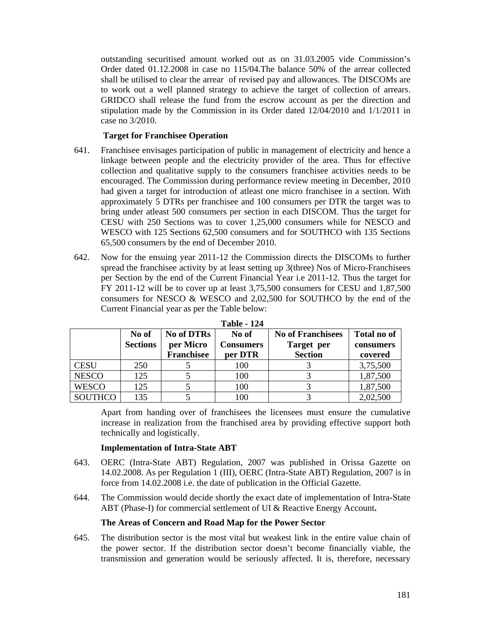outstanding securitised amount worked out as on 31.03.2005 vide Commission's Order dated 01.12.2008 in case no 115/04.The balance 50% of the arrear collected shall be utilised to clear the arrear of revised pay and allowances. The DISCOMs are to work out a well planned strategy to achieve the target of collection of arrears. GRIDCO shall release the fund from the escrow account as per the direction and stipulation made by the Commission in its Order dated 12/04/2010 and 1/1/2011 in case no 3/2010.

## **Target for Franchisee Operation**

- 641. Franchisee envisages participation of public in management of electricity and hence a linkage between people and the electricity provider of the area. Thus for effective collection and qualitative supply to the consumers franchisee activities needs to be encouraged. The Commission during performance review meeting in December, 2010 had given a target for introduction of atleast one micro franchisee in a section. With approximately 5 DTRs per franchisee and 100 consumers per DTR the target was to bring under atleast 500 consumers per section in each DISCOM. Thus the target for CESU with 250 Sections was to cover 1,25,000 consumers while for NESCO and WESCO with 125 Sections 62,500 consumers and for SOUTHCO with 135 Sections 65,500 consumers by the end of December 2010.
- 642. Now for the ensuing year 2011-12 the Commission directs the DISCOMs to further spread the franchisee activity by at least setting up 3(three) Nos of Micro-Franchisees per Section by the end of the Current Financial Year i.e 2011-12. Thus the target for FY 2011-12 will be to cover up at least 3,75,500 consumers for CESU and 1,87,500 consumers for NESCO & WESCO and 2,02,500 for SOUTHCO by the end of the Current Financial year as per the Table below:

|                | No of           | <b>No of DTRs</b> | No of            | <b>No of Franchisees</b> | <b>Total no of</b> |
|----------------|-----------------|-------------------|------------------|--------------------------|--------------------|
|                | <b>Sections</b> | per Micro         | <b>Consumers</b> | Target per               | consumers          |
|                |                 | Franchisee        | per DTR          | <b>Section</b>           | covered            |
| <b>CESU</b>    | 250             |                   | 100              |                          | 3,75,500           |
| <b>NESCO</b>   | 125             |                   | 100              |                          | 1,87,500           |
| <b>WESCO</b>   | 125             |                   | 100              |                          | 1,87,500           |
| <b>SOUTHCO</b> | 135             |                   | 100              |                          | 2,02,500           |

| <b>Table - 124</b> |  |
|--------------------|--|
|--------------------|--|

Apart from handing over of franchisees the licensees must ensure the cumulative increase in realization from the franchised area by providing effective support both technically and logistically.

### **Implementation of Intra-State ABT**

- 643. OERC (Intra-State ABT) Regulation, 2007 was published in Orissa Gazette on 14.02.2008. As per Regulation 1 (III), OERC (Intra-State ABT) Regulation, 2007 is in force from 14.02.2008 i.e. the date of publication in the Official Gazette.
- 644. The Commission would decide shortly the exact date of implementation of Intra-State ABT (Phase-I) for commercial settlement of UI & Reactive Energy Account**.**

## **The Areas of Concern and Road Map for the Power Sector**

645. The distribution sector is the most vital but weakest link in the entire value chain of the power sector. If the distribution sector doesn't become financially viable, the transmission and generation would be seriously affected. It is, therefore, necessary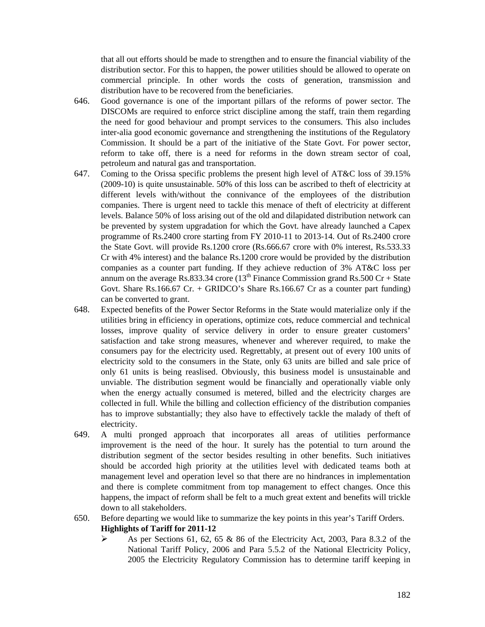that all out efforts should be made to strengthen and to ensure the financial viability of the distribution sector. For this to happen, the power utilities should be allowed to operate on commercial principle. In other words the costs of generation, transmission and distribution have to be recovered from the beneficiaries.

- 646. Good governance is one of the important pillars of the reforms of power sector. The DISCOMs are required to enforce strict discipline among the staff, train them regarding the need for good behaviour and prompt services to the consumers. This also includes inter-alia good economic governance and strengthening the institutions of the Regulatory Commission. It should be a part of the initiative of the State Govt. For power sector, reform to take off, there is a need for reforms in the down stream sector of coal, petroleum and natural gas and transportation.
- 647. Coming to the Orissa specific problems the present high level of AT&C loss of 39.15% (2009-10) is quite unsustainable. 50% of this loss can be ascribed to theft of electricity at different levels with/without the connivance of the employees of the distribution companies. There is urgent need to tackle this menace of theft of electricity at different levels. Balance 50% of loss arising out of the old and dilapidated distribution network can be prevented by system upgradation for which the Govt. have already launched a Capex programme of Rs.2400 crore starting from FY 2010-11 to 2013-14. Out of Rs.2400 crore the State Govt. will provide Rs.1200 crore (Rs.666.67 crore with 0% interest, Rs.533.33 Cr with 4% interest) and the balance Rs.1200 crore would be provided by the distribution companies as a counter part funding. If they achieve reduction of 3% AT&C loss per annum on the average Rs.833.34 crore ( $13<sup>th</sup>$  Finance Commission grand Rs.500 Cr + State Govt. Share Rs.166.67 Cr. + GRIDCO's Share Rs.166.67 Cr as a counter part funding) can be converted to grant.
- 648. Expected benefits of the Power Sector Reforms in the State would materialize only if the utilities bring in efficiency in operations, optimize cots, reduce commercial and technical losses, improve quality of service delivery in order to ensure greater customers' satisfaction and take strong measures, whenever and wherever required, to make the consumers pay for the electricity used. Regrettably, at present out of every 100 units of electricity sold to the consumers in the State, only 63 units are billed and sale price of only 61 units is being reaslised. Obviously, this business model is unsustainable and unviable. The distribution segment would be financially and operationally viable only when the energy actually consumed is metered, billed and the electricity charges are collected in full. While the billing and collection efficiency of the distribution companies has to improve substantially; they also have to effectively tackle the malady of theft of electricity.
- 649. A multi pronged approach that incorporates all areas of utilities performance improvement is the need of the hour. It surely has the potential to turn around the distribution segment of the sector besides resulting in other benefits. Such initiatives should be accorded high priority at the utilities level with dedicated teams both at management level and operation level so that there are no hindrances in implementation and there is complete commitment from top management to effect changes. Once this happens, the impact of reform shall be felt to a much great extent and benefits will trickle down to all stakeholders.
- 650. Before departing we would like to summarize the key points in this year's Tariff Orders.  **Highlights of Tariff for 2011-12** 
	- $\blacktriangleright$  As per Sections 61, 62, 65 & 86 of the Electricity Act, 2003, Para 8.3.2 of the National Tariff Policy, 2006 and Para 5.5.2 of the National Electricity Policy, 2005 the Electricity Regulatory Commission has to determine tariff keeping in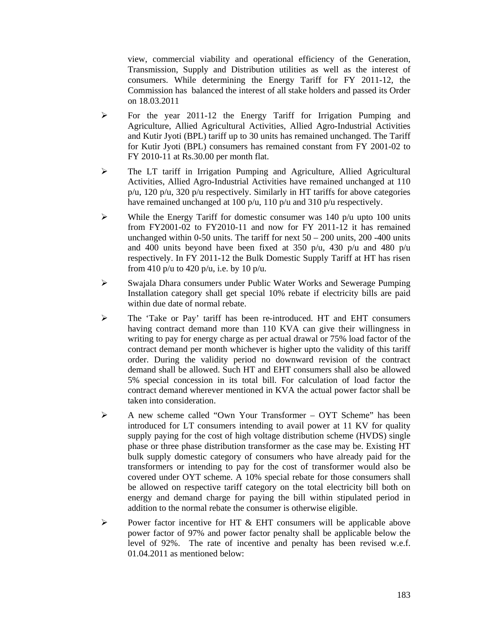view, commercial viability and operational efficiency of the Generation, Transmission, Supply and Distribution utilities as well as the interest of consumers. While determining the Energy Tariff for FY 2011-12, the Commission has balanced the interest of all stake holders and passed its Order on 18.03.2011

- ¾ For the year 2011-12 the Energy Tariff for Irrigation Pumping and Agriculture, Allied Agricultural Activities, Allied Agro-Industrial Activities and Kutir Jyoti (BPL) tariff up to 30 units has remained unchanged. The Tariff for Kutir Jyoti (BPL) consumers has remained constant from FY 2001-02 to FY 2010-11 at Rs.30.00 per month flat.
- ¾ The LT tariff in Irrigation Pumping and Agriculture, Allied Agricultural Activities, Allied Agro-Industrial Activities have remained unchanged at 110 p/u, 120 p/u, 320 p/u respectively. Similarly in HT tariffs for above categories have remained unchanged at 100 p/u, 110 p/u and 310 p/u respectively.
- $\triangleright$  While the Energy Tariff for domestic consumer was 140 p/u upto 100 units from FY2001-02 to FY2010-11 and now for FY 2011-12 it has remained unchanged within 0-50 units. The tariff for next  $50 - 200$  units, 200 -400 units and 400 units beyond have been fixed at 350 p/u, 430 p/u and 480 p/u respectively. In FY 2011-12 the Bulk Domestic Supply Tariff at HT has risen from 410 p/u to 420 p/u, i.e. by 10 p/u.
- ¾ Swajala Dhara consumers under Public Water Works and Sewerage Pumping Installation category shall get special 10% rebate if electricity bills are paid within due date of normal rebate.
- $\triangleright$  The 'Take or Pay' tariff has been re-introduced. HT and EHT consumers having contract demand more than 110 KVA can give their willingness in writing to pay for energy charge as per actual drawal or 75% load factor of the contract demand per month whichever is higher upto the validity of this tariff order. During the validity period no downward revision of the contract demand shall be allowed. Such HT and EHT consumers shall also be allowed 5% special concession in its total bill. For calculation of load factor the contract demand wherever mentioned in KVA the actual power factor shall be taken into consideration.
- ¾ A new scheme called "Own Your Transformer OYT Scheme" has been introduced for LT consumers intending to avail power at 11 KV for quality supply paying for the cost of high voltage distribution scheme (HVDS) single phase or three phase distribution transformer as the case may be. Existing HT bulk supply domestic category of consumers who have already paid for the transformers or intending to pay for the cost of transformer would also be covered under OYT scheme. A 10% special rebate for those consumers shall be allowed on respective tariff category on the total electricity bill both on energy and demand charge for paying the bill within stipulated period in addition to the normal rebate the consumer is otherwise eligible.
- $\triangleright$  Power factor incentive for HT & EHT consumers will be applicable above power factor of 97% and power factor penalty shall be applicable below the level of 92%. The rate of incentive and penalty has been revised w.e.f. 01.04.2011 as mentioned below: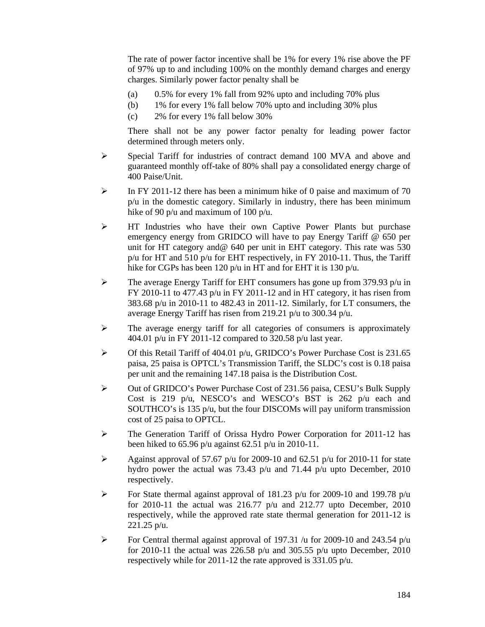The rate of power factor incentive shall be 1% for every 1% rise above the PF of 97% up to and including 100% on the monthly demand charges and energy charges. Similarly power factor penalty shall be

- (a) 0.5% for every 1% fall from 92% upto and including 70% plus
- (b) 1% for every 1% fall below 70% upto and including 30% plus
- (c) 2% for every 1% fall below 30%

There shall not be any power factor penalty for leading power factor determined through meters only.

- $\triangleright$  Special Tariff for industries of contract demand 100 MVA and above and guaranteed monthly off-take of 80% shall pay a consolidated energy charge of 400 Paise/Unit.
- $\triangleright$  In FY 2011-12 there has been a minimum hike of 0 paise and maximum of 70 p/u in the domestic category. Similarly in industry, there has been minimum hike of 90 p/u and maximum of 100 p/u.
- $\triangleright$  HT Industries who have their own Captive Power Plants but purchase emergency energy from GRIDCO will have to pay Energy Tariff @ 650 per unit for HT category and@ 640 per unit in EHT category. This rate was 530 p/u for HT and 510 p/u for EHT respectively, in FY 2010-11. Thus, the Tariff hike for CGPs has been 120 p/u in HT and for EHT it is 130 p/u.
- $\triangleright$  The average Energy Tariff for EHT consumers has gone up from 379.93 p/u in FY 2010-11 to 477.43  $p/u$  in FY 2011-12 and in HT category, it has risen from 383.68 p/u in 2010-11 to 482.43 in 2011-12. Similarly, for LT consumers, the average Energy Tariff has risen from 219.21 p/u to 300.34 p/u.
- $\triangleright$  The average energy tariff for all categories of consumers is approximately 404.01 p/u in FY 2011-12 compared to 320.58 p/u last year.
- $\triangleright$  Of this Retail Tariff of 404.01 p/u, GRIDCO's Power Purchase Cost is 231.65 paisa, 25 paisa is OPTCL's Transmission Tariff, the SLDC's cost is 0.18 paisa per unit and the remaining 147.18 paisa is the Distribution Cost.
- ¾ Out of GRIDCO's Power Purchase Cost of 231.56 paisa, CESU's Bulk Supply Cost is 219 p/u, NESCO's and WESCO's BST is 262 p/u each and SOUTHCO's is 135 p/u, but the four DISCOMs will pay uniform transmission cost of 25 paisa to OPTCL.
- ¾ The Generation Tariff of Orissa Hydro Power Corporation for 2011-12 has been hiked to 65.96 p/u against 62.51 p/u in 2010-11.
- $\blacktriangleright$  Against approval of 57.67 p/u for 2009-10 and 62.51 p/u for 2010-11 for state hydro power the actual was 73.43 p/u and 71.44 p/u upto December, 2010 respectively.
- $\blacktriangleright$  For State thermal against approval of 181.23 p/u for 2009-10 and 199.78 p/u for 2010-11 the actual was 216.77  $p/u$  and 212.77 upto December, 2010 respectively, while the approved rate state thermal generation for 2011-12 is 221.25 p/u.
- $\triangleright$  For Central thermal against approval of 197.31 /u for 2009-10 and 243.54 p/u for 2010-11 the actual was 226.58 p/u and 305.55 p/u upto December, 2010 respectively while for 2011-12 the rate approved is 331.05 p/u.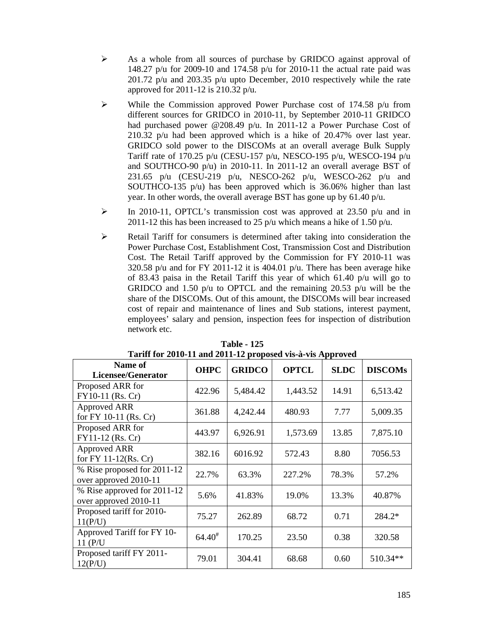- $\triangleright$  As a whole from all sources of purchase by GRIDCO against approval of 148.27 p/u for 2009-10 and 174.58 p/u for 2010-11 the actual rate paid was 201.72 p/u and 203.35 p/u upto December, 2010 respectively while the rate approved for 2011-12 is 210.32 p/u.
- $\triangleright$  While the Commission approved Power Purchase cost of 174.58 p/u from different sources for GRIDCO in 2010-11, by September 2010-11 GRIDCO had purchased power @208.49 p/u. In 2011-12 a Power Purchase Cost of 210.32 p/u had been approved which is a hike of 20.47% over last year. GRIDCO sold power to the DISCOMs at an overall average Bulk Supply Tariff rate of 170.25 p/u (CESU-157 p/u, NESCO-195 p/u, WESCO-194 p/u and SOUTHCO-90 p/u) in 2010-11. In 2011-12 an overall average BST of 231.65 p/u (CESU-219 p/u, NESCO-262 p/u, WESCO-262 p/u and SOUTHCO-135 p/u) has been approved which is 36.06% higher than last year. In other words, the overall average BST has gone up by 61.40 p/u.
- $\triangleright$  In 2010-11, OPTCL's transmission cost was approved at 23.50 p/u and in 2011-12 this has been increased to 25  $p/u$  which means a hike of 1.50  $p/u$ .
- $\triangleright$  Retail Tariff for consumers is determined after taking into consideration the Power Purchase Cost, Establishment Cost, Transmission Cost and Distribution Cost. The Retail Tariff approved by the Commission for FY 2010-11 was 320.58 p/u and for FY 2011-12 it is 404.01 p/u. There has been average hike of 83.43 paisa in the Retail Tariff this year of which 61.40 p/u will go to GRIDCO and 1.50 p/u to OPTCL and the remaining 20.53 p/u will be the share of the DISCOMs. Out of this amount, the DISCOMs will bear increased cost of repair and maintenance of lines and Sub stations, interest payment, employees' salary and pension, inspection fees for inspection of distribution network etc.

| THE LOT HOTO TT GUG HOTT THE PLOPODULE THE IN TREPPLOYURE |                    |               |              |             |                |  |  |
|-----------------------------------------------------------|--------------------|---------------|--------------|-------------|----------------|--|--|
| Name of<br>Licensee/Generator                             | <b>OHPC</b>        | <b>GRIDCO</b> | <b>OPTCL</b> | <b>SLDC</b> | <b>DISCOMs</b> |  |  |
| Proposed ARR for<br>FY10-11 (Rs. Cr)                      | 422.96             | 5,484.42      | 1,443.52     | 14.91       | 6,513.42       |  |  |
| <b>Approved ARR</b><br>for FY 10-11 (Rs. Cr)              | 361.88             | 4,242.44      | 480.93       | 7.77        | 5,009.35       |  |  |
| Proposed ARR for<br>FY11-12 (Rs. Cr)                      | 443.97             | 6,926.91      | 1,573.69     | 13.85       | 7,875.10       |  |  |
| <b>Approved ARR</b><br>for FY 11-12(Rs. Cr)               | 382.16             | 6016.92       | 572.43       | 8.80        | 7056.53        |  |  |
| % Rise proposed for 2011-12<br>over approved 2010-11      | 22.7%              | 63.3%         | 227.2%       | 78.3%       | 57.2%          |  |  |
| % Rise approved for 2011-12<br>over approved 2010-11      | 5.6%               | 41.83%        | 19.0%        | 13.3%       | 40.87%         |  |  |
| Proposed tariff for 2010-<br>11(P/U)                      | 75.27              | 262.89        | 68.72        | 0.71        | 284.2*         |  |  |
| Approved Tariff for FY 10-<br>11(P/U)                     | $64.40^{\text{*}}$ | 170.25        | 23.50        | 0.38        | 320.58         |  |  |
| Proposed tariff FY 2011-<br>12(P/U)                       | 79.01              | 304.41        | 68.68        | 0.60        | 510.34**       |  |  |

**Table - 125 Tariff for 2010-11 and 2011-12 proposed vis-à-vis Approved**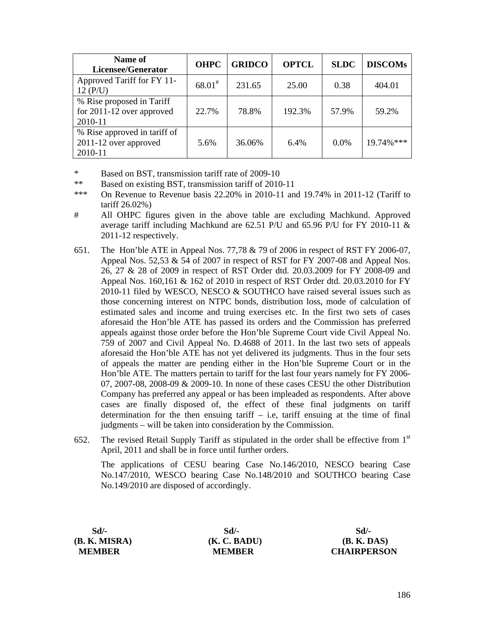| Name of<br>Licensee/Generator                                     | <b>OHPC</b> | <b>GRIDCO</b> | <b>OPTCL</b> | <b>SLDC</b> | <b>DISCOMs</b> |
|-------------------------------------------------------------------|-------------|---------------|--------------|-------------|----------------|
| Approved Tariff for FY 11-<br>12(P/U)                             | $68.01^{*}$ | 231.65        | 25.00        | 0.38        | 404.01         |
| % Rise proposed in Tariff<br>for 2011-12 over approved<br>2010-11 | 22.7%       | 78.8%         | 192.3%       | 57.9%       | 59.2%          |
| % Rise approved in tariff of<br>2011-12 over approved<br>2010-11  | 5.6%        | 36.06%        | $6.4\%$      | 0.0%        | 19.74%***      |

- \* Based on BST, transmission tariff rate of 2009-10
- \*\* Based on existing BST, transmission tariff of 2010-11
- \*\*\* On Revenue to Revenue basis 22.20% in 2010-11 and 19.74% in 2011-12 (Tariff to tariff 26.02%)
- # All OHPC figures given in the above table are excluding Machkund. Approved average tariff including Machkund are 62.51 P/U and 65.96 P/U for FY 2010-11 & 2011-12 respectively.
- 651. The Hon'ble ATE in Appeal Nos. 77,78 & 79 of 2006 in respect of RST FY 2006-07, Appeal Nos. 52,53  $&$  54 of 2007 in respect of RST for FY 2007-08 and Appeal Nos. 26, 27 & 28 of 2009 in respect of RST Order dtd. 20.03.2009 for FY 2008-09 and Appeal Nos. 160,161 & 162 of 2010 in respect of RST Order dtd. 20.03.2010 for FY 2010-11 filed by WESCO, NESCO & SOUTHCO have raised several issues such as those concerning interest on NTPC bonds, distribution loss, mode of calculation of estimated sales and income and truing exercises etc. In the first two sets of cases aforesaid the Hon'ble ATE has passed its orders and the Commission has preferred appeals against those order before the Hon'ble Supreme Court vide Civil Appeal No. 759 of 2007 and Civil Appeal No. D.4688 of 2011. In the last two sets of appeals aforesaid the Hon'ble ATE has not yet delivered its judgments. Thus in the four sets of appeals the matter are pending either in the Hon'ble Supreme Court or in the Hon'ble ATE. The matters pertain to tariff for the last four years namely for FY 2006- 07, 2007-08, 2008-09 & 2009-10. In none of these cases CESU the other Distribution Company has preferred any appeal or has been impleaded as respondents. After above cases are finally disposed of, the effect of these final judgments on tariff determination for the then ensuing tariff – i.e. tariff ensuing at the time of final judgments – will be taken into consideration by the Commission.
- 652. The revised Retail Supply Tariff as stipulated in the order shall be effective from  $1<sup>st</sup>$ April, 2011 and shall be in force until further orders.

The applications of CESU bearing Case No.146/2010, NESCO bearing Case No.147/2010, WESCO bearing Case No.148/2010 and SOUTHCO bearing Case No.149/2010 are disposed of accordingly.

| $Sd$ .        | Sd/-          | Sd/-               |
|---------------|---------------|--------------------|
| (B. K. MISRA) | (K. C. BADU)  | <b>(B. K. DAS)</b> |
| <b>MEMBER</b> | <b>MEMBER</b> | <b>CHAIRPERSON</b> |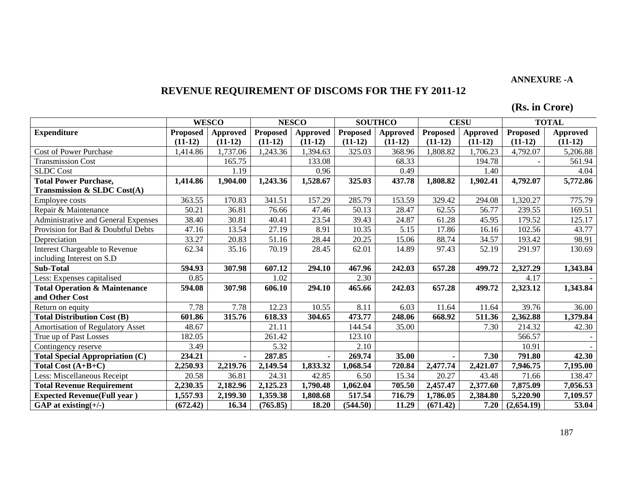### **ANNEXURE -A**

# **REVENUE REQUIREMENT OF DISCOMS FOR THE FY 2011-12**

**(Rs. in Crore)** 

|                                          |                 | <b>WESCO</b>    |                 | <b>NESCO</b>    | <b>SOUTHCO</b>  |           | <b>CESU</b>     |           | <b>TOTAL</b>    |                 |
|------------------------------------------|-----------------|-----------------|-----------------|-----------------|-----------------|-----------|-----------------|-----------|-----------------|-----------------|
| <b>Expenditure</b>                       | <b>Proposed</b> | <b>Approved</b> | <b>Proposed</b> | <b>Approved</b> | <b>Proposed</b> | Approved  | <b>Proposed</b> | Approved  | <b>Proposed</b> | <b>Approved</b> |
|                                          | $(11-12)$       | $(11-12)$       | $(11-12)$       | $(11-12)$       | $(11-12)$       | $(11-12)$ | $(11-12)$       | $(11-12)$ | $(11-12)$       | $(11-12)$       |
| <b>Cost of Power Purchase</b>            | 1,414.86        | 1,737.06        | 1,243.36        | ,394.63         | 325.03          | 368.96    | ,808.82         | 1,706.23  | 4,792.07        | 5,206.88        |
| <b>Transmission Cost</b>                 |                 | 165.75          |                 | 133.08          |                 | 68.33     |                 | 194.78    |                 | 561.94          |
| <b>SLDC</b> Cost                         |                 | 1.19            |                 | 0.96            |                 | 0.49      |                 | 1.40      |                 | 4.04            |
| <b>Total Power Purchase,</b>             | 1,414.86        | 1,904.00        | 1,243.36        | 1,528.67        | 325.03          | 437.78    | 1,808.82        | 1,902.41  | 4,792.07        | 5,772.86        |
| Transmission & SLDC Cost(A)              |                 |                 |                 |                 |                 |           |                 |           |                 |                 |
| <b>Employee costs</b>                    | 363.55          | 170.83          | 341.51          | 157.29          | 285.79          | 153.59    | 329.42          | 294.08    | 1,320.27        | 775.79          |
| Repair & Maintenance                     | 50.21           | 36.81           | 76.66           | 47.46           | 50.13           | 28.47     | 62.55           | 56.77     | 239.55          | 169.51          |
| Administrative and General Expenses      | 38.40           | 30.81           | 40.41           | 23.54           | 39.43           | 24.87     | 61.28           | 45.95     | 179.52          | 125.17          |
| Provision for Bad & Doubtful Debts       | 47.16           | 13.54           | 27.19           | 8.91            | 10.35           | 5.15      | 17.86           | 16.16     | 102.56          | 43.77           |
| Depreciation                             | 33.27           | 20.83           | 51.16           | 28.44           | 20.25           | 15.06     | 88.74           | 34.57     | 193.42          | 98.91           |
| <b>Interest Chargeable to Revenue</b>    | 62.34           | 35.16           | 70.19           | 28.45           | 62.01           | 14.89     | 97.43           | 52.19     | 291.97          | 130.69          |
| including Interest on S.D                |                 |                 |                 |                 |                 |           |                 |           |                 |                 |
| <b>Sub-Total</b>                         | 594.93          | 307.98          | 607.12          | 294.10          | 467.96          | 242.03    | 657.28          | 499.72    | 2,327.29        | 1,343.84        |
| Less: Expenses capitalised               | 0.85            |                 | 1.02            |                 | 2.30            |           |                 |           | 4.17            |                 |
| <b>Total Operation &amp; Maintenance</b> | 594.08          | 307.98          | 606.10          | 294.10          | 465.66          | 242.03    | 657.28          | 499.72    | 2,323.12        | 1,343.84        |
| and Other Cost                           |                 |                 |                 |                 |                 |           |                 |           |                 |                 |
| Return on equity                         | 7.78            | 7.78            | 12.23           | 10.55           | 8.11            | 6.03      | 11.64           | 11.64     | 39.76           | 36.00           |
| <b>Total Distribution Cost (B)</b>       | 601.86          | 315.76          | 618.33          | 304.65          | 473.77          | 248.06    | 668.92          | 511.36    | 2,362.88        | 1,379.84        |
| Amortisation of Regulatory Asset         | 48.67           |                 | 21.11           |                 | 144.54          | 35.00     |                 | 7.30      | 214.32          | 42.30           |
| True up of Past Losses                   | 182.05          |                 | 261.42          |                 | 123.10          |           |                 |           | 566.57          |                 |
| Contingency reserve                      | 3.49            |                 | 5.32            |                 | 2.10            |           |                 |           | 10.91           |                 |
| <b>Total Special Appropriation (C)</b>   | 234.21          |                 | 287.85          | $\blacksquare$  | 269.74          | 35.00     |                 | 7.30      | 791.80          | 42.30           |
| Total Cost $(A+B+C)$                     | 2,250.93        | 2,219.76        | 2,149.54        | 1,833.32        | 1,068.54        | 720.84    | 2,477.74        | 2,421.07  | 7,946.75        | 7,195.00        |
| Less: Miscellaneous Receipt              | 20.58           | 36.81           | 24.31           | 42.85           | 6.50            | 15.34     | 20.27           | 43.48     | 71.66           | 138.47          |
| <b>Total Revenue Requirement</b>         | 2,230.35        | 2,182.96        | 2,125.23        | 1,790.48        | 1,062.04        | 705.50    | 2,457.47        | 2,377.60  | 7,875.09        | 7,056.53        |
| <b>Expected Revenue(Full year)</b>       | 1,557.93        | 2,199.30        | 1,359.38        | 1,808.68        | 517.54          | 716.79    | 1,786.05        | 2,384.80  | 5,220.90        | 7,109.57        |
| GAP at existing $(+/-)$                  | (672.42)        | 16.34           | (765.85)        | 18.20           | (544.50)        | 11.29     | (671.42)        | 7.20      | (2,654.19)      | 53.04           |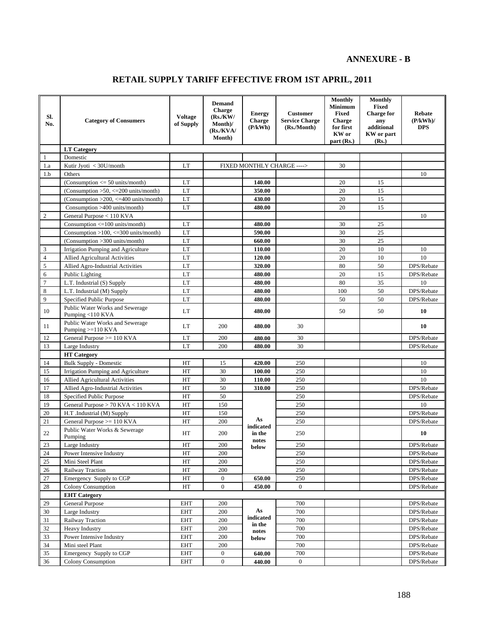# **ANNEXURE - B**

# **RETAIL SUPPLY TARIFF EFFECTIVE FROM 1ST APRIL, 2011**

| Sl.<br>No.     | <b>Category of Consumers</b>                           | <b>Voltage</b><br>of Supply | <b>Demand</b><br>Charge<br>(Rs/KW)<br>Month)/<br>(Rs/KVA/<br>Month) | <b>Energy</b><br>Charge<br>(P/kWh) | <b>Customer</b><br><b>Service Charge</b><br>(Rs./Month) | <b>Monthly</b><br><b>Minimum</b><br><b>Fixed</b><br>Charge<br>for first<br>KW or<br>part (Rs.) | <b>Monthly</b><br><b>Fixed</b><br><b>Charge for</b><br>any<br>additional<br>KW or part<br>(Rs.) | Rebate<br>(P/kWh)<br><b>DPS</b>                                         |
|----------------|--------------------------------------------------------|-----------------------------|---------------------------------------------------------------------|------------------------------------|---------------------------------------------------------|------------------------------------------------------------------------------------------------|-------------------------------------------------------------------------------------------------|-------------------------------------------------------------------------|
|                | <b>LT</b> Category                                     |                             |                                                                     |                                    |                                                         |                                                                                                |                                                                                                 |                                                                         |
| 1              | Domestic                                               |                             |                                                                     |                                    |                                                         |                                                                                                |                                                                                                 |                                                                         |
| 1.a            | Kutir Jyoti < 30U/month                                | LT                          |                                                                     | FIXED MONTHLY CHARGE ---->         |                                                         | 30                                                                                             |                                                                                                 |                                                                         |
| 1.b            | Others                                                 |                             |                                                                     |                                    |                                                         |                                                                                                |                                                                                                 | 10                                                                      |
|                | (Consumption $\leq$ 50 units/month)                    | LT                          |                                                                     | 140.00                             |                                                         | 20                                                                                             | 15                                                                                              |                                                                         |
|                | (Consumption $>50$ , $<=200$ units/month)              | <b>LT</b>                   |                                                                     | 350.00                             |                                                         | 20                                                                                             | 15                                                                                              |                                                                         |
|                | (Consumption >200, <= 400 units/month)                 | LT                          |                                                                     | 430.00                             |                                                         | 20                                                                                             | 15                                                                                              |                                                                         |
|                | Consumption >400 units/month)                          | LT                          |                                                                     | 480.00                             |                                                         | 20                                                                                             | 15                                                                                              |                                                                         |
| $\overline{2}$ | General Purpose < 110 KVA                              |                             |                                                                     |                                    |                                                         |                                                                                                |                                                                                                 | 10                                                                      |
|                | Consumption $\leq 100$ units/month)                    | LT                          |                                                                     | 480.00                             |                                                         | 30                                                                                             | 25                                                                                              |                                                                         |
|                | Consumption $>100$ , $<=300$ units/month)              | LT                          |                                                                     | 590.00                             |                                                         | 30                                                                                             | 25                                                                                              |                                                                         |
|                | (Consumption > 300 units/month)                        | LT                          |                                                                     | 660.00                             |                                                         | 30                                                                                             | 25                                                                                              |                                                                         |
| 3              | Irrigation Pumping and Agriculture                     | LT                          |                                                                     | 110.00                             |                                                         | 20                                                                                             | 10                                                                                              | 10                                                                      |
| $\overline{4}$ | <b>Allied Agricultural Activities</b>                  | LT                          |                                                                     | 120.00                             |                                                         | 20                                                                                             | 10                                                                                              | 10                                                                      |
| 5              | Allied Agro-Industrial Activities                      | LT                          |                                                                     | 320.00                             |                                                         | 80                                                                                             | 50                                                                                              | DPS/Rebate                                                              |
| 6              | Public Lighting                                        | LT                          |                                                                     | 480.00                             |                                                         | 20                                                                                             | 15                                                                                              | DPS/Rebate                                                              |
| $\overline{7}$ | L.T. Industrial (S) Supply                             | LT                          |                                                                     | 480.00                             |                                                         | 80                                                                                             | 35                                                                                              | 10                                                                      |
| $\,$ 8 $\,$    | L.T. Industrial (M) Supply                             | LT                          |                                                                     | 480.00                             |                                                         | 100                                                                                            | 50                                                                                              | DPS/Rebate                                                              |
| $\mathbf{Q}$   | Specified Public Purpose                               | LT                          |                                                                     | 480.00                             |                                                         | 50                                                                                             | 50                                                                                              | DPS/Rebate                                                              |
| 10             | Public Water Works and Sewerage<br>Pumping <110 KVA    | $\mathop{\rm LT}\nolimits$  |                                                                     | 480.00                             |                                                         | 50                                                                                             | 50                                                                                              | 10                                                                      |
| 11             | Public Water Works and Sewerage<br>Pumping $>=110$ KVA | LT                          | 200                                                                 | 480.00                             | 30                                                      |                                                                                                |                                                                                                 | 10                                                                      |
| 12             | General Purpose $>= 110$ KVA                           | LT                          | 200                                                                 | 480.00                             | 30                                                      |                                                                                                |                                                                                                 | DPS/Rebate                                                              |
| 13             | Large Industry                                         | <b>LT</b>                   | 200                                                                 | 480.00                             | 30                                                      |                                                                                                |                                                                                                 | DPS/Rebate                                                              |
|                | <b>HT</b> Category                                     |                             |                                                                     |                                    |                                                         |                                                                                                |                                                                                                 |                                                                         |
| 14             | <b>Bulk Supply - Domestic</b>                          | HT                          | 15                                                                  | 420.00                             | 250                                                     |                                                                                                |                                                                                                 | 10                                                                      |
| 15             | Irrigation Pumping and Agriculture                     | $\rm HT$                    | 30                                                                  | 100.00                             | 250                                                     |                                                                                                |                                                                                                 | 10                                                                      |
| 16             | Allied Agricultural Activities                         | HT                          | 30                                                                  | 110.00                             | 250                                                     |                                                                                                |                                                                                                 | 10                                                                      |
| 17             | Allied Agro-Industrial Activities                      | HT                          | 50                                                                  | 310.00                             | 250                                                     |                                                                                                |                                                                                                 | DPS/Rebate                                                              |
| 18             | Specified Public Purpose                               | HT                          | 50                                                                  |                                    | 250                                                     |                                                                                                |                                                                                                 | DPS/Rebate                                                              |
| 19             | General Purpose > 70 KVA < 110 KVA                     | HT                          | 150                                                                 |                                    | 250                                                     |                                                                                                |                                                                                                 | 10                                                                      |
| 20             | H.T .Industrial (M) Supply                             | HT                          | 150                                                                 |                                    | 250                                                     |                                                                                                |                                                                                                 | DPS/Rebate                                                              |
| 21             | General Purpose $>= 110$ KVA                           | HT                          | 200                                                                 | As<br>indicated                    | 250                                                     |                                                                                                |                                                                                                 | DPS/Rebate                                                              |
| 22             | Public Water Works & Sewerage<br>Pumping               | HT                          | 200                                                                 | in the<br>notes                    | 250                                                     |                                                                                                |                                                                                                 | 10                                                                      |
| 23             | Large Industry                                         | HT                          | 200                                                                 | below                              | 250                                                     |                                                                                                |                                                                                                 | $\ensuremath{\mathsf{DPS}}\xspace/\ensuremath{\mathsf{Re}}\xspace$ bate |
| 24             | Power Intensive Industry                               | HT                          | 200                                                                 |                                    | 250                                                     |                                                                                                |                                                                                                 | DPS/Rebate                                                              |
| 25             | Mini Steel Plant                                       | HT                          | 200                                                                 |                                    | 250                                                     |                                                                                                |                                                                                                 | DPS/Rebate                                                              |
| 26             | Railway Traction                                       | HT                          | 200                                                                 |                                    | 250                                                     |                                                                                                |                                                                                                 | DPS/Rebate                                                              |
| 27             | Emergency Supply to CGP                                | HT                          | $\mathbf{0}$                                                        | 650.00                             | 250                                                     |                                                                                                |                                                                                                 | DPS/Rebate                                                              |
| 28             | Colony Consumption                                     | HT                          | $\boldsymbol{0}$                                                    | 450.00                             | $\boldsymbol{0}$                                        |                                                                                                |                                                                                                 | DPS/Rebate                                                              |
|                | <b>EHT</b> Category                                    |                             |                                                                     |                                    |                                                         |                                                                                                |                                                                                                 |                                                                         |
| 29             | General Purpose                                        | <b>EHT</b>                  | 200                                                                 |                                    | 700                                                     |                                                                                                |                                                                                                 | DPS/Rebate                                                              |
| 30             | Large Industry                                         | EHT                         | 200                                                                 | As<br>indicated                    | 700                                                     |                                                                                                |                                                                                                 | DPS/Rebate                                                              |
| 31             | Railway Traction                                       | <b>EHT</b>                  | 200                                                                 | in the                             | 700                                                     |                                                                                                |                                                                                                 | DPS/Rebate                                                              |
| 32             | <b>Heavy Industry</b>                                  | <b>EHT</b>                  | 200                                                                 | notes                              | 700                                                     |                                                                                                |                                                                                                 | DPS/Rebate                                                              |
| 33             | Power Intensive Industry                               | <b>EHT</b>                  | 200                                                                 | below                              | 700                                                     |                                                                                                |                                                                                                 | DPS/Rebate                                                              |
| 34             | Mini steel Plant                                       | <b>EHT</b>                  | 200                                                                 |                                    | 700                                                     |                                                                                                |                                                                                                 | DPS/Rebate                                                              |
| 35             | Emergency Supply to CGP                                | EHT                         | $\boldsymbol{0}$                                                    | 640.00                             | 700                                                     |                                                                                                |                                                                                                 | DPS/Rebate                                                              |
| 36             | Colony Consumption                                     | EHT                         | $\boldsymbol{0}$                                                    | 440.00                             | $\boldsymbol{0}$                                        |                                                                                                |                                                                                                 | DPS/Rebate                                                              |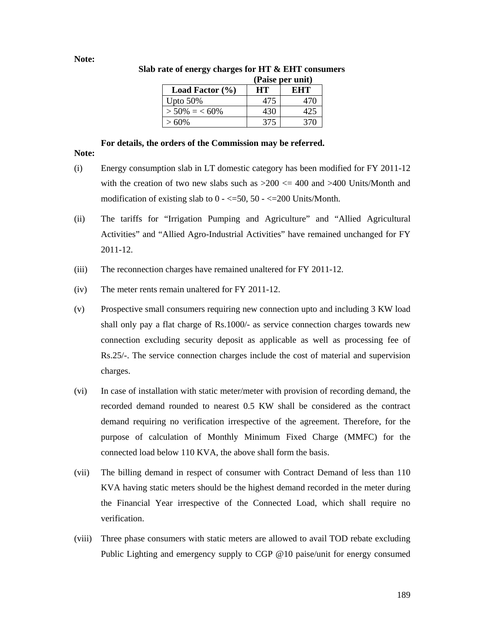#### **Note:**

|                     |     | (Paise per unit) |
|---------------------|-----|------------------|
| Load Factor $(\% )$ | HТ  | EHT              |
| Upto $50\%$         | 475 | 47 C             |
| $>$ 50% = < 60%     | 430 |                  |
| $>60\%$             | 375 | 370              |

#### **Slab rate of energy charges for HT & EHT consumers**   $(\mathbf{P}_1, \mathbf{P}_2, \dots, \mathbf{P}_n)$

# **For details, the orders of the Commission may be referred.**

### **Note:**

- (i) Energy consumption slab in LT domestic category has been modified for FY 2011-12 with the creation of two new slabs such as  $>200 \le 400$  and  $>400$  Units/Month and modification of existing slab to  $0 - \langle 50, 50 - \langle 200 \rangle$  Units/Month.
- (ii) The tariffs for "Irrigation Pumping and Agriculture" and "Allied Agricultural Activities" and "Allied Agro-Industrial Activities" have remained unchanged for FY 2011-12.
- (iii) The reconnection charges have remained unaltered for FY 2011-12.
- (iv) The meter rents remain unaltered for FY 2011-12.
- (v) Prospective small consumers requiring new connection upto and including 3 KW load shall only pay a flat charge of Rs.1000/- as service connection charges towards new connection excluding security deposit as applicable as well as processing fee of Rs.25/-. The service connection charges include the cost of material and supervision charges.
- (vi) In case of installation with static meter/meter with provision of recording demand, the recorded demand rounded to nearest 0.5 KW shall be considered as the contract demand requiring no verification irrespective of the agreement. Therefore, for the purpose of calculation of Monthly Minimum Fixed Charge (MMFC) for the connected load below 110 KVA, the above shall form the basis.
- (vii) The billing demand in respect of consumer with Contract Demand of less than 110 KVA having static meters should be the highest demand recorded in the meter during the Financial Year irrespective of the Connected Load, which shall require no verification.
- (viii) Three phase consumers with static meters are allowed to avail TOD rebate excluding Public Lighting and emergency supply to CGP @10 paise/unit for energy consumed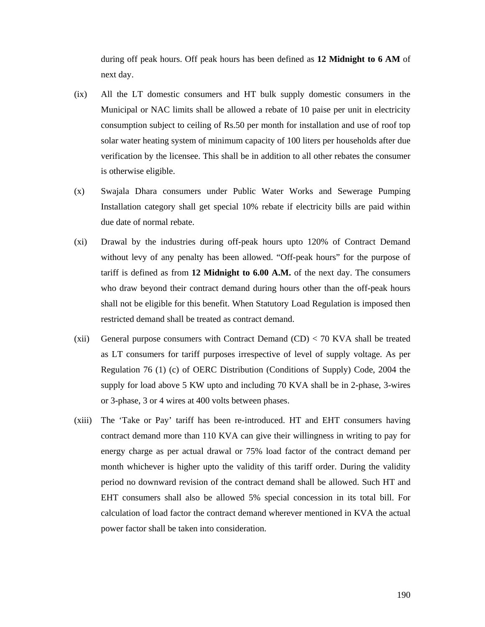during off peak hours. Off peak hours has been defined as **12 Midnight to 6 AM** of next day.

- (ix) All the LT domestic consumers and HT bulk supply domestic consumers in the Municipal or NAC limits shall be allowed a rebate of 10 paise per unit in electricity consumption subject to ceiling of Rs.50 per month for installation and use of roof top solar water heating system of minimum capacity of 100 liters per households after due verification by the licensee. This shall be in addition to all other rebates the consumer is otherwise eligible.
- (x) Swajala Dhara consumers under Public Water Works and Sewerage Pumping Installation category shall get special 10% rebate if electricity bills are paid within due date of normal rebate.
- (xi) Drawal by the industries during off-peak hours upto 120% of Contract Demand without levy of any penalty has been allowed. "Off-peak hours" for the purpose of tariff is defined as from **12 Midnight to 6.00 A.M.** of the next day. The consumers who draw beyond their contract demand during hours other than the off-peak hours shall not be eligible for this benefit. When Statutory Load Regulation is imposed then restricted demand shall be treated as contract demand.
- (xii) General purpose consumers with Contract Demand  $(CD) < 70$  KVA shall be treated as LT consumers for tariff purposes irrespective of level of supply voltage. As per Regulation 76 (1) (c) of OERC Distribution (Conditions of Supply) Code, 2004 the supply for load above 5 KW upto and including 70 KVA shall be in 2-phase, 3-wires or 3-phase, 3 or 4 wires at 400 volts between phases.
- (xiii) The 'Take or Pay' tariff has been re-introduced. HT and EHT consumers having contract demand more than 110 KVA can give their willingness in writing to pay for energy charge as per actual drawal or 75% load factor of the contract demand per month whichever is higher upto the validity of this tariff order. During the validity period no downward revision of the contract demand shall be allowed. Such HT and EHT consumers shall also be allowed 5% special concession in its total bill. For calculation of load factor the contract demand wherever mentioned in KVA the actual power factor shall be taken into consideration.